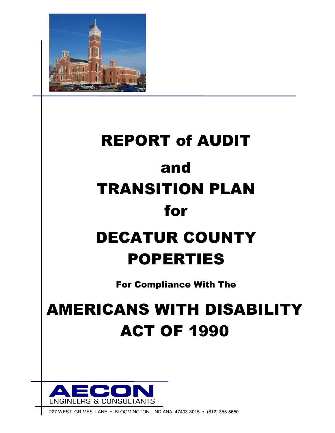

# REPORT of AUDIT and TRANSITION PLAN for DECATUR COUNTY

## POPERTIES

For Compliance With The

## AMERICANS WITH DISABILITY ACT OF 1990



227 WEST GRIMES LANE . BLOOMINGTON, INDIANA 47403-3015 . (812) 355-8650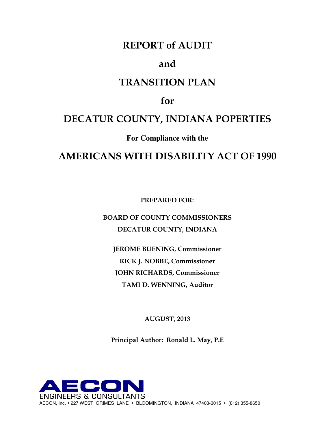## REPORT of AUDIT

#### and

## TRANSITION PLAN

## for

## DECATUR COUNTY, INDIANA POPERTIES

**For Compliance with the** 

## AMERICANS WITH DISABILITY ACT OF 1990

PREPARED FOR:

BOARD OF COUNTY COMMISSIONERS DECATUR COUNTY, INDIANA

JEROME BUENING, Commissioner RICK J. NOBBE, Commissioner JOHN RICHARDS, Commissioner TAMI D. WENNING, Auditor

AUGUST, 2013

Principal Author: Ronald L. May, P.E

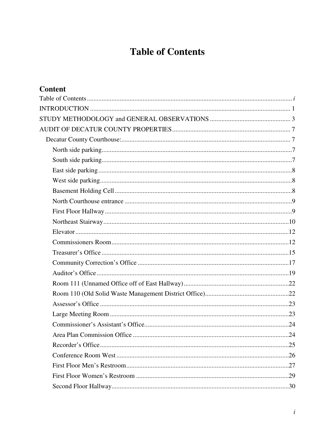## **Table of Contents**

| <b>Content</b> |  |
|----------------|--|
|                |  |
|                |  |
|                |  |
|                |  |
|                |  |
|                |  |
|                |  |
|                |  |
|                |  |
|                |  |
|                |  |
|                |  |
|                |  |
|                |  |
|                |  |
|                |  |
|                |  |
|                |  |
|                |  |
|                |  |
|                |  |
|                |  |
|                |  |
|                |  |
|                |  |
|                |  |
|                |  |
|                |  |
|                |  |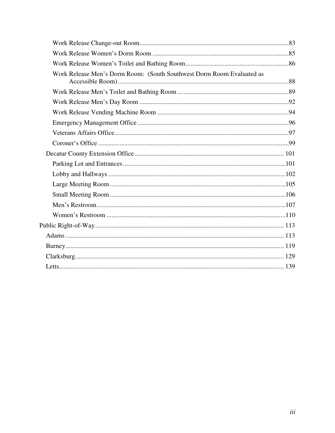| Work Release Men's Dorm Room: (South Southwest Dorm Room Evaluated as |  |
|-----------------------------------------------------------------------|--|
|                                                                       |  |
|                                                                       |  |
|                                                                       |  |
|                                                                       |  |
|                                                                       |  |
|                                                                       |  |
|                                                                       |  |
|                                                                       |  |
|                                                                       |  |
|                                                                       |  |
|                                                                       |  |
|                                                                       |  |
|                                                                       |  |
|                                                                       |  |
|                                                                       |  |
|                                                                       |  |
|                                                                       |  |
|                                                                       |  |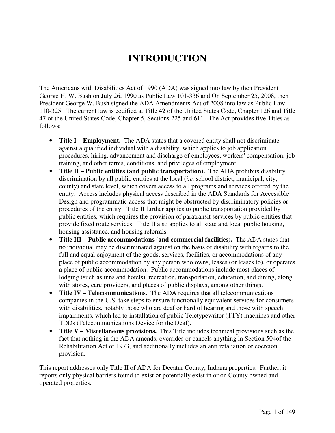## **INTRODUCTION**

The Americans with Disabilities Act of 1990 (ADA) was signed into law by then President George H. W. Bush on July 26, 1990 as Public Law 101-336 and On September 25, 2008, then President George W. Bush signed the ADA Amendments Act of 2008 into law as Public Law 110-325. The current law is codified at Title 42 of the United States Code, Chapter 126 and Title 47 of the United States Code, Chapter 5, Sections 225 and 611. The Act provides five Titles as follows:

- **Title I Employment.** The ADA states that a covered entity shall not discriminate against a qualified individual with a disability, which applies to job application procedures, hiring, advancement and discharge of employees, workers' compensation, job training, and other terms, conditions, and privileges of employment.
- **Title II Public entities (and public transportation).** The ADA prohibits disability discrimination by all public entities at the local (*i.e.* school district, municipal, city, county) and state level, which covers access to all programs and services offered by the entity. Access includes physical access described in the ADA Standards for Accessible Design and programmatic access that might be obstructed by discriminatory policies or procedures of the entity. Title II further applies to public transportation provided by public entities, which requires the provision of paratransit services by public entities that provide fixed route services. Title II also applies to all state and local public housing, housing assistance, and housing referrals.
- **Title III Public accommodations (and commercial facilities).** The ADA states that no individual may be discriminated against on the basis of disability with regards to the full and equal enjoyment of the goods, services, facilities, or accommodations of any place of public accommodation by any person who owns, leases (or leases to), or operates a place of public accommodation. Public accommodations include most places of lodging (such as inns and hotels), recreation, transportation, education, and dining, along with stores, care providers, and places of public displays, among other things.
- **Title IV Telecommunications.** The ADA requires that all telecommunications companies in the U.S. take steps to ensure functionally equivalent services for consumers with disabilities, notably those who are deaf or hard of hearing and those with speech impairments, which led to installation of public Teletypewriter (TTY) machines and other TDDs (Telecommunications Device for the Deaf).
- **Title V Miscellaneous provisions.** This Title includes technical provisions such as the fact that nothing in the ADA amends, overrides or cancels anything in Section 504of the Rehabilitation Act of 1973, and additionally includes an anti retaliation or coercion provision.

This report addresses only Title II of ADA for Decatur County, Indiana properties. Further, it reports only physical barriers found to exist or potentially exist in or on County owned and operated properties.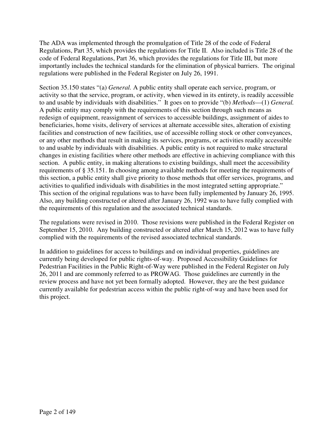The ADA was implemented through the promulgation of Title 28 of the code of Federal Regulations, Part 35, which provides the regulations for Title II. Also included is Title 28 of the code of Federal Regulations, Part 36, which provides the regulations for Title III, but more importantly includes the technical standards for the elimination of physical barriers. The original regulations were published in the Federal Register on July 26, 1991.

Section 35.150 states "(a) *General.* A public entity shall operate each service, program, or activity so that the service, program, or activity, when viewed in its entirety, is readily accessible to and usable by individuals with disabilities." It goes on to provide "(b) *Methods*—(1) *General.*  A public entity may comply with the requirements of this section through such means as redesign of equipment, reassignment of services to accessible buildings, assignment of aides to beneficiaries, home visits, delivery of services at alternate accessible sites, alteration of existing facilities and construction of new facilities, use of accessible rolling stock or other conveyances, or any other methods that result in making its services, programs, or activities readily accessible to and usable by individuals with disabilities. A public entity is not required to make structural changes in existing facilities where other methods are effective in achieving compliance with this section. A public entity, in making alterations to existing buildings, shall meet the accessibility requirements of § 35.151. In choosing among available methods for meeting the requirements of this section, a public entity shall give priority to those methods that offer services, programs, and activities to qualified individuals with disabilities in the most integrated setting appropriate." This section of the original regulations was to have been fully implemented by January 26, 1995. Also, any building constructed or altered after January 26, 1992 was to have fully complied with the requirements of this regulation and the associated technical standards.

The regulations were revised in 2010. Those revisions were published in the Federal Register on September 15, 2010. Any building constructed or altered after March 15, 2012 was to have fully complied with the requirements of the revised associated technical standards.

In addition to guidelines for access to buildings and on individual properties, guidelines are currently being developed for public rights-of-way. Proposed Accessibility Guidelines for Pedestrian Facilities in the Public Right-of-Way were published in the Federal Register on July 26, 2011 and are commonly referred to as PROWAG. Those guidelines are currently in the review process and have not yet been formally adopted. However, they are the best guidance currently available for pedestrian access within the public right-of-way and have been used for this project.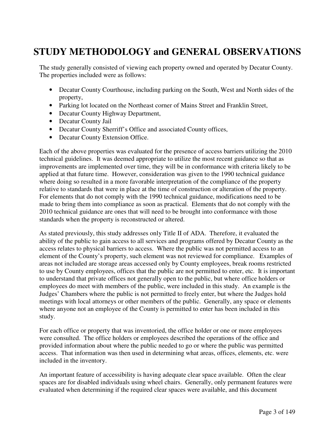## **STUDY METHODOLOGY and GENERAL OBSERVATIONS**

The study generally consisted of viewing each property owned and operated by Decatur County. The properties included were as follows:

- Decatur County Courthouse, including parking on the South, West and North sides of the property,
- Parking lot located on the Northeast corner of Mains Street and Franklin Street,
- Decatur County Highway Department,
- Decatur County Jail
- Decatur County Sherriff's Office and associated County offices,
- Decatur County Extension Office.

Each of the above properties was evaluated for the presence of access barriers utilizing the 2010 technical guidelines. It was deemed appropriate to utilize the most recent guidance so that as improvements are implemented over time, they will be in conformance with criteria likely to be applied at that future time. However, consideration was given to the 1990 technical guidance where doing so resulted in a more favorable interpretation of the compliance of the property relative to standards that were in place at the time of construction or alteration of the property. For elements that do not comply with the 1990 technical guidance, modifications need to be made to bring them into compliance as soon as practical. Elements that do not comply with the 2010 technical guidance are ones that will need to be brought into conformance with those standards when the property is reconstructed or altered.

As stated previously, this study addresses only Title II of ADA. Therefore, it evaluated the ability of the public to gain access to all services and programs offered by Decatur County as the access relates to physical barriers to access. Where the public was not permitted access to an element of the County's property, such element was not reviewed for compliance. Examples of areas not included are storage areas accessed only by County employees, break rooms restricted to use by County employees, offices that the public are not permitted to enter, etc. It is important to understand that private offices not generally open to the public, but where office holders or employees do meet with members of the public, were included in this study. An example is the Judges' Chambers where the public is not permitted to freely enter, but where the Judges hold meetings with local attorneys or other members of the public. Generally, any space or elements where anyone not an employee of the County is permitted to enter has been included in this study.

For each office or property that was inventoried, the office holder or one or more employees were consulted. The office holders or employees described the operations of the office and provided information about where the public needed to go or where the public was permitted access. That information was then used in determining what areas, offices, elements, etc. were included in the inventory.

An important feature of accessibility is having adequate clear space available. Often the clear spaces are for disabled individuals using wheel chairs. Generally, only permanent features were evaluated when determining if the required clear spaces were available, and this document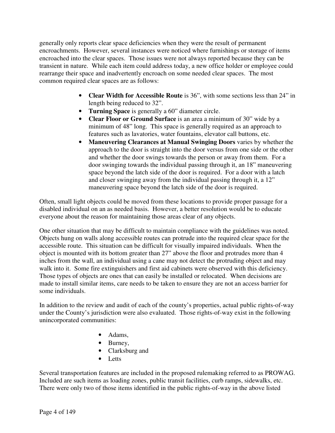generally only reports clear space deficiencies when they were the result of permanent encroachments. However, several instances were noticed where furnishings or storage of items encroached into the clear spaces. Those issues were not always reported because they can be transient in nature. While each item could address today, a new office holder or employee could rearrange their space and inadvertently encroach on some needed clear spaces. The most common required clear spaces are as follows:

- **Clear Width for Accessible Route** is 36", with some sections less than 24" in length being reduced to 32".
- **Turning Space** is generally a 60" diameter circle.
- **Clear Floor or Ground Surface** is an area a minimum of 30" wide by a minimum of 48" long. This space is generally required as an approach to features such as lavatories, water fountains, elevator call buttons, etc.
- **Maneuvering Clearances at Manual Swinging Doors** varies by whether the approach to the door is straight into the door versus from one side or the other and whether the door swings towards the person or away from them. For a door swinging towards the individual passing through it, an 18" maneuvering space beyond the latch side of the door is required. For a door with a latch and closer swinging away from the individual passing through it, a 12" maneuvering space beyond the latch side of the door is required.

Often, small light objects could be moved from these locations to provide proper passage for a disabled individual on an as needed basis. However, a better resolution would be to educate everyone about the reason for maintaining those areas clear of any objects.

One other situation that may be difficult to maintain compliance with the guidelines was noted. Objects hung on walls along accessible routes can protrude into the required clear space for the accessible route. This situation can be difficult for visually impaired individuals. When the object is mounted with its bottom greater than 27" above the floor and protrudes more than 4 inches from the wall, an individual using a cane may not detect the protruding object and may walk into it. Some fire extinguishers and first aid cabinets were observed with this deficiency. Those types of objects are ones that can easily be installed or relocated. When decisions are made to install similar items, care needs to be taken to ensure they are not an access barrier for some individuals.

In addition to the review and audit of each of the county's properties, actual public rights-of-way under the County's jurisdiction were also evaluated. Those rights-of-way exist in the following unincorporated communities:

- Adams,
- Burney,
- Clarksburg and
- Letts

Several transportation features are included in the proposed rulemaking referred to as PROWAG. Included are such items as loading zones, public transit facilities, curb ramps, sidewalks, etc. There were only two of those items identified in the public rights-of-way in the above listed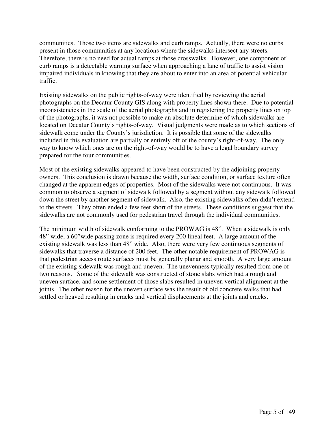communities. Those two items are sidewalks and curb ramps. Actually, there were no curbs present in those communities at any locations where the sidewalks intersect any streets. Therefore, there is no need for actual ramps at those crosswalks. However, one component of curb ramps is a detectable warning surface when approaching a lane of traffic to assist vision impaired individuals in knowing that they are about to enter into an area of potential vehicular traffic.

Existing sidewalks on the public rights-of-way were identified by reviewing the aerial photographs on the Decatur County GIS along with property lines shown there. Due to potential inconsistencies in the scale of the aerial photographs and in registering the property lines on top of the photographs, it was not possible to make an absolute determine of which sidewalks are located on Decatur County's rights-of-way. Visual judgments were made as to which sections of sidewalk come under the County's jurisdiction. It is possible that some of the sidewalks included in this evaluation are partially or entirely off of the county's right-of-way. The only way to know which ones are on the right-of-way would be to have a legal boundary survey prepared for the four communities.

Most of the existing sidewalks appeared to have been constructed by the adjoining property owners. This conclusion is drawn because the width, surface condition, or surface texture often changed at the apparent edges of properties. Most of the sidewalks were not continuous. It was common to observe a segment of sidewalk followed by a segment without any sidewalk followed down the street by another segment of sidewalk. Also, the existing sidewalks often didn't extend to the streets. They often ended a few feet short of the streets. These conditions suggest that the sidewalks are not commonly used for pedestrian travel through the individual communities.

The minimum width of sidewalk conforming to the PROWAG is 48". When a sidewalk is only 48" wide, a 60"wide passing zone is required every 200 lineal feet. A large amount of the existing sidewalk was less than 48" wide. Also, there were very few continuous segments of sidewalks that traverse a distance of 200 feet. The other notable requirement of PROWAG is that pedestrian access route surfaces must be generally planar and smooth. A very large amount of the existing sidewalk was rough and uneven. The unevenness typically resulted from one of two reasons. Some of the sidewalk was constructed of stone slabs which had a rough and uneven surface, and some settlement of those slabs resulted in uneven vertical alignment at the joints. The other reason for the uneven surface was the result of old concrete walks that had settled or heaved resulting in cracks and vertical displacements at the joints and cracks.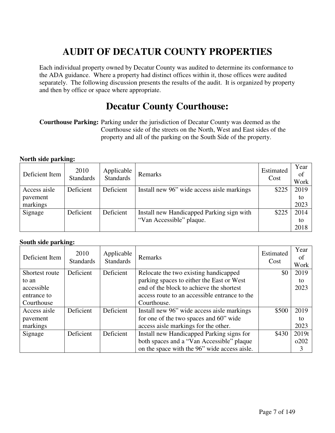## **AUDIT OF DECATUR COUNTY PROPERTIES**

Each individual property owned by Decatur County was audited to determine its conformance to the ADA guidance. Where a property had distinct offices within it, those offices were audited separately. The following discussion presents the results of the audit. It is organized by property and then by office or space where appropriate.

## **Decatur County Courthouse:**

**Courthouse Parking:** Parking under the jurisdiction of Decatur County was deemed as the Courthouse side of the streets on the North, West and East sides of the property and all of the parking on the South Side of the property.

#### **North side parking:**

| Deficient Item | 2010<br><b>Standards</b> | Applicable<br>Standards | Remarks                                    | Estimated<br>Cost | Year<br>of<br>Work |
|----------------|--------------------------|-------------------------|--------------------------------------------|-------------------|--------------------|
| Access aisle   | Deficient                | Deficient               | Install new 96" wide access aisle markings | \$225             | 2019               |
| pavement       |                          |                         |                                            |                   | to                 |
| markings       |                          |                         |                                            |                   | 2023               |
| Signage        | Deficient                | Deficient               | Install new Handicapped Parking sign with  | \$225             | 2014               |
|                |                          |                         | "Van Accessible" plaque.                   |                   | to                 |
|                |                          |                         |                                            |                   | 2018               |

#### **South side parking:**

| Deficient Item | 2010<br><b>Standards</b> | Applicable<br><b>Standards</b> | Remarks                                       | Estimated<br>Cost | Year<br>of<br>Work |
|----------------|--------------------------|--------------------------------|-----------------------------------------------|-------------------|--------------------|
| Shortest route | Deficient                | Deficient                      | Relocate the two existing handicapped         | \$0               | 2019               |
| to an          |                          |                                | parking spaces to either the East or West     |                   | to                 |
| accessible     |                          |                                | end of the block to achieve the shortest      |                   | 2023               |
| entrance to    |                          |                                | access route to an accessible entrance to the |                   |                    |
| Courthouse     |                          |                                | Courthouse.                                   |                   |                    |
| Access aisle   | Deficient                | Deficient                      | Install new 96" wide access aisle markings    | \$500             | 2019               |
| pavement       |                          |                                | for one of the two spaces and 60" wide        |                   | to                 |
| markings       |                          |                                | access aisle markings for the other.          |                   | 2023               |
| Signage        | Deficient                | Deficient                      | Install new Handicapped Parking signs for     | \$430             | 2019t              |
|                |                          |                                | both spaces and a "Van Accessible" plaque     |                   | 0202               |
|                |                          |                                | on the space with the 96" wide access aisle.  |                   | 3                  |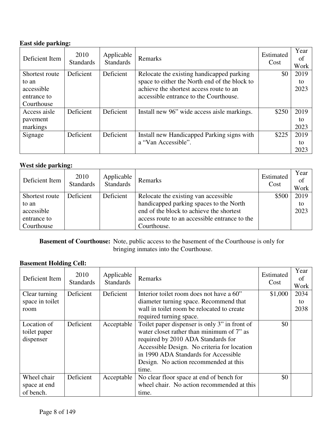#### **East side parking:**

| Deficient Item | 2010<br><b>Standards</b> | Applicable<br><b>Standards</b> | Remarks                                       | Estimated<br>Cost | Year<br>of<br>Work |
|----------------|--------------------------|--------------------------------|-----------------------------------------------|-------------------|--------------------|
| Shortest route | Deficient                | Deficient                      | Relocate the existing handicapped parking     | \$0               | 2019               |
| to an          |                          |                                | space to either the North end of the block to |                   | to                 |
| accessible     |                          |                                | achieve the shortest access route to an       |                   | 2023               |
| entrance to    |                          |                                | accessible entrance to the Courthouse.        |                   |                    |
| Courthouse     |                          |                                |                                               |                   |                    |
| Access aisle   | Deficient                | Deficient                      | Install new 96" wide access aisle markings.   | \$250             | 2019               |
| pavement       |                          |                                |                                               |                   | to                 |
| markings       |                          |                                |                                               |                   | 2023               |
| Signage        | Deficient                | Deficient                      | Install new Handicapped Parking signs with    | \$225             | 2019               |
|                |                          |                                | a "Van Accessible".                           |                   | to                 |
|                |                          |                                |                                               |                   | 2023               |

#### **West side parking:**

| Deficient Item | 2010<br>Standards | Applicable<br>Standards | Remarks                                       | Estimated<br>Cost | Year<br>of<br>Work |
|----------------|-------------------|-------------------------|-----------------------------------------------|-------------------|--------------------|
| Shortest route | Deficient         | Deficient               | Relocate the existing van accessible          | \$500             | 2019               |
| to an          |                   |                         | handicapped parking spaces to the North       |                   | to                 |
| accessible     |                   |                         | end of the block to achieve the shortest      |                   | 2023               |
| entrance to    |                   |                         | access route to an accessible entrance to the |                   |                    |
| Courthouse     |                   |                         | Courthouse.                                   |                   |                    |

**Basement of Courthouse:** Note, public access to the basement of the Courthouse is only for bringing inmates into the Courthouse.

#### **Basement Holding Cell:**

| Deficient Item                           | 2010<br><b>Standards</b> | Applicable<br><b>Standards</b> | Remarks                                                                                                                                                                                                                                                                   | Estimated<br>Cost | Year<br>of<br>Work |
|------------------------------------------|--------------------------|--------------------------------|---------------------------------------------------------------------------------------------------------------------------------------------------------------------------------------------------------------------------------------------------------------------------|-------------------|--------------------|
| Clear turning                            | Deficient                | Deficient                      | Interior toilet room does not have a 60"                                                                                                                                                                                                                                  | \$1,000           | 2034               |
| space in toilet                          |                          |                                | diameter turning space. Recommend that                                                                                                                                                                                                                                    |                   | to                 |
| room                                     |                          |                                | wall in toilet room be relocated to create                                                                                                                                                                                                                                |                   | 2038               |
|                                          |                          |                                | required turning space.                                                                                                                                                                                                                                                   |                   |                    |
| Location of<br>toilet paper<br>dispenser | Deficient                | Acceptable                     | Toilet paper dispenser is only 3" in front of<br>water closet rather than minimum of 7" as<br>required by 2010 ADA Standards for<br>Accessible Design. No criteria for location<br>in 1990 ADA Standards for Accessible<br>Design. No action recommended at this<br>time. | \$0               |                    |
| Wheel chair                              | Deficient                | Acceptable                     | No clear floor space at end of bench for                                                                                                                                                                                                                                  | \$0               |                    |
| space at end                             |                          |                                | wheel chair. No action recommended at this                                                                                                                                                                                                                                |                   |                    |
| of bench.                                |                          |                                | time.                                                                                                                                                                                                                                                                     |                   |                    |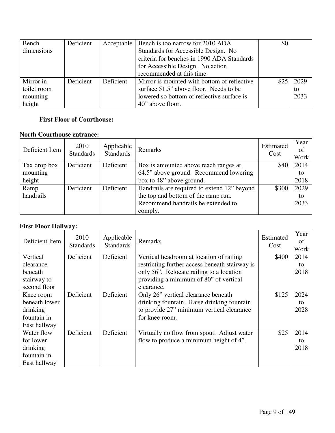| Bench       | Deficient |           | Acceptable   Bench is too narrow for 2010 ADA | \$0  |      |
|-------------|-----------|-----------|-----------------------------------------------|------|------|
| dimensions  |           |           | Standards for Accessible Design. No           |      |      |
|             |           |           | criteria for benches in 1990 ADA Standards    |      |      |
|             |           |           | for Accessible Design. No action              |      |      |
|             |           |           | recommended at this time.                     |      |      |
| Mirror in   | Deficient | Deficient | Mirror is mounted with bottom of reflective   | \$25 | 2029 |
| toilet room |           |           | surface 51.5" above floor. Needs to be        |      | to   |
| mounting    |           |           | lowered so bottom of reflective surface is    |      | 2033 |
| height      |           |           | 40" above floor.                              |      |      |

#### **First Floor of Courthouse:**

#### **North Courthouse entrance:**

| Deficient Item | 2010<br><b>Standards</b> | Applicable<br><b>Standards</b> | Remarks                                     | Estimated<br>Cost | Year<br>of<br>Work |
|----------------|--------------------------|--------------------------------|---------------------------------------------|-------------------|--------------------|
| Tax drop box   | Deficient                | Deficient                      | Box is amounted above reach ranges at       | \$40              | 2014               |
| mounting       |                          |                                | 64.5" above ground. Recommend lowering      |                   | to                 |
| height         |                          |                                | box to 48" above ground.                    |                   | 2018               |
| Ramp           | Deficient                | Deficient                      | Handrails are required to extend 12" beyond | \$300             | 2029               |
| handrails      |                          |                                | the top and bottom of the ramp run.         |                   | to                 |
|                |                          |                                | Recommend handrails be extended to          |                   | 2033               |
|                |                          |                                | comply.                                     |                   |                    |

#### **First Floor Hallway:**

| Deficient Item | 2010<br><b>Standards</b> | Applicable<br><b>Standards</b> | Remarks                                        | Estimated<br>Cost | Year<br>of<br>Work |
|----------------|--------------------------|--------------------------------|------------------------------------------------|-------------------|--------------------|
| Vertical       | Deficient                | Deficient                      | Vertical headroom at location of railing       | \$400             | 2014               |
| clearance      |                          |                                | restricting further access beneath stairway is |                   | to                 |
| beneath        |                          |                                | only 56". Relocate railing to a location       |                   | 2018               |
| stairway to    |                          |                                | providing a minimum of 80" of vertical         |                   |                    |
| second floor   |                          |                                | clearance.                                     |                   |                    |
| Knee room      | Deficient                | Deficient                      | Only 26" vertical clearance beneath            | \$125             | 2024               |
| beneath lower  |                          |                                | drinking fountain. Raise drinking fountain     |                   | to                 |
| drinking       |                          |                                | to provide 27" minimum vertical clearance      |                   | 2028               |
| fountain in    |                          |                                | for knee room.                                 |                   |                    |
| East hallway   |                          |                                |                                                |                   |                    |
| Water flow     | Deficient                | Deficient                      | Virtually no flow from spout. Adjust water     | \$25              | 2014               |
| for lower      |                          |                                | flow to produce a minimum height of 4".        |                   | to                 |
| drinking       |                          |                                |                                                |                   | 2018               |
| fountain in    |                          |                                |                                                |                   |                    |
| East hallway   |                          |                                |                                                |                   |                    |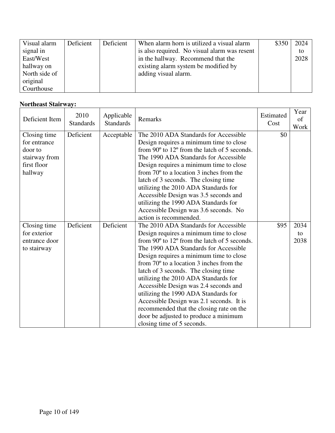| Visual alarm  | Deficient | Deficient | When alarm horn is utilized a visual alarm   | \$350 | 2024 |
|---------------|-----------|-----------|----------------------------------------------|-------|------|
| signal in     |           |           | is also required. No visual alarm was resent |       | to   |
| East/West     |           |           | in the hallway. Recommend that the           |       | 2028 |
| hallway on    |           |           | existing alarm system be modified by         |       |      |
| North side of |           |           | adding visual alarm.                         |       |      |
| original      |           |           |                                              |       |      |
| Courthouse    |           |           |                                              |       |      |

#### **Northeast Stairway:**

| Deficient Item               | 2010<br><b>Standards</b> | Applicable<br><b>Standards</b> | Remarks                                                                                                   | Estimated<br>Cost | Year<br>of<br>Work |
|------------------------------|--------------------------|--------------------------------|-----------------------------------------------------------------------------------------------------------|-------------------|--------------------|
| Closing time<br>for entrance | Deficient                | Acceptable                     | The 2010 ADA Standards for Accessible                                                                     | \$0               |                    |
| door to                      |                          |                                | Design requires a minimum time to close<br>from $90^{\circ}$ to $12^{\circ}$ from the latch of 5 seconds. |                   |                    |
| stairway from                |                          |                                | The 1990 ADA Standards for Accessible                                                                     |                   |                    |
| first floor                  |                          |                                | Design requires a minimum time to close                                                                   |                   |                    |
| hallway                      |                          |                                | from $70^{\circ}$ to a location 3 inches from the                                                         |                   |                    |
|                              |                          |                                | latch of 3 seconds. The closing time                                                                      |                   |                    |
|                              |                          |                                | utilizing the 2010 ADA Standards for                                                                      |                   |                    |
|                              |                          |                                | Accessible Design was 3.5 seconds and                                                                     |                   |                    |
|                              |                          |                                | utilizing the 1990 ADA Standards for                                                                      |                   |                    |
|                              |                          |                                | Accessible Design was 3.6 seconds. No                                                                     |                   |                    |
|                              |                          |                                | action is recommended.                                                                                    |                   |                    |
| Closing time                 | Deficient                | Deficient                      | The 2010 ADA Standards for Accessible                                                                     | \$95              | 2034               |
| for exterior                 |                          |                                | Design requires a minimum time to close                                                                   |                   | to                 |
| entrance door                |                          |                                | from $90^{\circ}$ to $12^{\circ}$ from the latch of 5 seconds.                                            |                   | 2038               |
| to stairway                  |                          |                                | The 1990 ADA Standards for Accessible                                                                     |                   |                    |
|                              |                          |                                | Design requires a minimum time to close                                                                   |                   |                    |
|                              |                          |                                | from $70^{\circ}$ to a location 3 inches from the                                                         |                   |                    |
|                              |                          |                                | latch of 3 seconds. The closing time                                                                      |                   |                    |
|                              |                          |                                | utilizing the 2010 ADA Standards for                                                                      |                   |                    |
|                              |                          |                                | Accessible Design was 2.4 seconds and                                                                     |                   |                    |
|                              |                          |                                | utilizing the 1990 ADA Standards for                                                                      |                   |                    |
|                              |                          |                                | Accessible Design was 2.1 seconds. It is                                                                  |                   |                    |
|                              |                          |                                | recommended that the closing rate on the                                                                  |                   |                    |
|                              |                          |                                | door be adjusted to produce a minimum                                                                     |                   |                    |
|                              |                          |                                | closing time of 5 seconds.                                                                                |                   |                    |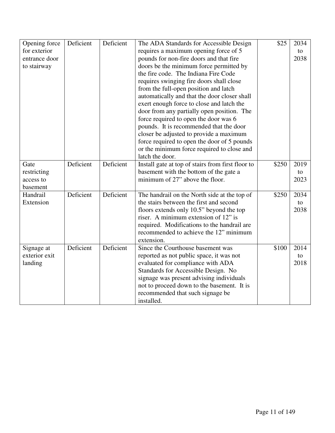| Opening force | Deficient | Deficient | The ADA Standards for Accessible Design           | \$25  | 2034 |
|---------------|-----------|-----------|---------------------------------------------------|-------|------|
| for exterior  |           |           | requires a maximum opening force of 5             |       | to   |
| entrance door |           |           | pounds for non-fire doors and that fire           |       | 2038 |
| to stairway   |           |           | doors be the minimum force permitted by           |       |      |
|               |           |           | the fire code. The Indiana Fire Code              |       |      |
|               |           |           | requires swinging fire doors shall close          |       |      |
|               |           |           | from the full-open position and latch             |       |      |
|               |           |           | automatically and that the door closer shall      |       |      |
|               |           |           | exert enough force to close and latch the         |       |      |
|               |           |           | door from any partially open position. The        |       |      |
|               |           |           | force required to open the door was 6             |       |      |
|               |           |           | pounds. It is recommended that the door           |       |      |
|               |           |           | closer be adjusted to provide a maximum           |       |      |
|               |           |           | force required to open the door of 5 pounds       |       |      |
|               |           |           | or the minimum force required to close and        |       |      |
|               |           |           | latch the door.                                   |       |      |
| Gate          | Deficient | Deficient | Install gate at top of stairs from first floor to | \$250 | 2019 |
| restricting   |           |           | basement with the bottom of the gate a            |       | to   |
| access to     |           |           | minimum of 27" above the floor.                   |       | 2023 |
| basement      |           |           |                                                   |       |      |
| Handrail      | Deficient | Deficient | The handrail on the North side at the top of      | \$250 | 2034 |
| Extension     |           |           | the stairs between the first and second           |       | to   |
|               |           |           | floors extends only 10.5" beyond the top          |       | 2038 |
|               |           |           | riser. A minimum extension of 12" is              |       |      |
|               |           |           | required. Modifications to the handrail are       |       |      |
|               |           |           | recommended to achieve the 12" minimum            |       |      |
|               |           |           | extension.                                        |       |      |
| Signage at    | Deficient | Deficient | Since the Courthouse basement was                 | \$100 | 2014 |
| exterior exit |           |           | reported as not public space, it was not          |       | to   |
| landing       |           |           | evaluated for compliance with ADA                 |       | 2018 |
|               |           |           | Standards for Accessible Design. No               |       |      |
|               |           |           | signage was present advising individuals          |       |      |
|               |           |           | not to proceed down to the basement. It is        |       |      |
|               |           |           | recommended that such signage be                  |       |      |
|               |           |           | installed.                                        |       |      |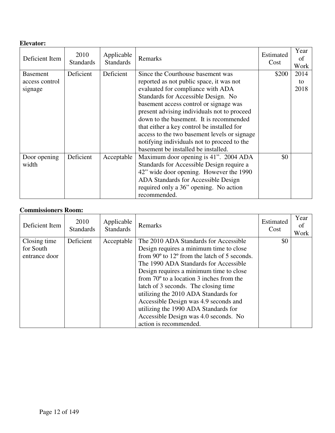#### **Elevator:**

| Deficient Item  | 2010<br><b>Standards</b> | Applicable<br><b>Standards</b> | Remarks                                      | Estimated<br>Cost | Year<br>οf<br>Work |
|-----------------|--------------------------|--------------------------------|----------------------------------------------|-------------------|--------------------|
| <b>Basement</b> | Deficient                | Deficient                      | Since the Courthouse basement was            | \$200             | 2014               |
| access control  |                          |                                | reported as not public space, it was not     |                   | to                 |
| signage         |                          |                                | evaluated for compliance with ADA            |                   | 2018               |
|                 |                          |                                | Standards for Accessible Design. No          |                   |                    |
|                 |                          |                                | basement access control or signage was       |                   |                    |
|                 |                          |                                | present advising individuals not to proceed  |                   |                    |
|                 |                          |                                | down to the basement. It is recommended      |                   |                    |
|                 |                          |                                | that either a key control be installed for   |                   |                    |
|                 |                          |                                | access to the two basement levels or signage |                   |                    |
|                 |                          |                                | notifying individuals not to proceed to the  |                   |                    |
|                 |                          |                                | basement be installed be installed.          |                   |                    |
| Door opening    | Deficient                | Acceptable                     | Maximum door opening is 41". 2004 ADA        | \$0               |                    |
| width           |                          |                                | Standards for Accessible Design require a    |                   |                    |
|                 |                          |                                | 42" wide door opening. However the 1990      |                   |                    |
|                 |                          |                                | ADA Standards for Accessible Design          |                   |                    |
|                 |                          |                                | required only a 36" opening. No action       |                   |                    |
|                 |                          |                                | recommended.                                 |                   |                    |

#### **Commissioners Room:**

| Deficient Item                             | 2010<br><b>Standards</b> | Applicable<br><b>Standards</b> | Remarks                                                                                                                                                                                                                                                                                                                                                                                                                                                                                                                         | Estimated<br>Cost | Year<br><sub>of</sub><br>Work |
|--------------------------------------------|--------------------------|--------------------------------|---------------------------------------------------------------------------------------------------------------------------------------------------------------------------------------------------------------------------------------------------------------------------------------------------------------------------------------------------------------------------------------------------------------------------------------------------------------------------------------------------------------------------------|-------------------|-------------------------------|
| Closing time<br>for South<br>entrance door | Deficient                | Acceptable                     | The 2010 ADA Standards for Accessible<br>Design requires a minimum time to close<br>from 90 $\degree$ to 12 $\degree$ from the latch of 5 seconds.<br>The 1990 ADA Standards for Accessible<br>Design requires a minimum time to close<br>from $70^{\circ}$ to a location 3 inches from the<br>latch of 3 seconds. The closing time<br>utilizing the 2010 ADA Standards for<br>Accessible Design was 4.9 seconds and<br>utilizing the 1990 ADA Standards for<br>Accessible Design was 4.0 seconds. No<br>action is recommended. | \$0               |                               |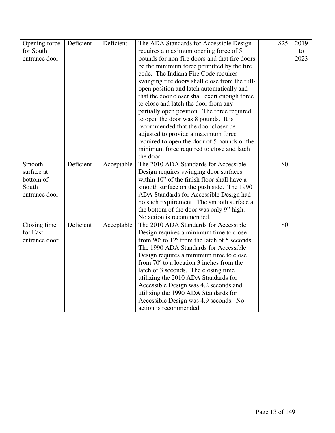| Opening force | Deficient | Deficient  | The ADA Standards for Accessible Design           | \$25 | 2019 |
|---------------|-----------|------------|---------------------------------------------------|------|------|
| for South     |           |            | requires a maximum opening force of 5             |      | to   |
| entrance door |           |            | pounds for non-fire doors and that fire doors     |      | 2023 |
|               |           |            | be the minimum force permitted by the fire        |      |      |
|               |           |            | code. The Indiana Fire Code requires              |      |      |
|               |           |            | swinging fire doors shall close from the full-    |      |      |
|               |           |            | open position and latch automatically and         |      |      |
|               |           |            | that the door closer shall exert enough force     |      |      |
|               |           |            | to close and latch the door from any              |      |      |
|               |           |            | partially open position. The force required       |      |      |
|               |           |            | to open the door was 8 pounds. It is              |      |      |
|               |           |            | recommended that the door closer be               |      |      |
|               |           |            | adjusted to provide a maximum force               |      |      |
|               |           |            | required to open the door of 5 pounds or the      |      |      |
|               |           |            | minimum force required to close and latch         |      |      |
|               |           |            | the door.                                         |      |      |
| Smooth        | Deficient | Acceptable | The 2010 ADA Standards for Accessible             | \$0  |      |
| surface at    |           |            | Design requires swinging door surfaces            |      |      |
| bottom of     |           |            | within 10" of the finish floor shall have a       |      |      |
| South         |           |            | smooth surface on the push side. The 1990         |      |      |
| entrance door |           |            | ADA Standards for Accessible Design had           |      |      |
|               |           |            | no such requirement. The smooth surface at        |      |      |
|               |           |            | the bottom of the door was only 9" high.          |      |      |
|               |           |            | No action is recommended.                         |      |      |
| Closing time  | Deficient | Acceptable | The 2010 ADA Standards for Accessible             | \$0  |      |
| for East      |           |            | Design requires a minimum time to close           |      |      |
| entrance door |           |            | from 90° to 12° from the latch of 5 seconds.      |      |      |
|               |           |            | The 1990 ADA Standards for Accessible             |      |      |
|               |           |            | Design requires a minimum time to close           |      |      |
|               |           |            | from $70^{\circ}$ to a location 3 inches from the |      |      |
|               |           |            | latch of 3 seconds. The closing time              |      |      |
|               |           |            | utilizing the 2010 ADA Standards for              |      |      |
|               |           |            | Accessible Design was 4.2 seconds and             |      |      |
|               |           |            | utilizing the 1990 ADA Standards for              |      |      |
|               |           |            | Accessible Design was 4.9 seconds. No             |      |      |
|               |           |            | action is recommended.                            |      |      |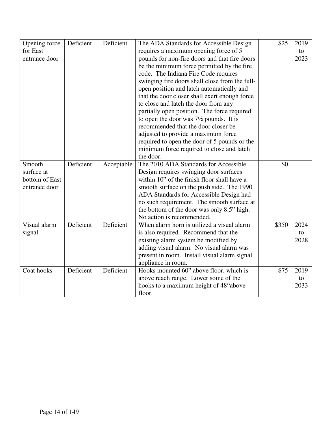| Opening force  | Deficient | Deficient  | The ADA Standards for Accessible Design           | \$25  | 2019 |
|----------------|-----------|------------|---------------------------------------------------|-------|------|
| for East       |           |            | requires a maximum opening force of 5             |       | to   |
| entrance door  |           |            | pounds for non-fire doors and that fire doors     |       | 2023 |
|                |           |            | be the minimum force permitted by the fire        |       |      |
|                |           |            | code. The Indiana Fire Code requires              |       |      |
|                |           |            | swinging fire doors shall close from the full-    |       |      |
|                |           |            | open position and latch automatically and         |       |      |
|                |           |            | that the door closer shall exert enough force     |       |      |
|                |           |            | to close and latch the door from any              |       |      |
|                |           |            | partially open position. The force required       |       |      |
|                |           |            | to open the door was $7\frac{1}{2}$ pounds. It is |       |      |
|                |           |            | recommended that the door closer be               |       |      |
|                |           |            | adjusted to provide a maximum force               |       |      |
|                |           |            | required to open the door of 5 pounds or the      |       |      |
|                |           |            | minimum force required to close and latch         |       |      |
|                |           |            | the door.                                         |       |      |
| Smooth         | Deficient | Acceptable | The 2010 ADA Standards for Accessible             | \$0   |      |
| surface at     |           |            | Design requires swinging door surfaces            |       |      |
| bottom of East |           |            | within 10" of the finish floor shall have a       |       |      |
| entrance door  |           |            | smooth surface on the push side. The 1990         |       |      |
|                |           |            | ADA Standards for Accessible Design had           |       |      |
|                |           |            | no such requirement. The smooth surface at        |       |      |
|                |           |            | the bottom of the door was only 8.5" high.        |       |      |
|                |           |            | No action is recommended.                         |       |      |
| Visual alarm   | Deficient | Deficient  | When alarm horn is utilized a visual alarm        | \$350 | 2024 |
| signal         |           |            | is also required. Recommend that the              |       | to   |
|                |           |            | existing alarm system be modified by              |       | 2028 |
|                |           |            | adding visual alarm. No visual alarm was          |       |      |
|                |           |            | present in room. Install visual alarm signal      |       |      |
|                |           |            | appliance in room.                                |       |      |
| Coat hooks     | Deficient | Deficient  | Hooks mounted 60" above floor, which is           | \$75  | 2019 |
|                |           |            | above reach range. Lower some of the              |       | to   |
|                |           |            | hooks to a maximum height of 48"above             |       | 2033 |
|                |           |            | floor.                                            |       |      |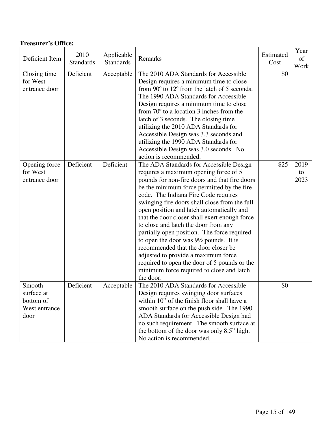| Deficient Item                                             | 2010<br><b>Standards</b> | Applicable<br><b>Standards</b> | Remarks                                                                                                                                                                                                                                                                                                                                                                                                                                                                                                                                                                                                                                                                                                     | Estimated<br>Cost | Year<br>of<br>Work |
|------------------------------------------------------------|--------------------------|--------------------------------|-------------------------------------------------------------------------------------------------------------------------------------------------------------------------------------------------------------------------------------------------------------------------------------------------------------------------------------------------------------------------------------------------------------------------------------------------------------------------------------------------------------------------------------------------------------------------------------------------------------------------------------------------------------------------------------------------------------|-------------------|--------------------|
| Closing time<br>for West<br>entrance door                  | Deficient                | Acceptable                     | The 2010 ADA Standards for Accessible<br>Design requires a minimum time to close<br>from 90° to 12° from the latch of 5 seconds.<br>The 1990 ADA Standards for Accessible<br>Design requires a minimum time to close<br>from $70^{\circ}$ to a location 3 inches from the<br>latch of 3 seconds. The closing time<br>utilizing the 2010 ADA Standards for<br>Accessible Design was 3.3 seconds and<br>utilizing the 1990 ADA Standards for<br>Accessible Design was 3.0 seconds. No<br>action is recommended.                                                                                                                                                                                               | \$0               |                    |
| Opening force<br>for West<br>entrance door                 | Deficient                | Deficient                      | The ADA Standards for Accessible Design<br>requires a maximum opening force of 5<br>pounds for non-fire doors and that fire doors<br>be the minimum force permitted by the fire<br>code. The Indiana Fire Code requires<br>swinging fire doors shall close from the full-<br>open position and latch automatically and<br>that the door closer shall exert enough force<br>to close and latch the door from any<br>partially open position. The force required<br>to open the door was $9\frac{1}{2}$ pounds. It is<br>recommended that the door closer be<br>adjusted to provide a maximum force<br>required to open the door of 5 pounds or the<br>minimum force required to close and latch<br>the door. | \$25              | 2019<br>to<br>2023 |
| Smooth<br>surface at<br>bottom of<br>West entrance<br>door | Deficient                | Acceptable                     | The 2010 ADA Standards for Accessible<br>Design requires swinging door surfaces<br>within 10" of the finish floor shall have a<br>smooth surface on the push side. The 1990<br>ADA Standards for Accessible Design had<br>no such requirement. The smooth surface at<br>the bottom of the door was only 8.5" high.<br>No action is recommended.                                                                                                                                                                                                                                                                                                                                                             | \$0               |                    |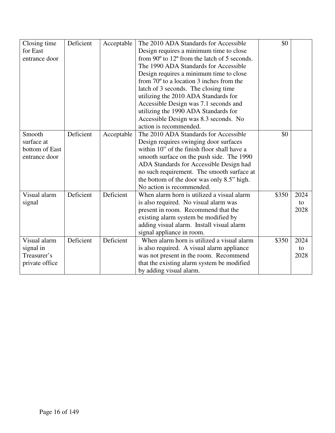| Closing time   | Deficient | Acceptable | The 2010 ADA Standards for Accessible             | \$0   |      |
|----------------|-----------|------------|---------------------------------------------------|-------|------|
| for East       |           |            | Design requires a minimum time to close           |       |      |
| entrance door  |           |            | from 90° to 12° from the latch of 5 seconds.      |       |      |
|                |           |            | The 1990 ADA Standards for Accessible             |       |      |
|                |           |            | Design requires a minimum time to close           |       |      |
|                |           |            | from $70^{\circ}$ to a location 3 inches from the |       |      |
|                |           |            | latch of 3 seconds. The closing time              |       |      |
|                |           |            | utilizing the 2010 ADA Standards for              |       |      |
|                |           |            | Accessible Design was 7.1 seconds and             |       |      |
|                |           |            | utilizing the 1990 ADA Standards for              |       |      |
|                |           |            | Accessible Design was 8.3 seconds. No             |       |      |
|                |           |            | action is recommended.                            |       |      |
| Smooth         | Deficient | Acceptable | The 2010 ADA Standards for Accessible             | \$0   |      |
| surface at     |           |            | Design requires swinging door surfaces            |       |      |
| bottom of East |           |            | within 10" of the finish floor shall have a       |       |      |
| entrance door  |           |            | smooth surface on the push side. The 1990         |       |      |
|                |           |            | ADA Standards for Accessible Design had           |       |      |
|                |           |            | no such requirement. The smooth surface at        |       |      |
|                |           |            | the bottom of the door was only 8.5" high.        |       |      |
|                |           |            | No action is recommended.                         |       |      |
| Visual alarm   | Deficient | Deficient  | When alarm horn is utilized a visual alarm        | \$350 | 2024 |
| signal         |           |            | is also required. No visual alarm was             |       | to   |
|                |           |            | present in room. Recommend that the               |       | 2028 |
|                |           |            | existing alarm system be modified by              |       |      |
|                |           |            | adding visual alarm. Install visual alarm         |       |      |
|                |           |            | signal appliance in room.                         |       |      |
| Visual alarm   | Deficient | Deficient  | When alarm horn is utilized a visual alarm        | \$350 | 2024 |
| signal in      |           |            | is also required. A visual alarm appliance        |       | to   |
| Treasurer's    |           |            | was not present in the room. Recommend            |       | 2028 |
| private office |           |            | that the existing alarm system be modified        |       |      |
|                |           |            | by adding visual alarm.                           |       |      |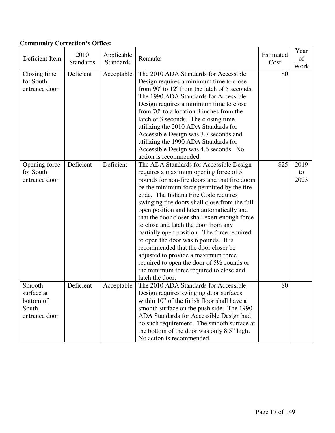#### **Community Correction's Office:**

| Deficient Item                                              | 2010<br><b>Standards</b> | Applicable<br><b>Standards</b> | Remarks                                                                                                                                                                                                                                                                                                                                                                                                                                                                                                                                                                                                                                                                                                     | Estimated<br>Cost | Year<br>of<br>Work |
|-------------------------------------------------------------|--------------------------|--------------------------------|-------------------------------------------------------------------------------------------------------------------------------------------------------------------------------------------------------------------------------------------------------------------------------------------------------------------------------------------------------------------------------------------------------------------------------------------------------------------------------------------------------------------------------------------------------------------------------------------------------------------------------------------------------------------------------------------------------------|-------------------|--------------------|
| Closing time<br>for South<br>entrance door                  | Deficient                | Acceptable                     | The 2010 ADA Standards for Accessible<br>Design requires a minimum time to close<br>from 90° to 12° from the latch of 5 seconds.<br>The 1990 ADA Standards for Accessible<br>Design requires a minimum time to close<br>from $70^{\circ}$ to a location 3 inches from the<br>latch of 3 seconds. The closing time<br>utilizing the 2010 ADA Standards for<br>Accessible Design was 3.7 seconds and<br>utilizing the 1990 ADA Standards for<br>Accessible Design was 4.6 seconds. No<br>action is recommended.                                                                                                                                                                                               | \$0               |                    |
| Opening force<br>for South<br>entrance door                 | Deficient                | Deficient                      | The ADA Standards for Accessible Design<br>requires a maximum opening force of 5<br>pounds for non-fire doors and that fire doors<br>be the minimum force permitted by the fire<br>code. The Indiana Fire Code requires<br>swinging fire doors shall close from the full-<br>open position and latch automatically and<br>that the door closer shall exert enough force<br>to close and latch the door from any<br>partially open position. The force required<br>to open the door was 6 pounds. It is<br>recommended that the door closer be<br>adjusted to provide a maximum force<br>required to open the door of $5\frac{1}{2}$ pounds or<br>the minimum force required to close and<br>latch the door. | \$25              | 2019<br>to<br>2023 |
| Smooth<br>surface at<br>bottom of<br>South<br>entrance door | Deficient                | Acceptable                     | The 2010 ADA Standards for Accessible<br>Design requires swinging door surfaces<br>within 10" of the finish floor shall have a<br>smooth surface on the push side. The 1990<br>ADA Standards for Accessible Design had<br>no such requirement. The smooth surface at<br>the bottom of the door was only 8.5" high.<br>No action is recommended.                                                                                                                                                                                                                                                                                                                                                             | \$0               |                    |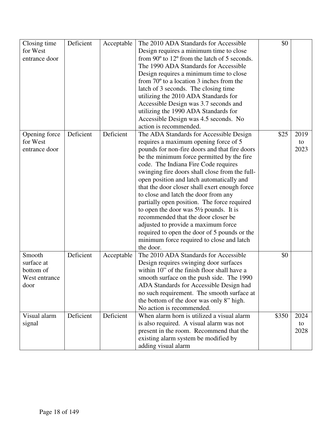| Closing time  | Deficient | Acceptable | The 2010 ADA Standards for Accessible             | \$0   |      |
|---------------|-----------|------------|---------------------------------------------------|-------|------|
| for West      |           |            | Design requires a minimum time to close           |       |      |
| entrance door |           |            | from 90° to 12° from the latch of 5 seconds.      |       |      |
|               |           |            | The 1990 ADA Standards for Accessible             |       |      |
|               |           |            | Design requires a minimum time to close           |       |      |
|               |           |            | from $70^{\circ}$ to a location 3 inches from the |       |      |
|               |           |            | latch of 3 seconds. The closing time              |       |      |
|               |           |            | utilizing the 2010 ADA Standards for              |       |      |
|               |           |            | Accessible Design was 3.7 seconds and             |       |      |
|               |           |            | utilizing the 1990 ADA Standards for              |       |      |
|               |           |            |                                                   |       |      |
|               |           |            | Accessible Design was 4.5 seconds. No             |       |      |
|               |           |            | action is recommended.                            |       |      |
| Opening force | Deficient | Deficient  | The ADA Standards for Accessible Design           | \$25  | 2019 |
| for West      |           |            | requires a maximum opening force of 5             |       | to   |
| entrance door |           |            | pounds for non-fire doors and that fire doors     |       | 2023 |
|               |           |            | be the minimum force permitted by the fire        |       |      |
|               |           |            | code. The Indiana Fire Code requires              |       |      |
|               |           |            | swinging fire doors shall close from the full-    |       |      |
|               |           |            | open position and latch automatically and         |       |      |
|               |           |            | that the door closer shall exert enough force     |       |      |
|               |           |            | to close and latch the door from any              |       |      |
|               |           |            | partially open position. The force required       |       |      |
|               |           |            | to open the door was $5\frac{1}{2}$ pounds. It is |       |      |
|               |           |            | recommended that the door closer be               |       |      |
|               |           |            | adjusted to provide a maximum force               |       |      |
|               |           |            | required to open the door of 5 pounds or the      |       |      |
|               |           |            | minimum force required to close and latch         |       |      |
|               |           |            | the door.                                         |       |      |
| Smooth        | Deficient | Acceptable | The 2010 ADA Standards for Accessible             | \$0   |      |
| surface at    |           |            | Design requires swinging door surfaces            |       |      |
| bottom of     |           |            | within 10" of the finish floor shall have a       |       |      |
| West entrance |           |            | smooth surface on the push side. The 1990         |       |      |
| door          |           |            | ADA Standards for Accessible Design had           |       |      |
|               |           |            | no such requirement. The smooth surface at        |       |      |
|               |           |            | the bottom of the door was only 8" high.          |       |      |
|               |           |            | No action is recommended.                         |       |      |
| Visual alarm  | Deficient | Deficient  | When alarm horn is utilized a visual alarm        | \$350 | 2024 |
| signal        |           |            | is also required. A visual alarm was not          |       | to   |
|               |           |            | present in the room. Recommend that the           |       | 2028 |
|               |           |            | existing alarm system be modified by              |       |      |
|               |           |            | adding visual alarm                               |       |      |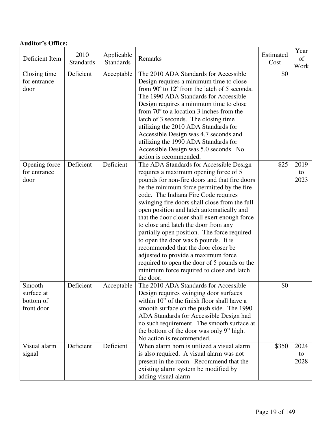| <b>Auditor's Office:</b>                        |                          |                                |                                                                                                                                                                                                                                                                                                                                                                                                                                                                                                                                                                                                                                                                                                |                   |                    |
|-------------------------------------------------|--------------------------|--------------------------------|------------------------------------------------------------------------------------------------------------------------------------------------------------------------------------------------------------------------------------------------------------------------------------------------------------------------------------------------------------------------------------------------------------------------------------------------------------------------------------------------------------------------------------------------------------------------------------------------------------------------------------------------------------------------------------------------|-------------------|--------------------|
| Deficient Item                                  | 2010<br><b>Standards</b> | Applicable<br><b>Standards</b> | Remarks                                                                                                                                                                                                                                                                                                                                                                                                                                                                                                                                                                                                                                                                                        | Estimated<br>Cost | Year<br>of<br>Work |
| Closing time<br>for entrance<br>door            | Deficient                | Acceptable                     | The 2010 ADA Standards for Accessible<br>Design requires a minimum time to close<br>from 90° to 12° from the latch of 5 seconds.<br>The 1990 ADA Standards for Accessible<br>Design requires a minimum time to close<br>from $70^{\circ}$ to a location 3 inches from the<br>latch of 3 seconds. The closing time<br>utilizing the 2010 ADA Standards for<br>Accessible Design was 4.7 seconds and<br>utilizing the 1990 ADA Standards for<br>Accessible Design was 5.0 seconds. No<br>action is recommended.                                                                                                                                                                                  | \$0               |                    |
| Opening force<br>for entrance<br>door           | Deficient                | Deficient                      | The ADA Standards for Accessible Design<br>requires a maximum opening force of 5<br>pounds for non-fire doors and that fire doors<br>be the minimum force permitted by the fire<br>code. The Indiana Fire Code requires<br>swinging fire doors shall close from the full-<br>open position and latch automatically and<br>that the door closer shall exert enough force<br>to close and latch the door from any<br>partially open position. The force required<br>to open the door was 6 pounds. It is<br>recommended that the door closer be<br>adjusted to provide a maximum force<br>required to open the door of 5 pounds or the<br>minimum force required to close and latch<br>the door. | \$25              | 2019<br>to<br>2023 |
| Smooth<br>surface at<br>bottom of<br>front door | Deficient                | Acceptable                     | The 2010 ADA Standards for Accessible<br>Design requires swinging door surfaces<br>within 10" of the finish floor shall have a<br>smooth surface on the push side. The 1990<br>ADA Standards for Accessible Design had<br>no such requirement. The smooth surface at<br>the bottom of the door was only 9" high.<br>No action is recommended.                                                                                                                                                                                                                                                                                                                                                  | \$0               |                    |
| Visual alarm<br>signal                          | Deficient                | Deficient                      | When alarm horn is utilized a visual alarm<br>is also required. A visual alarm was not<br>present in the room. Recommend that the<br>existing alarm system be modified by<br>adding visual alarm                                                                                                                                                                                                                                                                                                                                                                                                                                                                                               | \$350             | 2024<br>to<br>2028 |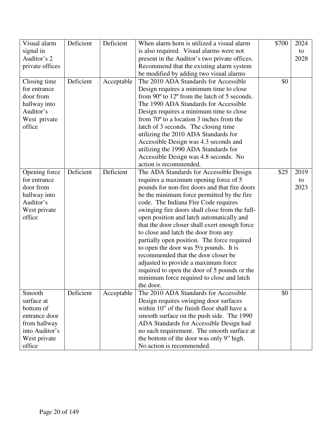| Visual alarm    | Deficient | Deficient  | When alarm horn is utilized a visual alarm        | \$700 | 2024 |
|-----------------|-----------|------------|---------------------------------------------------|-------|------|
| signal in       |           |            | is also required. Visual alarms were not          |       | to   |
| Auditor's 2     |           |            | present in the Auditor's two private offices.     |       | 2028 |
| private offices |           |            | Recommend that the existing alarm system          |       |      |
|                 |           |            | be modified by adding two visual alarms           |       |      |
| Closing time    | Deficient | Acceptable | The 2010 ADA Standards for Accessible             | \$0   |      |
| for entrance    |           |            | Design requires a minimum time to close           |       |      |
| door from       |           |            | from 90° to 12° from the latch of 5 seconds.      |       |      |
| hallway into    |           |            | The 1990 ADA Standards for Accessible             |       |      |
| Auditor's       |           |            | Design requires a minimum time to close           |       |      |
| West private    |           |            | from $70^{\circ}$ to a location 3 inches from the |       |      |
| office          |           |            | latch of 3 seconds. The closing time              |       |      |
|                 |           |            | utilizing the 2010 ADA Standards for              |       |      |
|                 |           |            | Accessible Design was 4.3 seconds and             |       |      |
|                 |           |            | utilizing the 1990 ADA Standards for              |       |      |
|                 |           |            | Accessible Design was 4.8 seconds. No             |       |      |
|                 |           |            | action is recommended.                            |       |      |
| Opening force   | Deficient | Deficient  | The ADA Standards for Accessible Design           | \$25  | 2019 |
| for entrance    |           |            | requires a maximum opening force of 5             |       | to   |
| door from       |           |            | pounds for non-fire doors and that fire doors     |       | 2023 |
| hallway into    |           |            | be the minimum force permitted by the fire        |       |      |
| Auditor's       |           |            | code. The Indiana Fire Code requires              |       |      |
| West private    |           |            | swinging fire doors shall close from the full-    |       |      |
| office          |           |            | open position and latch automatically and         |       |      |
|                 |           |            | that the door closer shall exert enough force     |       |      |
|                 |           |            | to close and latch the door from any              |       |      |
|                 |           |            | partially open position. The force required       |       |      |
|                 |           |            | to open the door was $5\frac{1}{2}$ pounds. It is |       |      |
|                 |           |            | recommended that the door closer be               |       |      |
|                 |           |            | adjusted to provide a maximum force               |       |      |
|                 |           |            | required to open the door of 5 pounds or the      |       |      |
|                 |           |            | minimum force required to close and latch         |       |      |
|                 |           |            | the door.                                         |       |      |
| Smooth          | Deficient | Acceptable | The 2010 ADA Standards for Accessible             | \$0   |      |
| surface at      |           |            | Design requires swinging door surfaces            |       |      |
| bottom of       |           |            | within 10" of the finish floor shall have a       |       |      |
| entrance door   |           |            | smooth surface on the push side. The 1990         |       |      |
| from hallway    |           |            | ADA Standards for Accessible Design had           |       |      |
| into Auditor's  |           |            | no such requirement. The smooth surface at        |       |      |
| West private    |           |            | the bottom of the door was only 9" high.          |       |      |
| office          |           |            | No action is recommended.                         |       |      |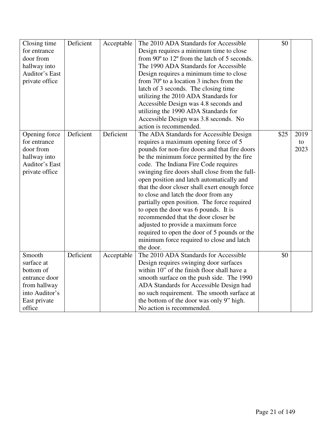| Closing time<br>for entrance<br>door from<br>hallway into<br>Auditor's East<br>private office                  | Deficient | Acceptable | The 2010 ADA Standards for Accessible<br>Design requires a minimum time to close<br>from 90° to 12° from the latch of 5 seconds.<br>The 1990 ADA Standards for Accessible<br>Design requires a minimum time to close<br>from $70^{\circ}$ to a location 3 inches from the<br>latch of 3 seconds. The closing time<br>utilizing the 2010 ADA Standards for<br>Accessible Design was 4.8 seconds and<br>utilizing the 1990 ADA Standards for                                                                                                                                                                                                                                                     | \$0  |                    |
|----------------------------------------------------------------------------------------------------------------|-----------|------------|------------------------------------------------------------------------------------------------------------------------------------------------------------------------------------------------------------------------------------------------------------------------------------------------------------------------------------------------------------------------------------------------------------------------------------------------------------------------------------------------------------------------------------------------------------------------------------------------------------------------------------------------------------------------------------------------|------|--------------------|
|                                                                                                                |           |            | Accessible Design was 3.8 seconds. No                                                                                                                                                                                                                                                                                                                                                                                                                                                                                                                                                                                                                                                          |      |                    |
|                                                                                                                |           |            | action is recommended.                                                                                                                                                                                                                                                                                                                                                                                                                                                                                                                                                                                                                                                                         |      |                    |
| Opening force<br>for entrance<br>door from<br>hallway into<br>Auditor's East<br>private office                 | Deficient | Deficient  | The ADA Standards for Accessible Design<br>requires a maximum opening force of 5<br>pounds for non-fire doors and that fire doors<br>be the minimum force permitted by the fire<br>code. The Indiana Fire Code requires<br>swinging fire doors shall close from the full-<br>open position and latch automatically and<br>that the door closer shall exert enough force<br>to close and latch the door from any<br>partially open position. The force required<br>to open the door was 6 pounds. It is<br>recommended that the door closer be<br>adjusted to provide a maximum force<br>required to open the door of 5 pounds or the<br>minimum force required to close and latch<br>the door. | \$25 | 2019<br>to<br>2023 |
| Smooth<br>surface at<br>bottom of<br>entrance door<br>from hallway<br>into Auditor's<br>East private<br>office | Deficient | Acceptable | The 2010 ADA Standards for Accessible<br>Design requires swinging door surfaces<br>within 10" of the finish floor shall have a<br>smooth surface on the push side. The 1990<br>ADA Standards for Accessible Design had<br>no such requirement. The smooth surface at<br>the bottom of the door was only 9" high.<br>No action is recommended.                                                                                                                                                                                                                                                                                                                                                  | \$0  |                    |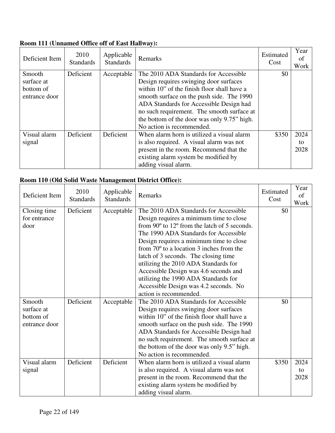#### **Room 111 (Unnamed Office off of East Hallway):**

| Deficient Item | 2010<br><b>Standards</b> | Applicable<br><b>Standards</b> | Remarks                                     | Estimated<br>Cost | Year<br>of<br>Work |
|----------------|--------------------------|--------------------------------|---------------------------------------------|-------------------|--------------------|
| Smooth         | Deficient                | Acceptable                     | The 2010 ADA Standards for Accessible       | \$0               |                    |
| surface at     |                          |                                | Design requires swinging door surfaces      |                   |                    |
| bottom of      |                          |                                | within 10" of the finish floor shall have a |                   |                    |
| entrance door  |                          |                                | smooth surface on the push side. The 1990   |                   |                    |
|                |                          |                                | ADA Standards for Accessible Design had     |                   |                    |
|                |                          |                                | no such requirement. The smooth surface at  |                   |                    |
|                |                          |                                | the bottom of the door was only 9.75" high. |                   |                    |
|                |                          |                                | No action is recommended.                   |                   |                    |
| Visual alarm   | Deficient                | Deficient                      | When alarm horn is utilized a visual alarm  | \$350             | 2024               |
| signal         |                          |                                | is also required. A visual alarm was not    |                   | to                 |
|                |                          |                                | present in the room. Recommend that the     |                   | 2028               |
|                |                          |                                | existing alarm system be modified by        |                   |                    |
|                |                          |                                | adding visual alarm.                        |                   |                    |

#### **Room 110 (Old Solid Waste Management District Office):**

| Deficient Item | 2010<br><b>Standards</b> | Applicable<br><b>Standards</b> | Remarks                                           | Estimated<br>Cost | Year<br>of<br>Work |
|----------------|--------------------------|--------------------------------|---------------------------------------------------|-------------------|--------------------|
| Closing time   | Deficient                | Acceptable                     | The 2010 ADA Standards for Accessible             | \$0               |                    |
| for entrance   |                          |                                | Design requires a minimum time to close           |                   |                    |
| door           |                          |                                | from 90° to 12° from the latch of 5 seconds.      |                   |                    |
|                |                          |                                | The 1990 ADA Standards for Accessible             |                   |                    |
|                |                          |                                | Design requires a minimum time to close           |                   |                    |
|                |                          |                                | from $70^{\circ}$ to a location 3 inches from the |                   |                    |
|                |                          |                                | latch of 3 seconds. The closing time              |                   |                    |
|                |                          |                                | utilizing the 2010 ADA Standards for              |                   |                    |
|                |                          |                                | Accessible Design was 4.6 seconds and             |                   |                    |
|                |                          |                                | utilizing the 1990 ADA Standards for              |                   |                    |
|                |                          |                                | Accessible Design was 4.2 seconds. No             |                   |                    |
|                |                          |                                | action is recommended.                            |                   |                    |
| Smooth         | Deficient                | Acceptable                     | The 2010 ADA Standards for Accessible             | \$0               |                    |
| surface at     |                          |                                | Design requires swinging door surfaces            |                   |                    |
| bottom of      |                          |                                | within 10" of the finish floor shall have a       |                   |                    |
| entrance door  |                          |                                | smooth surface on the push side. The 1990         |                   |                    |
|                |                          |                                | ADA Standards for Accessible Design had           |                   |                    |
|                |                          |                                | no such requirement. The smooth surface at        |                   |                    |
|                |                          |                                | the bottom of the door was only 9.5" high.        |                   |                    |
|                |                          |                                | No action is recommended.                         |                   |                    |
| Visual alarm   | Deficient                | Deficient                      | When alarm horn is utilized a visual alarm        | \$350             | 2024               |
| signal         |                          |                                | is also required. A visual alarm was not          |                   | to                 |
|                |                          |                                | present in the room. Recommend that the           |                   | 2028               |
|                |                          |                                | existing alarm system be modified by              |                   |                    |
|                |                          |                                | adding visual alarm.                              |                   |                    |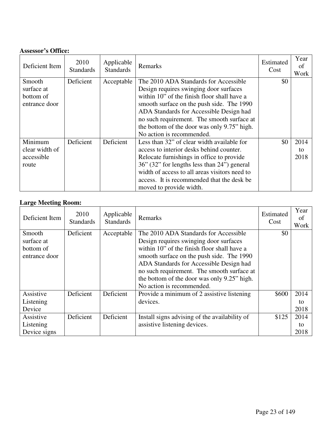#### **Assessor's Office:**

| Deficient Item                                     | 2010<br><b>Standards</b> | Applicable<br><b>Standards</b> | Remarks                                                                                                                                                                                                                                                                                                                                          | Estimated<br>Cost | Year<br>of<br>Work |
|----------------------------------------------------|--------------------------|--------------------------------|--------------------------------------------------------------------------------------------------------------------------------------------------------------------------------------------------------------------------------------------------------------------------------------------------------------------------------------------------|-------------------|--------------------|
| Smooth<br>surface at<br>bottom of<br>entrance door | Deficient                | Acceptable                     | The 2010 ADA Standards for Accessible<br>Design requires swinging door surfaces<br>within 10" of the finish floor shall have a<br>smooth surface on the push side. The 1990<br>ADA Standards for Accessible Design had<br>no such requirement. The smooth surface at<br>the bottom of the door was only 9.75" high.<br>No action is recommended. | \$0               |                    |
| Minimum<br>clear width of<br>accessible<br>route   | Deficient                | Deficient                      | Less than 32" of clear width available for<br>access to interior desks behind counter.<br>Relocate furnishings in office to provide<br>36" (32" for lengths less than 24") general<br>width of access to all areas visitors need to<br>access. It is recommended that the desk be<br>moved to provide width.                                     | \$0               | 2014<br>to<br>2018 |

### **Large Meeting Room:**

| Deficient Item | 2010<br><b>Standards</b> | Applicable<br><b>Standards</b> | Remarks                                       | Estimated<br>Cost | Year<br>of<br>Work |
|----------------|--------------------------|--------------------------------|-----------------------------------------------|-------------------|--------------------|
| Smooth         | Deficient                | Acceptable                     | The 2010 ADA Standards for Accessible         | \$0               |                    |
| surface at     |                          |                                | Design requires swinging door surfaces        |                   |                    |
| bottom of      |                          |                                | within 10" of the finish floor shall have a   |                   |                    |
| entrance door  |                          |                                | smooth surface on the push side. The 1990     |                   |                    |
|                |                          |                                | ADA Standards for Accessible Design had       |                   |                    |
|                |                          |                                | no such requirement. The smooth surface at    |                   |                    |
|                |                          |                                | the bottom of the door was only 9.25" high.   |                   |                    |
|                |                          |                                | No action is recommended.                     |                   |                    |
| Assistive      | Deficient                | Deficient                      | Provide a minimum of 2 assistive listening    | \$600             | 2014               |
| Listening      |                          |                                | devices.                                      |                   | tο                 |
| Device         |                          |                                |                                               |                   | 2018               |
| Assistive      | Deficient                | Deficient                      | Install signs advising of the availability of | \$125             | 2014               |
| Listening      |                          |                                | assistive listening devices.                  |                   | to                 |
| Device signs   |                          |                                |                                               |                   | 2018               |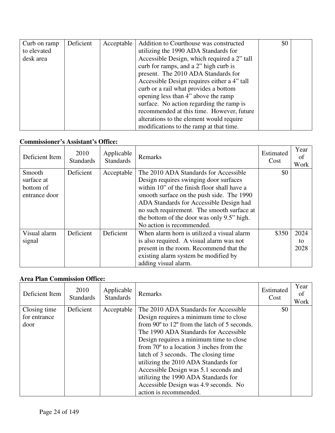| Curb on ramp | Deficient | Acceptable | Addition to Courthouse was constructed      | \$0 |  |
|--------------|-----------|------------|---------------------------------------------|-----|--|
| to elevated  |           |            | utilizing the 1990 ADA Standards for        |     |  |
| desk area    |           |            | Accessible Design, which required a 2" tall |     |  |
|              |           |            | curb for ramps, and a 2" high curb is       |     |  |
|              |           |            | present. The 2010 ADA Standards for         |     |  |
|              |           |            | Accessible Design requires either a 4" tall |     |  |
|              |           |            | curb or a rail what provides a bottom       |     |  |
|              |           |            | opening less than 4" above the ramp         |     |  |
|              |           |            | surface. No action regarding the ramp is    |     |  |
|              |           |            | recommended at this time. However, future   |     |  |
|              |           |            | alterations to the element would require    |     |  |
|              |           |            | modifications to the ramp at that time.     |     |  |

#### **Commissioner's Assistant's Office:**

| Deficient Item                                     | 2010<br><b>Standards</b> | Applicable<br><b>Standards</b> | Remarks                                                                                                                                                                                                                                                                                                                                         | Estimated<br>Cost | Year<br>of<br>Work |
|----------------------------------------------------|--------------------------|--------------------------------|-------------------------------------------------------------------------------------------------------------------------------------------------------------------------------------------------------------------------------------------------------------------------------------------------------------------------------------------------|-------------------|--------------------|
| Smooth<br>surface at<br>bottom of<br>entrance door | Deficient                | Acceptable                     | The 2010 ADA Standards for Accessible<br>Design requires swinging door surfaces<br>within 10" of the finish floor shall have a<br>smooth surface on the push side. The 1990<br>ADA Standards for Accessible Design had<br>no such requirement. The smooth surface at<br>the bottom of the door was only 9.5" high.<br>No action is recommended. | \$0               |                    |
| Visual alarm<br>signal                             | Deficient                | Deficient                      | When alarm horn is utilized a visual alarm<br>is also required. A visual alarm was not<br>present in the room. Recommend that the<br>existing alarm system be modified by<br>adding visual alarm.                                                                                                                                               | \$350             | 2024<br>to<br>2028 |

#### **Area Plan Commission Office:**

| Deficient Item                       | 2010<br><b>Standards</b> | Applicable<br><b>Standards</b> | Remarks                                                                                                                                                                                                                                                                                                                                                                                                                                                                                                                         | Estimated<br>Cost | Year<br>Οt<br>Work |
|--------------------------------------|--------------------------|--------------------------------|---------------------------------------------------------------------------------------------------------------------------------------------------------------------------------------------------------------------------------------------------------------------------------------------------------------------------------------------------------------------------------------------------------------------------------------------------------------------------------------------------------------------------------|-------------------|--------------------|
| Closing time<br>for entrance<br>door | Deficient                | Acceptable                     | The 2010 ADA Standards for Accessible<br>Design requires a minimum time to close<br>from $90^{\circ}$ to $12^{\circ}$ from the latch of 5 seconds.<br>The 1990 ADA Standards for Accessible<br>Design requires a minimum time to close<br>from $70^{\circ}$ to a location 3 inches from the<br>latch of 3 seconds. The closing time<br>utilizing the 2010 ADA Standards for<br>Accessible Design was 5.1 seconds and<br>utilizing the 1990 ADA Standards for<br>Accessible Design was 4.9 seconds. No<br>action is recommended. | \$0               |                    |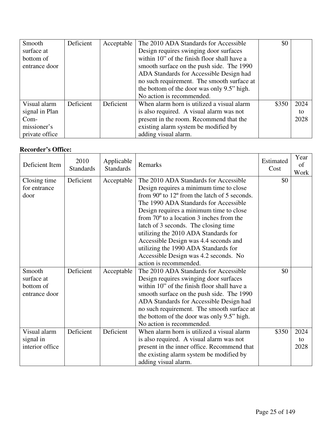| Smooth         | Deficient | Acceptable | The 2010 ADA Standards for Accessible       | \$0   |      |
|----------------|-----------|------------|---------------------------------------------|-------|------|
| surface at     |           |            | Design requires swinging door surfaces      |       |      |
| bottom of      |           |            | within 10" of the finish floor shall have a |       |      |
| entrance door  |           |            | smooth surface on the push side. The 1990   |       |      |
|                |           |            | ADA Standards for Accessible Design had     |       |      |
|                |           |            | no such requirement. The smooth surface at  |       |      |
|                |           |            | the bottom of the door was only 9.5" high.  |       |      |
|                |           |            | No action is recommended.                   |       |      |
| Visual alarm   | Deficient | Deficient  | When alarm horn is utilized a visual alarm  | \$350 | 2024 |
| signal in Plan |           |            | is also required. A visual alarm was not    |       | to   |
| Com-           |           |            | present in the room. Recommend that the     |       | 2028 |
| missioner's    |           |            | existing alarm system be modified by        |       |      |
| private office |           |            | adding visual alarm.                        |       |      |

#### **Recorder's Office:**

| Deficient Item                                     | 2010<br><b>Standards</b> | Applicable<br><b>Standards</b> | Remarks                                                                                                                                                                                                                                                                                                                                                                                                                                                                                                                         | Estimated<br>Cost | Year<br>of<br>Work |
|----------------------------------------------------|--------------------------|--------------------------------|---------------------------------------------------------------------------------------------------------------------------------------------------------------------------------------------------------------------------------------------------------------------------------------------------------------------------------------------------------------------------------------------------------------------------------------------------------------------------------------------------------------------------------|-------------------|--------------------|
| Closing time<br>for entrance<br>door               | Deficient                | Acceptable                     | The 2010 ADA Standards for Accessible<br>Design requires a minimum time to close<br>from $90^{\circ}$ to $12^{\circ}$ from the latch of 5 seconds.<br>The 1990 ADA Standards for Accessible<br>Design requires a minimum time to close<br>from $70^{\circ}$ to a location 3 inches from the<br>latch of 3 seconds. The closing time<br>utilizing the 2010 ADA Standards for<br>Accessible Design was 4.4 seconds and<br>utilizing the 1990 ADA Standards for<br>Accessible Design was 4.2 seconds. No<br>action is recommended. | \$0               |                    |
| Smooth<br>surface at<br>bottom of<br>entrance door | Deficient                | Acceptable                     | The 2010 ADA Standards for Accessible<br>Design requires swinging door surfaces<br>within 10" of the finish floor shall have a<br>smooth surface on the push side. The 1990<br>ADA Standards for Accessible Design had<br>no such requirement. The smooth surface at<br>the bottom of the door was only 9.5" high.<br>No action is recommended.                                                                                                                                                                                 | \$0               |                    |
| Visual alarm<br>signal in<br>interior office       | Deficient                | Deficient                      | When alarm horn is utilized a visual alarm<br>is also required. A visual alarm was not<br>present in the inner office. Recommend that<br>the existing alarm system be modified by<br>adding visual alarm.                                                                                                                                                                                                                                                                                                                       | \$350             | 2024<br>to<br>2028 |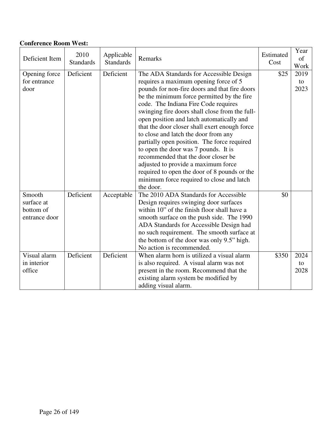#### **Conference Room West:**

| Deficient Item                                                     | 2010<br><b>Standards</b> | Applicable<br><b>Standards</b> | Remarks                                                                                                                                                                                                                                                                                                                                                                                                                                                                                                                                                                                                                                                                                        | Estimated<br>Cost | Year<br>of<br>Work |
|--------------------------------------------------------------------|--------------------------|--------------------------------|------------------------------------------------------------------------------------------------------------------------------------------------------------------------------------------------------------------------------------------------------------------------------------------------------------------------------------------------------------------------------------------------------------------------------------------------------------------------------------------------------------------------------------------------------------------------------------------------------------------------------------------------------------------------------------------------|-------------------|--------------------|
| Opening force<br>for entrance<br>door                              | Deficient                | Deficient                      | The ADA Standards for Accessible Design<br>requires a maximum opening force of 5<br>pounds for non-fire doors and that fire doors<br>be the minimum force permitted by the fire<br>code. The Indiana Fire Code requires<br>swinging fire doors shall close from the full-<br>open position and latch automatically and<br>that the door closer shall exert enough force<br>to close and latch the door from any<br>partially open position. The force required<br>to open the door was 7 pounds. It is<br>recommended that the door closer be<br>adjusted to provide a maximum force<br>required to open the door of 8 pounds or the<br>minimum force required to close and latch<br>the door. | \$25              | 2019<br>to<br>2023 |
| Smooth<br>surface at<br>bottom of<br>entrance door<br>Visual alarm | Deficient<br>Deficient   | Acceptable<br>Deficient        | The 2010 ADA Standards for Accessible<br>Design requires swinging door surfaces<br>within 10" of the finish floor shall have a<br>smooth surface on the push side. The 1990<br>ADA Standards for Accessible Design had<br>no such requirement. The smooth surface at<br>the bottom of the door was only 9.5" high.<br>No action is recommended.<br>When alarm horn is utilized a visual alarm                                                                                                                                                                                                                                                                                                  | \$0<br>\$350      | 2024               |
| in interior<br>office                                              |                          |                                | is also required. A visual alarm was not<br>present in the room. Recommend that the<br>existing alarm system be modified by<br>adding visual alarm.                                                                                                                                                                                                                                                                                                                                                                                                                                                                                                                                            |                   | to<br>2028         |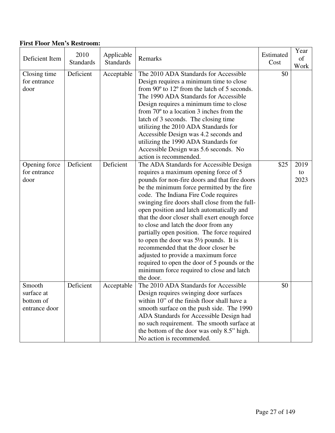#### **First Floor Men's Restroom:**

| Deficient Item                                     | 2010<br><b>Standards</b> | Applicable<br><b>Standards</b> | Remarks                                                                                                                                                                                                                                                                                                                                                                                                                                                                                                                                                                                                                                                                                                     | Estimated<br>Cost | Year<br>of<br>Work |
|----------------------------------------------------|--------------------------|--------------------------------|-------------------------------------------------------------------------------------------------------------------------------------------------------------------------------------------------------------------------------------------------------------------------------------------------------------------------------------------------------------------------------------------------------------------------------------------------------------------------------------------------------------------------------------------------------------------------------------------------------------------------------------------------------------------------------------------------------------|-------------------|--------------------|
| Closing time<br>for entrance<br>door               | Deficient                | Acceptable                     | The 2010 ADA Standards for Accessible<br>Design requires a minimum time to close<br>from $90^{\circ}$ to $12^{\circ}$ from the latch of 5 seconds.<br>The 1990 ADA Standards for Accessible<br>Design requires a minimum time to close<br>from $70^{\circ}$ to a location 3 inches from the<br>latch of 3 seconds. The closing time<br>utilizing the 2010 ADA Standards for<br>Accessible Design was 4.2 seconds and<br>utilizing the 1990 ADA Standards for<br>Accessible Design was 5.6 seconds. No<br>action is recommended.                                                                                                                                                                             | \$0               |                    |
| Opening force<br>for entrance<br>door              | Deficient                | Deficient                      | The ADA Standards for Accessible Design<br>requires a maximum opening force of 5<br>pounds for non-fire doors and that fire doors<br>be the minimum force permitted by the fire<br>code. The Indiana Fire Code requires<br>swinging fire doors shall close from the full-<br>open position and latch automatically and<br>that the door closer shall exert enough force<br>to close and latch the door from any<br>partially open position. The force required<br>to open the door was $5\frac{1}{2}$ pounds. It is<br>recommended that the door closer be<br>adjusted to provide a maximum force<br>required to open the door of 5 pounds or the<br>minimum force required to close and latch<br>the door. | \$25              | 2019<br>to<br>2023 |
| Smooth<br>surface at<br>bottom of<br>entrance door | Deficient                | Acceptable                     | The 2010 ADA Standards for Accessible<br>Design requires swinging door surfaces<br>within 10" of the finish floor shall have a<br>smooth surface on the push side. The 1990<br>ADA Standards for Accessible Design had<br>no such requirement. The smooth surface at<br>the bottom of the door was only 8.5" high.<br>No action is recommended.                                                                                                                                                                                                                                                                                                                                                             | \$0               |                    |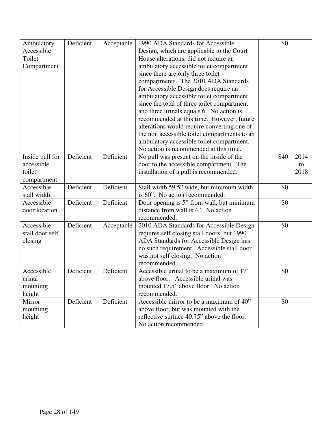| Ambulatory      | Deficient | Acceptable | 1990 ADA Standards for Accessible            | \$0  |      |
|-----------------|-----------|------------|----------------------------------------------|------|------|
| Accessible      |           |            | Design, which are applicable to the Court    |      |      |
| Toilet          |           |            | House alterations, did not require an        |      |      |
| Compartment     |           |            | ambulatory accessible toilet compartment     |      |      |
|                 |           |            | since there are only three toilet            |      |      |
|                 |           |            | compartments. The 2010 ADA Standards         |      |      |
|                 |           |            |                                              |      |      |
|                 |           |            | for Accessible Design does require an        |      |      |
|                 |           |            | ambulatory accessible toilet compartment     |      |      |
|                 |           |            | since the total of three toilet compartment  |      |      |
|                 |           |            | and three urinals equals 6. No action is     |      |      |
|                 |           |            | recommended at this time. However, future    |      |      |
|                 |           |            | alterations would require converting one of  |      |      |
|                 |           |            | the non accessible toilet compartments to an |      |      |
|                 |           |            | ambulatory accessible toilet compartment.    |      |      |
|                 |           |            | No action is recommended at this time.       |      |      |
| Inside pull for | Deficient | Deficient  | No pull was present on the inside of the     | \$40 | 2014 |
| accessible      |           |            | door to the accessible compartment. The      |      | to   |
| toilet          |           |            | installation of a pull is recommended.       |      | 2018 |
| compartment     |           |            |                                              |      |      |
| Accessible      | Deficient | Deficient  | Stall width 59.5" wide, but minimum width    | \$0  |      |
| stall width     |           |            | is 60". No action recommended.               |      |      |
| Accessible      | Deficient | Deficient  | Door opening is 5" from wall, but minimum    | \$0  |      |
| door location   |           |            | distance from wall is 4". No action          |      |      |
|                 |           |            | recommended.                                 |      |      |
| Accessible      | Deficient | Acceptable | 2010 ADA Standards for Accessible Design     | \$0  |      |
| stall door self |           |            | requires self closing stall doors, but 1990  |      |      |
| closing         |           |            | ADA Standards for Accessible Design has      |      |      |
|                 |           |            | no such requirement. Accessible stall door   |      |      |
|                 |           |            | was not self closing. No action              |      |      |
|                 |           |            | recommended.                                 |      |      |
| Accessible      | Deficient | Deficient  | Accessible urinal to be a maximum of 17"     | \$0  |      |
| urinal          |           |            | above floor. Accessible urinal was           |      |      |
| mounting        |           |            | mounted 17.5" above floor. No action         |      |      |
| height          |           |            | recommended.                                 |      |      |
| Mirror          | Deficient | Deficient  | Accessible mirror to be a maximum of 40"     | \$0  |      |
| mounting        |           |            | above floor, but was mounted with the        |      |      |
| height          |           |            | reflective surface 40.75" above the floor.   |      |      |
|                 |           |            | No action recommended.                       |      |      |
|                 |           |            |                                              |      |      |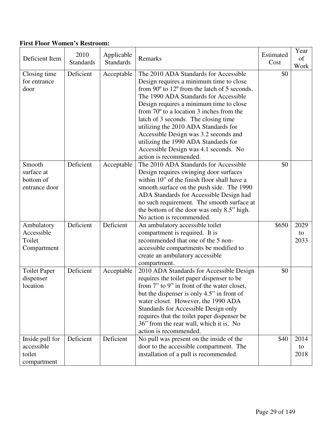### **First Floor Women's Restroom:**

| Deficient Item                                         | 2010<br><b>Standards</b> | Applicable<br><b>Standards</b> | Remarks                                                                                                                                                                                                                                                                                                                                                                                                                                                                                                       | Estimated<br>Cost | Year<br>of<br>Work |
|--------------------------------------------------------|--------------------------|--------------------------------|---------------------------------------------------------------------------------------------------------------------------------------------------------------------------------------------------------------------------------------------------------------------------------------------------------------------------------------------------------------------------------------------------------------------------------------------------------------------------------------------------------------|-------------------|--------------------|
| Closing time<br>for entrance<br>door                   | Deficient                | Acceptable                     | The 2010 ADA Standards for Accessible<br>Design requires a minimum time to close<br>from 90° to 12° from the latch of 5 seconds.<br>The 1990 ADA Standards for Accessible<br>Design requires a minimum time to close<br>from $70^{\circ}$ to a location 3 inches from the<br>latch of 3 seconds. The closing time<br>utilizing the 2010 ADA Standards for<br>Accessible Design was 3.2 seconds and<br>utilizing the 1990 ADA Standards for<br>Accessible Design was 4.1 seconds. No<br>action is recommended. | \$0               |                    |
| Smooth<br>surface at<br>bottom of<br>entrance door     | Deficient                | Acceptable                     | The 2010 ADA Standards for Accessible<br>Design requires swinging door surfaces<br>within 10" of the finish floor shall have a<br>smooth surface on the push side. The 1990<br>ADA Standards for Accessible Design had<br>no such requirement. The smooth surface at<br>the bottom of the door was only 8.5" high.<br>No action is recommended.                                                                                                                                                               | \$0               |                    |
| Ambulatory<br>Accessible<br>Toilet<br>Compartment      | Deficient                | Deficient                      | An ambulatory accessible toilet<br>compartment is required. It is<br>recommended that one of the 5 non-<br>accessible compartments be modified to<br>create an ambulatory accessible<br>compartment.                                                                                                                                                                                                                                                                                                          | \$650             | 2029<br>to<br>2033 |
| <b>Toilet Paper</b><br>dispenser<br>location           | Deficient                | Acceptable                     | 2010 ADA Standards for Accessible Design<br>requires the toilet paper dispenser to be<br>from 7" to 9" in front of the water closet,<br>but the dispenser is only 4.5" in front of<br>water closet. However, the 1990 ADA<br><b>Standards for Accessible Design only</b><br>requires that the toilet paper dispenser be<br>36" from the rear wall, which it is. No<br>action is recommended.                                                                                                                  | \$0               |                    |
| Inside pull for<br>accessible<br>toilet<br>compartment | Deficient                | Deficient                      | No pull was present on the inside of the<br>door to the accessible compartment. The<br>installation of a pull is recommended.                                                                                                                                                                                                                                                                                                                                                                                 | \$40              | 2014<br>to<br>2018 |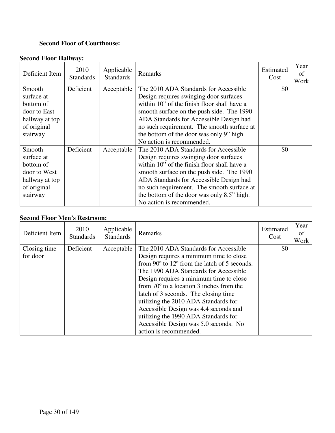#### **Second Floor of Courthouse:**

# **Second Floor Hallway:**

| Deficient Item          | 2010<br><b>Standards</b> | Applicable<br><b>Standards</b> | Remarks                                                                               | Estimated<br>Cost | Year<br>of<br>Work |
|-------------------------|--------------------------|--------------------------------|---------------------------------------------------------------------------------------|-------------------|--------------------|
| Smooth                  | Deficient                | Acceptable                     | The 2010 ADA Standards for Accessible                                                 | \$0               |                    |
| surface at<br>bottom of |                          |                                | Design requires swinging door surfaces<br>within 10" of the finish floor shall have a |                   |                    |
| door to East            |                          |                                | smooth surface on the push side. The 1990                                             |                   |                    |
| hallway at top          |                          |                                | ADA Standards for Accessible Design had                                               |                   |                    |
| of original             |                          |                                | no such requirement. The smooth surface at                                            |                   |                    |
| stairway                |                          |                                | the bottom of the door was only 9" high.                                              |                   |                    |
|                         |                          |                                | No action is recommended.                                                             |                   |                    |
| Smooth                  | Deficient                | Acceptable                     | The 2010 ADA Standards for Accessible                                                 | \$0               |                    |
| surface at              |                          |                                | Design requires swinging door surfaces                                                |                   |                    |
| bottom of               |                          |                                | within 10" of the finish floor shall have a                                           |                   |                    |
| door to West            |                          |                                | smooth surface on the push side. The 1990                                             |                   |                    |
| hallway at top          |                          |                                | ADA Standards for Accessible Design had                                               |                   |                    |
| of original             |                          |                                | no such requirement. The smooth surface at                                            |                   |                    |
| stairway                |                          |                                | the bottom of the door was only 8.5" high.                                            |                   |                    |
|                         |                          |                                | No action is recommended.                                                             |                   |                    |

#### **Second Floor Men's Restroom:**

| Deficient Item           | 2010<br><b>Standards</b> | Applicable<br><b>Standards</b> | Remarks                                                                                      | Estimated<br>Cost | Year<br>of<br>Work |
|--------------------------|--------------------------|--------------------------------|----------------------------------------------------------------------------------------------|-------------------|--------------------|
| Closing time<br>for door | Deficient                | Acceptable                     | The 2010 ADA Standards for Accessible<br>Design requires a minimum time to close             | \$0               |                    |
|                          |                          |                                | from $90^{\circ}$ to $12^{\circ}$ from the latch of 5 seconds.                               |                   |                    |
|                          |                          |                                | The 1990 ADA Standards for Accessible                                                        |                   |                    |
|                          |                          |                                | Design requires a minimum time to close<br>from $70^{\circ}$ to a location 3 inches from the |                   |                    |
|                          |                          |                                | latch of 3 seconds. The closing time                                                         |                   |                    |
|                          |                          |                                | utilizing the 2010 ADA Standards for                                                         |                   |                    |
|                          |                          |                                | Accessible Design was 4.4 seconds and                                                        |                   |                    |
|                          |                          |                                | utilizing the 1990 ADA Standards for<br>Accessible Design was 5.0 seconds. No                |                   |                    |
|                          |                          |                                | action is recommended.                                                                       |                   |                    |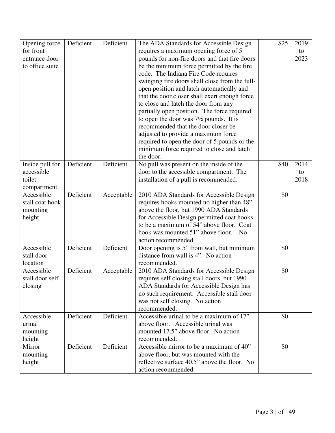| Opening force   | Deficient | Deficient  | The ADA Standards for Accessible Design             | \$25 | 2019 |
|-----------------|-----------|------------|-----------------------------------------------------|------|------|
| for front       |           |            | requires a maximum opening force of 5               |      | to   |
| entrance door   |           |            | pounds for non-fire doors and that fire doors       |      | 2023 |
| to office suite |           |            | be the minimum force permitted by the fire          |      |      |
|                 |           |            | code. The Indiana Fire Code requires                |      |      |
|                 |           |            | swinging fire doors shall close from the full-      |      |      |
|                 |           |            | open position and latch automatically and           |      |      |
|                 |           |            | that the door closer shall exert enough force       |      |      |
|                 |           |            | to close and latch the door from any                |      |      |
|                 |           |            | partially open position. The force required         |      |      |
|                 |           |            | to open the door was $7\frac{1}{2}$ pounds. It is   |      |      |
|                 |           |            | recommended that the door closer be                 |      |      |
|                 |           |            | adjusted to provide a maximum force                 |      |      |
|                 |           |            | required to open the door of 5 pounds or the        |      |      |
|                 |           |            | minimum force required to close and latch           |      |      |
|                 |           |            | the door.                                           |      |      |
| Inside pull for | Deficient | Deficient  | No pull was present on the inside of the            | \$40 | 2014 |
| accessible      |           |            | door to the accessible compartment. The             |      | to   |
| toilet          |           |            | installation of a pull is recommended.              |      | 2018 |
| compartment     |           |            |                                                     |      |      |
| Accessible      | Deficient | Acceptable | 2010 ADA Standards for Accessible Design            | \$0  |      |
| stall coat hook |           |            | requires hooks mounted no higher than 48"           |      |      |
| mounting        |           |            | above the floor, but 1990 ADA Standards             |      |      |
| height          |           |            | for Accessible Design permitted coat hooks          |      |      |
|                 |           |            | to be a maximum of 54" above floor. Coat            |      |      |
|                 |           |            | hook was mounted 51" above floor.<br>N <sub>0</sub> |      |      |
|                 |           |            | action recommended.                                 |      |      |
| Accessible      | Deficient | Deficient  | Door opening is 5" from wall, but minimum           | \$0  |      |
| stall door      |           |            | distance from wall is 4". No action                 |      |      |
| location        |           |            | recommended.                                        |      |      |
| Accessible      | Deficient | Acceptable | 2010 ADA Standards for Accessible Design            | \$0  |      |
| stall door self |           |            | requires self closing stall doors, but 1990         |      |      |
| closing         |           |            | ADA Standards for Accessible Design has             |      |      |
|                 |           |            | no such requirement. Accessible stall door          |      |      |
|                 |           |            | was not self closing. No action                     |      |      |
|                 |           |            | recommended.                                        |      |      |
| Accessible      | Deficient | Deficient  | Accessible urinal to be a maximum of 17"            | \$0  |      |
| urinal          |           |            | above floor. Accessible urinal was                  |      |      |
| mounting        |           |            | mounted 17.5" above floor. No action                |      |      |
| height          |           |            | recommended.                                        |      |      |
| Mirror          | Deficient | Deficient  | Accessible mirror to be a maximum of 40"            | \$0  |      |
| mounting        |           |            | above floor, but was mounted with the               |      |      |
| height          |           |            | reflective surface 40.5" above the floor. No        |      |      |
|                 |           |            | action recommended.                                 |      |      |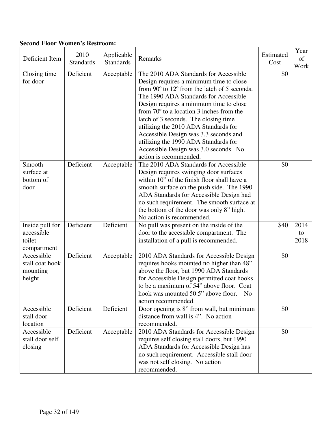## **Second Floor Women's Restroom:**

| Deficient Item                                         | 2010<br><b>Standards</b> | Applicable<br><b>Standards</b> | Remarks                                                                                                                                                                                                                                                                                                                                                                                                                                                                                                       | Estimated<br>Cost | Year<br>of<br>Work |
|--------------------------------------------------------|--------------------------|--------------------------------|---------------------------------------------------------------------------------------------------------------------------------------------------------------------------------------------------------------------------------------------------------------------------------------------------------------------------------------------------------------------------------------------------------------------------------------------------------------------------------------------------------------|-------------------|--------------------|
| Closing time<br>for door                               | Deficient                | Acceptable                     | The 2010 ADA Standards for Accessible<br>Design requires a minimum time to close<br>from 90° to 12° from the latch of 5 seconds.<br>The 1990 ADA Standards for Accessible<br>Design requires a minimum time to close<br>from $70^{\circ}$ to a location 3 inches from the<br>latch of 3 seconds. The closing time<br>utilizing the 2010 ADA Standards for<br>Accessible Design was 3.3 seconds and<br>utilizing the 1990 ADA Standards for<br>Accessible Design was 3.0 seconds. No<br>action is recommended. | \$0               |                    |
| Smooth<br>surface at<br>bottom of<br>door              | Deficient                | Acceptable                     | The 2010 ADA Standards for Accessible<br>Design requires swinging door surfaces<br>within 10" of the finish floor shall have a<br>smooth surface on the push side. The 1990<br>ADA Standards for Accessible Design had<br>no such requirement. The smooth surface at<br>the bottom of the door was only 8" high.<br>No action is recommended.                                                                                                                                                                 | \$0               |                    |
| Inside pull for<br>accessible<br>toilet<br>compartment | Deficient                | Deficient                      | No pull was present on the inside of the<br>door to the accessible compartment. The<br>installation of a pull is recommended.                                                                                                                                                                                                                                                                                                                                                                                 | \$40              | 2014<br>to<br>2018 |
| Accessible<br>stall coat hook<br>mounting<br>height    | Deficient                | Acceptable                     | 2010 ADA Standards for Accessible Design<br>requires hooks mounted no higher than 48"<br>above the floor, but 1990 ADA Standards<br>for Accessible Design permitted coat hooks<br>to be a maximum of 54" above floor. Coat<br>hook was mounted 50.5" above floor. No<br>action recommended.                                                                                                                                                                                                                   | \$0               |                    |
| Accessible<br>stall door<br>location                   | Deficient                | Deficient                      | Door opening is 8" from wall, but minimum<br>distance from wall is 4". No action<br>recommended.                                                                                                                                                                                                                                                                                                                                                                                                              | \$0               |                    |
| Accessible<br>stall door self<br>closing               | Deficient                | Acceptable                     | 2010 ADA Standards for Accessible Design<br>requires self closing stall doors, but 1990<br>ADA Standards for Accessible Design has<br>no such requirement. Accessible stall door<br>was not self closing. No action<br>recommended.                                                                                                                                                                                                                                                                           | \$0               |                    |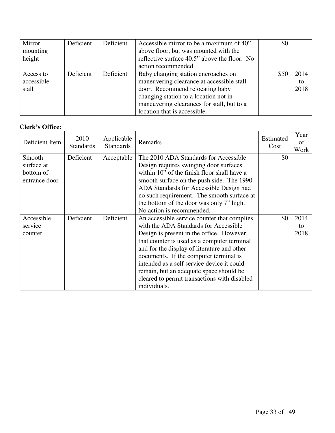| Mirror     | Deficient | Deficient | Accessible mirror to be a maximum of 40"     | \$0  |      |
|------------|-----------|-----------|----------------------------------------------|------|------|
| mounting   |           |           | above floor, but was mounted with the        |      |      |
| height     |           |           | reflective surface 40.5" above the floor. No |      |      |
|            |           |           | action recommended.                          |      |      |
| Access to  | Deficient | Deficient | Baby changing station encroaches on          | \$50 | 2014 |
| accessible |           |           | maneuvering clearance at accessible stall    |      | to   |
| stall      |           |           | door. Recommend relocating baby              |      | 2018 |
|            |           |           | changing station to a location not in        |      |      |
|            |           |           | maneuvering clearances for stall, but to a   |      |      |
|            |           |           | location that is accessible.                 |      |      |

#### **Clerk's Office:**

| Deficient Item                                     | 2010<br><b>Standards</b> | Applicable<br><b>Standards</b> | Remarks                                                                                                                                                                                                                                                                                                                                                                                                                            | Estimated<br>Cost | Year<br>οf<br>Work |
|----------------------------------------------------|--------------------------|--------------------------------|------------------------------------------------------------------------------------------------------------------------------------------------------------------------------------------------------------------------------------------------------------------------------------------------------------------------------------------------------------------------------------------------------------------------------------|-------------------|--------------------|
| Smooth<br>surface at<br>bottom of<br>entrance door | Deficient                | Acceptable                     | The 2010 ADA Standards for Accessible<br>Design requires swinging door surfaces<br>within 10" of the finish floor shall have a<br>smooth surface on the push side. The 1990<br>ADA Standards for Accessible Design had<br>no such requirement. The smooth surface at<br>the bottom of the door was only 7" high.<br>No action is recommended.                                                                                      | \$0               |                    |
| Accessible<br>service<br>counter                   | Deficient                | Deficient                      | An accessible service counter that complies<br>with the ADA Standards for Accessible<br>Design is present in the office. However,<br>that counter is used as a computer terminal<br>and for the display of literature and other<br>documents. If the computer terminal is<br>intended as a self service device it could<br>remain, but an adequate space should be<br>cleared to permit transactions with disabled<br>individuals. | \$0               | 2014<br>to<br>2018 |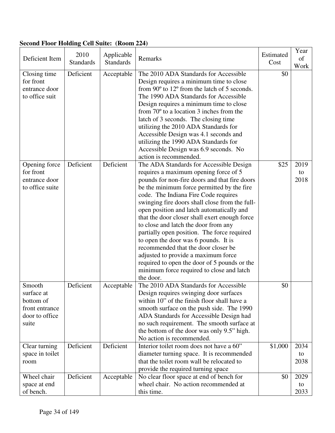| <b>Second Floor Holding Cell Suite: (Room 224)</b> |  |
|----------------------------------------------------|--|
|----------------------------------------------------|--|

| Deficient Item                                                                 | 2010<br><b>Standards</b> | Applicable<br><b>Standards</b> | Remarks                                                                                                                                                                                                                                                                                                                                                                                                                                                                                                                                                                                                                                                                                        | Estimated<br>Cost | Year<br>of<br>Work |
|--------------------------------------------------------------------------------|--------------------------|--------------------------------|------------------------------------------------------------------------------------------------------------------------------------------------------------------------------------------------------------------------------------------------------------------------------------------------------------------------------------------------------------------------------------------------------------------------------------------------------------------------------------------------------------------------------------------------------------------------------------------------------------------------------------------------------------------------------------------------|-------------------|--------------------|
| Closing time<br>for front<br>entrance door<br>to office suit                   | Deficient                | Acceptable                     | The 2010 ADA Standards for Accessible<br>Design requires a minimum time to close<br>from 90° to 12° from the latch of 5 seconds.<br>The 1990 ADA Standards for Accessible<br>Design requires a minimum time to close<br>from $70^{\circ}$ to a location 3 inches from the<br>latch of 3 seconds. The closing time<br>utilizing the 2010 ADA Standards for<br>Accessible Design was 4.1 seconds and<br>utilizing the 1990 ADA Standards for<br>Accessible Design was 6.9 seconds. No<br>action is recommended.                                                                                                                                                                                  | \$0               |                    |
| Opening force<br>for front<br>entrance door<br>to office suite                 | Deficient                | Deficient                      | The ADA Standards for Accessible Design<br>requires a maximum opening force of 5<br>pounds for non-fire doors and that fire doors<br>be the minimum force permitted by the fire<br>code. The Indiana Fire Code requires<br>swinging fire doors shall close from the full-<br>open position and latch automatically and<br>that the door closer shall exert enough force<br>to close and latch the door from any<br>partially open position. The force required<br>to open the door was 6 pounds. It is<br>recommended that the door closer be<br>adjusted to provide a maximum force<br>required to open the door of 5 pounds or the<br>minimum force required to close and latch<br>the door. | \$25              | 2019<br>to<br>2018 |
| Smooth<br>surface at<br>bottom of<br>front entrance<br>door to office<br>suite | Deficient                | Acceptable                     | The 2010 ADA Standards for Accessible<br>Design requires swinging door surfaces<br>within 10" of the finish floor shall have a<br>smooth surface on the push side. The 1990<br>ADA Standards for Accessible Design had<br>no such requirement. The smooth surface at<br>the bottom of the door was only 9.5" high.<br>No action is recommended.                                                                                                                                                                                                                                                                                                                                                | \$0               |                    |
| Clear turning<br>space in toilet<br>room                                       | Deficient                | Deficient                      | Interior toilet room does not have a 60"<br>diameter turning space. It is recommended<br>that the toilet room wall be relocated to<br>provide the required turning space                                                                                                                                                                                                                                                                                                                                                                                                                                                                                                                       | \$1,000           | 2034<br>to<br>2038 |
| Wheel chair<br>space at end<br>of bench.                                       | Deficient                | Acceptable                     | No clear floor space at end of bench for<br>wheel chair. No action recommended at<br>this time.                                                                                                                                                                                                                                                                                                                                                                                                                                                                                                                                                                                                | \$0               | 2029<br>to<br>2033 |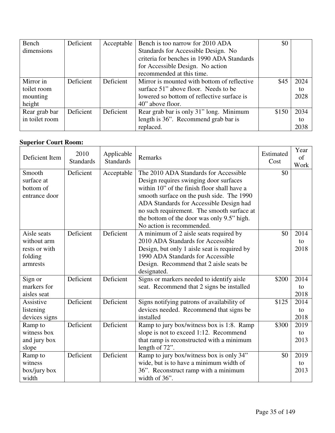| Bench          | Deficient | Acceptable | Bench is too narrow for 2010 ADA            | \$0   |      |
|----------------|-----------|------------|---------------------------------------------|-------|------|
| dimensions     |           |            | Standards for Accessible Design. No         |       |      |
|                |           |            | criteria for benches in 1990 ADA Standards  |       |      |
|                |           |            | for Accessible Design. No action            |       |      |
|                |           |            | recommended at this time.                   |       |      |
| Mirror in      | Deficient | Deficient  | Mirror is mounted with bottom of reflective | \$45  | 2024 |
| toilet room    |           |            | surface 51" above floor. Needs to be        |       | to   |
| mounting       |           |            | lowered so bottom of reflective surface is  |       | 2028 |
| height         |           |            | 40" above floor.                            |       |      |
| Rear grab bar  | Deficient | Deficient  | Rear grab bar is only 31" long. Minimum     | \$150 | 2034 |
| in toilet room |           |            | length is 36". Recommend grab bar is        |       | to   |
|                |           |            | replaced.                                   |       | 2038 |

#### **Superior Court Room:**

| erior Court Rooms |                          |                                |                                              |                   |                    |
|-------------------|--------------------------|--------------------------------|----------------------------------------------|-------------------|--------------------|
| Deficient Item    | 2010<br><b>Standards</b> | Applicable<br><b>Standards</b> | Remarks                                      | Estimated<br>Cost | Year<br>of<br>Work |
| Smooth            | Deficient                | Acceptable                     | The 2010 ADA Standards for Accessible        | \$0               |                    |
| surface at        |                          |                                | Design requires swinging door surfaces       |                   |                    |
| bottom of         |                          |                                | within 10" of the finish floor shall have a  |                   |                    |
| entrance door     |                          |                                | smooth surface on the push side. The 1990    |                   |                    |
|                   |                          |                                | ADA Standards for Accessible Design had      |                   |                    |
|                   |                          |                                | no such requirement. The smooth surface at   |                   |                    |
|                   |                          |                                | the bottom of the door was only 9.5" high.   |                   |                    |
|                   |                          |                                | No action is recommended.                    |                   |                    |
| Aisle seats       | Deficient                | Deficient                      | A minimum of 2 aisle seats required by       | \$0               | 2014               |
| without arm       |                          |                                | 2010 ADA Standards for Accessible            |                   | to                 |
| rests or with     |                          |                                | Design, but only 1 aisle seat is required by |                   | 2018               |
| folding           |                          |                                | 1990 ADA Standards for Accessible            |                   |                    |
| armrests          |                          |                                | Design. Recommend that 2 aisle seats be      |                   |                    |
|                   |                          |                                | designated.                                  |                   |                    |
| Sign or           | Deficient                | Deficient                      | Signs or markers needed to identify aisle    | \$200             | 2014               |
| markers for       |                          |                                | seat. Recommend that 2 signs be installed    |                   | to                 |
| aisles seat       |                          |                                |                                              |                   | 2018               |
| Assistive         | Deficient                | Deficient                      | Signs notifying patrons of availability of   | \$125             | 2014               |
| listening         |                          |                                | devices needed. Recommend that signs be      |                   | to                 |
| devices signs     |                          |                                | installed                                    |                   | 2018               |
| Ramp to           | Deficient                | Deficient                      | Ramp to jury box/witness box is 1:8. Ramp    | \$300             | 2019               |
| witness box       |                          |                                | slope is not to exceed 1:12. Recommend       |                   | to                 |
| and jury box      |                          |                                | that ramp is reconstructed with a minimum    |                   | 2013               |
| slope             |                          |                                | length of 72".                               |                   |                    |
| Ramp to           | Deficient                | Deficient                      | Ramp to jury box/witness box is only 34"     | \$0               | 2019               |
| witness           |                          |                                | wide, but is to have a minimum width of      |                   | to                 |
| box/jury box      |                          |                                | 36". Reconstruct ramp with a minimum         |                   | 2013               |
| width             |                          |                                | width of 36".                                |                   |                    |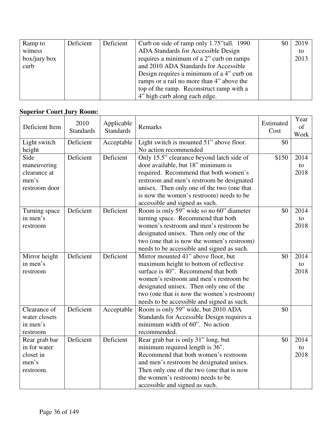| Ramp to         | Deficient | Deficient | Curb on side of ramp only 1.75" tall. 1990 | \$0 | 2019 |
|-----------------|-----------|-----------|--------------------------------------------|-----|------|
| witness         |           |           | ADA Standards for Accessible Design        |     | to   |
| $box/ijury$ box |           |           | requires a minimum of a 2" curb on ramps   |     | 2013 |
| curb            |           |           | and 2010 ADA Standards for Accessible      |     |      |
|                 |           |           | Design requires a minimum of a 4" curb on  |     |      |
|                 |           |           | ramps or a rail no more than 4" above the  |     |      |
|                 |           |           | top of the ramp. Reconstruct ramp with a   |     |      |
|                 |           |           | 4" high curb along each edge.              |     |      |

#### **Superior Court Jury Room:**

| Deficient Item         | 2010<br><b>Standards</b> | Applicable<br><b>Standards</b> | Remarks                                                           | Estimated<br>Cost | Year<br>of<br>Work |
|------------------------|--------------------------|--------------------------------|-------------------------------------------------------------------|-------------------|--------------------|
| Light switch<br>height | Deficient                | Acceptable                     | Light switch is mounted 51" above floor.<br>No action recommended | \$0               |                    |
| Side                   | Deficient                | Deficient                      | Only 15.5" clearance beyond latch side of                         | \$150             | 2014               |
| maneuvering            |                          |                                | door available, but 18" minimum is                                |                   | to                 |
| clearance at           |                          |                                | required. Recommend that both women's                             |                   | 2018               |
| men's                  |                          |                                | restroom and men's restroom be designated                         |                   |                    |
| restroom door          |                          |                                | unisex. Then only one of the two (one that                        |                   |                    |
|                        |                          |                                | is now the women's restroom) needs to be                          |                   |                    |
|                        |                          |                                | accessible and signed as such.                                    |                   |                    |
| Turning space          | Deficient                | Deficient                      | Room is only 59" wide so no 60" diameter                          | \$0               | 2014               |
| in men's               |                          |                                | turning space. Recommend that both                                |                   | to                 |
| restroom               |                          |                                | women's restroom and men's restroom be                            |                   | 2018               |
|                        |                          |                                | designated unisex. Then only one of the                           |                   |                    |
|                        |                          |                                | two (one that is now the women's restroom)                        |                   |                    |
|                        |                          |                                | needs to be accessible and signed as such.                        |                   |                    |
| Mirror height          | Deficient                | Deficient                      | Mirror mounted 41" above floor, but                               | \$0               | 2014               |
| in men's               |                          |                                | maximum height to bottom of reflective                            |                   | to                 |
| restroom               |                          |                                | surface is 40". Recommend that both                               |                   | 2018               |
|                        |                          |                                | women's restroom and men's restroom be                            |                   |                    |
|                        |                          |                                | designated unisex. Then only one of the                           |                   |                    |
|                        |                          |                                | two (one that is now the women's restroom)                        |                   |                    |
|                        |                          |                                | needs to be accessible and signed as such.                        |                   |                    |
| Clearance of           | Deficient                | Acceptable                     | Room is only 59" wide, but 2010 ADA                               | \$0               |                    |
| water closets          |                          |                                | Standards for Accessible Design requires a                        |                   |                    |
| in men's               |                          |                                | minimum width of 60". No action                                   |                   |                    |
| restroom               |                          |                                | recommended.                                                      |                   |                    |
| Rear grab bar          | Deficient                | Deficient                      | Rear grab bar is only 31" long, but                               | \$0               | 2014               |
| in for water           |                          |                                | minimum required length is 36".                                   |                   | to                 |
| closet in              |                          |                                | Recommend that both women's restroom                              |                   | 2018               |
| men's                  |                          |                                | and men's restroom be designated unisex.                          |                   |                    |
| restroom.              |                          |                                | Then only one of the two (one that is now                         |                   |                    |
|                        |                          |                                | the women's restroom) needs to be                                 |                   |                    |
|                        |                          |                                | accessible and signed as such.                                    |                   |                    |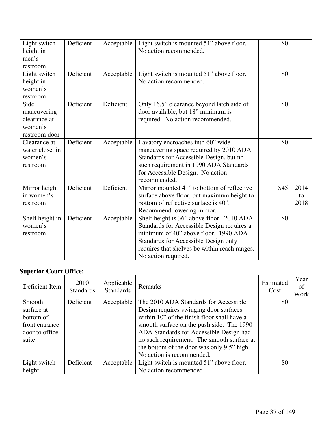| Light switch<br>height in<br>men's<br>restroom                  | Deficient | Acceptable | Light switch is mounted 51" above floor.<br>No action recommended.                                                                                                                                                                              | \$0  |                    |
|-----------------------------------------------------------------|-----------|------------|-------------------------------------------------------------------------------------------------------------------------------------------------------------------------------------------------------------------------------------------------|------|--------------------|
| Light switch<br>height in<br>women's<br>restroom                | Deficient | Acceptable | Light switch is mounted 51" above floor.<br>No action recommended.                                                                                                                                                                              | \$0  |                    |
| Side<br>maneuvering<br>clearance at<br>women's<br>restroom door | Deficient | Deficient  | Only 16.5" clearance beyond latch side of<br>door available, but 18" minimum is<br>required. No action recommended.                                                                                                                             | \$0  |                    |
| Clearance at<br>water closet in<br>women's<br>restroom          | Deficient | Acceptable | Lavatory encroaches into 60" wide<br>maneuvering space required by 2010 ADA<br>Standards for Accessible Design, but no<br>such requirement in 1990 ADA Standards<br>for Accessible Design. No action<br>recommended.                            | \$0  |                    |
| Mirror height<br>in women's<br>restroom                         | Deficient | Deficient  | Mirror mounted 41" to bottom of reflective<br>surface above floor, but maximum height to<br>bottom of reflective surface is 40".<br>Recommend lowering mirror.                                                                                  | \$45 | 2014<br>to<br>2018 |
| Shelf height in<br>women's<br>restroom                          | Deficient | Acceptable | Shelf height is 36" above floor. 2010 ADA<br>Standards for Accessible Design requires a<br>minimum of 40" above floor. 1990 ADA<br>Standards for Accessible Design only<br>requires that shelves be within reach ranges.<br>No action required. | \$0  |                    |

# **Superior Court Office:**

| Deficient Item                                                                 | 2010<br><b>Standards</b> | Applicable<br><b>Standards</b> | Remarks                                                                                                                                                                                                                                                                                                                                         | Estimated<br>Cost | Year<br>of<br>Work |
|--------------------------------------------------------------------------------|--------------------------|--------------------------------|-------------------------------------------------------------------------------------------------------------------------------------------------------------------------------------------------------------------------------------------------------------------------------------------------------------------------------------------------|-------------------|--------------------|
| Smooth<br>surface at<br>bottom of<br>front entrance<br>door to office<br>suite | Deficient                | Acceptable                     | The 2010 ADA Standards for Accessible<br>Design requires swinging door surfaces<br>within 10" of the finish floor shall have a<br>smooth surface on the push side. The 1990<br>ADA Standards for Accessible Design had<br>no such requirement. The smooth surface at<br>the bottom of the door was only 9.5" high.<br>No action is recommended. | \$0               |                    |
| Light switch<br>height                                                         | Deficient                | Acceptable                     | Light switch is mounted 51" above floor.<br>No action recommended                                                                                                                                                                                                                                                                               | \$0               |                    |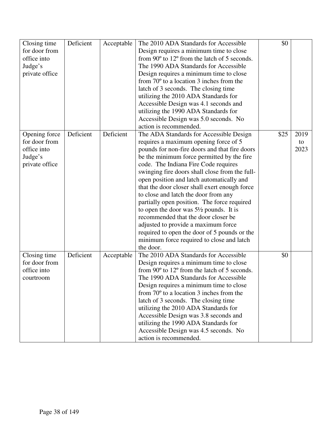| Closing time   | Deficient | Acceptable | The 2010 ADA Standards for Accessible             | \$0  |      |
|----------------|-----------|------------|---------------------------------------------------|------|------|
| for door from  |           |            | Design requires a minimum time to close           |      |      |
| office into    |           |            | from 90° to 12° from the latch of 5 seconds.      |      |      |
| Judge's        |           |            | The 1990 ADA Standards for Accessible             |      |      |
| private office |           |            | Design requires a minimum time to close           |      |      |
|                |           |            | from $70^{\circ}$ to a location 3 inches from the |      |      |
|                |           |            | latch of 3 seconds. The closing time              |      |      |
|                |           |            | utilizing the 2010 ADA Standards for              |      |      |
|                |           |            | Accessible Design was 4.1 seconds and             |      |      |
|                |           |            | utilizing the 1990 ADA Standards for              |      |      |
|                |           |            | Accessible Design was 5.0 seconds. No             |      |      |
|                |           |            | action is recommended.                            |      |      |
| Opening force  | Deficient | Deficient  | The ADA Standards for Accessible Design           | \$25 | 2019 |
| for door from  |           |            | requires a maximum opening force of 5             |      | to   |
| office into    |           |            | pounds for non-fire doors and that fire doors     |      | 2023 |
| Judge's        |           |            | be the minimum force permitted by the fire        |      |      |
| private office |           |            | code. The Indiana Fire Code requires              |      |      |
|                |           |            | swinging fire doors shall close from the full-    |      |      |
|                |           |            | open position and latch automatically and         |      |      |
|                |           |            | that the door closer shall exert enough force     |      |      |
|                |           |            | to close and latch the door from any              |      |      |
|                |           |            | partially open position. The force required       |      |      |
|                |           |            | to open the door was $5\frac{1}{2}$ pounds. It is |      |      |
|                |           |            | recommended that the door closer be               |      |      |
|                |           |            | adjusted to provide a maximum force               |      |      |
|                |           |            | required to open the door of 5 pounds or the      |      |      |
|                |           |            | minimum force required to close and latch         |      |      |
|                |           |            | the door.                                         |      |      |
| Closing time   | Deficient | Acceptable | The 2010 ADA Standards for Accessible             | \$0  |      |
| for door from  |           |            | Design requires a minimum time to close           |      |      |
| office into    |           |            | from 90° to 12° from the latch of 5 seconds.      |      |      |
|                |           |            | The 1990 ADA Standards for Accessible             |      |      |
| courtroom      |           |            |                                                   |      |      |
|                |           |            | Design requires a minimum time to close           |      |      |
|                |           |            | from $70^{\circ}$ to a location 3 inches from the |      |      |
|                |           |            | latch of 3 seconds. The closing time              |      |      |
|                |           |            | utilizing the 2010 ADA Standards for              |      |      |
|                |           |            | Accessible Design was 3.8 seconds and             |      |      |
|                |           |            | utilizing the 1990 ADA Standards for              |      |      |
|                |           |            | Accessible Design was 4.5 seconds. No             |      |      |
|                |           |            | action is recommended.                            |      |      |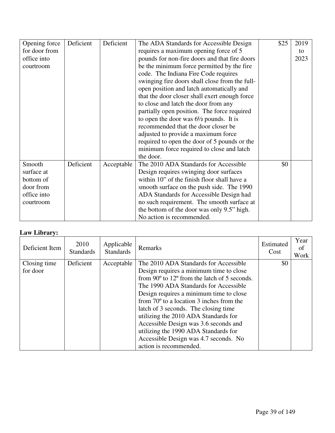| Opening force | Deficient | Deficient  | The ADA Standards for Accessible Design           | \$25 | 2019 |
|---------------|-----------|------------|---------------------------------------------------|------|------|
| for door from |           |            | requires a maximum opening force of 5             |      | to   |
| office into   |           |            | pounds for non-fire doors and that fire doors     |      | 2023 |
| courtroom     |           |            | be the minimum force permitted by the fire        |      |      |
|               |           |            | code. The Indiana Fire Code requires              |      |      |
|               |           |            | swinging fire doors shall close from the full-    |      |      |
|               |           |            | open position and latch automatically and         |      |      |
|               |           |            | that the door closer shall exert enough force     |      |      |
|               |           |            | to close and latch the door from any              |      |      |
|               |           |            | partially open position. The force required       |      |      |
|               |           |            | to open the door was $6\frac{1}{2}$ pounds. It is |      |      |
|               |           |            | recommended that the door closer be               |      |      |
|               |           |            | adjusted to provide a maximum force               |      |      |
|               |           |            | required to open the door of 5 pounds or the      |      |      |
|               |           |            | minimum force required to close and latch         |      |      |
|               |           |            | the door.                                         |      |      |
| Smooth        | Deficient | Acceptable | The 2010 ADA Standards for Accessible             | \$0  |      |
| surface at    |           |            | Design requires swinging door surfaces            |      |      |
| bottom of     |           |            | within 10" of the finish floor shall have a       |      |      |
| door from     |           |            | smooth surface on the push side. The 1990         |      |      |
| office into   |           |            | ADA Standards for Accessible Design had           |      |      |
| courtroom     |           |            | no such requirement. The smooth surface at        |      |      |
|               |           |            | the bottom of the door was only 9.5" high.        |      |      |
|               |           |            | No action is recommended.                         |      |      |

#### **Law Library:**

| Deficient Item           | 2010<br><b>Standards</b> | Applicable<br><b>Standards</b> | Remarks                                                                                                                                                                                                                                                                                                                                                                                                                                                                                                                         | Estimated<br>Cost | Year<br>οf<br>Work |
|--------------------------|--------------------------|--------------------------------|---------------------------------------------------------------------------------------------------------------------------------------------------------------------------------------------------------------------------------------------------------------------------------------------------------------------------------------------------------------------------------------------------------------------------------------------------------------------------------------------------------------------------------|-------------------|--------------------|
| Closing time<br>for door | Deficient                | Acceptable                     | The 2010 ADA Standards for Accessible<br>Design requires a minimum time to close<br>from 90 $\degree$ to 12 $\degree$ from the latch of 5 seconds.<br>The 1990 ADA Standards for Accessible<br>Design requires a minimum time to close<br>from $70^{\circ}$ to a location 3 inches from the<br>latch of 3 seconds. The closing time<br>utilizing the 2010 ADA Standards for<br>Accessible Design was 3.6 seconds and<br>utilizing the 1990 ADA Standards for<br>Accessible Design was 4.7 seconds. No<br>action is recommended. | \$0               |                    |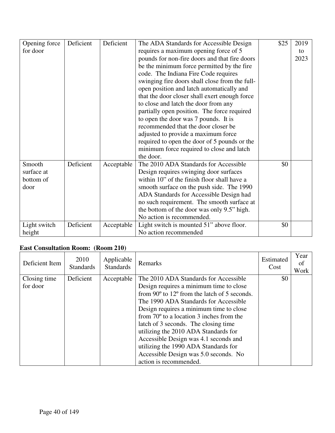| Opening force | Deficient | Deficient  | The ADA Standards for Accessible Design        | \$25 | 2019 |
|---------------|-----------|------------|------------------------------------------------|------|------|
| for door      |           |            | requires a maximum opening force of 5          |      | to   |
|               |           |            | pounds for non-fire doors and that fire doors  |      | 2023 |
|               |           |            | be the minimum force permitted by the fire     |      |      |
|               |           |            | code. The Indiana Fire Code requires           |      |      |
|               |           |            | swinging fire doors shall close from the full- |      |      |
|               |           |            | open position and latch automatically and      |      |      |
|               |           |            | that the door closer shall exert enough force  |      |      |
|               |           |            | to close and latch the door from any           |      |      |
|               |           |            | partially open position. The force required    |      |      |
|               |           |            | to open the door was 7 pounds. It is           |      |      |
|               |           |            | recommended that the door closer be            |      |      |
|               |           |            | adjusted to provide a maximum force            |      |      |
|               |           |            | required to open the door of 5 pounds or the   |      |      |
|               |           |            | minimum force required to close and latch      |      |      |
|               |           |            | the door.                                      |      |      |
| Smooth        | Deficient | Acceptable | The 2010 ADA Standards for Accessible          | \$0  |      |
| surface at    |           |            | Design requires swinging door surfaces         |      |      |
| bottom of     |           |            | within 10" of the finish floor shall have a    |      |      |
| door          |           |            | smooth surface on the push side. The 1990      |      |      |
|               |           |            | ADA Standards for Accessible Design had        |      |      |
|               |           |            | no such requirement. The smooth surface at     |      |      |
|               |           |            | the bottom of the door was only 9.5" high.     |      |      |
|               |           |            | No action is recommended.                      |      |      |
| Light switch  | Deficient | Acceptable | Light switch is mounted 51" above floor.       | \$0  |      |
| height        |           |            | No action recommended                          |      |      |

# **East Consultation Room: (Room 210)**

| Deficient Item           | 2010<br><b>Standards</b> | Applicable<br><b>Standards</b> | Remarks                                                                                                                                                                                                                                                                                                                                                                                                                                                                                                                         | Estimated<br>Cost | Year<br>οf<br>Work |
|--------------------------|--------------------------|--------------------------------|---------------------------------------------------------------------------------------------------------------------------------------------------------------------------------------------------------------------------------------------------------------------------------------------------------------------------------------------------------------------------------------------------------------------------------------------------------------------------------------------------------------------------------|-------------------|--------------------|
| Closing time<br>for door | Deficient                | Acceptable                     | The 2010 ADA Standards for Accessible<br>Design requires a minimum time to close<br>from $90^{\circ}$ to $12^{\circ}$ from the latch of 5 seconds.<br>The 1990 ADA Standards for Accessible<br>Design requires a minimum time to close<br>from $70^{\circ}$ to a location 3 inches from the<br>latch of 3 seconds. The closing time<br>utilizing the 2010 ADA Standards for<br>Accessible Design was 4.1 seconds and<br>utilizing the 1990 ADA Standards for<br>Accessible Design was 5.0 seconds. No<br>action is recommended. | \$0               |                    |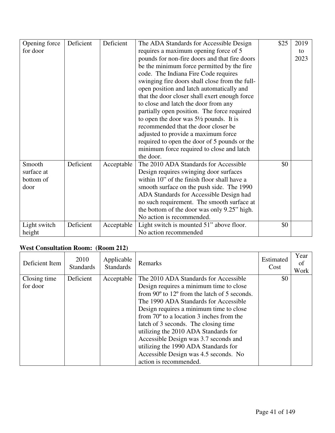| Opening force | Deficient | Deficient  | The ADA Standards for Accessible Design           | \$25 | 2019 |
|---------------|-----------|------------|---------------------------------------------------|------|------|
| for door      |           |            | requires a maximum opening force of 5             |      | to   |
|               |           |            | pounds for non-fire doors and that fire doors     |      | 2023 |
|               |           |            | be the minimum force permitted by the fire        |      |      |
|               |           |            | code. The Indiana Fire Code requires              |      |      |
|               |           |            | swinging fire doors shall close from the full-    |      |      |
|               |           |            | open position and latch automatically and         |      |      |
|               |           |            | that the door closer shall exert enough force     |      |      |
|               |           |            | to close and latch the door from any              |      |      |
|               |           |            | partially open position. The force required       |      |      |
|               |           |            | to open the door was $5\frac{1}{2}$ pounds. It is |      |      |
|               |           |            | recommended that the door closer be               |      |      |
|               |           |            | adjusted to provide a maximum force               |      |      |
|               |           |            | required to open the door of 5 pounds or the      |      |      |
|               |           |            | minimum force required to close and latch         |      |      |
|               |           |            | the door.                                         |      |      |
| Smooth        | Deficient | Acceptable | The 2010 ADA Standards for Accessible             | \$0  |      |
| surface at    |           |            | Design requires swinging door surfaces            |      |      |
| bottom of     |           |            | within 10" of the finish floor shall have a       |      |      |
| door          |           |            | smooth surface on the push side. The 1990         |      |      |
|               |           |            | ADA Standards for Accessible Design had           |      |      |
|               |           |            | no such requirement. The smooth surface at        |      |      |
|               |           |            | the bottom of the door was only 9.25" high.       |      |      |
|               |           |            | No action is recommended.                         |      |      |
| Light switch  | Deficient | Acceptable | Light switch is mounted 51" above floor.          | \$0  |      |
| height        |           |            | No action recommended                             |      |      |

## **West Consultation Room: (Room 212)**

| Deficient Item           | 2010<br><b>Standards</b> | Applicable<br><b>Standards</b> | Remarks                                                                                                                                                                                                                                                                                                                                                                                                                                                                                                                         | Estimated<br>Cost | Year<br>of<br>Work |
|--------------------------|--------------------------|--------------------------------|---------------------------------------------------------------------------------------------------------------------------------------------------------------------------------------------------------------------------------------------------------------------------------------------------------------------------------------------------------------------------------------------------------------------------------------------------------------------------------------------------------------------------------|-------------------|--------------------|
| Closing time<br>for door | Deficient                | Acceptable                     | The 2010 ADA Standards for Accessible<br>Design requires a minimum time to close<br>from $90^{\circ}$ to $12^{\circ}$ from the latch of 5 seconds.<br>The 1990 ADA Standards for Accessible<br>Design requires a minimum time to close<br>from $70^{\circ}$ to a location 3 inches from the<br>latch of 3 seconds. The closing time<br>utilizing the 2010 ADA Standards for<br>Accessible Design was 3.7 seconds and<br>utilizing the 1990 ADA Standards for<br>Accessible Design was 4.5 seconds. No<br>action is recommended. | \$0               |                    |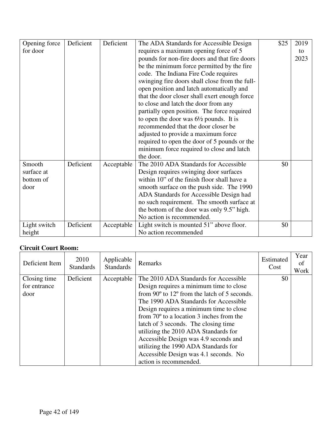| Opening force | Deficient | Deficient  | The ADA Standards for Accessible Design           | \$25 | 2019 |
|---------------|-----------|------------|---------------------------------------------------|------|------|
| for door      |           |            | requires a maximum opening force of 5             |      | to   |
|               |           |            | pounds for non-fire doors and that fire doors     |      | 2023 |
|               |           |            | be the minimum force permitted by the fire        |      |      |
|               |           |            | code. The Indiana Fire Code requires              |      |      |
|               |           |            | swinging fire doors shall close from the full-    |      |      |
|               |           |            | open position and latch automatically and         |      |      |
|               |           |            | that the door closer shall exert enough force     |      |      |
|               |           |            | to close and latch the door from any              |      |      |
|               |           |            | partially open position. The force required       |      |      |
|               |           |            | to open the door was $6\frac{1}{2}$ pounds. It is |      |      |
|               |           |            | recommended that the door closer be               |      |      |
|               |           |            | adjusted to provide a maximum force               |      |      |
|               |           |            | required to open the door of 5 pounds or the      |      |      |
|               |           |            | minimum force required to close and latch         |      |      |
|               |           |            | the door.                                         |      |      |
| Smooth        | Deficient | Acceptable | The 2010 ADA Standards for Accessible             | \$0  |      |
| surface at    |           |            | Design requires swinging door surfaces            |      |      |
| bottom of     |           |            | within 10" of the finish floor shall have a       |      |      |
| door          |           |            | smooth surface on the push side. The 1990         |      |      |
|               |           |            | ADA Standards for Accessible Design had           |      |      |
|               |           |            | no such requirement. The smooth surface at        |      |      |
|               |           |            | the bottom of the door was only 9.5" high.        |      |      |
|               |           |            | No action is recommended.                         |      |      |
| Light switch  | Deficient | Acceptable | Light switch is mounted 51" above floor.          | \$0  |      |
| height        |           |            | No action recommended                             |      |      |

## **Circuit Court Room:**

| Deficient Item                       | 2010<br><b>Standards</b> | Applicable<br><b>Standards</b> | Remarks                                                                                                                                                                                                                                                                                                                                                                                                                                                                                                                         | Estimated<br>Cost | Year<br>0f<br>Work |
|--------------------------------------|--------------------------|--------------------------------|---------------------------------------------------------------------------------------------------------------------------------------------------------------------------------------------------------------------------------------------------------------------------------------------------------------------------------------------------------------------------------------------------------------------------------------------------------------------------------------------------------------------------------|-------------------|--------------------|
| Closing time<br>for entrance<br>door | Deficient                | Acceptable                     | The 2010 ADA Standards for Accessible<br>Design requires a minimum time to close<br>from $90^{\circ}$ to $12^{\circ}$ from the latch of 5 seconds.<br>The 1990 ADA Standards for Accessible<br>Design requires a minimum time to close<br>from $70^{\circ}$ to a location 3 inches from the<br>latch of 3 seconds. The closing time<br>utilizing the 2010 ADA Standards for<br>Accessible Design was 4.9 seconds and<br>utilizing the 1990 ADA Standards for<br>Accessible Design was 4.1 seconds. No<br>action is recommended. | \$0               |                    |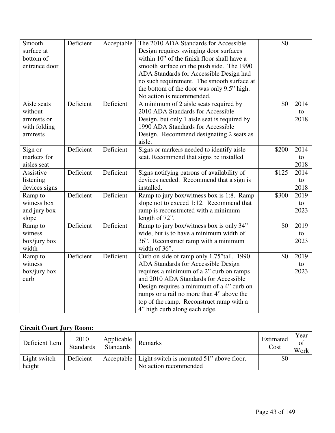| Smooth<br>surface at | Deficient | Acceptable | The 2010 ADA Standards for Accessible<br>Design requires swinging door surfaces | \$0   |      |
|----------------------|-----------|------------|---------------------------------------------------------------------------------|-------|------|
| bottom of            |           |            | within 10" of the finish floor shall have a                                     |       |      |
| entrance door        |           |            | smooth surface on the push side. The 1990                                       |       |      |
|                      |           |            | ADA Standards for Accessible Design had                                         |       |      |
|                      |           |            | no such requirement. The smooth surface at                                      |       |      |
|                      |           |            | the bottom of the door was only 9.5" high.                                      |       |      |
|                      |           |            | No action is recommended.                                                       |       |      |
| Aisle seats          | Deficient | Deficient  | A minimum of 2 aisle seats required by                                          | \$0   | 2014 |
| without              |           |            | 2010 ADA Standards for Accessible                                               |       | to   |
| armrests or          |           |            | Design, but only 1 aisle seat is required by                                    |       | 2018 |
| with folding         |           |            | 1990 ADA Standards for Accessible                                               |       |      |
| armrests             |           |            | Design. Recommend designating 2 seats as<br>aisle.                              |       |      |
| Sign or              | Deficient | Deficient  | Signs or markers needed to identify aisle                                       | \$200 | 2014 |
| markers for          |           |            | seat. Recommend that signs be installed                                         |       | to   |
| aisles seat          |           |            |                                                                                 |       | 2018 |
| Assistive            | Deficient | Deficient  | Signs notifying patrons of availability of                                      | \$125 | 2014 |
| listening            |           |            | devices needed. Recommend that a sign is                                        |       | to   |
| devices signs        |           |            | installed.                                                                      |       | 2018 |
| Ramp to              | Deficient | Deficient  | Ramp to jury box/witness box is 1:8. Ramp                                       | \$300 | 2019 |
| witness box          |           |            | slope not to exceed 1:12. Recommend that                                        |       | to   |
| and jury box         |           |            | ramp is reconstructed with a minimum                                            |       | 2023 |
| slope                |           |            | length of 72".                                                                  |       |      |
| Ramp to              | Deficient | Deficient  | Ramp to jury box/witness box is only 34"                                        | \$0   | 2019 |
| witness              |           |            | wide, but is to have a minimum width of                                         |       | to   |
| box/jury box         |           |            | 36". Reconstruct ramp with a minimum                                            |       | 2023 |
| width                |           |            | width of 36".                                                                   |       |      |
| Ramp to              | Deficient | Deficient  | Curb on side of ramp only 1.75"tall. 1990                                       | \$0   | 2019 |
| witness              |           |            | ADA Standards for Accessible Design                                             |       | to   |
| box/jury box         |           |            | requires a minimum of a 2" curb on ramps                                        |       | 2023 |
| curb                 |           |            | and 2010 ADA Standards for Accessible                                           |       |      |
|                      |           |            | Design requires a minimum of a 4" curb on                                       |       |      |
|                      |           |            | ramps or a rail no more than 4" above the                                       |       |      |
|                      |           |            | top of the ramp. Reconstruct ramp with a                                        |       |      |
|                      |           |            | 4" high curb along each edge.                                                   |       |      |

#### **Circuit Court Jury Room:**

| Deficient Item         | 2010<br><b>Standards</b> | Applicable<br><b>Standards</b> | Remarks                                                                        | Estimated<br>Cost | Year<br>of<br>Work |
|------------------------|--------------------------|--------------------------------|--------------------------------------------------------------------------------|-------------------|--------------------|
| Light switch<br>height | Deficient                |                                | Acceptable   Light switch is mounted 51" above floor.<br>No action recommended | \$0               |                    |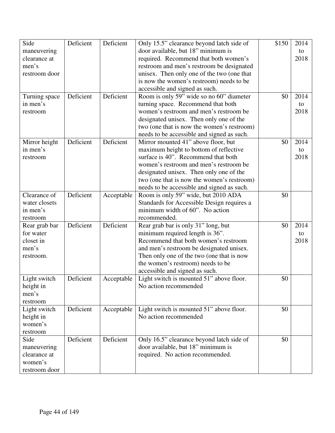| Side          | Deficient | Deficient  | Only 15.5" clearance beyond latch side of  | \$150 | 2014 |
|---------------|-----------|------------|--------------------------------------------|-------|------|
| maneuvering   |           |            | door available, but 18" minimum is         |       | to   |
| clearance at  |           |            | required. Recommend that both women's      |       | 2018 |
| men's         |           |            | restroom and men's restroom be designated  |       |      |
| restroom door |           |            | unisex. Then only one of the two (one that |       |      |
|               |           |            | is now the women's restroom) needs to be   |       |      |
|               |           |            | accessible and signed as such.             |       |      |
| Turning space | Deficient | Deficient  | Room is only 59" wide so no 60" diameter   | \$0   | 2014 |
| in men's      |           |            | turning space. Recommend that both         |       | to   |
| restroom      |           |            | women's restroom and men's restroom be     |       | 2018 |
|               |           |            | designated unisex. Then only one of the    |       |      |
|               |           |            | two (one that is now the women's restroom) |       |      |
|               |           |            | needs to be accessible and signed as such. |       |      |
| Mirror height | Deficient | Deficient  | Mirror mounted 41" above floor, but        | \$0   | 2014 |
| in men's      |           |            | maximum height to bottom of reflective     |       | to   |
| restroom      |           |            | surface is 40". Recommend that both        |       | 2018 |
|               |           |            | women's restroom and men's restroom be     |       |      |
|               |           |            | designated unisex. Then only one of the    |       |      |
|               |           |            | two (one that is now the women's restroom) |       |      |
|               |           |            | needs to be accessible and signed as such. |       |      |
| Clearance of  | Deficient | Acceptable | Room is only 59" wide, but 2010 ADA        | \$0   |      |
| water closets |           |            | Standards for Accessible Design requires a |       |      |
| in men's      |           |            | minimum width of 60". No action            |       |      |
| restroom      |           |            | recommended.                               |       |      |
| Rear grab bar | Deficient | Deficient  | Rear grab bar is only 31" long, but        | \$0   | 2014 |
| for water     |           |            | minimum required length is 36".            |       | to   |
| closet in     |           |            | Recommend that both women's restroom       |       | 2018 |
| men's         |           |            | and men's restroom be designated unisex.   |       |      |
| restroom.     |           |            | Then only one of the two (one that is now  |       |      |
|               |           |            | the women's restroom) needs to be          |       |      |
|               |           |            | accessible and signed as such.             |       |      |
| Light switch  | Deficient | Acceptable | Light switch is mounted 51" above floor.   | \$0   |      |
| height in     |           |            | No action recommended                      |       |      |
| men's         |           |            |                                            |       |      |
| restroom      |           |            |                                            |       |      |
| Light switch  | Deficient | Acceptable | Light switch is mounted 51" above floor.   | \$0   |      |
| height in     |           |            | No action recommended                      |       |      |
| women's       |           |            |                                            |       |      |
| restroom      |           |            |                                            |       |      |
| Side          | Deficient | Deficient  | Only 16.5" clearance beyond latch side of  | \$0   |      |
| maneuvering   |           |            | door available, but 18" minimum is         |       |      |
| clearance at  |           |            | required. No action recommended.           |       |      |
| women's       |           |            |                                            |       |      |
| restroom door |           |            |                                            |       |      |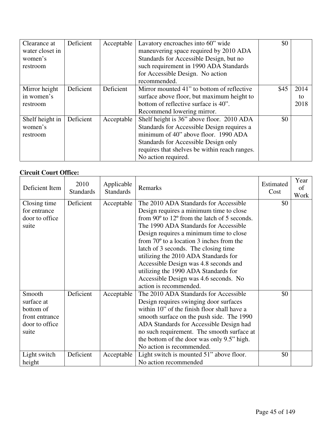| Clearance at    | Deficient | Acceptable | Lavatory encroaches into 60" wide             | \$0  |      |
|-----------------|-----------|------------|-----------------------------------------------|------|------|
| water closet in |           |            | maneuvering space required by 2010 ADA        |      |      |
| women's         |           |            | Standards for Accessible Design, but no       |      |      |
| restroom        |           |            | such requirement in 1990 ADA Standards        |      |      |
|                 |           |            | for Accessible Design. No action              |      |      |
|                 |           |            | recommended.                                  |      |      |
| Mirror height   | Deficient | Deficient  | Mirror mounted 41" to bottom of reflective    | \$45 | 2014 |
| in women's      |           |            | surface above floor, but maximum height to    |      | to   |
| restroom        |           |            | bottom of reflective surface is 40".          |      | 2018 |
|                 |           |            | Recommend lowering mirror.                    |      |      |
| Shelf height in | Deficient | Acceptable | Shelf height is 36" above floor. 2010 ADA     | \$0  |      |
| women's         |           |            | Standards for Accessible Design requires a    |      |      |
| restroom        |           |            | minimum of 40" above floor. 1990 ADA          |      |      |
|                 |           |            | Standards for Accessible Design only          |      |      |
|                 |           |            | requires that shelves be within reach ranges. |      |      |
|                 |           |            | No action required.                           |      |      |

#### **Circuit Court Office:**

| Deficient Item                 | 2010<br><b>Standards</b> | Applicable<br><b>Standards</b> | Remarks                                                                                                   | Estimated<br>Cost | Year<br>of<br>Work |
|--------------------------------|--------------------------|--------------------------------|-----------------------------------------------------------------------------------------------------------|-------------------|--------------------|
| Closing time                   | Deficient                | Acceptable                     | The 2010 ADA Standards for Accessible                                                                     | \$0               |                    |
| for entrance<br>door to office |                          |                                | Design requires a minimum time to close<br>from $90^{\circ}$ to $12^{\circ}$ from the latch of 5 seconds. |                   |                    |
| suite                          |                          |                                | The 1990 ADA Standards for Accessible                                                                     |                   |                    |
|                                |                          |                                | Design requires a minimum time to close                                                                   |                   |                    |
|                                |                          |                                | from $70^{\circ}$ to a location 3 inches from the                                                         |                   |                    |
|                                |                          |                                | latch of 3 seconds. The closing time                                                                      |                   |                    |
|                                |                          |                                | utilizing the 2010 ADA Standards for                                                                      |                   |                    |
|                                |                          |                                | Accessible Design was 4.8 seconds and                                                                     |                   |                    |
|                                |                          |                                | utilizing the 1990 ADA Standards for                                                                      |                   |                    |
|                                |                          |                                | Accessible Design was 4.6 seconds. No                                                                     |                   |                    |
|                                |                          |                                | action is recommended.                                                                                    |                   |                    |
| Smooth                         | Deficient                | Acceptable                     | The 2010 ADA Standards for Accessible                                                                     | \$0               |                    |
| surface at                     |                          |                                | Design requires swinging door surfaces                                                                    |                   |                    |
| bottom of                      |                          |                                | within 10" of the finish floor shall have a                                                               |                   |                    |
| front entrance                 |                          |                                | smooth surface on the push side. The 1990                                                                 |                   |                    |
| door to office                 |                          |                                | ADA Standards for Accessible Design had                                                                   |                   |                    |
| suite                          |                          |                                | no such requirement. The smooth surface at                                                                |                   |                    |
|                                |                          |                                | the bottom of the door was only 9.5" high.                                                                |                   |                    |
|                                |                          |                                | No action is recommended.                                                                                 |                   |                    |
| Light switch                   | Deficient                | Acceptable                     | Light switch is mounted 51" above floor.                                                                  | \$0               |                    |
| height                         |                          |                                | No action recommended                                                                                     |                   |                    |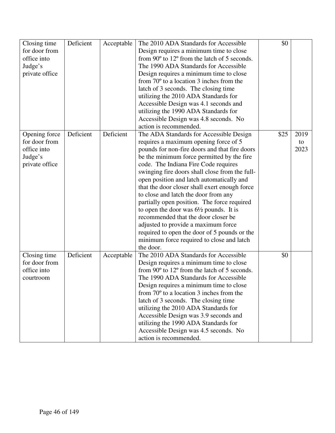| Closing time   | Deficient | Acceptable | The 2010 ADA Standards for Accessible             | \$0  |      |
|----------------|-----------|------------|---------------------------------------------------|------|------|
| for door from  |           |            | Design requires a minimum time to close           |      |      |
| office into    |           |            | from 90° to 12° from the latch of 5 seconds.      |      |      |
| Judge's        |           |            | The 1990 ADA Standards for Accessible             |      |      |
| private office |           |            | Design requires a minimum time to close           |      |      |
|                |           |            | from $70^{\circ}$ to a location 3 inches from the |      |      |
|                |           |            | latch of 3 seconds. The closing time              |      |      |
|                |           |            | utilizing the 2010 ADA Standards for              |      |      |
|                |           |            | Accessible Design was 4.1 seconds and             |      |      |
|                |           |            | utilizing the 1990 ADA Standards for              |      |      |
|                |           |            | Accessible Design was 4.8 seconds. No             |      |      |
|                |           |            | action is recommended.                            |      |      |
| Opening force  | Deficient | Deficient  | The ADA Standards for Accessible Design           | \$25 | 2019 |
| for door from  |           |            | requires a maximum opening force of 5             |      | to   |
| office into    |           |            | pounds for non-fire doors and that fire doors     |      | 2023 |
| Judge's        |           |            | be the minimum force permitted by the fire        |      |      |
| private office |           |            | code. The Indiana Fire Code requires              |      |      |
|                |           |            | swinging fire doors shall close from the full-    |      |      |
|                |           |            | open position and latch automatically and         |      |      |
|                |           |            | that the door closer shall exert enough force     |      |      |
|                |           |            | to close and latch the door from any              |      |      |
|                |           |            | partially open position. The force required       |      |      |
|                |           |            | to open the door was $6\frac{1}{2}$ pounds. It is |      |      |
|                |           |            | recommended that the door closer be               |      |      |
|                |           |            | adjusted to provide a maximum force               |      |      |
|                |           |            | required to open the door of 5 pounds or the      |      |      |
|                |           |            | minimum force required to close and latch         |      |      |
|                |           |            | the door.                                         |      |      |
| Closing time   | Deficient | Acceptable | The 2010 ADA Standards for Accessible             | \$0  |      |
| for door from  |           |            | Design requires a minimum time to close           |      |      |
| office into    |           |            | from 90° to 12° from the latch of 5 seconds.      |      |      |
|                |           |            | The 1990 ADA Standards for Accessible             |      |      |
| courtroom      |           |            |                                                   |      |      |
|                |           |            | Design requires a minimum time to close           |      |      |
|                |           |            | from $70^{\circ}$ to a location 3 inches from the |      |      |
|                |           |            | latch of 3 seconds. The closing time              |      |      |
|                |           |            | utilizing the 2010 ADA Standards for              |      |      |
|                |           |            | Accessible Design was 3.9 seconds and             |      |      |
|                |           |            | utilizing the 1990 ADA Standards for              |      |      |
|                |           |            | Accessible Design was 4.5 seconds. No             |      |      |
|                |           |            | action is recommended.                            |      |      |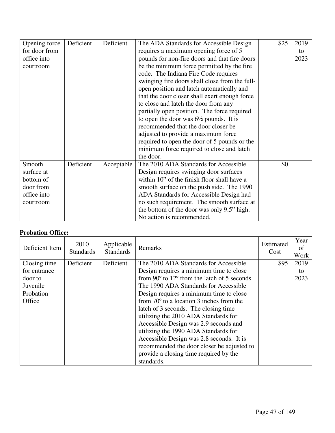| Opening force | Deficient | Deficient  | The ADA Standards for Accessible Design           | \$25 | 2019 |
|---------------|-----------|------------|---------------------------------------------------|------|------|
| for door from |           |            | requires a maximum opening force of 5             |      | to   |
| office into   |           |            | pounds for non-fire doors and that fire doors     |      | 2023 |
| courtroom     |           |            | be the minimum force permitted by the fire        |      |      |
|               |           |            | code. The Indiana Fire Code requires              |      |      |
|               |           |            | swinging fire doors shall close from the full-    |      |      |
|               |           |            | open position and latch automatically and         |      |      |
|               |           |            | that the door closer shall exert enough force     |      |      |
|               |           |            | to close and latch the door from any              |      |      |
|               |           |            | partially open position. The force required       |      |      |
|               |           |            | to open the door was $6\frac{1}{2}$ pounds. It is |      |      |
|               |           |            | recommended that the door closer be               |      |      |
|               |           |            | adjusted to provide a maximum force               |      |      |
|               |           |            | required to open the door of 5 pounds or the      |      |      |
|               |           |            | minimum force required to close and latch         |      |      |
|               |           |            | the door.                                         |      |      |
| Smooth        | Deficient | Acceptable | The 2010 ADA Standards for Accessible             | \$0  |      |
| surface at    |           |            | Design requires swinging door surfaces            |      |      |
| bottom of     |           |            | within 10" of the finish floor shall have a       |      |      |
| door from     |           |            | smooth surface on the push side. The 1990         |      |      |
| office into   |           |            | ADA Standards for Accessible Design had           |      |      |
| courtroom     |           |            | no such requirement. The smooth surface at        |      |      |
|               |           |            | the bottom of the door was only 9.5" high.        |      |      |
|               |           |            | No action is recommended.                         |      |      |

#### **Probation Office:**

| Deficient Item | 2010<br><b>Standards</b> | Applicable<br><b>Standards</b> | Remarks                                           | Estimated<br>Cost | Year<br>of<br>Work |
|----------------|--------------------------|--------------------------------|---------------------------------------------------|-------------------|--------------------|
| Closing time   | Deficient                | Deficient                      | The 2010 ADA Standards for Accessible             | \$95              | 2019               |
| for entrance   |                          |                                | Design requires a minimum time to close           |                   | to                 |
| door to        |                          |                                | from 90° to 12° from the latch of 5 seconds.      |                   | 2023               |
| Juvenile       |                          |                                | The 1990 ADA Standards for Accessible             |                   |                    |
| Probation      |                          |                                | Design requires a minimum time to close           |                   |                    |
| Office         |                          |                                | from $70^{\circ}$ to a location 3 inches from the |                   |                    |
|                |                          |                                | latch of 3 seconds. The closing time              |                   |                    |
|                |                          |                                | utilizing the 2010 ADA Standards for              |                   |                    |
|                |                          |                                | Accessible Design was 2.9 seconds and             |                   |                    |
|                |                          |                                | utilizing the 1990 ADA Standards for              |                   |                    |
|                |                          |                                | Accessible Design was 2.8 seconds. It is          |                   |                    |
|                |                          |                                | recommended the door closer be adjusted to        |                   |                    |
|                |                          |                                | provide a closing time required by the            |                   |                    |
|                |                          |                                | standards.                                        |                   |                    |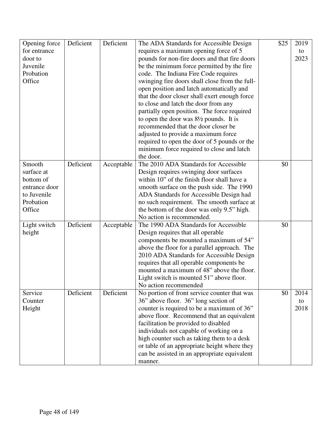| Opening force | Deficient | Deficient  | The ADA Standards for Accessible Design           | \$25 | 2019 |
|---------------|-----------|------------|---------------------------------------------------|------|------|
| for entrance  |           |            | requires a maximum opening force of 5             |      | to   |
| door to       |           |            | pounds for non-fire doors and that fire doors     |      | 2023 |
| Juvenile      |           |            | be the minimum force permitted by the fire        |      |      |
| Probation     |           |            | code. The Indiana Fire Code requires              |      |      |
| Office        |           |            | swinging fire doors shall close from the full-    |      |      |
|               |           |            | open position and latch automatically and         |      |      |
|               |           |            | that the door closer shall exert enough force     |      |      |
|               |           |            | to close and latch the door from any              |      |      |
|               |           |            | partially open position. The force required       |      |      |
|               |           |            | to open the door was $8\frac{1}{2}$ pounds. It is |      |      |
|               |           |            | recommended that the door closer be               |      |      |
|               |           |            | adjusted to provide a maximum force               |      |      |
|               |           |            | required to open the door of 5 pounds or the      |      |      |
|               |           |            | minimum force required to close and latch         |      |      |
|               |           |            | the door.                                         |      |      |
| Smooth        | Deficient | Acceptable | The 2010 ADA Standards for Accessible             | \$0  |      |
| surface at    |           |            | Design requires swinging door surfaces            |      |      |
| bottom of     |           |            | within 10" of the finish floor shall have a       |      |      |
| entrance door |           |            | smooth surface on the push side. The 1990         |      |      |
| to Juvenile   |           |            | ADA Standards for Accessible Design had           |      |      |
| Probation     |           |            | no such requirement. The smooth surface at        |      |      |
| Office        |           |            | the bottom of the door was only 9.5" high.        |      |      |
|               |           |            | No action is recommended.                         |      |      |
| Light switch  | Deficient | Acceptable | The 1990 ADA Standards for Accessible             | \$0  |      |
| height        |           |            | Design requires that all operable                 |      |      |
|               |           |            | components be mounted a maximum of 54"            |      |      |
|               |           |            | above the floor for a parallel approach. The      |      |      |
|               |           |            | 2010 ADA Standards for Accessible Design          |      |      |
|               |           |            | requires that all operable components be          |      |      |
|               |           |            | mounted a maximum of 48" above the floor.         |      |      |
|               |           |            | Light switch is mounted 51" above floor.          |      |      |
|               |           |            | No action recommended                             |      |      |
| Service       | Deficient | Deficient  | No portion of front service counter that was      | \$0  | 2014 |
| Counter       |           |            | 36" above floor. 36" long section of              |      | to   |
| Height        |           |            | counter is required to be a maximum of 36"        |      | 2018 |
|               |           |            | above floor. Recommend that an equivalent         |      |      |
|               |           |            | facilitation be provided to disabled              |      |      |
|               |           |            | individuals not capable of working on a           |      |      |
|               |           |            | high counter such as taking them to a desk        |      |      |
|               |           |            | or table of an appropriate height where they      |      |      |
|               |           |            | can be assisted in an appropriate equivalent      |      |      |
|               |           |            |                                                   |      |      |
|               |           |            | manner.                                           |      |      |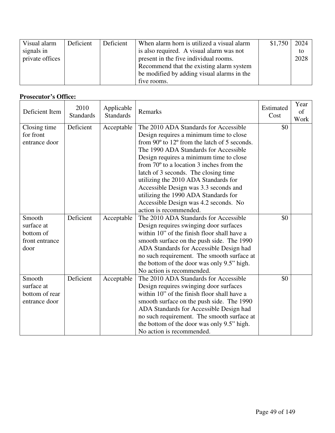| Visual alarm    | Deficient | Deficient | When alarm horn is utilized a visual alarm | \$1,750 | 2024 |
|-----------------|-----------|-----------|--------------------------------------------|---------|------|
| signals in      |           |           | is also required. A visual alarm was not   |         | to   |
| private offices |           |           | present in the five individual rooms.      |         | 2028 |
|                 |           |           | Recommend that the existing alarm system   |         |      |
|                 |           |           | be modified by adding visual alarms in the |         |      |
|                 |           |           | five rooms.                                |         |      |

# **Prosecutor's Office:**

| Deficient Item | 2010<br><b>Standards</b> | Applicable<br><b>Standards</b> | Remarks                                           | Estimated<br>Cost | Year<br>of<br>Work |
|----------------|--------------------------|--------------------------------|---------------------------------------------------|-------------------|--------------------|
| Closing time   | Deficient                | Acceptable                     | The 2010 ADA Standards for Accessible             | \$0               |                    |
| for front      |                          |                                | Design requires a minimum time to close           |                   |                    |
| entrance door  |                          |                                | from 90° to 12° from the latch of 5 seconds.      |                   |                    |
|                |                          |                                | The 1990 ADA Standards for Accessible             |                   |                    |
|                |                          |                                | Design requires a minimum time to close           |                   |                    |
|                |                          |                                | from $70^{\circ}$ to a location 3 inches from the |                   |                    |
|                |                          |                                | latch of 3 seconds. The closing time              |                   |                    |
|                |                          |                                | utilizing the 2010 ADA Standards for              |                   |                    |
|                |                          |                                | Accessible Design was 3.3 seconds and             |                   |                    |
|                |                          |                                | utilizing the 1990 ADA Standards for              |                   |                    |
|                |                          |                                | Accessible Design was 4.2 seconds. No             |                   |                    |
|                |                          |                                | action is recommended.                            |                   |                    |
| Smooth         | Deficient                | Acceptable                     | The 2010 ADA Standards for Accessible             | \$0               |                    |
| surface at     |                          |                                | Design requires swinging door surfaces            |                   |                    |
| bottom of      |                          |                                | within 10" of the finish floor shall have a       |                   |                    |
| front entrance |                          |                                | smooth surface on the push side. The 1990         |                   |                    |
| door           |                          |                                | ADA Standards for Accessible Design had           |                   |                    |
|                |                          |                                | no such requirement. The smooth surface at        |                   |                    |
|                |                          |                                | the bottom of the door was only 9.5" high.        |                   |                    |
|                |                          |                                | No action is recommended.                         |                   |                    |
| Smooth         | Deficient                | Acceptable                     | The 2010 ADA Standards for Accessible             | \$0               |                    |
| surface at     |                          |                                | Design requires swinging door surfaces            |                   |                    |
| bottom of rear |                          |                                | within 10" of the finish floor shall have a       |                   |                    |
| entrance door  |                          |                                | smooth surface on the push side. The 1990         |                   |                    |
|                |                          |                                | ADA Standards for Accessible Design had           |                   |                    |
|                |                          |                                | no such requirement. The smooth surface at        |                   |                    |
|                |                          |                                | the bottom of the door was only 9.5" high.        |                   |                    |
|                |                          |                                | No action is recommended.                         |                   |                    |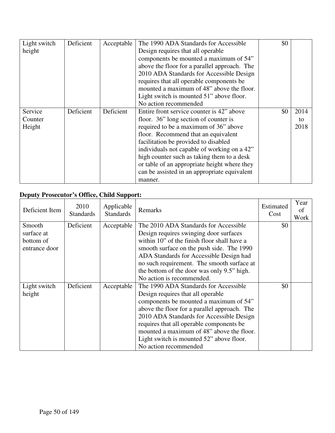| Light switch | Deficient | Acceptable | The 1990 ADA Standards for Accessible        | \$0 |      |
|--------------|-----------|------------|----------------------------------------------|-----|------|
| height       |           |            | Design requires that all operable            |     |      |
|              |           |            | components be mounted a maximum of 54"       |     |      |
|              |           |            | above the floor for a parallel approach. The |     |      |
|              |           |            | 2010 ADA Standards for Accessible Design     |     |      |
|              |           |            | requires that all operable components be     |     |      |
|              |           |            | mounted a maximum of 48" above the floor.    |     |      |
|              |           |            | Light switch is mounted 51" above floor.     |     |      |
|              |           |            | No action recommended                        |     |      |
| Service      | Deficient | Deficient  | Entire front service counter is 42" above    | \$0 | 2014 |
| Counter      |           |            | floor. 36" long section of counter is        |     | to   |
| Height       |           |            | required to be a maximum of 36" above        |     | 2018 |
|              |           |            | floor. Recommend that an equivalent          |     |      |
|              |           |            | facilitation be provided to disabled         |     |      |
|              |           |            | individuals not capable of working on a 42"  |     |      |
|              |           |            | high counter such as taking them to a desk   |     |      |
|              |           |            | or table of an appropriate height where they |     |      |
|              |           |            | can be assisted in an appropriate equivalent |     |      |
|              |           |            | manner.                                      |     |      |

# **Deputy Prosecutor's Office, Child Support:**

| Deficient Item | 2010<br><b>Standards</b> | Applicable<br><b>Standards</b> | Remarks                                      | Estimated<br>Cost | Year<br>of<br>Work |
|----------------|--------------------------|--------------------------------|----------------------------------------------|-------------------|--------------------|
| Smooth         | Deficient                | Acceptable                     | The 2010 ADA Standards for Accessible        | \$0               |                    |
| surface at     |                          |                                | Design requires swinging door surfaces       |                   |                    |
| bottom of      |                          |                                | within 10" of the finish floor shall have a  |                   |                    |
| entrance door  |                          |                                | smooth surface on the push side. The 1990    |                   |                    |
|                |                          |                                | ADA Standards for Accessible Design had      |                   |                    |
|                |                          |                                | no such requirement. The smooth surface at   |                   |                    |
|                |                          |                                | the bottom of the door was only 9.5" high.   |                   |                    |
|                |                          |                                | No action is recommended.                    |                   |                    |
| Light switch   | Deficient                | Acceptable                     | The 1990 ADA Standards for Accessible        | \$0               |                    |
| height         |                          |                                | Design requires that all operable            |                   |                    |
|                |                          |                                | components be mounted a maximum of 54"       |                   |                    |
|                |                          |                                | above the floor for a parallel approach. The |                   |                    |
|                |                          |                                | 2010 ADA Standards for Accessible Design     |                   |                    |
|                |                          |                                | requires that all operable components be     |                   |                    |
|                |                          |                                | mounted a maximum of 48" above the floor.    |                   |                    |
|                |                          |                                | Light switch is mounted 52" above floor.     |                   |                    |
|                |                          |                                | No action recommended                        |                   |                    |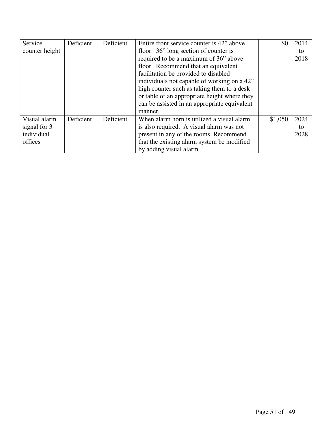| Service        | Deficient | Deficient | Entire front service counter is 42" above    | \$0     | 2014 |
|----------------|-----------|-----------|----------------------------------------------|---------|------|
| counter height |           |           | floor. 36" long section of counter is        |         | to   |
|                |           |           | required to be a maximum of 36" above        |         | 2018 |
|                |           |           | floor. Recommend that an equivalent          |         |      |
|                |           |           | facilitation be provided to disabled         |         |      |
|                |           |           | individuals not capable of working on a 42"  |         |      |
|                |           |           | high counter such as taking them to a desk   |         |      |
|                |           |           | or table of an appropriate height where they |         |      |
|                |           |           | can be assisted in an appropriate equivalent |         |      |
|                |           |           | manner.                                      |         |      |
| Visual alarm   | Deficient | Deficient | When alarm horn is utilized a visual alarm   | \$1,050 | 2024 |
| signal for 3   |           |           | is also required. A visual alarm was not     |         | to   |
| individual     |           |           | present in any of the rooms. Recommend       |         | 2028 |
| offices        |           |           | that the existing alarm system be modified   |         |      |
|                |           |           | by adding visual alarm.                      |         |      |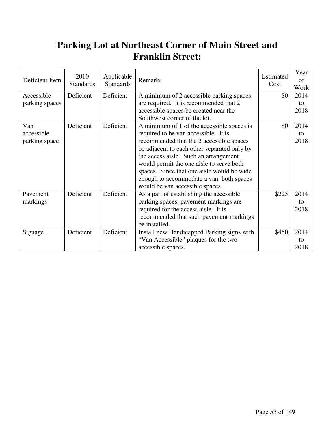# **Parking Lot at Northeast Corner of Main Street and Franklin Street:**

| Deficient Item | 2010<br><b>Standards</b> | Applicable<br><b>Standards</b> | Remarks                                     | Estimated<br>Cost | Year<br>of<br>Work |
|----------------|--------------------------|--------------------------------|---------------------------------------------|-------------------|--------------------|
| Accessible     | Deficient                | Deficient                      | A minimum of 2 accessible parking spaces    | \$0               | 2014               |
| parking spaces |                          |                                | are required. It is recommended that 2      |                   | to                 |
|                |                          |                                | accessible spaces be created near the       |                   | 2018               |
|                |                          |                                | Southwest corner of the lot.                |                   |                    |
| Van            | Deficient                | Deficient                      | A minimum of 1 of the accessible spaces is  | \$0               | 2014               |
| accessible     |                          |                                | required to be van accessible. It is        |                   | to                 |
| parking space  |                          |                                | recommended that the 2 accessible spaces    |                   | 2018               |
|                |                          |                                | be adjacent to each other separated only by |                   |                    |
|                |                          |                                | the access aisle. Such an arrangement       |                   |                    |
|                |                          |                                | would permit the one aisle to serve both    |                   |                    |
|                |                          |                                | spaces. Since that one aisle would be wide  |                   |                    |
|                |                          |                                | enough to accommodate a van, both spaces    |                   |                    |
|                |                          |                                | would be van accessible spaces.             |                   |                    |
| Pavement       | Deficient                | Deficient                      | As a part of establishing the accessible    | \$225             | 2014               |
| markings       |                          |                                | parking spaces, pavement markings are       |                   | to                 |
|                |                          |                                | required for the access aisle. It is        |                   | 2018               |
|                |                          |                                | recommended that such pavement markings     |                   |                    |
|                |                          |                                | be installed.                               |                   |                    |
| Signage        | Deficient                | Deficient                      | Install new Handicapped Parking signs with  | \$450             | 2014               |
|                |                          |                                | "Van Accessible" plaques for the two        |                   | to                 |
|                |                          |                                | accessible spaces.                          |                   | 2018               |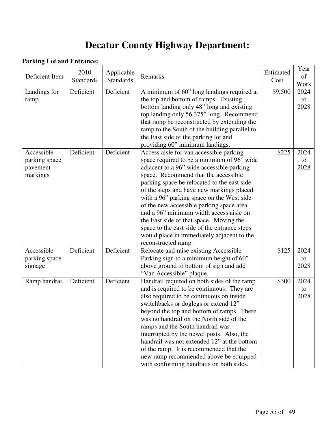# **Decatur County Highway Department:**

#### **Parking Lot and Entrance:**

| Deficient Item                                      | 2010<br><b>Standards</b> | Applicable<br><b>Standards</b> | Remarks                                                                                                                                                                                                                                                                                                                                                                                                                                                                                                                                                                    | Estimated<br>Cost | Year<br>of<br>Work |
|-----------------------------------------------------|--------------------------|--------------------------------|----------------------------------------------------------------------------------------------------------------------------------------------------------------------------------------------------------------------------------------------------------------------------------------------------------------------------------------------------------------------------------------------------------------------------------------------------------------------------------------------------------------------------------------------------------------------------|-------------------|--------------------|
| Landings for<br>ramp                                | Deficient                | Deficient                      | A minimum of 60" long landings required at<br>the top and bottom of ramps. Existing<br>bottom landing only 48" long and existing<br>top landing only 56.375" long. Recommend<br>that ramp be reconstructed by extending the<br>ramp to the South of the building parallel to<br>the East side of the parking lot and<br>providing 60" minimum landings.                                                                                                                                                                                                                    | \$9,500           | 2024<br>to<br>2028 |
| Accessible<br>parking space<br>pavement<br>markings | Deficient                | Deficient                      | Access aisle for van accessible parking<br>space required to be a minimum of 96" wide<br>adjacent to a 96" wide accessible parking<br>space. Recommend that the accessible<br>parking space be relocated to the east side<br>of the steps and have new markings placed<br>with a 96" parking space on the West side<br>of the new accessible parking space area<br>and a 96" minimum width access aisle on<br>the East side of that space. Moving the<br>space to the east side of the entrance steps<br>would place in immediately adjacent to the<br>reconstructed ramp. | \$225             | 2024<br>to<br>2028 |
| Accessible<br>parking space<br>signage              | Deficient                | Deficient                      | Relocate and raise existing Accessible<br>Parking sign to a minimum height of 60"<br>above ground to bottom of sign and add<br>"Van Accessible" plaque.                                                                                                                                                                                                                                                                                                                                                                                                                    | \$125             | 2024<br>to<br>2028 |
| Ramp handrail                                       | Deficient                | Deficient                      | Handrail required on both sides of the ramp<br>and is required to be continuous. They are<br>also required to be continuous on inside<br>switchbacks or doglegs or extend 12"<br>beyond the top and bottom of ramps. There<br>was no handrail on the North side of the<br>ramps and the South handrail was<br>interrupted by the newel posts. Also, the<br>handrail was not extended 12" at the bottom<br>of the ramp. It is recommended that the<br>new ramp recommended above be equipped<br>with conforming handrails on both sides.                                    | \$300             | 2024<br>to<br>2028 |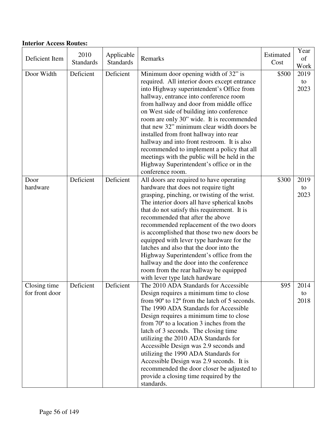#### **Interior Access Routes:**

| Deficient Item                 | 2010<br><b>Standards</b> | Applicable<br><b>Standards</b> | Remarks                                                                                                                                                                                                                                                                                                                                                                                                                                                                                                                                                                                                                    | Estimated<br>Cost | Year<br>of<br>Work |
|--------------------------------|--------------------------|--------------------------------|----------------------------------------------------------------------------------------------------------------------------------------------------------------------------------------------------------------------------------------------------------------------------------------------------------------------------------------------------------------------------------------------------------------------------------------------------------------------------------------------------------------------------------------------------------------------------------------------------------------------------|-------------------|--------------------|
| Door Width                     | Deficient                | Deficient                      | Minimum door opening width of 32" is<br>required. All interior doors except entrance<br>into Highway superintendent's Office from<br>hallway, entrance into conference room<br>from hallway and door from middle office<br>on West side of building into conference<br>room are only 30" wide. It is recommended<br>that new 32" minimum clear width doors be<br>installed from front hallway into rear<br>hallway and into front restroom. It is also<br>recommended to implement a policy that all<br>meetings with the public will be held in the<br>Highway Superintendent's office or in the<br>conference room.      | \$500             | 2019<br>to<br>2023 |
| Door<br>hardware               | Deficient                | Deficient                      | All doors are required to have operating<br>hardware that does not require tight<br>grasping, pinching, or twisting of the wrist.<br>The interior doors all have spherical knobs<br>that do not satisfy this requirement. It is<br>recommended that after the above<br>recommended replacement of the two doors<br>is accomplished that those two new doors be<br>equipped with lever type hardware for the<br>latches and also that the door into the<br>Highway Superintendent's office from the<br>hallway and the door into the conference<br>room from the rear hallway be equipped<br>with lever type latch hardware | \$300             | 2019<br>to<br>2023 |
| Closing time<br>for front door | Deficient                | Deficient                      | The 2010 ADA Standards for Accessible<br>Design requires a minimum time to close<br>from 90° to 12° from the latch of 5 seconds.<br>The 1990 ADA Standards for Accessible<br>Design requires a minimum time to close<br>from $70^{\circ}$ to a location 3 inches from the<br>latch of 3 seconds. The closing time<br>utilizing the 2010 ADA Standards for<br>Accessible Design was 2.9 seconds and<br>utilizing the 1990 ADA Standards for<br>Accessible Design was 2.9 seconds. It is<br>recommended the door closer be adjusted to<br>provide a closing time required by the<br>standards.                               | \$95              | 2014<br>to<br>2018 |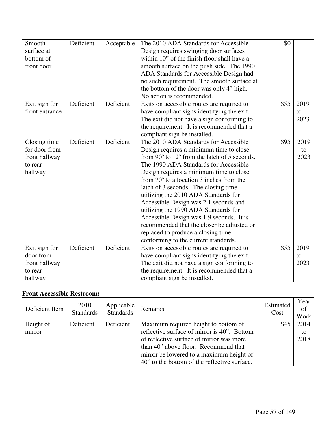| Smooth         | Deficient | Acceptable | The 2010 ADA Standards for Accessible                          | \$0  |      |
|----------------|-----------|------------|----------------------------------------------------------------|------|------|
| surface at     |           |            | Design requires swinging door surfaces                         |      |      |
| bottom of      |           |            | within 10" of the finish floor shall have a                    |      |      |
| front door     |           |            | smooth surface on the push side. The 1990                      |      |      |
|                |           |            | ADA Standards for Accessible Design had                        |      |      |
|                |           |            | no such requirement. The smooth surface at                     |      |      |
|                |           |            | the bottom of the door was only 4" high.                       |      |      |
|                |           |            | No action is recommended.                                      |      |      |
| Exit sign for  | Deficient | Deficient  | Exits on accessible routes are required to                     | \$55 | 2019 |
| front entrance |           |            | have compliant signs identifying the exit.                     |      | to   |
|                |           |            | The exit did not have a sign conforming to                     |      | 2023 |
|                |           |            | the requirement. It is recommended that a                      |      |      |
|                |           |            | compliant sign be installed.                                   |      |      |
| Closing time   | Deficient | Deficient  | The 2010 ADA Standards for Accessible                          | \$95 | 2019 |
| for door from  |           |            | Design requires a minimum time to close                        |      | to   |
| front hallway  |           |            | from $90^{\circ}$ to $12^{\circ}$ from the latch of 5 seconds. |      | 2023 |
| to rear        |           |            | The 1990 ADA Standards for Accessible                          |      |      |
| hallway        |           |            | Design requires a minimum time to close                        |      |      |
|                |           |            | from $70^{\circ}$ to a location 3 inches from the              |      |      |
|                |           |            | latch of 3 seconds. The closing time                           |      |      |
|                |           |            | utilizing the 2010 ADA Standards for                           |      |      |
|                |           |            | Accessible Design was 2.1 seconds and                          |      |      |
|                |           |            | utilizing the 1990 ADA Standards for                           |      |      |
|                |           |            | Accessible Design was 1.9 seconds. It is                       |      |      |
|                |           |            | recommended that the closer be adjusted or                     |      |      |
|                |           |            | replaced to produce a closing time                             |      |      |
|                |           |            | conforming to the current standards.                           |      |      |
| Exit sign for  | Deficient | Deficient  | Exits on accessible routes are required to                     | \$55 | 2019 |
| door from      |           |            | have compliant signs identifying the exit.                     |      | to   |
| front hallway  |           |            | The exit did not have a sign conforming to                     |      | 2023 |
| to rear        |           |            | the requirement. It is recommended that a                      |      |      |
| hallway        |           |            | compliant sign be installed.                                   |      |      |

### **Front Accessible Restroom:**

| Deficient Item      | 2010<br><b>Standards</b> | Applicable<br><b>Standards</b> | Remarks                                                                                                                                                                 | Estimated<br>Cost | Year<br>of<br>Work |
|---------------------|--------------------------|--------------------------------|-------------------------------------------------------------------------------------------------------------------------------------------------------------------------|-------------------|--------------------|
| Height of<br>mirror | Deficient                | Deficient                      | Maximum required height to bottom of<br>reflective surface of mirror is 40". Bottom<br>of reflective surface of mirror was more<br>than 40" above floor. Recommend that | \$45              | 2014<br>to<br>2018 |
|                     |                          |                                | mirror be lowered to a maximum height of<br>40" to the bottom of the reflective surface.                                                                                |                   |                    |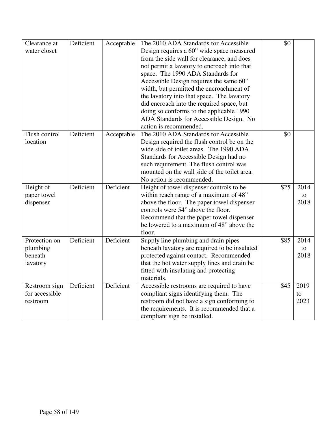| Clearance at<br>water closet                     | Deficient | Acceptable | The 2010 ADA Standards for Accessible<br>Design requires a 60" wide space measured<br>from the side wall for clearance, and does<br>not permit a lavatory to encroach into that<br>space. The 1990 ADA Standards for<br>Accessible Design requires the same 60"<br>width, but permitted the encroachment of<br>the lavatory into that space. The lavatory<br>did encroach into the required space, but<br>doing so conforms to the applicable 1990<br>ADA Standards for Accessible Design. No<br>action is recommended. | \$0  |                    |
|--------------------------------------------------|-----------|------------|-------------------------------------------------------------------------------------------------------------------------------------------------------------------------------------------------------------------------------------------------------------------------------------------------------------------------------------------------------------------------------------------------------------------------------------------------------------------------------------------------------------------------|------|--------------------|
| Flush control<br>location                        | Deficient | Acceptable | The 2010 ADA Standards for Accessible<br>Design required the flush control be on the<br>wide side of toilet areas. The 1990 ADA<br>Standards for Accessible Design had no<br>such requirement. The flush control was<br>mounted on the wall side of the toilet area.<br>No action is recommended.                                                                                                                                                                                                                       | \$0  |                    |
| Height of<br>paper towel<br>dispenser            | Deficient | Deficient  | Height of towel dispenser controls to be<br>within reach range of a maximum of 48"<br>above the floor. The paper towel dispenser<br>controls were 54" above the floor.<br>Recommend that the paper towel dispenser<br>be lowered to a maximum of 48" above the<br>floor.                                                                                                                                                                                                                                                | \$25 | 2014<br>to<br>2018 |
| Protection on<br>plumbing<br>beneath<br>lavatory | Deficient | Deficient  | Supply line plumbing and drain pipes<br>beneath lavatory are required to be insulated<br>protected against contact. Recommended<br>that the hot water supply lines and drain be<br>fitted with insulating and protecting<br>materials.                                                                                                                                                                                                                                                                                  | \$85 | 2014<br>to<br>2018 |
| Restroom sign<br>for accessible<br>restroom      | Deficient | Deficient  | Accessible restrooms are required to have<br>compliant signs identifying them. The<br>restroom did not have a sign conforming to<br>the requirements. It is recommended that a<br>compliant sign be installed.                                                                                                                                                                                                                                                                                                          | \$45 | 2019<br>to<br>2023 |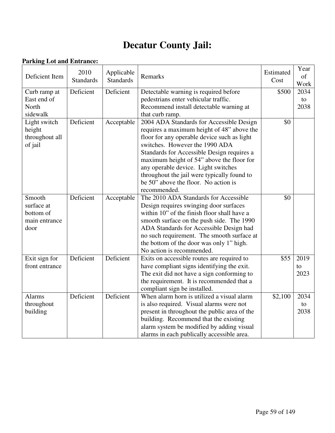# **Decatur County Jail:**

#### **Parking Lot and Entrance:**

| Deficient Item | 2010<br><b>Standards</b> | Applicable<br><b>Standards</b> | Remarks                                      | Estimated<br>Cost | Year<br>of<br>Work |
|----------------|--------------------------|--------------------------------|----------------------------------------------|-------------------|--------------------|
| Curb ramp at   | Deficient                | Deficient                      | Detectable warning is required before        | \$500             | 2034               |
| East end of    |                          |                                | pedestrians enter vehicular traffic.         |                   | to                 |
| North          |                          |                                | Recommend install detectable warning at      |                   | 2038               |
| sidewalk       |                          |                                | that curb ramp.                              |                   |                    |
| Light switch   | Deficient                | Acceptable                     | 2004 ADA Standards for Accessible Design     | \$0               |                    |
| height         |                          |                                | requires a maximum height of 48" above the   |                   |                    |
| throughout all |                          |                                | floor for any operable device such as light  |                   |                    |
| of jail        |                          |                                | switches. However the 1990 ADA               |                   |                    |
|                |                          |                                | Standards for Accessible Design requires a   |                   |                    |
|                |                          |                                | maximum height of 54" above the floor for    |                   |                    |
|                |                          |                                | any operable device. Light switches          |                   |                    |
|                |                          |                                | throughout the jail were typically found to  |                   |                    |
|                |                          |                                | be 50" above the floor. No action is         |                   |                    |
|                |                          |                                | recommended.                                 |                   |                    |
| Smooth         | Deficient                | Acceptable                     | The 2010 ADA Standards for Accessible        | \$0               |                    |
| surface at     |                          |                                | Design requires swinging door surfaces       |                   |                    |
| bottom of      |                          |                                | within 10" of the finish floor shall have a  |                   |                    |
| main entrance  |                          |                                | smooth surface on the push side. The 1990    |                   |                    |
| door           |                          |                                | ADA Standards for Accessible Design had      |                   |                    |
|                |                          |                                | no such requirement. The smooth surface at   |                   |                    |
|                |                          |                                | the bottom of the door was only 1" high.     |                   |                    |
|                |                          |                                | No action is recommended.                    |                   |                    |
| Exit sign for  | Deficient                | Deficient                      | Exits on accessible routes are required to   | \$55              | 2019               |
| front entrance |                          |                                | have compliant signs identifying the exit.   |                   | to                 |
|                |                          |                                | The exit did not have a sign conforming to   |                   | 2023               |
|                |                          |                                | the requirement. It is recommended that a    |                   |                    |
|                |                          |                                | compliant sign be installed.                 |                   |                    |
| <b>Alarms</b>  | Deficient                | Deficient                      | When alarm horn is utilized a visual alarm   | \$2,100           | 2034               |
| throughout     |                          |                                | is also required. Visual alarms were not     |                   | to                 |
| building       |                          |                                | present in throughout the public area of the |                   | 2038               |
|                |                          |                                | building. Recommend that the existing        |                   |                    |
|                |                          |                                | alarm system be modified by adding visual    |                   |                    |
|                |                          |                                | alarms in each publically accessible area.   |                   |                    |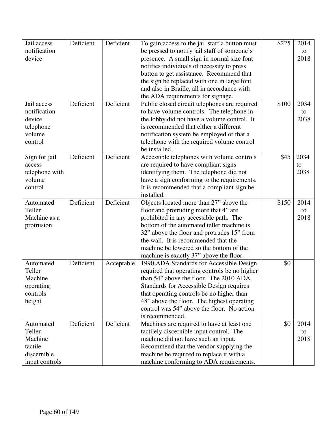| Jail access    | Deficient | Deficient  | To gain access to the jail staff a button must | \$225 | 2014 |
|----------------|-----------|------------|------------------------------------------------|-------|------|
| notification   |           |            | be pressed to notify jail staff of someone's   |       | to   |
| device         |           |            | presence. A small sign in normal size font     |       | 2018 |
|                |           |            | notifies individuals of necessity to press     |       |      |
|                |           |            | button to get assistance. Recommend that       |       |      |
|                |           |            | the sign be replaced with one in large font    |       |      |
|                |           |            | and also in Braille, all in accordance with    |       |      |
|                |           |            |                                                |       |      |
|                |           |            | the ADA requirements for signage.              |       |      |
| Jail access    | Deficient | Deficient  | Public closed circuit telephones are required  | \$100 | 2034 |
| notification   |           |            | to have volume controls. The telephone in      |       | to   |
| device         |           |            | the lobby did not have a volume control. It    |       | 2038 |
| telephone      |           |            | is recommended that either a different         |       |      |
| volume         |           |            | notification system be employed or that a      |       |      |
| control        |           |            | telephone with the required volume control     |       |      |
|                |           |            | be installed.                                  |       |      |
| Sign for jail  | Deficient | Deficient  | Accessible telephones with volume controls     | \$45  | 2034 |
| access         |           |            | are required to have compliant signs           |       | to   |
| telephone with |           |            | identifying them. The telephone did not        |       | 2038 |
| volume         |           |            | have a sign conforming to the requirements.    |       |      |
| control        |           |            | It is recommended that a compliant sign be     |       |      |
|                |           |            | installed.                                     |       |      |
| Automated      | Deficient | Deficient  | Objects located more than 27" above the        | \$150 | 2014 |
| Teller         |           |            | floor and protruding more that 4" are          |       | to   |
| Machine as a   |           |            | prohibited in any accessible path. The         |       | 2018 |
| protrusion     |           |            | bottom of the automated teller machine is      |       |      |
|                |           |            | 32" above the floor and protrudes 15" from     |       |      |
|                |           |            | the wall. It is recommended that the           |       |      |
|                |           |            | machine be lowered so the bottom of the        |       |      |
|                |           |            |                                                |       |      |
|                |           |            | machine is exactly 37" above the floor.        |       |      |
| Automated      | Deficient | Acceptable | 1990 ADA Standards for Accessible Design       | \$0   |      |
| Teller         |           |            | required that operating controls be no higher  |       |      |
| Machine        |           |            | than 54" above the floor. The 2010 ADA         |       |      |
| operating      |           |            | Standards for Accessible Design requires       |       |      |
| controls       |           |            | that operating controls be no higher than      |       |      |
| height         |           |            | 48" above the floor. The highest operating     |       |      |
|                |           |            | control was 54" above the floor. No action     |       |      |
|                |           |            | is recommended.                                |       |      |
| Automated      | Deficient | Deficient  | Machines are required to have at least one     | \$0   | 2014 |
| Teller         |           |            | tactilely discernible input control. The       |       | to   |
| Machine        |           |            | machine did not have such an input.            |       | 2018 |
| tactile        |           |            | Recommend that the vendor supplying the        |       |      |
| discernible    |           |            | machine be required to replace it with a       |       |      |
| input controls |           |            | machine conforming to ADA requirements.        |       |      |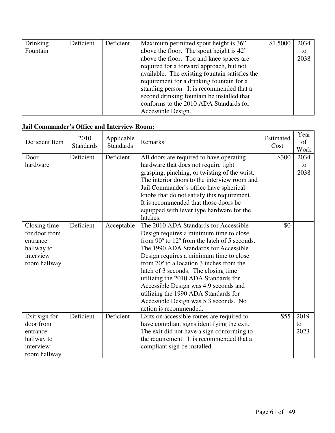| Drinking | Deficient | Deficient | Maximum permitted spout height is 36"          | \$1,5000 | 2034 |
|----------|-----------|-----------|------------------------------------------------|----------|------|
| Fountain |           |           | above the floor. The spout height is 42"       |          | to   |
|          |           |           | above the floor. Toe and knee spaces are       |          | 2038 |
|          |           |           | required for a forward approach, but not       |          |      |
|          |           |           | available. The existing fountain satisfies the |          |      |
|          |           |           | requirement for a drinking fountain for a      |          |      |
|          |           |           | standing person. It is recommended that a      |          |      |
|          |           |           | second drinking fountain be installed that     |          |      |
|          |           |           | conforms to the 2010 ADA Standards for         |          |      |
|          |           |           | Accessible Design.                             |          |      |

#### **Jail Commander's Office and Interview Room:**

| Deficient Item | 2010<br><b>Standards</b> | Applicable<br><b>Standards</b> | Remarks                                                        | Estimated<br>Cost | Year<br>of<br>Work |
|----------------|--------------------------|--------------------------------|----------------------------------------------------------------|-------------------|--------------------|
| Door           | Deficient                | Deficient                      | All doors are required to have operating                       | \$300             | 2034               |
| hardware       |                          |                                | hardware that does not require tight                           |                   | to                 |
|                |                          |                                | grasping, pinching, or twisting of the wrist.                  |                   | 2038               |
|                |                          |                                | The interior doors to the interview room and                   |                   |                    |
|                |                          |                                | Jail Commander's office have spherical                         |                   |                    |
|                |                          |                                | knobs that do not satisfy this requirement.                    |                   |                    |
|                |                          |                                | It is recommended that those doors be                          |                   |                    |
|                |                          |                                | equipped with lever type hardware for the                      |                   |                    |
|                |                          |                                | latches.                                                       |                   |                    |
| Closing time   | Deficient                | Acceptable                     | The 2010 ADA Standards for Accessible                          | \$0               |                    |
| for door from  |                          |                                | Design requires a minimum time to close                        |                   |                    |
| entrance       |                          |                                | from $90^{\circ}$ to $12^{\circ}$ from the latch of 5 seconds. |                   |                    |
| hallway to     |                          |                                | The 1990 ADA Standards for Accessible                          |                   |                    |
| interview      |                          |                                | Design requires a minimum time to close                        |                   |                    |
| room hallway   |                          |                                | from $70^{\circ}$ to a location 3 inches from the              |                   |                    |
|                |                          |                                | latch of 3 seconds. The closing time                           |                   |                    |
|                |                          |                                | utilizing the 2010 ADA Standards for                           |                   |                    |
|                |                          |                                | Accessible Design was 4.9 seconds and                          |                   |                    |
|                |                          |                                | utilizing the 1990 ADA Standards for                           |                   |                    |
|                |                          |                                | Accessible Design was 5.3 seconds. No                          |                   |                    |
|                |                          |                                | action is recommended.                                         |                   |                    |
| Exit sign for  | Deficient                | Deficient                      | Exits on accessible routes are required to                     | \$55              | 2019               |
| door from      |                          |                                | have compliant signs identifying the exit.                     |                   | to                 |
| entrance       |                          |                                | The exit did not have a sign conforming to                     |                   | 2023               |
| hallway to     |                          |                                | the requirement. It is recommended that a                      |                   |                    |
| interview      |                          |                                | compliant sign be installed.                                   |                   |                    |
| room hallway   |                          |                                |                                                                |                   |                    |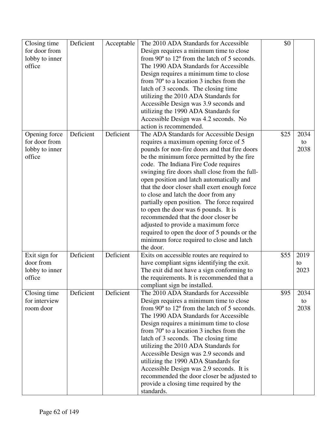| Closing time   | Deficient | Acceptable | The 2010 ADA Standards for Accessible                                | \$0  |      |
|----------------|-----------|------------|----------------------------------------------------------------------|------|------|
| for door from  |           |            | Design requires a minimum time to close                              |      |      |
| lobby to inner |           |            | from 90° to 12° from the latch of 5 seconds.                         |      |      |
| office         |           |            | The 1990 ADA Standards for Accessible                                |      |      |
|                |           |            | Design requires a minimum time to close                              |      |      |
|                |           |            | from $70^{\circ}$ to a location 3 inches from the                    |      |      |
|                |           |            | latch of 3 seconds. The closing time                                 |      |      |
|                |           |            | utilizing the 2010 ADA Standards for                                 |      |      |
|                |           |            | Accessible Design was 3.9 seconds and                                |      |      |
|                |           |            | utilizing the 1990 ADA Standards for                                 |      |      |
|                |           |            | Accessible Design was 4.2 seconds. No                                |      |      |
|                |           |            | action is recommended.                                               |      |      |
| Opening force  | Deficient | Deficient  | The ADA Standards for Accessible Design                              | \$25 | 2034 |
| for door from  |           |            | requires a maximum opening force of 5                                |      | to   |
| lobby to inner |           |            | pounds for non-fire doors and that fire doors                        |      | 2038 |
| office         |           |            | be the minimum force permitted by the fire                           |      |      |
|                |           |            | code. The Indiana Fire Code requires                                 |      |      |
|                |           |            | swinging fire doors shall close from the full-                       |      |      |
|                |           |            | open position and latch automatically and                            |      |      |
|                |           |            | that the door closer shall exert enough force                        |      |      |
|                |           |            | to close and latch the door from any                                 |      |      |
|                |           |            | partially open position. The force required                          |      |      |
|                |           |            | to open the door was 6 pounds. It is                                 |      |      |
|                |           |            | recommended that the door closer be                                  |      |      |
|                |           |            | adjusted to provide a maximum force                                  |      |      |
|                |           |            | required to open the door of 5 pounds or the                         |      |      |
|                |           |            | minimum force required to close and latch                            |      |      |
|                |           |            | the door.                                                            |      |      |
| Exit sign for  | Deficient | Deficient  | Exits on accessible routes are required to                           | \$55 | 2019 |
| door from      |           |            | have compliant signs identifying the exit.                           |      | to   |
| lobby to inner |           |            | The exit did not have a sign conforming to                           |      | 2023 |
| office         |           |            | the requirements. It is recommended that a                           |      |      |
|                |           |            | compliant sign be installed.                                         |      |      |
| Closing time   | Deficient | Deficient  | The 2010 ADA Standards for Accessible                                | \$95 | 2034 |
| for interview  |           |            | Design requires a minimum time to close                              |      | to   |
| room door      |           |            | from 90 <sup>°</sup> to 12 <sup>°</sup> from the latch of 5 seconds. |      | 2038 |
|                |           |            | The 1990 ADA Standards for Accessible                                |      |      |
|                |           |            | Design requires a minimum time to close                              |      |      |
|                |           |            | from $70^{\circ}$ to a location 3 inches from the                    |      |      |
|                |           |            | latch of 3 seconds. The closing time                                 |      |      |
|                |           |            | utilizing the 2010 ADA Standards for                                 |      |      |
|                |           |            | Accessible Design was 2.9 seconds and                                |      |      |
|                |           |            | utilizing the 1990 ADA Standards for                                 |      |      |
|                |           |            | Accessible Design was 2.9 seconds. It is                             |      |      |
|                |           |            | recommended the door closer be adjusted to                           |      |      |
|                |           |            | provide a closing time required by the                               |      |      |
|                |           |            | standards.                                                           |      |      |
|                |           |            |                                                                      |      |      |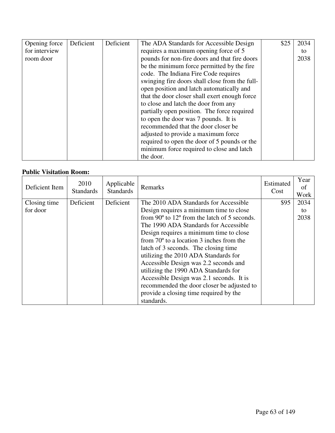| Opening force | Deficient | Deficient | The ADA Standards for Accessible Design        | \$25 | 2034 |
|---------------|-----------|-----------|------------------------------------------------|------|------|
| for interview |           |           | requires a maximum opening force of 5          |      | to   |
| room door     |           |           | pounds for non-fire doors and that fire doors  |      | 2038 |
|               |           |           | be the minimum force permitted by the fire     |      |      |
|               |           |           | code. The Indiana Fire Code requires           |      |      |
|               |           |           | swinging fire doors shall close from the full- |      |      |
|               |           |           | open position and latch automatically and      |      |      |
|               |           |           | that the door closer shall exert enough force  |      |      |
|               |           |           | to close and latch the door from any           |      |      |
|               |           |           | partially open position. The force required    |      |      |
|               |           |           | to open the door was 7 pounds. It is           |      |      |
|               |           |           | recommended that the door closer be            |      |      |
|               |           |           | adjusted to provide a maximum force            |      |      |
|               |           |           | required to open the door of 5 pounds or the   |      |      |
|               |           |           | minimum force required to close and latch      |      |      |
|               |           |           | the door.                                      |      |      |

#### **Public Visitation Room:**

| Deficient Item | 2010<br><b>Standards</b> | Applicable<br><b>Standards</b> | Remarks                                                        | Estimated<br>Cost | Year<br>of<br>Work |
|----------------|--------------------------|--------------------------------|----------------------------------------------------------------|-------------------|--------------------|
| Closing time   | Deficient                | Deficient                      | The 2010 ADA Standards for Accessible                          | \$95              | 2034               |
| for door       |                          |                                | Design requires a minimum time to close                        |                   | to                 |
|                |                          |                                | from $90^{\circ}$ to $12^{\circ}$ from the latch of 5 seconds. |                   | 2038               |
|                |                          |                                | The 1990 ADA Standards for Accessible                          |                   |                    |
|                |                          |                                | Design requires a minimum time to close                        |                   |                    |
|                |                          |                                | from $70^{\circ}$ to a location 3 inches from the              |                   |                    |
|                |                          |                                | latch of 3 seconds. The closing time                           |                   |                    |
|                |                          |                                | utilizing the 2010 ADA Standards for                           |                   |                    |
|                |                          |                                | Accessible Design was 2.2 seconds and                          |                   |                    |
|                |                          |                                | utilizing the 1990 ADA Standards for                           |                   |                    |
|                |                          |                                | Accessible Design was 2.1 seconds. It is                       |                   |                    |
|                |                          |                                | recommended the door closer be adjusted to                     |                   |                    |
|                |                          |                                | provide a closing time required by the                         |                   |                    |
|                |                          |                                | standards.                                                     |                   |                    |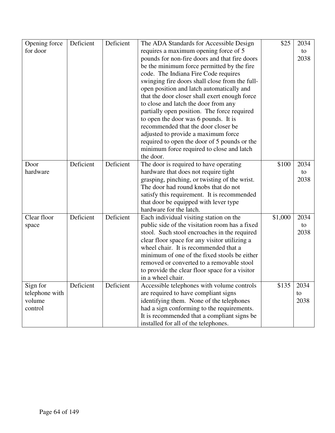| Opening force  | Deficient | Deficient | The ADA Standards for Accessible Design        | \$25    | 2034 |
|----------------|-----------|-----------|------------------------------------------------|---------|------|
| for door       |           |           | requires a maximum opening force of 5          |         | to   |
|                |           |           | pounds for non-fire doors and that fire doors  |         | 2038 |
|                |           |           | be the minimum force permitted by the fire     |         |      |
|                |           |           | code. The Indiana Fire Code requires           |         |      |
|                |           |           | swinging fire doors shall close from the full- |         |      |
|                |           |           | open position and latch automatically and      |         |      |
|                |           |           | that the door closer shall exert enough force  |         |      |
|                |           |           | to close and latch the door from any           |         |      |
|                |           |           | partially open position. The force required    |         |      |
|                |           |           | to open the door was 6 pounds. It is           |         |      |
|                |           |           | recommended that the door closer be            |         |      |
|                |           |           | adjusted to provide a maximum force            |         |      |
|                |           |           | required to open the door of 5 pounds or the   |         |      |
|                |           |           | minimum force required to close and latch      |         |      |
|                |           |           | the door.                                      |         |      |
| Door           | Deficient | Deficient | The door is required to have operating         | \$100   | 2034 |
| hardware       |           |           | hardware that does not require tight           |         | to   |
|                |           |           | grasping, pinching, or twisting of the wrist.  |         | 2038 |
|                |           |           | The door had round knobs that do not           |         |      |
|                |           |           | satisfy this requirement. It is recommended    |         |      |
|                |           |           | that door be equipped with lever type          |         |      |
|                |           |           | hardware for the latch.                        |         |      |
| Clear floor    | Deficient | Deficient | Each individual visiting station on the        | \$1,000 | 2034 |
| space          |           |           | public side of the visitation room has a fixed |         | to   |
|                |           |           | stool. Such stool encroaches in the required   |         | 2038 |
|                |           |           | clear floor space for any visitor utilizing a  |         |      |
|                |           |           | wheel chair. It is recommended that a          |         |      |
|                |           |           | minimum of one of the fixed stools be either   |         |      |
|                |           |           | removed or converted to a removable stool      |         |      |
|                |           |           | to provide the clear floor space for a visitor |         |      |
|                |           |           | in a wheel chair.                              |         |      |
| Sign for       | Deficient | Deficient | Accessible telephones with volume controls     | \$135   | 2034 |
| telephone with |           |           | are required to have compliant signs           |         | to   |
| volume         |           |           | identifying them. None of the telephones       |         | 2038 |
| control        |           |           | had a sign conforming to the requirements.     |         |      |
|                |           |           | It is recommended that a compliant signs be    |         |      |
|                |           |           | installed for all of the telephones.           |         |      |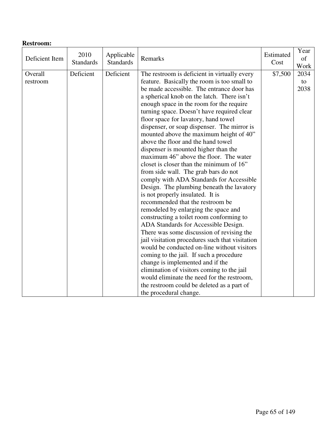| Deficient Item      | 2010<br><b>Standards</b> | Applicable<br><b>Standards</b> | Remarks                                                                                                                                                                                                                                                                                                                                                                                                                                                                                                                                                                                                                                                                                                                                                                                                                                                                                                                                                                                                                                                                                                                                                                                                                                                                                                                       | Estimated<br>Cost | Year<br>of<br>Work |
|---------------------|--------------------------|--------------------------------|-------------------------------------------------------------------------------------------------------------------------------------------------------------------------------------------------------------------------------------------------------------------------------------------------------------------------------------------------------------------------------------------------------------------------------------------------------------------------------------------------------------------------------------------------------------------------------------------------------------------------------------------------------------------------------------------------------------------------------------------------------------------------------------------------------------------------------------------------------------------------------------------------------------------------------------------------------------------------------------------------------------------------------------------------------------------------------------------------------------------------------------------------------------------------------------------------------------------------------------------------------------------------------------------------------------------------------|-------------------|--------------------|
| Overall<br>restroom | Deficient                | Deficient                      | The restroom is deficient in virtually every<br>feature. Basically the room is too small to<br>be made accessible. The entrance door has<br>a spherical knob on the latch. There isn't<br>enough space in the room for the require<br>turning space. Doesn't have required clear<br>floor space for lavatory, hand towel<br>dispenser, or soap dispenser. The mirror is<br>mounted above the maximum height of 40"<br>above the floor and the hand towel<br>dispenser is mounted higher than the<br>maximum 46" above the floor. The water<br>closet is closer than the minimum of 16"<br>from side wall. The grab bars do not<br>comply with ADA Standards for Accessible<br>Design. The plumbing beneath the lavatory<br>is not properly insulated. It is<br>recommended that the restroom be<br>remodeled by enlarging the space and<br>constructing a toilet room conforming to<br>ADA Standards for Accessible Design.<br>There was some discussion of revising the<br>jail visitation procedures such that visitation<br>would be conducted on-line without visitors<br>coming to the jail. If such a procedure<br>change is implemented and if the<br>elimination of visitors coming to the jail<br>would eliminate the need for the restroom,<br>the restroom could be deleted as a part of<br>the procedural change. | \$7,500           | 2034<br>to<br>2038 |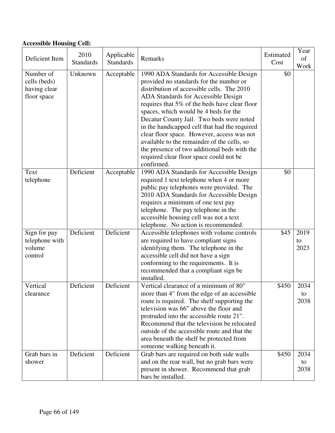# **Accessible Housing Cell:**

| Deficient Item                                           | 2010<br><b>Standards</b> | Applicable<br><b>Standards</b> | Remarks                                                                                                                                                                                                                                                                                                                                                                                                                                                                                                                                                               | Estimated<br>Cost | Year<br>of<br>Work |
|----------------------------------------------------------|--------------------------|--------------------------------|-----------------------------------------------------------------------------------------------------------------------------------------------------------------------------------------------------------------------------------------------------------------------------------------------------------------------------------------------------------------------------------------------------------------------------------------------------------------------------------------------------------------------------------------------------------------------|-------------------|--------------------|
| Number of<br>cells (beds)<br>having clear<br>floor space | Unknown                  | Acceptable                     | 1990 ADA Standards for Accessible Design<br>provided no standards for the number or<br>distribution of accessible cells. The 2010<br>ADA Standards for Accessible Design<br>requires that 5% of the beds have clear floor<br>spaces, which would be 4 beds for the<br>Decatur County Jail. Two beds were noted<br>in the handicapped cell that had the required<br>clear floor space. However, access was not<br>available to the remainder of the cells, so<br>the presence of two additional beds with the<br>required clear floor space could not be<br>confirmed. | \$0               |                    |
| Text<br>telephone                                        | Deficient                | Acceptable                     | 1990 ADA Standards for Accessible Design<br>required 1 text telephone when 4 or more<br>public pay telephones were provided. The<br>2010 ADA Standards for Accessible Design<br>requires a minimum of one text pay<br>telephone. The pay telephone in the<br>accessible housing cell was not a text<br>telephone. No action is recommended.                                                                                                                                                                                                                           | \$0               |                    |
| Sign for pay<br>telephone with<br>volume<br>control      | Deficient                | Deficient                      | Accessible telephones with volume controls<br>are required to have compliant signs<br>identifying them. The telephone in the<br>accessible cell did not have a sign<br>conforming to the requirements. It is<br>recommended that a compliant sign be<br>installed.                                                                                                                                                                                                                                                                                                    | \$45              | 2019<br>to<br>2023 |
| Vertical<br>clearance                                    | Deficient                | Deficient                      | Vertical clearance of a minimum of 80"<br>more than 4" from the edge of an accessible<br>route is required. The shelf supporting the<br>television was 66" above the floor and<br>protruded into the accessible route 21".<br>Recommend that the television be relocated<br>outside of the accessible route and that the<br>area beneath the shelf be protected from<br>someone walking beneath it.                                                                                                                                                                   | \$450             | 2034<br>to<br>2038 |
| Grab bars in<br>shower                                   | Deficient                | Deficient                      | Grab bars are required on both side walls<br>and on the rear wall, but no grab bars were<br>present in shower. Recommend that grab<br>bars be installed.                                                                                                                                                                                                                                                                                                                                                                                                              | \$450             | 2034<br>to<br>2038 |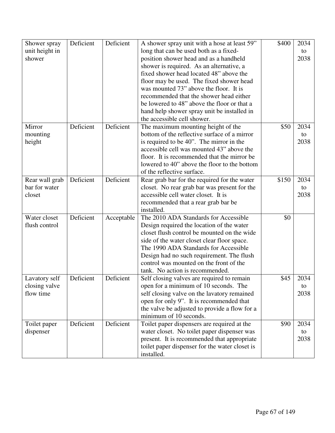| Shower spray   | Deficient | Deficient  | A shower spray unit with a hose at least 59"                 | \$400 | 2034       |
|----------------|-----------|------------|--------------------------------------------------------------|-------|------------|
| unit height in |           |            | long that can be used both as a fixed-                       |       | to         |
| shower         |           |            | position shower head and as a handheld                       |       | 2038       |
|                |           |            | shower is required. As an alternative, a                     |       |            |
|                |           |            | fixed shower head located 48" above the                      |       |            |
|                |           |            | floor may be used. The fixed shower head                     |       |            |
|                |           |            | was mounted 73" above the floor. It is                       |       |            |
|                |           |            | recommended that the shower head either                      |       |            |
|                |           |            | be lowered to 48" above the floor or that a                  |       |            |
|                |           |            | hand help shower spray unit be installed in                  |       |            |
|                |           |            | the accessible cell shower.                                  |       |            |
| Mirror         | Deficient | Deficient  | The maximum mounting height of the                           | \$50  | 2034       |
| mounting       |           |            | bottom of the reflective surface of a mirror                 |       | to         |
| height         |           |            | is required to be 40". The mirror in the                     |       | 2038       |
|                |           |            | accessible cell was mounted 43" above the                    |       |            |
|                |           |            | floor. It is recommended that the mirror be                  |       |            |
|                |           |            | lowered to 40" above the floor to the bottom                 |       |            |
|                |           |            | of the reflective surface.                                   |       |            |
| Rear wall grab | Deficient | Deficient  | Rear grab bar for the required for the water                 | \$150 | 2034       |
| bar for water  |           |            | closet. No rear grab bar was present for the                 |       | to         |
| closet         |           |            | accessible cell water closet. It is                          |       | 2038       |
|                |           |            | recommended that a rear grab bar be                          |       |            |
|                |           |            | installed.                                                   |       |            |
| Water closet   | Deficient | Acceptable | The 2010 ADA Standards for Accessible                        | \$0   |            |
| flush control  |           |            | Design required the location of the water                    |       |            |
|                |           |            | closet flush control be mounted on the wide                  |       |            |
|                |           |            | side of the water closet clear floor space.                  |       |            |
|                |           |            | The 1990 ADA Standards for Accessible                        |       |            |
|                |           |            | Design had no such requirement. The flush                    |       |            |
|                |           |            | control was mounted on the front of the                      |       |            |
|                |           |            | tank. No action is recommended.                              |       |            |
| Lavatory self  | Deficient | Deficient  | Self closing valves are required to remain                   | \$45  | 2034       |
| closing valve  |           |            | open for a minimum of 10 seconds. The                        |       | to         |
| flow time      |           |            | self closing valve on the lavatory remained                  |       | 2038       |
|                |           |            | open for only 9". It is recommended that                     |       |            |
|                |           |            | the valve be adjusted to provide a flow for a                |       |            |
|                |           | Deficient  | minimum of 10 seconds.                                       |       |            |
| Toilet paper   | Deficient |            | Toilet paper dispensers are required at the                  | \$90  | 2034       |
| dispenser      |           |            | water closet. No toilet paper dispenser was                  |       | to<br>2038 |
|                |           |            | present. It is recommended that appropriate                  |       |            |
|                |           |            | toilet paper dispenser for the water closet is<br>installed. |       |            |
|                |           |            |                                                              |       |            |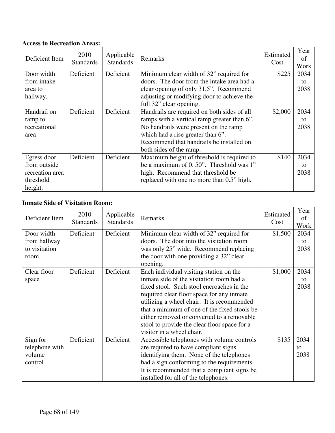### **Access to Recreation Areas:**

| Deficient Item  | 2010<br><b>Standards</b> | Applicable<br><b>Standards</b> | Remarks                                     | Estimated<br>Cost | Year<br>of<br>Work |
|-----------------|--------------------------|--------------------------------|---------------------------------------------|-------------------|--------------------|
| Door width      | Deficient                | Deficient                      | Minimum clear width of 32" required for     | \$225             | 2034               |
| from intake     |                          |                                | doors. The door from the intake area had a  |                   | to                 |
| area to         |                          |                                | clear opening of only 31.5". Recommend      |                   | 2038               |
| hallway.        |                          |                                | adjusting or modifying door to achieve the  |                   |                    |
|                 |                          |                                | full 32" clear opening.                     |                   |                    |
| Handrail on     | Deficient                | Deficient                      | Handrails are required on both sides of all | \$2,000           | 2034               |
| ramp to         |                          |                                | ramps with a vertical ramp greater than 6". |                   | to                 |
| recreational    |                          |                                | No handrails were present on the ramp       |                   | 2038               |
| area            |                          |                                | which had a rise greater than 6".           |                   |                    |
|                 |                          |                                | Recommend that handrails be installed on    |                   |                    |
|                 |                          |                                | both sides of the ramp.                     |                   |                    |
| Egress door     | Deficient                | Deficient                      | Maximum height of threshold is required to  | \$140             | 2034               |
| from outside    |                          |                                | be a maximum of 0.50". Threshold was 1"     |                   | to                 |
| recreation area |                          |                                | high. Recommend that threshold be           |                   | 2038               |
| threshold       |                          |                                | replaced with one no more than 0.5" high.   |                   |                    |
| height.         |                          |                                |                                             |                   |                    |

### **Inmate Side of Visitation Room:**

| Deficient Item | 2010<br><b>Standards</b> | Applicable<br><b>Standards</b> | Remarks                                      | Estimated<br>Cost | Year<br>of<br>Work |
|----------------|--------------------------|--------------------------------|----------------------------------------------|-------------------|--------------------|
| Door width     | Deficient                | Deficient                      | Minimum clear width of 32" required for      | \$1,500           | 2034               |
| from hallway   |                          |                                | doors. The door into the visitation room     |                   | to                 |
| to visitation  |                          |                                | was only 25" wide. Recommend replacing       |                   | 2038               |
| room.          |                          |                                | the door with one providing a 32" clear      |                   |                    |
|                |                          |                                | opening.                                     |                   |                    |
| Clear floor    | Deficient                | Deficient                      | Each individual visiting station on the      | \$1,000           | 2034               |
| space          |                          |                                | inmate side of the visitation room had a     |                   | to                 |
|                |                          |                                | fixed stool. Such stool encroaches in the    |                   | 2038               |
|                |                          |                                | required clear floor space for any inmate    |                   |                    |
|                |                          |                                | utilizing a wheel chair. It is recommended   |                   |                    |
|                |                          |                                | that a minimum of one of the fixed stools be |                   |                    |
|                |                          |                                | either removed or converted to a removable   |                   |                    |
|                |                          |                                | stool to provide the clear floor space for a |                   |                    |
|                |                          |                                | visitor in a wheel chair.                    |                   |                    |
| Sign for       | Deficient                | Deficient                      | Accessible telephones with volume controls   | \$135             | 2034               |
| telephone with |                          |                                | are required to have compliant signs         |                   | to                 |
| volume         |                          |                                | identifying them. None of the telephones     |                   | 2038               |
| control        |                          |                                | had a sign conforming to the requirements.   |                   |                    |
|                |                          |                                | It is recommended that a compliant signs be  |                   |                    |
|                |                          |                                | installed for all of the telephones.         |                   |                    |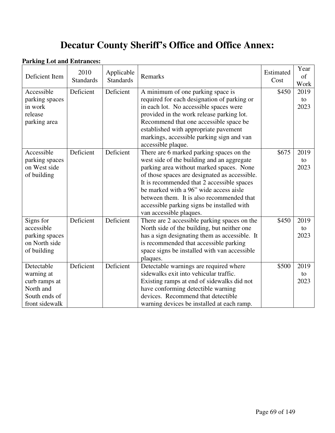# **Decatur County Sheriff's Office and Office Annex:**

#### **Parking Lot and Entrances:**

| Deficient Item | 2010<br><b>Standards</b> | Applicable<br><b>Standards</b> | Remarks                                       | Estimated<br>Cost | Year<br>of<br>Work |
|----------------|--------------------------|--------------------------------|-----------------------------------------------|-------------------|--------------------|
| Accessible     | Deficient                | Deficient                      | A minimum of one parking space is             | \$450             | 2019               |
| parking spaces |                          |                                | required for each designation of parking or   |                   | to                 |
| in work        |                          |                                | in each lot. No accessible spaces were        |                   | 2023               |
| release        |                          |                                | provided in the work release parking lot.     |                   |                    |
| parking area   |                          |                                | Recommend that one accessible space be        |                   |                    |
|                |                          |                                | established with appropriate pavement         |                   |                    |
|                |                          |                                | markings, accessible parking sign and van     |                   |                    |
|                |                          |                                | accessible plaque.                            |                   |                    |
| Accessible     | Deficient                | Deficient                      | There are 6 marked parking spaces on the      | \$675             | 2019               |
| parking spaces |                          |                                | west side of the building and an aggregate    |                   | to                 |
| on West side   |                          |                                | parking area without marked spaces. None      |                   | 2023               |
| of building    |                          |                                | of those spaces are designated as accessible. |                   |                    |
|                |                          |                                | It is recommended that 2 accessible spaces    |                   |                    |
|                |                          |                                | be marked with a 96" wide access aisle        |                   |                    |
|                |                          |                                | between them. It is also recommended that     |                   |                    |
|                |                          |                                | accessible parking signs be installed with    |                   |                    |
|                |                          |                                | van accessible plaques.                       |                   |                    |
| Signs for      | Deficient                | Deficient                      | There are 2 accessible parking spaces on the  | \$450             | 2019               |
| accessible     |                          |                                | North side of the building, but neither one   |                   | to                 |
| parking spaces |                          |                                | has a sign designating them as accessible. It |                   | 2023               |
| on North side  |                          |                                | is recommended that accessible parking        |                   |                    |
| of building    |                          |                                | space signs be installed with van accessible  |                   |                    |
|                |                          |                                | plaques.                                      |                   |                    |
| Detectable     | Deficient                | Deficient                      | Detectable warnings are required where        | \$500             | 2019               |
| warning at     |                          |                                | sidewalks exit into vehicular traffic.        |                   | to                 |
| curb ramps at  |                          |                                | Existing ramps at end of sidewalks did not    |                   | 2023               |
| North and      |                          |                                | have conforming detectible warning            |                   |                    |
| South ends of  |                          |                                | devices. Recommend that detectible            |                   |                    |
| front sidewalk |                          |                                | warning devices be installed at each ramp.    |                   |                    |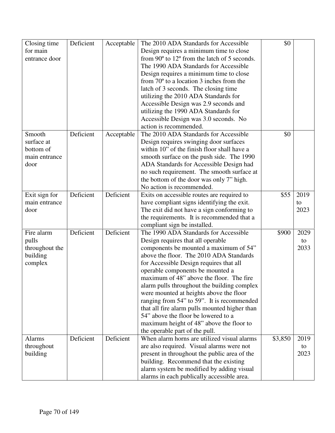| Closing time   | Deficient | Acceptable | The 2010 ADA Standards for Accessible                                                 | \$0     |      |
|----------------|-----------|------------|---------------------------------------------------------------------------------------|---------|------|
| for main       |           |            | Design requires a minimum time to close                                               |         |      |
| entrance door  |           |            | from 90° to 12° from the latch of 5 seconds.                                          |         |      |
|                |           |            | The 1990 ADA Standards for Accessible                                                 |         |      |
|                |           |            | Design requires a minimum time to close                                               |         |      |
|                |           |            | from $70^{\circ}$ to a location 3 inches from the                                     |         |      |
|                |           |            | latch of 3 seconds. The closing time                                                  |         |      |
|                |           |            | utilizing the 2010 ADA Standards for                                                  |         |      |
|                |           |            | Accessible Design was 2.9 seconds and                                                 |         |      |
|                |           |            | utilizing the 1990 ADA Standards for                                                  |         |      |
|                |           |            | Accessible Design was 3.0 seconds. No                                                 |         |      |
|                |           |            | action is recommended.                                                                |         |      |
| Smooth         | Deficient | Acceptable | The 2010 ADA Standards for Accessible                                                 | \$0     |      |
| surface at     |           |            |                                                                                       |         |      |
|                |           |            | Design requires swinging door surfaces<br>within 10" of the finish floor shall have a |         |      |
| bottom of      |           |            |                                                                                       |         |      |
| main entrance  |           |            | smooth surface on the push side. The 1990                                             |         |      |
| door           |           |            | ADA Standards for Accessible Design had                                               |         |      |
|                |           |            | no such requirement. The smooth surface at                                            |         |      |
|                |           |            | the bottom of the door was only 7" high.                                              |         |      |
|                |           |            | No action is recommended.                                                             |         |      |
| Exit sign for  | Deficient | Deficient  | Exits on accessible routes are required to                                            | \$55    | 2019 |
| main entrance  |           |            | have compliant signs identifying the exit.                                            |         | to   |
| door           |           |            | The exit did not have a sign conforming to                                            |         | 2023 |
|                |           |            | the requirements. It is recommended that a                                            |         |      |
|                |           |            | compliant sign be installed.                                                          |         |      |
| Fire alarm     | Deficient | Deficient  | The 1990 ADA Standards for Accessible                                                 | \$900   | 2029 |
| pulls          |           |            | Design requires that all operable                                                     |         | to   |
| throughout the |           |            | components be mounted a maximum of 54"                                                |         | 2033 |
| building       |           |            | above the floor. The 2010 ADA Standards                                               |         |      |
| complex        |           |            | for Accessible Design requires that all                                               |         |      |
|                |           |            | operable components be mounted a                                                      |         |      |
|                |           |            | maximum of 48" above the floor. The fire                                              |         |      |
|                |           |            | alarm pulls throughout the building complex                                           |         |      |
|                |           |            | were mounted at heights above the floor                                               |         |      |
|                |           |            | ranging from 54" to 59". It is recommended                                            |         |      |
|                |           |            | that all fire alarm pulls mounted higher than                                         |         |      |
|                |           |            | 54" above the floor be lowered to a                                                   |         |      |
|                |           |            | maximum height of 48" above the floor to                                              |         |      |
|                |           |            | the operable part of the pull.                                                        |         |      |
| <b>Alarms</b>  | Deficient | Deficient  | When alarm horns are utilized visual alarms                                           | \$3,850 | 2019 |
| throughout     |           |            | are also required. Visual alarms were not                                             |         | to   |
| building       |           |            | present in throughout the public area of the                                          |         | 2023 |
|                |           |            | building. Recommend that the existing                                                 |         |      |
|                |           |            | alarm system be modified by adding visual                                             |         |      |
|                |           |            | alarms in each publically accessible area.                                            |         |      |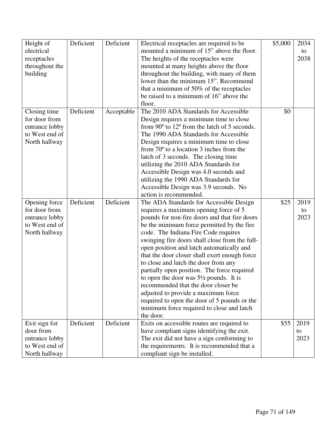| Height of      | Deficient | Deficient  | Electrical receptacles are required to be         | \$5,000 | 2034 |
|----------------|-----------|------------|---------------------------------------------------|---------|------|
| electrical     |           |            | mounted a minimum of 15" above the floor.         |         | to   |
| receptacles    |           |            | The heights of the receptacles were               |         | 2038 |
| throughout the |           |            | mounted at many heights above the floor           |         |      |
| building       |           |            | throughout the building, with many of them        |         |      |
|                |           |            | lower than the minimum 15". Recommend             |         |      |
|                |           |            |                                                   |         |      |
|                |           |            | that a minimum of 50% of the receptacles          |         |      |
|                |           |            | be raised to a minimum of 16" above the           |         |      |
|                |           |            | floor.                                            |         |      |
| Closing time   | Deficient | Acceptable | The 2010 ADA Standards for Accessible             | \$0     |      |
| for door from  |           |            | Design requires a minimum time to close           |         |      |
| entrance lobby |           |            | from 90° to 12° from the latch of 5 seconds.      |         |      |
| to West end of |           |            | The 1990 ADA Standards for Accessible             |         |      |
| North hallway  |           |            | Design requires a minimum time to close           |         |      |
|                |           |            | from $70^{\circ}$ to a location 3 inches from the |         |      |
|                |           |            | latch of 3 seconds. The closing time              |         |      |
|                |           |            | utilizing the 2010 ADA Standards for              |         |      |
|                |           |            | Accessible Design was 4.0 seconds and             |         |      |
|                |           |            | utilizing the 1990 ADA Standards for              |         |      |
|                |           |            | Accessible Design was 3.9 seconds. No             |         |      |
|                |           |            | action is recommended.                            |         |      |
| Opening force  | Deficient | Deficient  | The ADA Standards for Accessible Design           | \$25    | 2019 |
| for door from  |           |            | requires a maximum opening force of 5             |         | to   |
| entrance lobby |           |            | pounds for non-fire doors and that fire doors     |         | 2023 |
| to West end of |           |            | be the minimum force permitted by the fire        |         |      |
| North hallway  |           |            | code. The Indiana Fire Code requires              |         |      |
|                |           |            | swinging fire doors shall close from the full-    |         |      |
|                |           |            | open position and latch automatically and         |         |      |
|                |           |            | that the door closer shall exert enough force     |         |      |
|                |           |            |                                                   |         |      |
|                |           |            | to close and latch the door from any              |         |      |
|                |           |            | partially open position. The force required       |         |      |
|                |           |            | to open the door was $5\frac{1}{2}$ pounds. It is |         |      |
|                |           |            | recommended that the door closer be               |         |      |
|                |           |            | adjusted to provide a maximum force               |         |      |
|                |           |            | required to open the door of 5 pounds or the      |         |      |
|                |           |            | minimum force required to close and latch         |         |      |
|                |           |            | the door.                                         |         |      |
| Exit sign for  | Deficient | Deficient  | Exits on accessible routes are required to        | \$55    | 2019 |
| door from      |           |            | have compliant signs identifying the exit.        |         | to   |
| entrance lobby |           |            | The exit did not have a sign conforming to        |         | 2023 |
| to West end of |           |            | the requirements. It is recommended that a        |         |      |
| North hallway  |           |            | compliant sign be installed.                      |         |      |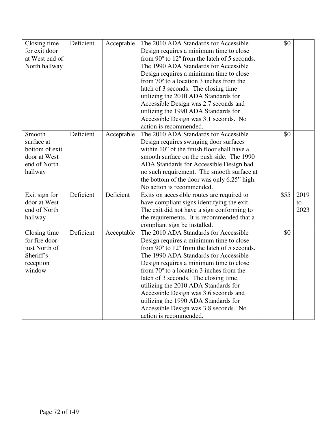| Closing time   | Deficient | Acceptable | The 2010 ADA Standards for Accessible                          | \$0  |      |
|----------------|-----------|------------|----------------------------------------------------------------|------|------|
| for exit door  |           |            | Design requires a minimum time to close                        |      |      |
| at West end of |           |            | from $90^{\circ}$ to $12^{\circ}$ from the latch of 5 seconds. |      |      |
| North hallway  |           |            | The 1990 ADA Standards for Accessible                          |      |      |
|                |           |            | Design requires a minimum time to close                        |      |      |
|                |           |            | from $70^{\circ}$ to a location 3 inches from the              |      |      |
|                |           |            | latch of 3 seconds. The closing time                           |      |      |
|                |           |            | utilizing the 2010 ADA Standards for                           |      |      |
|                |           |            | Accessible Design was 2.7 seconds and                          |      |      |
|                |           |            | utilizing the 1990 ADA Standards for                           |      |      |
|                |           |            | Accessible Design was 3.1 seconds. No                          |      |      |
|                |           |            | action is recommended.                                         |      |      |
| Smooth         | Deficient | Acceptable | The 2010 ADA Standards for Accessible                          | \$0  |      |
| surface at     |           |            | Design requires swinging door surfaces                         |      |      |
| bottom of exit |           |            | within 10" of the finish floor shall have a                    |      |      |
| door at West   |           |            | smooth surface on the push side. The 1990                      |      |      |
| end of North   |           |            | ADA Standards for Accessible Design had                        |      |      |
| hallway        |           |            | no such requirement. The smooth surface at                     |      |      |
|                |           |            | the bottom of the door was only 6.25" high.                    |      |      |
|                |           |            | No action is recommended.                                      |      |      |
| Exit sign for  | Deficient | Deficient  | Exits on accessible routes are required to                     | \$55 | 2019 |
| door at West   |           |            | have compliant signs identifying the exit.                     |      | to   |
| end of North   |           |            | The exit did not have a sign conforming to                     |      | 2023 |
| hallway        |           |            | the requirements. It is recommended that a                     |      |      |
|                |           |            | compliant sign be installed.                                   |      |      |
| Closing time   | Deficient | Acceptable | The 2010 ADA Standards for Accessible                          | \$0  |      |
| for fire door  |           |            | Design requires a minimum time to close                        |      |      |
| just North of  |           |            | from $90^{\circ}$ to $12^{\circ}$ from the latch of 5 seconds. |      |      |
| Sheriff's      |           |            | The 1990 ADA Standards for Accessible                          |      |      |
| reception      |           |            | Design requires a minimum time to close                        |      |      |
| window         |           |            | from $70^{\circ}$ to a location 3 inches from the              |      |      |
|                |           |            | latch of 3 seconds. The closing time                           |      |      |
|                |           |            | utilizing the 2010 ADA Standards for                           |      |      |
|                |           |            | Accessible Design was 3.6 seconds and                          |      |      |
|                |           |            | utilizing the 1990 ADA Standards for                           |      |      |
|                |           |            | Accessible Design was 3.8 seconds. No                          |      |      |
|                |           |            | action is recommended.                                         |      |      |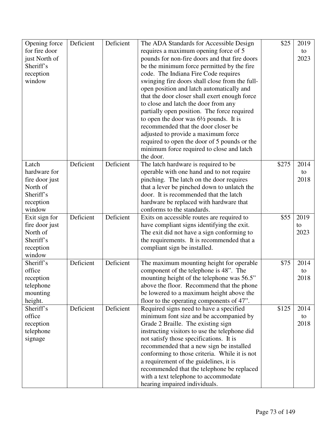| Opening force  | Deficient | Deficient | The ADA Standards for Accessible Design           | \$25  | 2019 |
|----------------|-----------|-----------|---------------------------------------------------|-------|------|
| for fire door  |           |           | requires a maximum opening force of 5             |       | to   |
| just North of  |           |           | pounds for non-fire doors and that fire doors     |       | 2023 |
| Sheriff's      |           |           | be the minimum force permitted by the fire        |       |      |
| reception      |           |           | code. The Indiana Fire Code requires              |       |      |
| window         |           |           | swinging fire doors shall close from the full-    |       |      |
|                |           |           | open position and latch automatically and         |       |      |
|                |           |           | that the door closer shall exert enough force     |       |      |
|                |           |           | to close and latch the door from any              |       |      |
|                |           |           | partially open position. The force required       |       |      |
|                |           |           | to open the door was $6\frac{1}{2}$ pounds. It is |       |      |
|                |           |           | recommended that the door closer be               |       |      |
|                |           |           | adjusted to provide a maximum force               |       |      |
|                |           |           | required to open the door of 5 pounds or the      |       |      |
|                |           |           | minimum force required to close and latch         |       |      |
|                |           |           | the door.                                         |       |      |
| Latch          | Deficient | Deficient | The latch hardware is required to be              | \$275 | 2014 |
| hardware for   |           |           | operable with one hand and to not require         |       | to   |
| fire door just |           |           | pinching. The latch on the door requires          |       | 2018 |
| North of       |           |           | that a lever be pinched down to unlatch the       |       |      |
| Sheriff's      |           |           | door. It is recommended that the latch            |       |      |
| reception      |           |           | hardware be replaced with hardware that           |       |      |
| window         |           |           | conforms to the standards.                        |       |      |
| Exit sign for  | Deficient | Deficient | Exits on accessible routes are required to        | \$55  | 2019 |
| fire door just |           |           | have compliant signs identifying the exit.        |       | to   |
| North of       |           |           | The exit did not have a sign conforming to        |       | 2023 |
| Sheriff's      |           |           | the requirements. It is recommended that a        |       |      |
| reception      |           |           | compliant sign be installed.                      |       |      |
| window         |           |           |                                                   |       |      |
| Sheriff's      | Deficient | Deficient | The maximum mounting height for operable          | \$75  | 2014 |
| office         |           |           | component of the telephone is 48". The            |       | to   |
| reception      |           |           | mounting height of the telephone was 56.5"        |       | 2018 |
| telephone      |           |           | above the floor. Recommend that the phone         |       |      |
| mounting       |           |           | be lowered to a maximum height above the          |       |      |
| height.        |           |           | floor to the operating components of 47".         |       |      |
| Sheriff's      | Deficient | Deficient | Required signs need to have a specified           | \$125 | 2014 |
| office         |           |           | minimum font size and be accompanied by           |       | to   |
| reception      |           |           | Grade 2 Braille. The existing sign                |       | 2018 |
| telephone      |           |           | instructing visitors to use the telephone did     |       |      |
| signage        |           |           | not satisfy those specifications. It is           |       |      |
|                |           |           | recommended that a new sign be installed          |       |      |
|                |           |           | conforming to those criteria. While it is not     |       |      |
|                |           |           | a requirement of the guidelines, it is            |       |      |
|                |           |           | recommended that the telephone be replaced        |       |      |
|                |           |           | with a text telephone to accommodate              |       |      |
|                |           |           | hearing impaired individuals.                     |       |      |
|                |           |           |                                                   |       |      |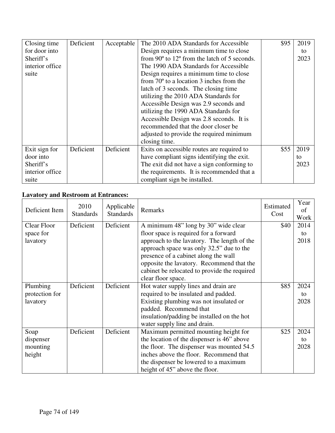| Closing time    | Deficient | Acceptable | The 2010 ADA Standards for Accessible                          | \$95 | 2019 |
|-----------------|-----------|------------|----------------------------------------------------------------|------|------|
| for door into   |           |            | Design requires a minimum time to close                        |      | to   |
| Sheriff's       |           |            | from $90^{\circ}$ to $12^{\circ}$ from the latch of 5 seconds. |      | 2023 |
| interior office |           |            | The 1990 ADA Standards for Accessible                          |      |      |
| suite           |           |            | Design requires a minimum time to close                        |      |      |
|                 |           |            | from $70^{\circ}$ to a location 3 inches from the              |      |      |
|                 |           |            | latch of 3 seconds. The closing time                           |      |      |
|                 |           |            | utilizing the 2010 ADA Standards for                           |      |      |
|                 |           |            | Accessible Design was 2.9 seconds and                          |      |      |
|                 |           |            | utilizing the 1990 ADA Standards for                           |      |      |
|                 |           |            | Accessible Design was 2.8 seconds. It is                       |      |      |
|                 |           |            | recommended that the door closer be                            |      |      |
|                 |           |            | adjusted to provide the required minimum                       |      |      |
|                 |           |            | closing time.                                                  |      |      |
| Exit sign for   | Deficient | Deficient  | Exits on accessible routes are required to                     | \$55 | 2019 |
| door into       |           |            | have compliant signs identifying the exit.                     |      | to   |
| Sheriff's       |           |            | The exit did not have a sign conforming to                     |      | 2023 |
| interior office |           |            | the requirements. It is recommended that a                     |      |      |
| suite           |           |            | compliant sign be installed.                                   |      |      |

# **Lavatory and Restroom at Entrances:**

| Deficient Item     | 2010<br><b>Standards</b> | Applicable<br><b>Standards</b> | Remarks                                      | Estimated<br>Cost | Year<br>of<br>Work |
|--------------------|--------------------------|--------------------------------|----------------------------------------------|-------------------|--------------------|
| <b>Clear Floor</b> | Deficient                | Deficient                      | A minimum 48" long by 30" wide clear         | \$40              | 2014               |
| space for          |                          |                                | floor space is required for a forward        |                   | to                 |
| lavatory           |                          |                                | approach to the lavatory. The length of the  |                   | 2018               |
|                    |                          |                                | approach space was only 32.5" due to the     |                   |                    |
|                    |                          |                                | presence of a cabinet along the wall         |                   |                    |
|                    |                          |                                | opposite the lavatory. Recommend that the    |                   |                    |
|                    |                          |                                | cabinet be relocated to provide the required |                   |                    |
|                    |                          |                                | clear floor space.                           |                   |                    |
| Plumbing           | Deficient                | Deficient                      | Hot water supply lines and drain are         | \$85              | 2024               |
| protection for     |                          |                                | required to be insulated and padded.         |                   | to                 |
| lavatory           |                          |                                | Existing plumbing was not insulated or       |                   | 2028               |
|                    |                          |                                | padded. Recommend that                       |                   |                    |
|                    |                          |                                | insulation/padding be installed on the hot   |                   |                    |
|                    |                          |                                | water supply line and drain.                 |                   |                    |
| Soap               | Deficient                | Deficient                      | Maximum permitted mounting height for        | \$25              | 2024               |
| dispenser          |                          |                                | the location of the dispenser is 46" above   |                   | to                 |
| mounting           |                          |                                | the floor. The dispenser was mounted 54.5    |                   | 2028               |
| height             |                          |                                | inches above the floor. Recommend that       |                   |                    |
|                    |                          |                                | the dispenser be lowered to a maximum        |                   |                    |
|                    |                          |                                | height of 45" above the floor.               |                   |                    |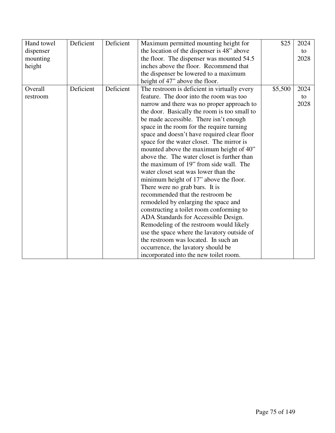| Hand towel | Deficient | Deficient | Maximum permitted mounting height for        | \$25    | 2024 |
|------------|-----------|-----------|----------------------------------------------|---------|------|
| dispenser  |           |           | the location of the dispenser is 48" above   |         | to   |
| mounting   |           |           | the floor. The dispenser was mounted 54.5    |         | 2028 |
| height     |           |           | inches above the floor. Recommend that       |         |      |
|            |           |           | the dispenser be lowered to a maximum        |         |      |
|            |           |           | height of 47" above the floor.               |         |      |
| Overall    | Deficient | Deficient | The restroom is deficient in virtually every | \$5,500 | 2024 |
| restroom   |           |           | feature. The door into the room was too      |         | to   |
|            |           |           | narrow and there was no proper approach to   |         | 2028 |
|            |           |           | the door. Basically the room is too small to |         |      |
|            |           |           | be made accessible. There isn't enough       |         |      |
|            |           |           | space in the room for the require turning    |         |      |
|            |           |           | space and doesn't have required clear floor  |         |      |
|            |           |           | space for the water closet. The mirror is    |         |      |
|            |           |           | mounted above the maximum height of 40"      |         |      |
|            |           |           | above the. The water closet is further than  |         |      |
|            |           |           | the maximum of 19" from side wall. The       |         |      |
|            |           |           | water closet seat was lower than the         |         |      |
|            |           |           | minimum height of 17" above the floor.       |         |      |
|            |           |           | There were no grab bars. It is               |         |      |
|            |           |           | recommended that the restroom be             |         |      |
|            |           |           | remodeled by enlarging the space and         |         |      |
|            |           |           | constructing a toilet room conforming to     |         |      |
|            |           |           | ADA Standards for Accessible Design.         |         |      |
|            |           |           | Remodeling of the restroom would likely      |         |      |
|            |           |           | use the space where the lavatory outside of  |         |      |
|            |           |           | the restroom was located. In such an         |         |      |
|            |           |           | occurrence, the lavatory should be           |         |      |
|            |           |           | incorporated into the new toilet room.       |         |      |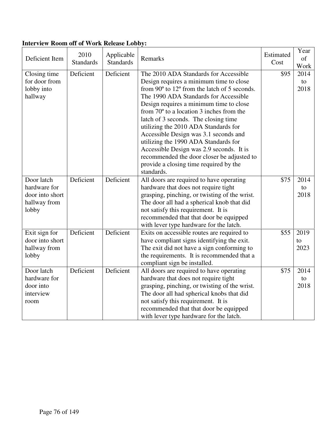| Deficient Item                                                         | 2010<br><b>Standards</b> | Applicable<br><b>Standards</b> | Remarks                                                                                                                                                                                                                                                                                                                                                                                                                                                                                                                                                                                                        | Estimated<br>Cost | Year<br>of<br>Work            |
|------------------------------------------------------------------------|--------------------------|--------------------------------|----------------------------------------------------------------------------------------------------------------------------------------------------------------------------------------------------------------------------------------------------------------------------------------------------------------------------------------------------------------------------------------------------------------------------------------------------------------------------------------------------------------------------------------------------------------------------------------------------------------|-------------------|-------------------------------|
| Closing time<br>for door from<br>lobby into<br>hallway                 | Deficient                | Deficient                      | The 2010 ADA Standards for Accessible<br>Design requires a minimum time to close<br>from $90^{\circ}$ to $12^{\circ}$ from the latch of 5 seconds.<br>The 1990 ADA Standards for Accessible<br>Design requires a minimum time to close<br>from $70^{\circ}$ to a location 3 inches from the<br>latch of 3 seconds. The closing time<br>utilizing the 2010 ADA Standards for<br>Accessible Design was 3.1 seconds and<br>utilizing the 1990 ADA Standards for<br>Accessible Design was 2.9 seconds. It is<br>recommended the door closer be adjusted to<br>provide a closing time required by the<br>standards. | \$95              | 2014<br>to<br>2018            |
| Door latch<br>hardware for<br>door into short<br>hallway from<br>lobby | Deficient                | Deficient                      | All doors are required to have operating<br>hardware that does not require tight<br>grasping, pinching, or twisting of the wrist.<br>The door all had a spherical knob that did<br>not satisfy this requirement. It is<br>recommended that that door be equipped<br>with lever type hardware for the latch.                                                                                                                                                                                                                                                                                                    | \$75              | 2014<br>to<br>2018            |
| Exit sign for<br>door into short<br>hallway from<br>lobby              | Deficient                | Deficient                      | Exits on accessible routes are required to<br>have compliant signs identifying the exit.<br>The exit did not have a sign conforming to<br>the requirements. It is recommended that a<br>compliant sign be installed.                                                                                                                                                                                                                                                                                                                                                                                           | \$55              | 2019<br>$\mathsf{to}$<br>2023 |
| Door latch<br>hardware for<br>door into<br>interview<br>room           | Deficient                | Deficient                      | All doors are required to have operating<br>hardware that does not require tight<br>grasping, pinching, or twisting of the wrist.<br>The door all had spherical knobs that did<br>not satisfy this requirement. It is<br>recommended that that door be equipped<br>with lever type hardware for the latch.                                                                                                                                                                                                                                                                                                     | \$75              | 2014<br>to<br>2018            |

### **Interview Room off of Work Release Lobby:**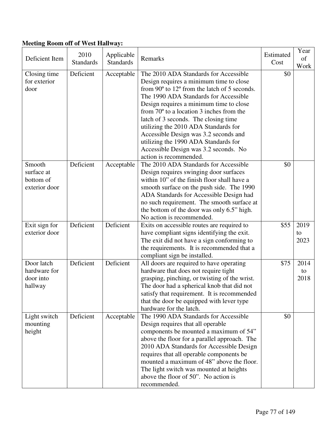# **Meeting Room off of West Hallway:**

| Deficient Item                                     | 2010<br><b>Standards</b> | Applicable<br><b>Standards</b> | Remarks                                                                                                                                                                                                                                                                                                                                                                                                                                                                                                       | Estimated<br>Cost | Year<br>of<br>Work |
|----------------------------------------------------|--------------------------|--------------------------------|---------------------------------------------------------------------------------------------------------------------------------------------------------------------------------------------------------------------------------------------------------------------------------------------------------------------------------------------------------------------------------------------------------------------------------------------------------------------------------------------------------------|-------------------|--------------------|
| Closing time<br>for exterior<br>door               | Deficient                | Acceptable                     | The 2010 ADA Standards for Accessible<br>Design requires a minimum time to close<br>from 90° to 12° from the latch of 5 seconds.<br>The 1990 ADA Standards for Accessible<br>Design requires a minimum time to close<br>from $70^{\circ}$ to a location 3 inches from the<br>latch of 3 seconds. The closing time<br>utilizing the 2010 ADA Standards for<br>Accessible Design was 3.2 seconds and<br>utilizing the 1990 ADA Standards for<br>Accessible Design was 3.2 seconds. No<br>action is recommended. | \$0               |                    |
| Smooth<br>surface at<br>bottom of<br>exterior door | Deficient                | Acceptable                     | The 2010 ADA Standards for Accessible<br>Design requires swinging door surfaces<br>within 10" of the finish floor shall have a<br>smooth surface on the push side. The 1990<br>ADA Standards for Accessible Design had<br>no such requirement. The smooth surface at<br>the bottom of the door was only 6.5" high.<br>No action is recommended.                                                                                                                                                               | \$0               |                    |
| Exit sign for<br>exterior door                     | Deficient                | Deficient                      | Exits on accessible routes are required to<br>have compliant signs identifying the exit.<br>The exit did not have a sign conforming to<br>the requirements. It is recommended that a<br>compliant sign be installed.                                                                                                                                                                                                                                                                                          | \$55              | 2019<br>to<br>2023 |
| Door latch<br>hardware for<br>door into<br>hallway | Deficient                | Deficient                      | All doors are required to have operating<br>hardware that does not require tight<br>grasping, pinching, or twisting of the wrist.<br>The door had a spherical knob that did not<br>satisfy that requirement. It is recommended<br>that the door be equipped with lever type<br>hardware for the latch.                                                                                                                                                                                                        | \$75              | 2014<br>to<br>2018 |
| Light switch<br>mounting<br>height                 | Deficient                | Acceptable                     | The 1990 ADA Standards for Accessible<br>Design requires that all operable<br>components be mounted a maximum of 54"<br>above the floor for a parallel approach. The<br>2010 ADA Standards for Accessible Design<br>requires that all operable components be<br>mounted a maximum of 48" above the floor.<br>The light switch was mounted at heights<br>above the floor of 50". No action is<br>recommended.                                                                                                  | \$0               |                    |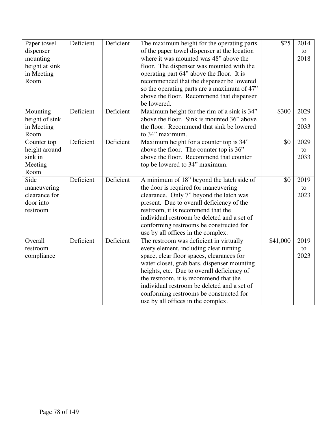| Paper towel    | Deficient | Deficient | The maximum height for the operating parts   | \$25     | 2014 |
|----------------|-----------|-----------|----------------------------------------------|----------|------|
| dispenser      |           |           | of the paper towel dispenser at the location |          | to   |
| mounting       |           |           | where it was mounted was 48" above the       |          | 2018 |
| height at sink |           |           | floor. The dispenser was mounted with the    |          |      |
| in Meeting     |           |           | operating part 64" above the floor. It is    |          |      |
| Room           |           |           | recommended that the dispenser be lowered    |          |      |
|                |           |           | so the operating parts are a maximum of 47"  |          |      |
|                |           |           | above the floor. Recommend that dispenser    |          |      |
|                |           |           | be lowered.                                  |          |      |
| Mounting       | Deficient | Deficient | Maximum height for the rim of a sink is 34"  | \$300    | 2029 |
| height of sink |           |           | above the floor. Sink is mounted 36" above   |          | to   |
| in Meeting     |           |           | the floor. Recommend that sink be lowered    |          | 2033 |
| Room           |           |           | to 34" maximum.                              |          |      |
| Counter top    | Deficient | Deficient | Maximum height for a counter top is 34"      | \$0      | 2029 |
| height around  |           |           | above the floor. The counter top is 36"      |          | to   |
| sink in        |           |           | above the floor. Recommend that counter      |          | 2033 |
| Meeting        |           |           | top be lowered to 34" maximum.               |          |      |
| Room           |           |           |                                              |          |      |
| Side           | Deficient | Deficient | A minimum of 18" beyond the latch side of    | \$0      | 2019 |
| maneuvering    |           |           | the door is required for maneuvering         |          | to   |
| clearance for  |           |           | clearance. Only 7" beyond the latch was      |          | 2023 |
| door into      |           |           | present. Due to overall deficiency of the    |          |      |
| restroom       |           |           | restroom, it is recommend that the           |          |      |
|                |           |           | individual restroom be deleted and a set of  |          |      |
|                |           |           | conforming restrooms be constructed for      |          |      |
|                |           |           | use by all offices in the complex.           |          |      |
| Overall        | Deficient | Deficient | The restroom was deficient in virtually      | \$41,000 | 2019 |
| restroom       |           |           | every element, including clear turning       |          | to   |
| compliance     |           |           | space, clear floor spaces, clearances for    |          | 2023 |
|                |           |           | water closet, grab bars, dispenser mounting  |          |      |
|                |           |           | heights, etc. Due to overall deficiency of   |          |      |
|                |           |           | the restroom, it is recommend that the       |          |      |
|                |           |           | individual restroom be deleted and a set of  |          |      |
|                |           |           | conforming restrooms be constructed for      |          |      |
|                |           |           | use by all offices in the complex.           |          |      |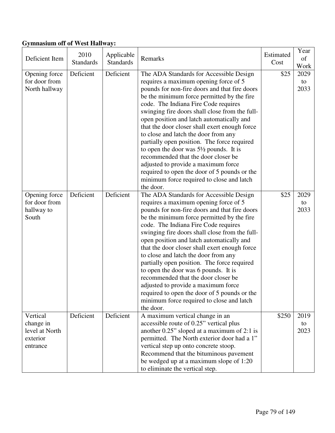# **Gymnasium off of West Hallway:**

| Deficient Item                                                  | 2010<br><b>Standards</b> | Applicable<br><b>Standards</b> | Remarks                                                                                                                                                                                                                                                                                                                                                                                                                                                                                                                                                                                                                                                                                                     | Estimated<br>Cost | Year<br>of<br>Work |
|-----------------------------------------------------------------|--------------------------|--------------------------------|-------------------------------------------------------------------------------------------------------------------------------------------------------------------------------------------------------------------------------------------------------------------------------------------------------------------------------------------------------------------------------------------------------------------------------------------------------------------------------------------------------------------------------------------------------------------------------------------------------------------------------------------------------------------------------------------------------------|-------------------|--------------------|
| Opening force<br>for door from<br>North hallway                 | Deficient                | Deficient                      | The ADA Standards for Accessible Design<br>requires a maximum opening force of 5<br>pounds for non-fire doors and that fire doors<br>be the minimum force permitted by the fire<br>code. The Indiana Fire Code requires<br>swinging fire doors shall close from the full-<br>open position and latch automatically and<br>that the door closer shall exert enough force<br>to close and latch the door from any<br>partially open position. The force required<br>to open the door was $5\frac{1}{2}$ pounds. It is<br>recommended that the door closer be<br>adjusted to provide a maximum force<br>required to open the door of 5 pounds or the<br>minimum force required to close and latch<br>the door. | \$25              | 2029<br>to<br>2033 |
| Opening force<br>for door from<br>hallway to<br>South           | Deficient                | Deficient                      | The ADA Standards for Accessible Design<br>requires a maximum opening force of 5<br>pounds for non-fire doors and that fire doors<br>be the minimum force permitted by the fire<br>code. The Indiana Fire Code requires<br>swinging fire doors shall close from the full-<br>open position and latch automatically and<br>that the door closer shall exert enough force<br>to close and latch the door from any<br>partially open position. The force required<br>to open the door was 6 pounds. It is<br>recommended that the door closer be<br>adjusted to provide a maximum force<br>required to open the door of 5 pounds or the<br>minimum force required to close and latch<br>the door.              | \$25              | 2029<br>to<br>2033 |
| Vertical<br>change in<br>level at North<br>exterior<br>entrance | Deficient                | Deficient                      | A maximum vertical change in an<br>accessible route of 0.25" vertical plus<br>another 0.25" sloped at a maximum of 2:1 is<br>permitted. The North exterior door had a 1"<br>vertical step up onto concrete stoop.<br>Recommend that the bituminous pavement<br>be wedged up at a maximum slope of 1:20<br>to eliminate the vertical step.                                                                                                                                                                                                                                                                                                                                                                   | \$250             | 2019<br>to<br>2023 |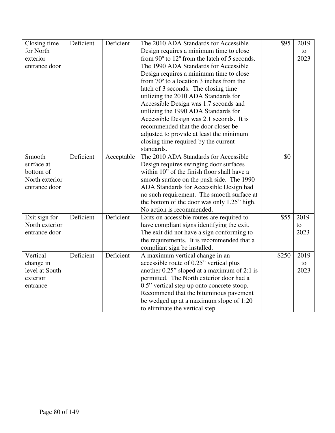| Closing time   | Deficient | Deficient  | The 2010 ADA Standards for Accessible             | \$95  | 2019 |
|----------------|-----------|------------|---------------------------------------------------|-------|------|
| for North      |           |            | Design requires a minimum time to close           |       | to   |
| exterior       |           |            | from 90° to 12° from the latch of 5 seconds.      |       | 2023 |
| entrance door  |           |            | The 1990 ADA Standards for Accessible             |       |      |
|                |           |            | Design requires a minimum time to close           |       |      |
|                |           |            | from $70^{\circ}$ to a location 3 inches from the |       |      |
|                |           |            | latch of 3 seconds. The closing time              |       |      |
|                |           |            | utilizing the 2010 ADA Standards for              |       |      |
|                |           |            | Accessible Design was 1.7 seconds and             |       |      |
|                |           |            | utilizing the 1990 ADA Standards for              |       |      |
|                |           |            | Accessible Design was 2.1 seconds. It is          |       |      |
|                |           |            | recommended that the door closer be               |       |      |
|                |           |            | adjusted to provide at least the minimum          |       |      |
|                |           |            | closing time required by the current              |       |      |
|                |           |            | standards.                                        |       |      |
| Smooth         | Deficient | Acceptable | The 2010 ADA Standards for Accessible             | \$0   |      |
| surface at     |           |            | Design requires swinging door surfaces            |       |      |
| bottom of      |           |            | within 10" of the finish floor shall have a       |       |      |
| North exterior |           |            | smooth surface on the push side. The 1990         |       |      |
| entrance door  |           |            | ADA Standards for Accessible Design had           |       |      |
|                |           |            | no such requirement. The smooth surface at        |       |      |
|                |           |            | the bottom of the door was only 1.25" high.       |       |      |
|                |           |            | No action is recommended.                         |       |      |
| Exit sign for  | Deficient | Deficient  | Exits on accessible routes are required to        | \$55  | 2019 |
| North exterior |           |            | have compliant signs identifying the exit.        |       | to   |
| entrance door  |           |            | The exit did not have a sign conforming to        |       | 2023 |
|                |           |            | the requirements. It is recommended that a        |       |      |
|                |           |            | compliant sign be installed.                      |       |      |
| Vertical       | Deficient | Deficient  | A maximum vertical change in an                   | \$250 | 2019 |
| change in      |           |            | accessible route of 0.25" vertical plus           |       | to   |
| level at South |           |            | another $0.25$ " sloped at a maximum of 2:1 is    |       | 2023 |
| exterior       |           |            | permitted. The North exterior door had a          |       |      |
| entrance       |           |            | 0.5" vertical step up onto concrete stoop.        |       |      |
|                |           |            | Recommend that the bituminous pavement            |       |      |
|                |           |            | be wedged up at a maximum slope of 1:20           |       |      |
|                |           |            | to eliminate the vertical step.                   |       |      |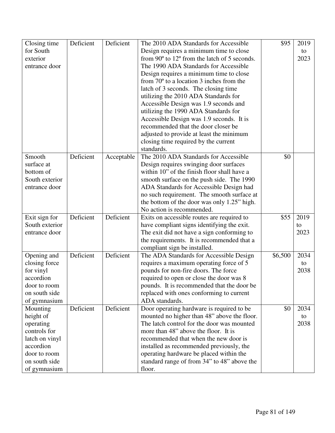| Closing time   | Deficient | Deficient  | The 2010 ADA Standards for Accessible                           | \$95    | 2019 |
|----------------|-----------|------------|-----------------------------------------------------------------|---------|------|
| for South      |           |            | Design requires a minimum time to close                         |         | to   |
| exterior       |           |            | from $90^{\circ}$ to 12 $^{\circ}$ from the latch of 5 seconds. |         | 2023 |
| entrance door  |           |            | The 1990 ADA Standards for Accessible                           |         |      |
|                |           |            | Design requires a minimum time to close                         |         |      |
|                |           |            | from $70^{\circ}$ to a location 3 inches from the               |         |      |
|                |           |            | latch of 3 seconds. The closing time                            |         |      |
|                |           |            | utilizing the 2010 ADA Standards for                            |         |      |
|                |           |            | Accessible Design was 1.9 seconds and                           |         |      |
|                |           |            | utilizing the 1990 ADA Standards for                            |         |      |
|                |           |            | Accessible Design was 1.9 seconds. It is                        |         |      |
|                |           |            | recommended that the door closer be                             |         |      |
|                |           |            | adjusted to provide at least the minimum                        |         |      |
|                |           |            | closing time required by the current                            |         |      |
|                |           |            | standards.                                                      |         |      |
| Smooth         | Deficient | Acceptable | The 2010 ADA Standards for Accessible                           | \$0     |      |
| surface at     |           |            | Design requires swinging door surfaces                          |         |      |
| bottom of      |           |            | within 10" of the finish floor shall have a                     |         |      |
| South exterior |           |            | smooth surface on the push side. The 1990                       |         |      |
| entrance door  |           |            | ADA Standards for Accessible Design had                         |         |      |
|                |           |            | no such requirement. The smooth surface at                      |         |      |
|                |           |            | the bottom of the door was only 1.25" high.                     |         |      |
|                |           |            | No action is recommended.                                       |         |      |
| Exit sign for  | Deficient | Deficient  | Exits on accessible routes are required to                      | \$55    | 2019 |
| South exterior |           |            | have compliant signs identifying the exit.                      |         | to   |
| entrance door  |           |            | The exit did not have a sign conforming to                      |         | 2023 |
|                |           |            | the requirements. It is recommended that a                      |         |      |
|                |           |            | compliant sign be installed.                                    |         |      |
| Opening and    | Deficient | Deficient  | The ADA Standards for Accessible Design                         | \$6,500 | 2034 |
| closing force  |           |            | requires a maximum operating force of 5                         |         | to   |
| for vinyl      |           |            | pounds for non-fire doors. The force                            |         | 2038 |
| accordion      |           |            | required to open or close the door was 8                        |         |      |
| door to room   |           |            | pounds. It is recommended that the door be                      |         |      |
| on south side  |           |            | replaced with ones conforming to current                        |         |      |
| of gymnasium   |           |            | ADA standards.                                                  |         |      |
| Mounting       | Deficient | Deficient  | Door operating hardware is required to be                       | \$0     | 2034 |
| height of      |           |            | mounted no higher than 48" above the floor.                     |         | to   |
| operating      |           |            | The latch control for the door was mounted                      |         | 2038 |
| controls for   |           |            | more than 48" above the floor. It is                            |         |      |
| latch on vinyl |           |            | recommended that when the new door is                           |         |      |
| accordion      |           |            | installed as recommended previously, the                        |         |      |
| door to room   |           |            | operating hardware be placed within the                         |         |      |
| on south side  |           |            | standard range of from 34" to 48" above the                     |         |      |
| of gymnasium   |           |            | floor.                                                          |         |      |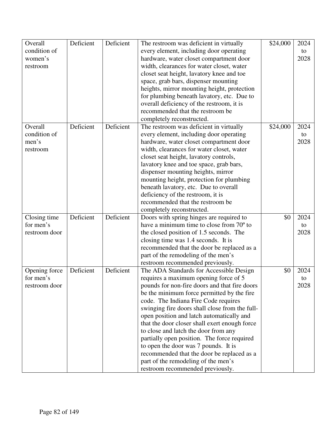| Overall       | Deficient | Deficient | The restroom was deficient in virtually        | \$24,000 | 2024 |
|---------------|-----------|-----------|------------------------------------------------|----------|------|
| condition of  |           |           | every element, including door operating        |          | to   |
| women's       |           |           | hardware, water closet compartment door        |          | 2028 |
| restroom      |           |           | width, clearances for water closet, water      |          |      |
|               |           |           | closet seat height, lavatory knee and toe      |          |      |
|               |           |           | space, grab bars, dispenser mounting           |          |      |
|               |           |           | heights, mirror mounting height, protection    |          |      |
|               |           |           | for plumbing beneath lavatory, etc. Due to     |          |      |
|               |           |           | overall deficiency of the restroom, it is      |          |      |
|               |           |           | recommended that the restroom be               |          |      |
|               |           |           | completely reconstructed.                      |          |      |
| Overall       | Deficient | Deficient | The restroom was deficient in virtually        | \$24,000 | 2024 |
| condition of  |           |           | every element, including door operating        |          | to   |
| men's         |           |           | hardware, water closet compartment door        |          | 2028 |
| restroom      |           |           | width, clearances for water closet, water      |          |      |
|               |           |           | closet seat height, lavatory controls,         |          |      |
|               |           |           | lavatory knee and toe space, grab bars,        |          |      |
|               |           |           | dispenser mounting heights, mirror             |          |      |
|               |           |           | mounting height, protection for plumbing       |          |      |
|               |           |           | beneath lavatory, etc. Due to overall          |          |      |
|               |           |           | deficiency of the restroom, it is              |          |      |
|               |           |           | recommended that the restroom be               |          |      |
|               |           |           | completely reconstructed.                      |          |      |
| Closing time  | Deficient | Deficient | Doors with spring hinges are required to       | \$0      | 2024 |
| for men's     |           |           | have a minimum time to close from 70° to       |          | to   |
| restroom door |           |           | the closed position of 1.5 seconds. The        |          | 2028 |
|               |           |           | closing time was 1.4 seconds. It is            |          |      |
|               |           |           | recommended that the door be replaced as a     |          |      |
|               |           |           | part of the remodeling of the men's            |          |      |
|               |           |           | restroom recommended previously.               |          |      |
| Opening force | Deficient | Deficient | The ADA Standards for Accessible Design        | \$0      | 2024 |
| for men's     |           |           | requires a maximum opening force of 5          |          | to   |
| restroom door |           |           | pounds for non-fire doors and that fire doors  |          | 2028 |
|               |           |           | be the minimum force permitted by the fire     |          |      |
|               |           |           | code. The Indiana Fire Code requires           |          |      |
|               |           |           | swinging fire doors shall close from the full- |          |      |
|               |           |           | open position and latch automatically and      |          |      |
|               |           |           | that the door closer shall exert enough force  |          |      |
|               |           |           | to close and latch the door from any           |          |      |
|               |           |           | partially open position. The force required    |          |      |
|               |           |           | to open the door was 7 pounds. It is           |          |      |
|               |           |           | recommended that the door be replaced as a     |          |      |
|               |           |           | part of the remodeling of the men's            |          |      |
|               |           |           | restroom recommended previously.               |          |      |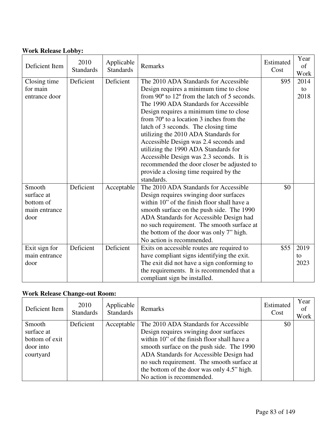# **Work Release Lobby:**

| Deficient Item | 2010<br><b>Standards</b> | Applicable<br><b>Standards</b> | Remarks                                                        | Estimated<br>Cost | Year<br>of<br>Work |
|----------------|--------------------------|--------------------------------|----------------------------------------------------------------|-------------------|--------------------|
| Closing time   | Deficient                | Deficient                      | The 2010 ADA Standards for Accessible                          | \$95              | 2014               |
| for main       |                          |                                | Design requires a minimum time to close                        |                   | to                 |
| entrance door  |                          |                                | from $90^{\circ}$ to $12^{\circ}$ from the latch of 5 seconds. |                   | 2018               |
|                |                          |                                | The 1990 ADA Standards for Accessible                          |                   |                    |
|                |                          |                                | Design requires a minimum time to close                        |                   |                    |
|                |                          |                                | from $70^{\circ}$ to a location 3 inches from the              |                   |                    |
|                |                          |                                | latch of 3 seconds. The closing time                           |                   |                    |
|                |                          |                                | utilizing the 2010 ADA Standards for                           |                   |                    |
|                |                          |                                | Accessible Design was 2.4 seconds and                          |                   |                    |
|                |                          |                                | utilizing the 1990 ADA Standards for                           |                   |                    |
|                |                          |                                | Accessible Design was 2.3 seconds. It is                       |                   |                    |
|                |                          |                                | recommended the door closer be adjusted to                     |                   |                    |
|                |                          |                                | provide a closing time required by the                         |                   |                    |
|                |                          |                                | standards.                                                     |                   |                    |
| Smooth         | Deficient                | Acceptable                     | The 2010 ADA Standards for Accessible                          | \$0               |                    |
| surface at     |                          |                                | Design requires swinging door surfaces                         |                   |                    |
| bottom of      |                          |                                | within 10" of the finish floor shall have a                    |                   |                    |
| main entrance  |                          |                                | smooth surface on the push side. The 1990                      |                   |                    |
| door           |                          |                                | ADA Standards for Accessible Design had                        |                   |                    |
|                |                          |                                | no such requirement. The smooth surface at                     |                   |                    |
|                |                          |                                | the bottom of the door was only 7" high.                       |                   |                    |
|                |                          |                                | No action is recommended.                                      |                   |                    |
| Exit sign for  | Deficient                | Deficient                      | Exits on accessible routes are required to                     | \$55              | 2019               |
| main entrance  |                          |                                | have compliant signs identifying the exit.                     |                   | to                 |
| door           |                          |                                | The exit did not have a sign conforming to                     |                   | 2023               |
|                |                          |                                | the requirements. It is recommended that a                     |                   |                    |
|                |                          |                                | compliant sign be installed.                                   |                   |                    |

# **Work Release Change-out Room:**

| Deficient Item                                                   | 2010<br><b>Standards</b> | Applicable<br><b>Standards</b> | <b>Remarks</b>                                                                                                                                                                                                                                                                                                                                  | Estimated<br>Cost | Year<br>of<br>Work |
|------------------------------------------------------------------|--------------------------|--------------------------------|-------------------------------------------------------------------------------------------------------------------------------------------------------------------------------------------------------------------------------------------------------------------------------------------------------------------------------------------------|-------------------|--------------------|
| Smooth<br>surface at<br>bottom of exit<br>door into<br>courtyard | Deficient                | Acceptable                     | The 2010 ADA Standards for Accessible<br>Design requires swinging door surfaces<br>within 10" of the finish floor shall have a<br>smooth surface on the push side. The 1990<br>ADA Standards for Accessible Design had<br>no such requirement. The smooth surface at<br>the bottom of the door was only 4.5" high.<br>No action is recommended. | \$0               |                    |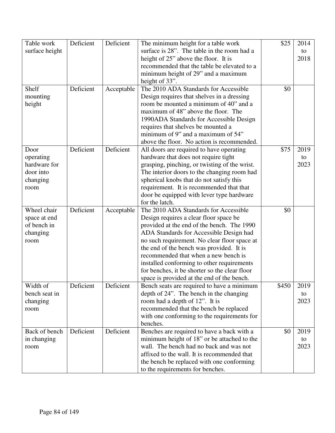| Table work     | Deficient | Deficient  | The minimum height for a table work           | \$25  | 2014 |
|----------------|-----------|------------|-----------------------------------------------|-------|------|
| surface height |           |            | surface is 28". The table in the room had a   |       | to   |
|                |           |            | height of 25" above the floor. It is          |       | 2018 |
|                |           |            | recommended that the table be elevated to a   |       |      |
|                |           |            | minimum height of 29" and a maximum           |       |      |
|                |           |            | height of 33".                                |       |      |
| Shelf          | Deficient | Acceptable | The 2010 ADA Standards for Accessible         | \$0   |      |
| mounting       |           |            | Design requires that shelves in a dressing    |       |      |
| height         |           |            | room be mounted a minimum of 40" and a        |       |      |
|                |           |            | maximum of 48" above the floor. The           |       |      |
|                |           |            | 1990ADA Standards for Accessible Design       |       |      |
|                |           |            | requires that shelves be mounted a            |       |      |
|                |           |            | minimum of 9" and a maximum of 54"            |       |      |
|                |           |            | above the floor. No action is recommended.    |       |      |
| Door           | Deficient | Deficient  | All doors are required to have operating      | \$75  | 2019 |
| operating      |           |            | hardware that does not require tight          |       | to   |
| hardware for   |           |            | grasping, pinching, or twisting of the wrist. |       | 2023 |
| door into      |           |            | The interior doors to the changing room had   |       |      |
| changing       |           |            | spherical knobs that do not satisfy this      |       |      |
| room           |           |            | requirement. It is recommended that that      |       |      |
|                |           |            | door be equipped with lever type hardware     |       |      |
|                |           |            | for the latch.                                |       |      |
| Wheel chair    | Deficient | Acceptable | The 2010 ADA Standards for Accessible         | \$0   |      |
| space at end   |           |            | Design requires a clear floor space be        |       |      |
| of bench in    |           |            | provided at the end of the bench. The 1990    |       |      |
| changing       |           |            | ADA Standards for Accessible Design had       |       |      |
| room           |           |            | no such requirement. No clear floor space at  |       |      |
|                |           |            | the end of the bench was provided. It is      |       |      |
|                |           |            | recommended that when a new bench is          |       |      |
|                |           |            | installed conforming to other requirements    |       |      |
|                |           |            | for benches, it be shorter so the clear floor |       |      |
|                |           |            | space is provided at the end of the bench.    |       |      |
| Width of       | Deficient | Deficient  | Bench seats are required to have a minimum    | \$450 | 2019 |
| bench seat in  |           |            | depth of 24". The bench in the changing       |       | to   |
| changing       |           |            | room had a depth of 12". It is                |       | 2023 |
| room           |           |            | recommended that the bench be replaced        |       |      |
|                |           |            | with one conforming to the requirements for   |       |      |
|                |           |            | benches.                                      |       |      |
| Back of bench  | Deficient | Deficient  | Benches are required to have a back with a    | \$0   | 2019 |
| in changing    |           |            | minimum height of 18" or be attached to the   |       | to   |
| room           |           |            | wall. The bench had no back and was not       |       | 2023 |
|                |           |            | affixed to the wall. It is recommended that   |       |      |
|                |           |            | the bench be replaced with one conforming     |       |      |
|                |           |            | to the requirements for benches.              |       |      |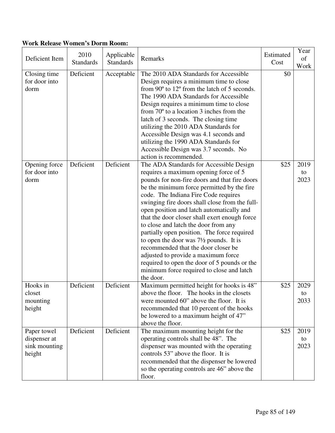### **Work Release Women's Dorm Room:**

| Deficient Item                                         | 2010<br><b>Standards</b> | Applicable<br><b>Standards</b> | Remarks                                                                                                                                                                                                                                                                                                                                                                                                                                                                                                                                                                                                                                                                                                     | Estimated<br>Cost | Year<br>of<br>Work |
|--------------------------------------------------------|--------------------------|--------------------------------|-------------------------------------------------------------------------------------------------------------------------------------------------------------------------------------------------------------------------------------------------------------------------------------------------------------------------------------------------------------------------------------------------------------------------------------------------------------------------------------------------------------------------------------------------------------------------------------------------------------------------------------------------------------------------------------------------------------|-------------------|--------------------|
| Closing time<br>for door into<br>dorm                  | Deficient                | Acceptable                     | The 2010 ADA Standards for Accessible<br>Design requires a minimum time to close<br>from $90^{\circ}$ to $12^{\circ}$ from the latch of 5 seconds.<br>The 1990 ADA Standards for Accessible<br>Design requires a minimum time to close<br>from $70^{\circ}$ to a location 3 inches from the<br>latch of 3 seconds. The closing time<br>utilizing the 2010 ADA Standards for<br>Accessible Design was 4.1 seconds and<br>utilizing the 1990 ADA Standards for<br>Accessible Design was 3.7 seconds. No<br>action is recommended.                                                                                                                                                                             | \$0               |                    |
| Opening force<br>for door into<br>dorm                 | Deficient                | Deficient                      | The ADA Standards for Accessible Design<br>requires a maximum opening force of 5<br>pounds for non-fire doors and that fire doors<br>be the minimum force permitted by the fire<br>code. The Indiana Fire Code requires<br>swinging fire doors shall close from the full-<br>open position and latch automatically and<br>that the door closer shall exert enough force<br>to close and latch the door from any<br>partially open position. The force required<br>to open the door was $7\frac{1}{2}$ pounds. It is<br>recommended that the door closer be<br>adjusted to provide a maximum force<br>required to open the door of 5 pounds or the<br>minimum force required to close and latch<br>the door. | \$25              | 2019<br>to<br>2023 |
| Hooks in<br>closet<br>mounting<br>height               | Deficient                | Deficient                      | Maximum permitted height for hooks is 48"<br>above the floor. The hooks in the closets<br>were mounted 60" above the floor. It is<br>recommended that 10 percent of the hooks<br>be lowered to a maximum height of 47"<br>above the floor.                                                                                                                                                                                                                                                                                                                                                                                                                                                                  | \$25              | 2029<br>to<br>2033 |
| Paper towel<br>dispenser at<br>sink mounting<br>height | Deficient                | Deficient                      | The maximum mounting height for the<br>operating controls shall be 48". The<br>dispenser was mounted with the operating<br>controls 53" above the floor. It is<br>recommended that the dispenser be lowered<br>so the operating controls are 46" above the<br>floor.                                                                                                                                                                                                                                                                                                                                                                                                                                        | \$25              | 2019<br>to<br>2023 |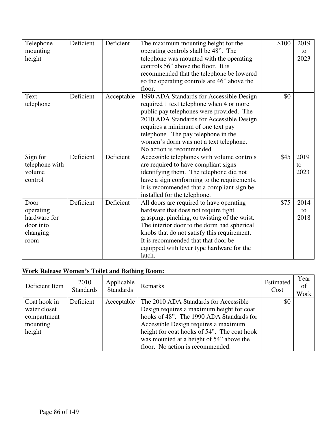| Telephone      | Deficient | Deficient  | The maximum mounting height for the           | \$100 | 2019 |
|----------------|-----------|------------|-----------------------------------------------|-------|------|
| mounting       |           |            | operating controls shall be 48". The          |       | to   |
| height         |           |            | telephone was mounted with the operating      |       | 2023 |
|                |           |            | controls 56" above the floor. It is           |       |      |
|                |           |            | recommended that the telephone be lowered     |       |      |
|                |           |            | so the operating controls are 46" above the   |       |      |
|                |           |            | floor.                                        |       |      |
| Text           | Deficient | Acceptable | 1990 ADA Standards for Accessible Design      | \$0   |      |
| telephone      |           |            | required 1 text telephone when 4 or more      |       |      |
|                |           |            | public pay telephones were provided. The      |       |      |
|                |           |            | 2010 ADA Standards for Accessible Design      |       |      |
|                |           |            | requires a minimum of one text pay            |       |      |
|                |           |            | telephone. The pay telephone in the           |       |      |
|                |           |            | women's dorm was not a text telephone.        |       |      |
|                |           |            | No action is recommended.                     |       |      |
| Sign for       | Deficient | Deficient  | Accessible telephones with volume controls    | \$45  | 2019 |
| telephone with |           |            | are required to have compliant signs          |       | to   |
| volume         |           |            | identifying them. The telephone did not       |       | 2023 |
| control        |           |            | have a sign conforming to the requirements.   |       |      |
|                |           |            | It is recommended that a compliant sign be    |       |      |
|                |           |            | installed for the telephone.                  |       |      |
| Door           | Deficient | Deficient  | All doors are required to have operating      | \$75  | 2014 |
| operating      |           |            | hardware that does not require tight          |       | to   |
| hardware for   |           |            | grasping, pinching, or twisting of the wrist. |       | 2018 |
| door into      |           |            | The interior door to the dorm had spherical   |       |      |
| changing       |           |            | knobs that do not satisfy this requirement.   |       |      |
| room           |           |            | It is recommended that that door be           |       |      |
|                |           |            | equipped with lever type hardware for the     |       |      |
|                |           |            | latch.                                        |       |      |

# **Work Release Women's Toilet and Bathing Room:**

| Deficient Item                                                    | 2010<br><b>Standards</b> | Applicable<br><b>Standards</b> | Remarks                                                                                                                                                                                                                                                                                               | Estimated<br>Cost | Year<br>of<br>Work |
|-------------------------------------------------------------------|--------------------------|--------------------------------|-------------------------------------------------------------------------------------------------------------------------------------------------------------------------------------------------------------------------------------------------------------------------------------------------------|-------------------|--------------------|
| Coat hook in<br>water closet<br>compartment<br>mounting<br>height | Deficient                | Acceptable                     | The 2010 ADA Standards for Accessible<br>Design requires a maximum height for coat<br>hooks of 48". The 1990 ADA Standards for<br>Accessible Design requires a maximum<br>height for coat hooks of 54". The coat hook<br>was mounted at a height of 54" above the<br>floor. No action is recommended. | \$0\$             |                    |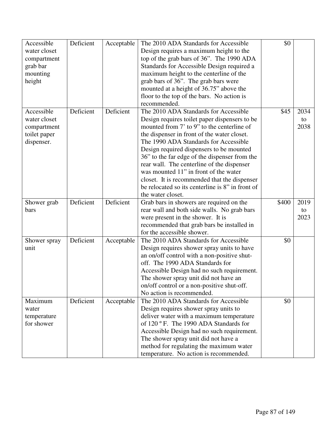| Accessible   | Deficient | Acceptable | The 2010 ADA Standards for Accessible                                          | \$0   |      |
|--------------|-----------|------------|--------------------------------------------------------------------------------|-------|------|
| water closet |           |            | Design requires a maximum height to the                                        |       |      |
| compartment  |           |            | top of the grab bars of 36". The 1990 ADA                                      |       |      |
| grab bar     |           |            | Standards for Accessible Design required a                                     |       |      |
| mounting     |           |            | maximum height to the centerline of the                                        |       |      |
| height       |           |            | grab bars of 36". The grab bars were                                           |       |      |
|              |           |            | mounted at a height of 36.75" above the                                        |       |      |
|              |           |            | floor to the top of the bars. No action is                                     |       |      |
|              |           |            | recommended.                                                                   |       |      |
| Accessible   | Deficient | Deficient  | The 2010 ADA Standards for Accessible                                          | \$45  | 2034 |
| water closet |           |            | Design requires toilet paper dispensers to be                                  |       | to   |
| compartment  |           |            | mounted from 7' to 9" to the centerline of                                     |       | 2038 |
| toilet paper |           |            | the dispenser in front of the water closet.                                    |       |      |
| dispenser.   |           |            | The 1990 ADA Standards for Accessible                                          |       |      |
|              |           |            | Design required dispensers to be mounted                                       |       |      |
|              |           |            | 36" to the far edge of the dispenser from the                                  |       |      |
|              |           |            | rear wall. The centerline of the dispenser                                     |       |      |
|              |           |            | was mounted 11" in front of the water                                          |       |      |
|              |           |            | closet. It is recommended that the dispenser                                   |       |      |
|              |           |            | be relocated so its centerline is 8" in front of                               |       |      |
|              |           |            | the water closet.                                                              |       |      |
| Shower grab  | Deficient | Deficient  | Grab bars in showers are required on the                                       | \$400 | 2019 |
| bars         |           |            | rear wall and both side walls. No grab bars                                    |       | to   |
|              |           |            | were present in the shower. It is                                              |       | 2023 |
|              |           |            | recommended that grab bars be installed in                                     |       |      |
|              |           |            | for the accessible shower.                                                     |       |      |
|              | Deficient |            | The 2010 ADA Standards for Accessible                                          | \$0   |      |
| Shower spray |           | Acceptable |                                                                                |       |      |
| unit         |           |            | Design requires shower spray units to have                                     |       |      |
|              |           |            | an on/off control with a non-positive shut-<br>off. The 1990 ADA Standards for |       |      |
|              |           |            |                                                                                |       |      |
|              |           |            | Accessible Design had no such requirement.                                     |       |      |
|              |           |            | The shower spray unit did not have an                                          |       |      |
|              |           |            | on/off control or a non-positive shut-off.                                     |       |      |
|              |           |            | No action is recommended.                                                      |       |      |
| Maximum      | Deficient | Acceptable | The 2010 ADA Standards for Accessible                                          | \$0   |      |
| water        |           |            | Design requires shower spray units to                                          |       |      |
| temperature  |           |            | deliver water with a maximum temperature                                       |       |      |
| for shower   |           |            | of 120 °F. The 1990 ADA Standards for                                          |       |      |
|              |           |            | Accessible Design had no such requirement.                                     |       |      |
|              |           |            | The shower spray unit did not have a                                           |       |      |
|              |           |            | method for regulating the maximum water                                        |       |      |
|              |           |            | temperature. No action is recommended.                                         |       |      |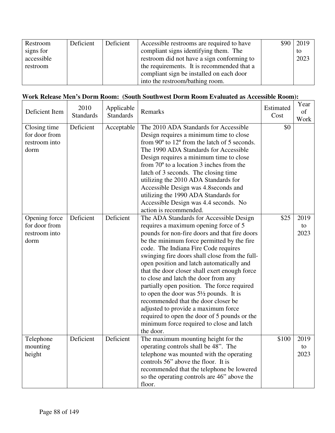| Restroom   | Deficient | Deficient | Accessible restrooms are required to have  | $$90 \mid 2019$ |
|------------|-----------|-----------|--------------------------------------------|-----------------|
| signs for  |           |           | compliant signs identifying them. The      | to              |
| accessible |           |           | restroom did not have a sign conforming to | 2023            |
| restroom   |           |           | the requirements. It is recommended that a |                 |
|            |           |           | compliant sign be installed on each door   |                 |
|            |           |           | into the restroom/bathing room.            |                 |

### **Work Release Men's Dorm Room: (South Southwest Dorm Room Evaluated as Accessible Room):**

| Deficient Item                                          | 2010<br><b>Standards</b> | Applicable<br><b>Standards</b> | Remarks                                                                                                                                                                                                                                                                                                                                                                                                                                                                                                                                                                                                                                                                                                     | Estimated<br>Cost | Year<br>of<br>Work |
|---------------------------------------------------------|--------------------------|--------------------------------|-------------------------------------------------------------------------------------------------------------------------------------------------------------------------------------------------------------------------------------------------------------------------------------------------------------------------------------------------------------------------------------------------------------------------------------------------------------------------------------------------------------------------------------------------------------------------------------------------------------------------------------------------------------------------------------------------------------|-------------------|--------------------|
| Closing time<br>for door from<br>restroom into<br>dorm  | Deficient                | Acceptable                     | The 2010 ADA Standards for Accessible<br>Design requires a minimum time to close<br>from $90^{\circ}$ to $12^{\circ}$ from the latch of 5 seconds.<br>The 1990 ADA Standards for Accessible<br>Design requires a minimum time to close<br>from $70^{\circ}$ to a location 3 inches from the<br>latch of 3 seconds. The closing time<br>utilizing the 2010 ADA Standards for<br>Accessible Design was 4.8 seconds and<br>utilizing the 1990 ADA Standards for<br>Accessible Design was 4.4 seconds. No<br>action is recommended.                                                                                                                                                                             | \$0               |                    |
| Opening force<br>for door from<br>restroom into<br>dorm | Deficient                | Deficient                      | The ADA Standards for Accessible Design<br>requires a maximum opening force of 5<br>pounds for non-fire doors and that fire doors<br>be the minimum force permitted by the fire<br>code. The Indiana Fire Code requires<br>swinging fire doors shall close from the full-<br>open position and latch automatically and<br>that the door closer shall exert enough force<br>to close and latch the door from any<br>partially open position. The force required<br>to open the door was $5\frac{1}{2}$ pounds. It is<br>recommended that the door closer be<br>adjusted to provide a maximum force<br>required to open the door of 5 pounds or the<br>minimum force required to close and latch<br>the door. | \$25              | 2019<br>to<br>2023 |
| Telephone<br>mounting<br>height                         | Deficient                | Deficient                      | The maximum mounting height for the<br>operating controls shall be 48". The<br>telephone was mounted with the operating<br>controls 56" above the floor. It is<br>recommended that the telephone be lowered<br>so the operating controls are 46" above the<br>floor.                                                                                                                                                                                                                                                                                                                                                                                                                                        | \$100             | 2019<br>to<br>2023 |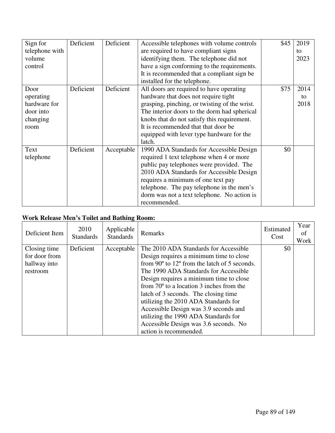| Sign for       | Deficient | Deficient  | Accessible telephones with volume controls    | \$45 | 2019 |
|----------------|-----------|------------|-----------------------------------------------|------|------|
| telephone with |           |            | are required to have compliant signs          |      | to   |
| volume         |           |            | identifying them. The telephone did not       |      | 2023 |
| control        |           |            | have a sign conforming to the requirements.   |      |      |
|                |           |            | It is recommended that a compliant sign be    |      |      |
|                |           |            | installed for the telephone.                  |      |      |
| Door           | Deficient | Deficient  | All doors are required to have operating      | \$75 | 2014 |
| operating      |           |            | hardware that does not require tight          |      | to   |
| hardware for   |           |            | grasping, pinching, or twisting of the wrist. |      | 2018 |
| door into      |           |            | The interior doors to the dorm had spherical  |      |      |
| changing       |           |            | knobs that do not satisfy this requirement.   |      |      |
| room           |           |            | It is recommended that that door be           |      |      |
|                |           |            | equipped with lever type hardware for the     |      |      |
|                |           |            | latch.                                        |      |      |
| Text           | Deficient | Acceptable | 1990 ADA Standards for Accessible Design      | \$0  |      |
| telephone      |           |            | required 1 text telephone when 4 or more      |      |      |
|                |           |            | public pay telephones were provided. The      |      |      |
|                |           |            | 2010 ADA Standards for Accessible Design      |      |      |
|                |           |            | requires a minimum of one text pay            |      |      |
|                |           |            | telephone. The pay telephone in the men's     |      |      |
|                |           |            | dorm was not a text telephone. No action is   |      |      |
|                |           |            | recommended.                                  |      |      |

# **Work Release Men's Toilet and Bathing Room:**

| Deficient Item | 2010<br><b>Standards</b> | Applicable<br><b>Standards</b> | Remarks                                                        | Estimated<br>Cost | Year<br>οf<br>Work |
|----------------|--------------------------|--------------------------------|----------------------------------------------------------------|-------------------|--------------------|
| Closing time   | Deficient                | Acceptable                     | The 2010 ADA Standards for Accessible                          | \$0               |                    |
| for door from  |                          |                                | Design requires a minimum time to close                        |                   |                    |
| hallway into   |                          |                                | from 90 $\degree$ to 12 $\degree$ from the latch of 5 seconds. |                   |                    |
| restroom       |                          |                                | The 1990 ADA Standards for Accessible                          |                   |                    |
|                |                          |                                | Design requires a minimum time to close                        |                   |                    |
|                |                          |                                | from $70^{\circ}$ to a location 3 inches from the              |                   |                    |
|                |                          |                                | latch of 3 seconds. The closing time                           |                   |                    |
|                |                          |                                | utilizing the 2010 ADA Standards for                           |                   |                    |
|                |                          |                                | Accessible Design was 3.9 seconds and                          |                   |                    |
|                |                          |                                | utilizing the 1990 ADA Standards for                           |                   |                    |
|                |                          |                                | Accessible Design was 3.6 seconds. No                          |                   |                    |
|                |                          |                                | action is recommended.                                         |                   |                    |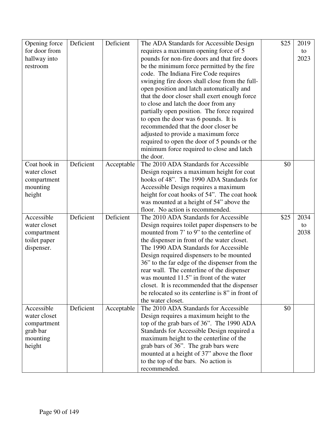| Opening force | Deficient | Deficient  | The ADA Standards for Accessible Design          | \$25 | 2019 |
|---------------|-----------|------------|--------------------------------------------------|------|------|
| for door from |           |            | requires a maximum opening force of 5            |      | to   |
| hallway into  |           |            | pounds for non-fire doors and that fire doors    |      | 2023 |
| restroom      |           |            | be the minimum force permitted by the fire       |      |      |
|               |           |            | code. The Indiana Fire Code requires             |      |      |
|               |           |            | swinging fire doors shall close from the full-   |      |      |
|               |           |            | open position and latch automatically and        |      |      |
|               |           |            | that the door closer shall exert enough force    |      |      |
|               |           |            | to close and latch the door from any             |      |      |
|               |           |            | partially open position. The force required      |      |      |
|               |           |            | to open the door was 6 pounds. It is             |      |      |
|               |           |            | recommended that the door closer be              |      |      |
|               |           |            | adjusted to provide a maximum force              |      |      |
|               |           |            | required to open the door of 5 pounds or the     |      |      |
|               |           |            | minimum force required to close and latch        |      |      |
|               |           |            | the door.                                        |      |      |
| Coat hook in  | Deficient | Acceptable | The 2010 ADA Standards for Accessible            | \$0  |      |
| water closet  |           |            | Design requires a maximum height for coat        |      |      |
| compartment   |           |            | hooks of 48". The 1990 ADA Standards for         |      |      |
| mounting      |           |            | Accessible Design requires a maximum             |      |      |
| height        |           |            | height for coat hooks of 54". The coat hook      |      |      |
|               |           |            | was mounted at a height of 54" above the         |      |      |
|               |           |            | floor. No action is recommended.                 |      |      |
| Accessible    | Deficient | Deficient  | The 2010 ADA Standards for Accessible            | \$25 | 2034 |
| water closet  |           |            | Design requires toilet paper dispensers to be    |      | to   |
| compartment   |           |            | mounted from 7' to 9" to the centerline of       |      | 2038 |
| toilet paper  |           |            | the dispenser in front of the water closet.      |      |      |
| dispenser.    |           |            | The 1990 ADA Standards for Accessible            |      |      |
|               |           |            | Design required dispensers to be mounted         |      |      |
|               |           |            | 36" to the far edge of the dispenser from the    |      |      |
|               |           |            | rear wall. The centerline of the dispenser       |      |      |
|               |           |            | was mounted 11.5" in front of the water          |      |      |
|               |           |            | closet. It is recommended that the dispenser     |      |      |
|               |           |            | be relocated so its centerline is 8" in front of |      |      |
|               |           |            | the water closet.                                |      |      |
| Accessible    | Deficient | Acceptable | The 2010 ADA Standards for Accessible            | \$0  |      |
| water closet  |           |            | Design requires a maximum height to the          |      |      |
| compartment   |           |            | top of the grab bars of 36". The 1990 ADA        |      |      |
| grab bar      |           |            | Standards for Accessible Design required a       |      |      |
| mounting      |           |            | maximum height to the centerline of the          |      |      |
| height        |           |            | grab bars of 36". The grab bars were             |      |      |
|               |           |            | mounted at a height of 37" above the floor       |      |      |
|               |           |            | to the top of the bars. No action is             |      |      |
|               |           |            | recommended.                                     |      |      |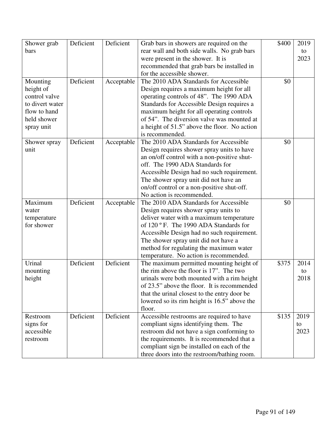| Shower grab     | Deficient | Deficient  | Grab bars in showers are required on the     | \$400 | 2019 |
|-----------------|-----------|------------|----------------------------------------------|-------|------|
| bars            |           |            | rear wall and both side walls. No grab bars  |       | to   |
|                 |           |            | were present in the shower. It is            |       | 2023 |
|                 |           |            | recommended that grab bars be installed in   |       |      |
|                 |           |            | for the accessible shower.                   |       |      |
| Mounting        | Deficient | Acceptable | The 2010 ADA Standards for Accessible        | \$0   |      |
| height of       |           |            | Design requires a maximum height for all     |       |      |
| control valve   |           |            | operating controls of 48". The 1990 ADA      |       |      |
| to divert water |           |            | Standards for Accessible Design requires a   |       |      |
| flow to hand    |           |            | maximum height for all operating controls    |       |      |
| held shower     |           |            | of 54". The diversion valve was mounted at   |       |      |
| spray unit      |           |            | a height of 51.5" above the floor. No action |       |      |
|                 |           |            | is recommended.                              |       |      |
| Shower spray    | Deficient | Acceptable | The 2010 ADA Standards for Accessible        | \$0   |      |
| unit            |           |            | Design requires shower spray units to have   |       |      |
|                 |           |            | an on/off control with a non-positive shut-  |       |      |
|                 |           |            | off. The 1990 ADA Standards for              |       |      |
|                 |           |            | Accessible Design had no such requirement.   |       |      |
|                 |           |            | The shower spray unit did not have an        |       |      |
|                 |           |            | on/off control or a non-positive shut-off.   |       |      |
|                 |           |            | No action is recommended.                    |       |      |
| Maximum         | Deficient | Acceptable | The 2010 ADA Standards for Accessible        | \$0   |      |
| water           |           |            | Design requires shower spray units to        |       |      |
| temperature     |           |            | deliver water with a maximum temperature     |       |      |
| for shower      |           |            | of 120 ° F. The 1990 ADA Standards for       |       |      |
|                 |           |            |                                              |       |      |
|                 |           |            | Accessible Design had no such requirement.   |       |      |
|                 |           |            | The shower spray unit did not have a         |       |      |
|                 |           |            | method for regulating the maximum water      |       |      |
|                 |           |            | temperature. No action is recommended.       |       |      |
| Urinal          | Deficient | Deficient  | The maximum permitted mounting height of     | \$375 | 2014 |
| mounting        |           |            | the rim above the floor is 17". The two      |       | to   |
| height          |           |            | urinals were both mounted with a rim height  |       | 2018 |
|                 |           |            | of 23.5" above the floor. It is recommended  |       |      |
|                 |           |            | that the urinal closest to the entry door be |       |      |
|                 |           |            | lowered so its rim height is 16.5" above the |       |      |
|                 |           |            | floor.                                       |       |      |
| Restroom        | Deficient | Deficient  | Accessible restrooms are required to have    | \$135 | 2019 |
| signs for       |           |            | compliant signs identifying them. The        |       | to   |
| accessible      |           |            | restroom did not have a sign conforming to   |       | 2023 |
| restroom        |           |            | the requirements. It is recommended that a   |       |      |
|                 |           |            | compliant sign be installed on each of the   |       |      |
|                 |           |            | three doors into the restroom/bathing room.  |       |      |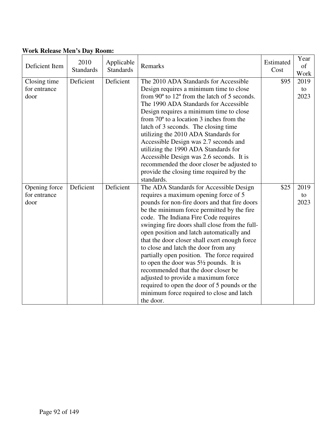| Deficient Item                        | 2010<br><b>Standards</b> | Applicable<br><b>Standards</b> | Remarks                                                                                                                                                                                                                                                                                                                                                                                                                                                                                                                                                                                                                                                                                                     | Estimated<br>Cost | Year<br>of<br>Work |
|---------------------------------------|--------------------------|--------------------------------|-------------------------------------------------------------------------------------------------------------------------------------------------------------------------------------------------------------------------------------------------------------------------------------------------------------------------------------------------------------------------------------------------------------------------------------------------------------------------------------------------------------------------------------------------------------------------------------------------------------------------------------------------------------------------------------------------------------|-------------------|--------------------|
| Closing time<br>for entrance<br>door  | Deficient                | Deficient                      | The 2010 ADA Standards for Accessible<br>Design requires a minimum time to close<br>from 90° to 12° from the latch of 5 seconds.<br>The 1990 ADA Standards for Accessible<br>Design requires a minimum time to close<br>from $70^{\circ}$ to a location 3 inches from the<br>latch of 3 seconds. The closing time<br>utilizing the 2010 ADA Standards for<br>Accessible Design was 2.7 seconds and<br>utilizing the 1990 ADA Standards for<br>Accessible Design was 2.6 seconds. It is<br>recommended the door closer be adjusted to<br>provide the closing time required by the<br>standards.                                                                                                              | \$95              | 2019<br>to<br>2023 |
| Opening force<br>for entrance<br>door | Deficient                | Deficient                      | The ADA Standards for Accessible Design<br>requires a maximum opening force of 5<br>pounds for non-fire doors and that fire doors<br>be the minimum force permitted by the fire<br>code. The Indiana Fire Code requires<br>swinging fire doors shall close from the full-<br>open position and latch automatically and<br>that the door closer shall exert enough force<br>to close and latch the door from any<br>partially open position. The force required<br>to open the door was $5\frac{1}{2}$ pounds. It is<br>recommended that the door closer be<br>adjusted to provide a maximum force<br>required to open the door of 5 pounds or the<br>minimum force required to close and latch<br>the door. | \$25              | 2019<br>to<br>2023 |

### **Work Release Men's Day Room:**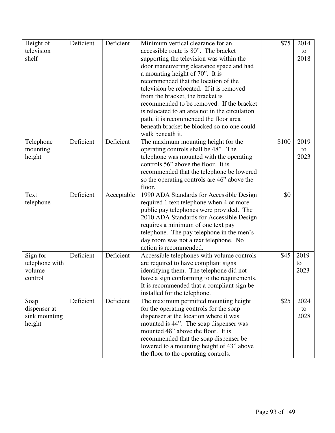| Height of      | Deficient | Deficient  | Minimum vertical clearance for an              | \$75  | 2014 |
|----------------|-----------|------------|------------------------------------------------|-------|------|
| television     |           |            | accessible route is 80". The bracket           |       | to   |
| shelf          |           |            | supporting the television was within the       |       | 2018 |
|                |           |            | door maneuvering clearance space and had       |       |      |
|                |           |            | a mounting height of 70". It is                |       |      |
|                |           |            | recommended that the location of the           |       |      |
|                |           |            | television be relocated. If it is removed      |       |      |
|                |           |            | from the bracket, the bracket is               |       |      |
|                |           |            | recommended to be removed. If the bracket      |       |      |
|                |           |            | is relocated to an area not in the circulation |       |      |
|                |           |            | path, it is recommended the floor area         |       |      |
|                |           |            | beneath bracket be blocked so no one could     |       |      |
|                |           |            |                                                |       |      |
|                |           |            | walk beneath it.                               |       |      |
| Telephone      | Deficient | Deficient  | The maximum mounting height for the            | \$100 | 2019 |
| mounting       |           |            | operating controls shall be 48". The           |       | to   |
| height         |           |            | telephone was mounted with the operating       |       | 2023 |
|                |           |            | controls 56" above the floor. It is            |       |      |
|                |           |            | recommended that the telephone be lowered      |       |      |
|                |           |            | so the operating controls are 46" above the    |       |      |
|                |           |            | floor.                                         |       |      |
| Text           | Deficient | Acceptable | 1990 ADA Standards for Accessible Design       | \$0   |      |
| telephone      |           |            | required 1 text telephone when 4 or more       |       |      |
|                |           |            | public pay telephones were provided. The       |       |      |
|                |           |            | 2010 ADA Standards for Accessible Design       |       |      |
|                |           |            | requires a minimum of one text pay             |       |      |
|                |           |            | telephone. The pay telephone in the men's      |       |      |
|                |           |            | day room was not a text telephone. No          |       |      |
|                |           |            | action is recommended.                         |       |      |
| Sign for       | Deficient | Deficient  | Accessible telephones with volume controls     | \$45  | 2019 |
| telephone with |           |            | are required to have compliant signs           |       | to   |
| volume         |           |            | identifying them. The telephone did not        |       | 2023 |
| control        |           |            | have a sign conforming to the requirements.    |       |      |
|                |           |            | It is recommended that a compliant sign be     |       |      |
|                |           |            | installed for the telephone.                   |       |      |
| Soap           | Deficient | Deficient  | The maximum permitted mounting height          | \$25  | 2024 |
| dispenser at   |           |            | for the operating controls for the soap        |       | to   |
| sink mounting  |           |            | dispenser at the location where it was         |       | 2028 |
| height         |           |            | mounted is 44". The soap dispenser was         |       |      |
|                |           |            | mounted 48" above the floor. It is             |       |      |
|                |           |            | recommended that the soap dispenser be         |       |      |
|                |           |            | lowered to a mounting height of 43" above      |       |      |
|                |           |            | the floor to the operating controls.           |       |      |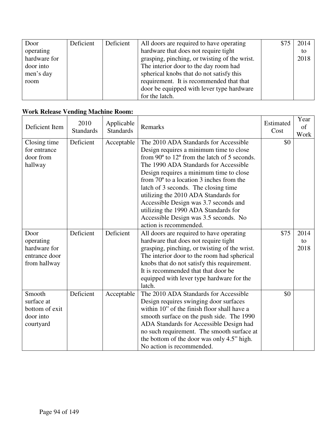| Door         | Deficient | Deficient | All doors are required to have operating      | 2014 |
|--------------|-----------|-----------|-----------------------------------------------|------|
| operating    |           |           | hardware that does not require tight          | to   |
| hardware for |           |           | grasping, pinching, or twisting of the wrist. | 2018 |
| door into    |           |           | The interior door to the day room had         |      |
| men's day    |           |           | spherical knobs that do not satisfy this      |      |
| room         |           |           | requirement. It is recommended that that      |      |
|              |           |           | door be equipped with lever type hardware     |      |
|              |           |           | for the latch.                                |      |

### **Work Release Vending Machine Room:**

| Deficient Item                                                     | 2010<br><b>Standards</b> | Applicable<br><b>Standards</b> | Remarks                                                                                                                                                                                                                                                                                                                                                                                                                                                                                                       | Estimated<br>Cost | Year<br>of<br>Work |
|--------------------------------------------------------------------|--------------------------|--------------------------------|---------------------------------------------------------------------------------------------------------------------------------------------------------------------------------------------------------------------------------------------------------------------------------------------------------------------------------------------------------------------------------------------------------------------------------------------------------------------------------------------------------------|-------------------|--------------------|
| Closing time<br>for entrance<br>door from<br>hallway               | Deficient                | Acceptable                     | The 2010 ADA Standards for Accessible<br>Design requires a minimum time to close<br>from 90° to 12° from the latch of 5 seconds.<br>The 1990 ADA Standards for Accessible<br>Design requires a minimum time to close<br>from $70^{\circ}$ to a location 3 inches from the<br>latch of 3 seconds. The closing time<br>utilizing the 2010 ADA Standards for<br>Accessible Design was 3.7 seconds and<br>utilizing the 1990 ADA Standards for<br>Accessible Design was 3.5 seconds. No<br>action is recommended. | \$0               |                    |
| Door<br>operating<br>hardware for<br>entrance door<br>from hallway | Deficient                | Deficient                      | All doors are required to have operating<br>hardware that does not require tight<br>grasping, pinching, or twisting of the wrist.<br>The interior door to the room had spherical<br>knobs that do not satisfy this requirement.<br>It is recommended that that door be<br>equipped with lever type hardware for the<br>latch.                                                                                                                                                                                 | \$75              | 2014<br>to<br>2018 |
| Smooth<br>surface at<br>bottom of exit<br>door into<br>courtyard   | Deficient                | Acceptable                     | The 2010 ADA Standards for Accessible<br>Design requires swinging door surfaces<br>within 10" of the finish floor shall have a<br>smooth surface on the push side. The 1990<br>ADA Standards for Accessible Design had<br>no such requirement. The smooth surface at<br>the bottom of the door was only 4.5" high.<br>No action is recommended.                                                                                                                                                               | \$0               |                    |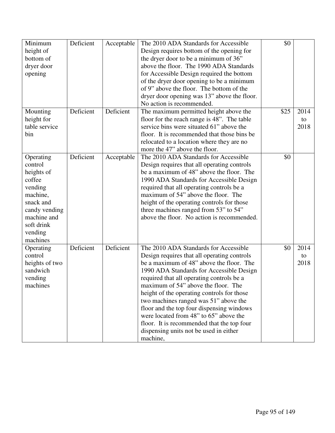| Minimum        | Deficient | Acceptable | The 2010 ADA Standards for Accessible       | \$0  |      |
|----------------|-----------|------------|---------------------------------------------|------|------|
| height of      |           |            | Design requires bottom of the opening for   |      |      |
| bottom of      |           |            | the dryer door to be a minimum of 36"       |      |      |
| dryer door     |           |            | above the floor. The 1990 ADA Standards     |      |      |
| opening        |           |            | for Accessible Design required the bottom   |      |      |
|                |           |            | of the dryer door opening to be a minimum   |      |      |
|                |           |            | of 9" above the floor. The bottom of the    |      |      |
|                |           |            | dryer door opening was 13" above the floor. |      |      |
|                |           |            | No action is recommended.                   |      |      |
| Mounting       | Deficient | Deficient  | The maximum permitted height above the      | \$25 | 2014 |
| height for     |           |            | floor for the reach range is 48". The table |      | to   |
| table service  |           |            | service bins were situated 61" above the    |      | 2018 |
| bin            |           |            | floor. It is recommended that those bins be |      |      |
|                |           |            | relocated to a location where they are no   |      |      |
|                |           |            | more the 47" above the floor.               |      |      |
| Operating      | Deficient | Acceptable | The 2010 ADA Standards for Accessible       | \$0  |      |
| control        |           |            | Design requires that all operating controls |      |      |
| heights of     |           |            | be a maximum of 48" above the floor. The    |      |      |
| coffee         |           |            | 1990 ADA Standards for Accessible Design    |      |      |
| vending        |           |            | required that all operating controls be a   |      |      |
| machine,       |           |            | maximum of 54" above the floor. The         |      |      |
| snack and      |           |            | height of the operating controls for those  |      |      |
| candy vending  |           |            | three machines ranged from 53" to 54"       |      |      |
| machine and    |           |            | above the floor. No action is recommended.  |      |      |
|                |           |            |                                             |      |      |
| soft drink     |           |            |                                             |      |      |
| vending        |           |            |                                             |      |      |
| machines       |           |            |                                             |      |      |
| Operating      | Deficient | Deficient  | The 2010 ADA Standards for Accessible       | \$0  | 2014 |
| control        |           |            | Design requires that all operating controls |      | to   |
| heights of two |           |            | be a maximum of 48" above the floor. The    |      | 2018 |
| sandwich       |           |            | 1990 ADA Standards for Accessible Design    |      |      |
| vending        |           |            | required that all operating controls be a   |      |      |
| machines       |           |            | maximum of 54" above the floor. The         |      |      |
|                |           |            | height of the operating controls for those  |      |      |
|                |           |            | two machines ranged was 51" above the       |      |      |
|                |           |            | floor and the top four dispensing windows   |      |      |
|                |           |            | were located from 48" to 65" above the      |      |      |
|                |           |            | floor. It is recommended that the top four  |      |      |
|                |           |            | dispensing units not be used in either      |      |      |
|                |           |            | machine,                                    |      |      |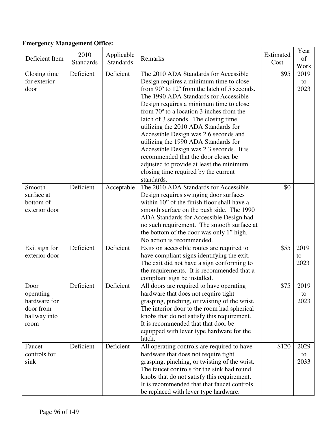# **Emergency Management Office:**

| Deficient Item                                                         | 2010<br><b>Standards</b> | Applicable<br><b>Standards</b> | Remarks                                                                                                                                                                                                                                                                                                                                                                                                                                                                                                                                                                                                                                           | Estimated<br>Cost | Year<br>of<br>Work |
|------------------------------------------------------------------------|--------------------------|--------------------------------|---------------------------------------------------------------------------------------------------------------------------------------------------------------------------------------------------------------------------------------------------------------------------------------------------------------------------------------------------------------------------------------------------------------------------------------------------------------------------------------------------------------------------------------------------------------------------------------------------------------------------------------------------|-------------------|--------------------|
| Closing time<br>for exterior<br>door                                   | Deficient                | Deficient                      | The 2010 ADA Standards for Accessible<br>Design requires a minimum time to close<br>from $90^{\circ}$ to $12^{\circ}$ from the latch of 5 seconds.<br>The 1990 ADA Standards for Accessible<br>Design requires a minimum time to close<br>from $70^{\circ}$ to a location 3 inches from the<br>latch of 3 seconds. The closing time<br>utilizing the 2010 ADA Standards for<br>Accessible Design was 2.6 seconds and<br>utilizing the 1990 ADA Standards for<br>Accessible Design was 2.3 seconds. It is<br>recommended that the door closer be<br>adjusted to provide at least the minimum<br>closing time required by the current<br>standards. | \$95              | 2019<br>to<br>2023 |
| Smooth<br>surface at<br>bottom of<br>exterior door                     | Deficient                | Acceptable                     | The 2010 ADA Standards for Accessible<br>Design requires swinging door surfaces<br>within 10" of the finish floor shall have a<br>smooth surface on the push side. The 1990<br>ADA Standards for Accessible Design had<br>no such requirement. The smooth surface at<br>the bottom of the door was only 1" high.<br>No action is recommended.                                                                                                                                                                                                                                                                                                     | \$0               |                    |
| Exit sign for<br>exterior door                                         | Deficient                | Deficient                      | Exits on accessible routes are required to<br>have compliant signs identifying the exit.<br>The exit did not have a sign conforming to<br>the requirements. It is recommended that a<br>compliant sign be installed.                                                                                                                                                                                                                                                                                                                                                                                                                              | \$55              | 2019<br>to<br>2023 |
| Door<br>operating<br>hardware for<br>door from<br>hallway into<br>room | Deficient                | Deficient                      | All doors are required to have operating<br>hardware that does not require tight<br>grasping, pinching, or twisting of the wrist.<br>The interior door to the room had spherical<br>knobs that do not satisfy this requirement.<br>It is recommended that that door be<br>equipped with lever type hardware for the<br>latch.                                                                                                                                                                                                                                                                                                                     | \$75              | 2019<br>to<br>2023 |
| Faucet<br>controls for<br>sink                                         | Deficient                | Deficient                      | All operating controls are required to have<br>hardware that does not require tight<br>grasping, pinching, or twisting of the wrist.<br>The faucet controls for the sink had round<br>knobs that do not satisfy this requirement.<br>It is recommended that that faucet controls<br>be replaced with lever type hardware.                                                                                                                                                                                                                                                                                                                         | \$120             | 2029<br>to<br>2033 |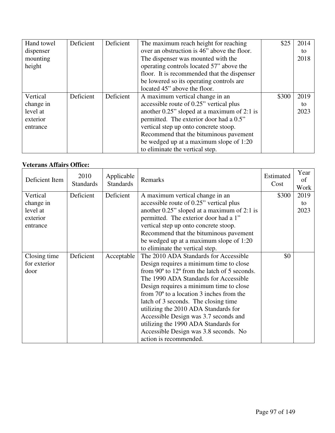| Hand towel | Deficient | Deficient | The maximum reach height for reaching          | \$25  | 2014 |
|------------|-----------|-----------|------------------------------------------------|-------|------|
| dispenser  |           |           | over an obstruction is 46" above the floor.    |       | to   |
| mounting   |           |           | The dispenser was mounted with the             |       | 2018 |
| height     |           |           | operating controls located 57" above the       |       |      |
|            |           |           | floor. It is recommended that the dispenser    |       |      |
|            |           |           | be lowered so its operating controls are       |       |      |
|            |           |           | located 45" above the floor.                   |       |      |
| Vertical   | Deficient | Deficient | A maximum vertical change in an                | \$300 | 2019 |
| change in  |           |           | accessible route of 0.25" vertical plus        |       | to   |
| level at   |           |           | another $0.25$ " sloped at a maximum of 2:1 is |       | 2023 |
| exterior   |           |           | permitted. The exterior door had a 0.5"        |       |      |
| entrance   |           |           | vertical step up onto concrete stoop.          |       |      |
|            |           |           | Recommend that the bituminous pavement         |       |      |
|            |           |           | be wedged up at a maximum slope of 1:20        |       |      |
|            |           |           | to eliminate the vertical step.                |       |      |

### **Veterans Affairs Office:**

| Deficient Item | 2010<br><b>Standards</b> | Applicable<br><b>Standards</b> | Remarks                                                        | Estimated<br>Cost | Year<br>of<br>Work |
|----------------|--------------------------|--------------------------------|----------------------------------------------------------------|-------------------|--------------------|
| Vertical       | Deficient                | Deficient                      | A maximum vertical change in an                                | \$300             | 2019               |
| change in      |                          |                                | accessible route of 0.25" vertical plus                        |                   | to                 |
| level at       |                          |                                | another 0.25" sloped at a maximum of 2:1 is                    |                   | 2023               |
| exterior       |                          |                                | permitted. The exterior door had a 1"                          |                   |                    |
| entrance       |                          |                                | vertical step up onto concrete stoop.                          |                   |                    |
|                |                          |                                | Recommend that the bituminous pavement                         |                   |                    |
|                |                          |                                | be wedged up at a maximum slope of 1:20                        |                   |                    |
|                |                          |                                | to eliminate the vertical step.                                |                   |                    |
| Closing time   | Deficient                | Acceptable                     | The 2010 ADA Standards for Accessible                          | \$0               |                    |
| for exterior   |                          |                                | Design requires a minimum time to close                        |                   |                    |
| door           |                          |                                | from $90^{\circ}$ to $12^{\circ}$ from the latch of 5 seconds. |                   |                    |
|                |                          |                                | The 1990 ADA Standards for Accessible                          |                   |                    |
|                |                          |                                | Design requires a minimum time to close                        |                   |                    |
|                |                          |                                | from $70^{\circ}$ to a location 3 inches from the              |                   |                    |
|                |                          |                                | latch of 3 seconds. The closing time                           |                   |                    |
|                |                          |                                | utilizing the 2010 ADA Standards for                           |                   |                    |
|                |                          |                                | Accessible Design was 3.7 seconds and                          |                   |                    |
|                |                          |                                | utilizing the 1990 ADA Standards for                           |                   |                    |
|                |                          |                                | Accessible Design was 3.8 seconds. No                          |                   |                    |
|                |                          |                                | action is recommended.                                         |                   |                    |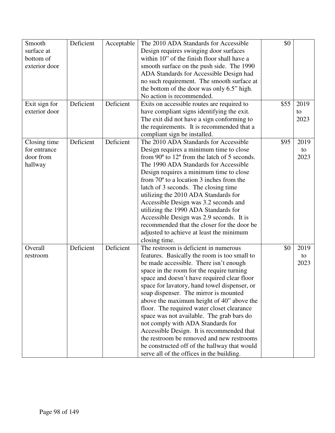| Smooth<br>Deficient<br>The 2010 ADA Standards for Accessible<br>\$0<br>Acceptable             |      |
|-----------------------------------------------------------------------------------------------|------|
| surface at<br>Design requires swinging door surfaces                                          |      |
| within 10" of the finish floor shall have a<br>bottom of                                      |      |
| exterior door<br>smooth surface on the push side. The 1990                                    |      |
| ADA Standards for Accessible Design had                                                       |      |
| no such requirement. The smooth surface at                                                    |      |
| the bottom of the door was only 6.5" high.                                                    |      |
| No action is recommended.                                                                     |      |
| Deficient<br>Exit sign for<br>Deficient<br>\$55<br>Exits on accessible routes are required to | 2019 |
| exterior door<br>have compliant signs identifying the exit.<br>to                             |      |
| The exit did not have a sign conforming to                                                    | 2023 |
| the requirements. It is recommended that a                                                    |      |
| compliant sign be installed.                                                                  |      |
| Deficient<br>Deficient<br>The 2010 ADA Standards for Accessible<br>Closing time<br>\$95       | 2019 |
| Design requires a minimum time to close<br>for entrance                                       | to   |
| door from<br>from $90^{\circ}$ to $12^{\circ}$ from the latch of 5 seconds.                   | 2023 |
| The 1990 ADA Standards for Accessible<br>hallway                                              |      |
| Design requires a minimum time to close                                                       |      |
| from $70^{\circ}$ to a location 3 inches from the                                             |      |
| latch of 3 seconds. The closing time                                                          |      |
| utilizing the 2010 ADA Standards for                                                          |      |
| Accessible Design was 3.2 seconds and                                                         |      |
| utilizing the 1990 ADA Standards for                                                          |      |
| Accessible Design was 2.9 seconds. It is                                                      |      |
| recommended that the closer for the door be                                                   |      |
| adjusted to achieve at least the minimum                                                      |      |
| closing time.                                                                                 |      |
| Deficient<br>The restroom is deficient in numerous<br>Deficient<br>Overall<br>\$0             | 2019 |
| features. Basically the room is too small to<br>restroom                                      | to   |
| be made accessible. There isn't enough                                                        | 2023 |
| space in the room for the require turning                                                     |      |
| space and doesn't have required clear floor                                                   |      |
| space for lavatory, hand towel dispenser, or                                                  |      |
| soap dispenser. The mirror is mounted                                                         |      |
| above the maximum height of 40" above the                                                     |      |
| floor. The required water closet clearance                                                    |      |
| space was not available. The grab bars do                                                     |      |
| not comply with ADA Standards for                                                             |      |
| Accessible Design. It is recommended that                                                     |      |
| the restroom be removed and new restrooms                                                     |      |
| be constructed off of the hallway that would                                                  |      |
| serve all of the offices in the building.                                                     |      |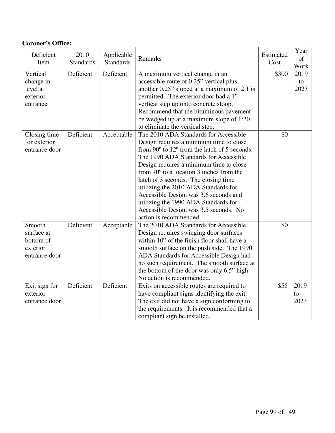| <b>Coroner's Office:</b>                                       |                          |                                |                                                                                                                                                                                                                                                                                                                                                                                                                                                                                                               |                   |                    |
|----------------------------------------------------------------|--------------------------|--------------------------------|---------------------------------------------------------------------------------------------------------------------------------------------------------------------------------------------------------------------------------------------------------------------------------------------------------------------------------------------------------------------------------------------------------------------------------------------------------------------------------------------------------------|-------------------|--------------------|
| Deficient<br>Item                                              | 2010<br><b>Standards</b> | Applicable<br><b>Standards</b> | Remarks                                                                                                                                                                                                                                                                                                                                                                                                                                                                                                       | Estimated<br>Cost | Year<br>of<br>Work |
| Vertical<br>change in<br>level at<br>exterior<br>entrance      | Deficient                | Deficient                      | A maximum vertical change in an<br>accessible route of 0.25" vertical plus<br>another $0.25$ " sloped at a maximum of 2:1 is<br>permitted. The exterior door had a 1"<br>vertical step up onto concrete stoop.<br>Recommend that the bituminous pavement<br>be wedged up at a maximum slope of 1:20<br>to eliminate the vertical step.                                                                                                                                                                        | \$300             | 2019<br>to<br>2023 |
| Closing time<br>for exterior<br>entrance door                  | Deficient                | Acceptable                     | The 2010 ADA Standards for Accessible<br>Design requires a minimum time to close<br>from 90° to 12° from the latch of 5 seconds.<br>The 1990 ADA Standards for Accessible<br>Design requires a minimum time to close<br>from $70^{\circ}$ to a location 3 inches from the<br>latch of 3 seconds. The closing time<br>utilizing the 2010 ADA Standards for<br>Accessible Design was 3.6 seconds and<br>utilizing the 1990 ADA Standards for<br>Accessible Design was 3.5 seconds. No<br>action is recommended. | \$0               |                    |
| Smooth<br>surface at<br>bottom of<br>exterior<br>entrance door | Deficient                | Acceptable                     | The 2010 ADA Standards for Accessible<br>Design requires swinging door surfaces<br>within 10" of the finish floor shall have a<br>smooth surface on the push side. The 1990<br>ADA Standards for Accessible Design had<br>no such requirement. The smooth surface at<br>the bottom of the door was only 6.5" high.<br>No action is recommended.                                                                                                                                                               | \$0               |                    |
| Exit sign for<br>exterior<br>entrance door                     | Deficient                | Deficient                      | Exits on accessible routes are required to<br>have compliant signs identifying the exit.<br>The exit did not have a sign conforming to<br>the requirements. It is recommended that a<br>compliant sign be installed.                                                                                                                                                                                                                                                                                          | \$55              | 2019<br>to<br>2023 |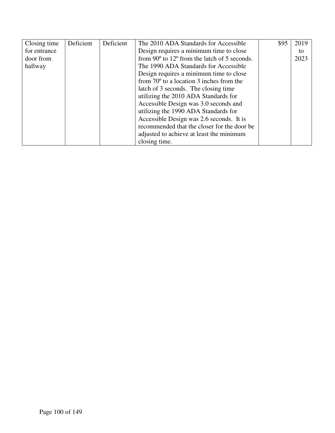| Closing time | Deficient | Deficient | The 2010 ADA Standards for Accessible                          | \$95 | 2019 |
|--------------|-----------|-----------|----------------------------------------------------------------|------|------|
| for entrance |           |           | Design requires a minimum time to close                        |      | to   |
| door from    |           |           | from $90^{\circ}$ to $12^{\circ}$ from the latch of 5 seconds. |      | 2023 |
| hallway      |           |           | The 1990 ADA Standards for Accessible                          |      |      |
|              |           |           | Design requires a minimum time to close                        |      |      |
|              |           |           | from $70^{\circ}$ to a location 3 inches from the              |      |      |
|              |           |           | latch of 3 seconds. The closing time                           |      |      |
|              |           |           | utilizing the 2010 ADA Standards for                           |      |      |
|              |           |           | Accessible Design was 3.0 seconds and                          |      |      |
|              |           |           | utilizing the 1990 ADA Standards for                           |      |      |
|              |           |           | Accessible Design was 2.6 seconds. It is                       |      |      |
|              |           |           | recommended that the closer for the door be                    |      |      |
|              |           |           | adjusted to achieve at least the minimum                       |      |      |
|              |           |           | closing time.                                                  |      |      |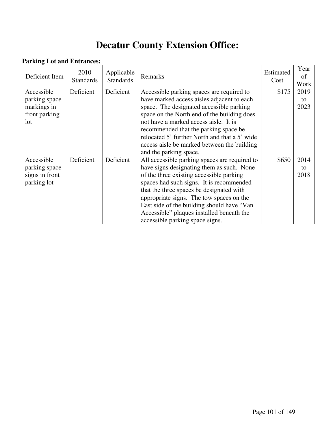# **Decatur County Extension Office:**

### **Parking Lot and Entrances:**

| Deficient Item | 2010<br><b>Standards</b> | Applicable<br><b>Standards</b> | Remarks                                       | Estimated<br>Cost | Year<br>of<br>Work |
|----------------|--------------------------|--------------------------------|-----------------------------------------------|-------------------|--------------------|
| Accessible     | Deficient                | Deficient                      | Accessible parking spaces are required to     | \$175             | 2019               |
| parking space  |                          |                                | have marked access aisles adjacent to each    |                   | to                 |
| markings in    |                          |                                | space. The designated accessible parking      |                   | 2023               |
| front parking  |                          |                                | space on the North end of the building does   |                   |                    |
| lot            |                          |                                | not have a marked access aisle. It is         |                   |                    |
|                |                          |                                | recommended that the parking space be         |                   |                    |
|                |                          |                                | relocated 5' further North and that a 5' wide |                   |                    |
|                |                          |                                | access aisle be marked between the building   |                   |                    |
|                |                          |                                | and the parking space.                        |                   |                    |
| Accessible     | Deficient                | Deficient                      | All accessible parking spaces are required to | \$650             | 2014               |
| parking space  |                          |                                | have signs designating them as such. None     |                   | to                 |
| signs in front |                          |                                | of the three existing accessible parking      |                   | 2018               |
| parking lot    |                          |                                | spaces had such signs. It is recommended      |                   |                    |
|                |                          |                                | that the three spaces be designated with      |                   |                    |
|                |                          |                                | appropriate signs. The tow spaces on the      |                   |                    |
|                |                          |                                | East side of the building should have "Van    |                   |                    |
|                |                          |                                | Accessible" plaques installed beneath the     |                   |                    |
|                |                          |                                | accessible parking space signs.               |                   |                    |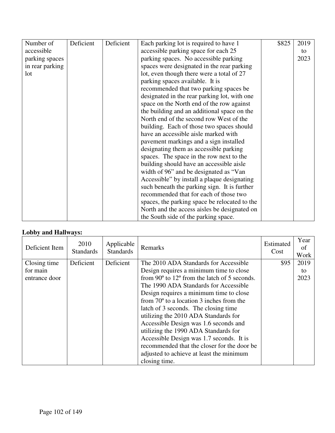| Number of       | Deficient | Deficient | Each parking lot is required to have 1        | \$825 | 2019 |
|-----------------|-----------|-----------|-----------------------------------------------|-------|------|
| accessible      |           |           | accessible parking space for each 25          |       | to   |
| parking spaces  |           |           | parking spaces. No accessible parking         |       | 2023 |
| in rear parking |           |           | spaces were designated in the rear parking    |       |      |
| 1 <sub>ot</sub> |           |           | lot, even though there were a total of 27     |       |      |
|                 |           |           | parking spaces available. It is               |       |      |
|                 |           |           | recommended that two parking spaces be        |       |      |
|                 |           |           | designated in the rear parking lot, with one  |       |      |
|                 |           |           | space on the North end of the row against     |       |      |
|                 |           |           | the building and an additional space on the   |       |      |
|                 |           |           | North end of the second row West of the       |       |      |
|                 |           |           | building. Each of those two spaces should     |       |      |
|                 |           |           | have an accessible aisle marked with          |       |      |
|                 |           |           | pavement markings and a sign installed        |       |      |
|                 |           |           | designating them as accessible parking        |       |      |
|                 |           |           | spaces. The space in the row next to the      |       |      |
|                 |           |           | building should have an accessible aisle      |       |      |
|                 |           |           | width of 96" and be designated as "Van        |       |      |
|                 |           |           | Accessible" by install a plaque designating   |       |      |
|                 |           |           | such beneath the parking sign. It is further  |       |      |
|                 |           |           | recommended that for each of those two        |       |      |
|                 |           |           | spaces, the parking space be relocated to the |       |      |
|                 |           |           | North and the access aisles be designated on  |       |      |
|                 |           |           | the South side of the parking space.          |       |      |

## **Lobby and Hallways:**

| Deficient Item | 2010<br><b>Standards</b> | Applicable<br><b>Standards</b> | Remarks                                                        | Estimated<br>Cost | Year<br>of<br>Work |
|----------------|--------------------------|--------------------------------|----------------------------------------------------------------|-------------------|--------------------|
| Closing time   | Deficient                | Deficient                      | The 2010 ADA Standards for Accessible                          | \$95              | 2019               |
| for main       |                          |                                | Design requires a minimum time to close                        |                   | to                 |
| entrance door  |                          |                                | from $90^{\circ}$ to $12^{\circ}$ from the latch of 5 seconds. |                   | 2023               |
|                |                          |                                | The 1990 ADA Standards for Accessible                          |                   |                    |
|                |                          |                                | Design requires a minimum time to close                        |                   |                    |
|                |                          |                                | from $70^{\circ}$ to a location 3 inches from the              |                   |                    |
|                |                          |                                | latch of 3 seconds. The closing time                           |                   |                    |
|                |                          |                                | utilizing the 2010 ADA Standards for                           |                   |                    |
|                |                          |                                | Accessible Design was 1.6 seconds and                          |                   |                    |
|                |                          |                                | utilizing the 1990 ADA Standards for                           |                   |                    |
|                |                          |                                | Accessible Design was 1.7 seconds. It is                       |                   |                    |
|                |                          |                                | recommended that the closer for the door be                    |                   |                    |
|                |                          |                                | adjusted to achieve at least the minimum                       |                   |                    |
|                |                          |                                | closing time.                                                  |                   |                    |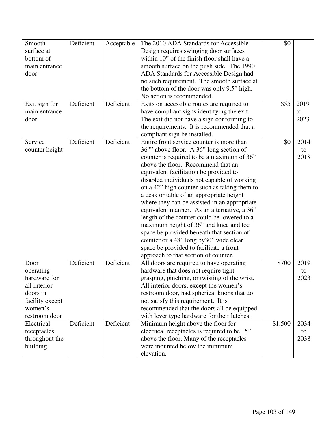| Smooth          | Deficient | Acceptable | The 2010 ADA Standards for Accessible         | \$0     |      |
|-----------------|-----------|------------|-----------------------------------------------|---------|------|
| surface at      |           |            | Design requires swinging door surfaces        |         |      |
| bottom of       |           |            | within 10" of the finish floor shall have a   |         |      |
| main entrance   |           |            | smooth surface on the push side. The 1990     |         |      |
| door            |           |            | ADA Standards for Accessible Design had       |         |      |
|                 |           |            | no such requirement. The smooth surface at    |         |      |
|                 |           |            | the bottom of the door was only 9.5" high.    |         |      |
|                 |           |            | No action is recommended.                     |         |      |
|                 | Deficient | Deficient  |                                               | \$55    | 2019 |
| Exit sign for   |           |            | Exits on accessible routes are required to    |         |      |
| main entrance   |           |            | have compliant signs identifying the exit.    |         | to   |
| door            |           |            | The exit did not have a sign conforming to    |         | 2023 |
|                 |           |            | the requirements. It is recommended that a    |         |      |
|                 |           |            | compliant sign be installed.                  |         |      |
| Service         | Deficient | Deficient  | Entire front service counter is more than     | \$0     | 2014 |
| counter height  |           |            | 36" above floor. A 36" long section of        |         | to   |
|                 |           |            | counter is required to be a maximum of 36"    |         | 2018 |
|                 |           |            | above the floor. Recommend that an            |         |      |
|                 |           |            | equivalent facilitation be provided to        |         |      |
|                 |           |            | disabled individuals not capable of working   |         |      |
|                 |           |            | on a 42" high counter such as taking them to  |         |      |
|                 |           |            | a desk or table of an appropriate height      |         |      |
|                 |           |            | where they can be assisted in an appropriate  |         |      |
|                 |           |            | equivalent manner. As an alternative, a 36"   |         |      |
|                 |           |            | length of the counter could be lowered to a   |         |      |
|                 |           |            | maximum height of 36" and knee and toe        |         |      |
|                 |           |            | space be provided beneath that section of     |         |      |
|                 |           |            | counter or a 48" long by 30" wide clear       |         |      |
|                 |           |            | space be provided to facilitate a front       |         |      |
|                 |           |            | approach to that section of counter.          |         |      |
| Door            | Deficient | Deficient  | All doors are required to have operating      | \$700   | 2019 |
| operating       |           |            | hardware that does not require tight          |         | to   |
| hardware for    |           |            | grasping, pinching, or twisting of the wrist. |         | 2023 |
|                 |           |            |                                               |         |      |
| all interior    |           |            | All interior doors, except the women's        |         |      |
| doors in        |           |            | restroom door, had spherical knobs that do    |         |      |
| facility except |           |            | not satisfy this requirement. It is           |         |      |
| women's         |           |            | recommended that the doors all be equipped    |         |      |
| restroom door   |           |            | with lever type hardware for their latches.   |         |      |
| Electrical      | Deficient | Deficient  | Minimum height above the floor for            | \$1,500 | 2034 |
| receptacles     |           |            | electrical receptacles is required to be 15"  |         | to   |
| throughout the  |           |            | above the floor. Many of the receptacles      |         | 2038 |
| building        |           |            | were mounted below the minimum                |         |      |
|                 |           |            | elevation.                                    |         |      |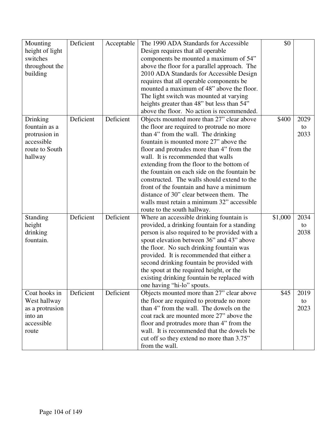| Mounting        | Deficient | Acceptable | The 1990 ADA Standards for Accessible         | \$0     |            |
|-----------------|-----------|------------|-----------------------------------------------|---------|------------|
| height of light |           |            | Design requires that all operable             |         |            |
| switches        |           |            | components be mounted a maximum of 54"        |         |            |
| throughout the  |           |            | above the floor for a parallel approach. The  |         |            |
| building        |           |            | 2010 ADA Standards for Accessible Design      |         |            |
|                 |           |            | requires that all operable components be      |         |            |
|                 |           |            | mounted a maximum of 48" above the floor.     |         |            |
|                 |           |            | The light switch was mounted at varying       |         |            |
|                 |           |            | heights greater than 48" but less than 54"    |         |            |
|                 |           |            | above the floor. No action is recommended.    |         |            |
|                 |           | Deficient  |                                               |         |            |
| Drinking        | Deficient |            | Objects mounted more than 27" clear above     | \$400   | 2029       |
| fountain as a   |           |            | the floor are required to protrude no more    |         | to         |
| protrusion in   |           |            | than 4" from the wall. The drinking           |         | 2033       |
| accessible      |           |            | fountain is mounted more 27" above the        |         |            |
| route to South  |           |            | floor and protrudes more than 4" from the     |         |            |
| hallway         |           |            | wall. It is recommended that walls            |         |            |
|                 |           |            | extending from the floor to the bottom of     |         |            |
|                 |           |            | the fountain on each side on the fountain be  |         |            |
|                 |           |            | constructed. The walls should extend to the   |         |            |
|                 |           |            | front of the fountain and have a minimum      |         |            |
|                 |           |            | distance of 30" clear between them. The       |         |            |
|                 |           |            | walls must retain a minimum 32" accessible    |         |            |
|                 |           |            | route to the south hallway.                   |         |            |
| Standing        | Deficient | Deficient  | Where an accessible drinking fountain is      | \$1,000 | 2034       |
| height          |           |            | provided, a drinking fountain for a standing  |         | to         |
| drinking        |           |            | person is also required to be provided with a |         | 2038       |
| fountain.       |           |            | spout elevation between 36" and 43" above     |         |            |
|                 |           |            | the floor. No such drinking fountain was      |         |            |
|                 |           |            | provided. It is recommended that either a     |         |            |
|                 |           |            | second drinking fountain be provided with     |         |            |
|                 |           |            | the spout at the required height, or the      |         |            |
|                 |           |            | existing drinking fountain be replaced with   |         |            |
|                 |           |            | one having "hi-lo" spouts.                    |         |            |
| Coat hooks in   | Deficient | Deficient  | Objects mounted more than 27" clear above     | \$45    | 2019       |
| West hallway    |           |            | the floor are required to protrude no more    |         |            |
|                 |           |            | than 4" from the wall. The dowels on the      |         | to<br>2023 |
| as a protrusion |           |            |                                               |         |            |
| into an         |           |            | coat rack are mounted more 27" above the      |         |            |
| accessible      |           |            | floor and protrudes more than 4" from the     |         |            |
| route           |           |            | wall. It is recommended that the dowels be    |         |            |
|                 |           |            | cut off so they extend no more than 3.75"     |         |            |
|                 |           |            | from the wall.                                |         |            |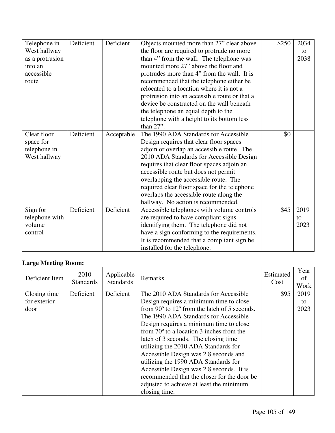| Telephone in    | Deficient | Deficient  | Objects mounted more than 27" clear above     | \$250 | 2034 |
|-----------------|-----------|------------|-----------------------------------------------|-------|------|
| West hallway    |           |            | the floor are required to protrude no more    |       | to   |
| as a protrusion |           |            | than 4" from the wall. The telephone was      |       | 2038 |
| into an         |           |            | mounted more 27" above the floor and          |       |      |
| accessible      |           |            | protrudes more than 4" from the wall. It is   |       |      |
| route           |           |            | recommended that the telephone either be      |       |      |
|                 |           |            | relocated to a location where it is not a     |       |      |
|                 |           |            | protrusion into an accessible route or that a |       |      |
|                 |           |            | device be constructed on the wall beneath     |       |      |
|                 |           |            | the telephone an equal depth to the           |       |      |
|                 |           |            | telephone with a height to its bottom less    |       |      |
|                 |           |            | than 27".                                     |       |      |
| Clear floor     | Deficient | Acceptable | The 1990 ADA Standards for Accessible         | \$0   |      |
| space for       |           |            | Design requires that clear floor spaces       |       |      |
| telephone in    |           |            | adjoin or overlap an accessible route. The    |       |      |
| West hallway    |           |            | 2010 ADA Standards for Accessible Design      |       |      |
|                 |           |            | requires that clear floor spaces adjoin an    |       |      |
|                 |           |            | accessible route but does not permit          |       |      |
|                 |           |            | overlapping the accessible route. The         |       |      |
|                 |           |            | required clear floor space for the telephone  |       |      |
|                 |           |            | overlaps the accessible route along the       |       |      |
|                 |           |            | hallway. No action is recommended.            |       |      |
| Sign for        | Deficient | Deficient  | Accessible telephones with volume controls    | \$45  | 2019 |
| telephone with  |           |            | are required to have compliant signs          |       | to   |
| volume          |           |            | identifying them. The telephone did not       |       | 2023 |
| control         |           |            | have a sign conforming to the requirements.   |       |      |
|                 |           |            | It is recommended that a compliant sign be    |       |      |
|                 |           |            | installed for the telephone.                  |       |      |

## **Large Meeting Room:**

| Deficient Item | 2010<br><b>Standards</b> | Applicable<br><b>Standards</b> | Remarks                                                        | Estimated<br>Cost | Year<br>of<br>Work |
|----------------|--------------------------|--------------------------------|----------------------------------------------------------------|-------------------|--------------------|
| Closing time   | Deficient                | Deficient                      | The 2010 ADA Standards for Accessible                          | \$95              | 2019               |
| for exterior   |                          |                                | Design requires a minimum time to close                        |                   | to                 |
| door           |                          |                                | from $90^{\circ}$ to $12^{\circ}$ from the latch of 5 seconds. |                   | 2023               |
|                |                          |                                | The 1990 ADA Standards for Accessible                          |                   |                    |
|                |                          |                                | Design requires a minimum time to close                        |                   |                    |
|                |                          |                                | from $70^{\circ}$ to a location 3 inches from the              |                   |                    |
|                |                          |                                | latch of 3 seconds. The closing time                           |                   |                    |
|                |                          |                                | utilizing the 2010 ADA Standards for                           |                   |                    |
|                |                          |                                | Accessible Design was 2.8 seconds and                          |                   |                    |
|                |                          |                                | utilizing the 1990 ADA Standards for                           |                   |                    |
|                |                          |                                | Accessible Design was 2.8 seconds. It is                       |                   |                    |
|                |                          |                                | recommended that the closer for the door be                    |                   |                    |
|                |                          |                                | adjusted to achieve at least the minimum                       |                   |                    |
|                |                          |                                | closing time.                                                  |                   |                    |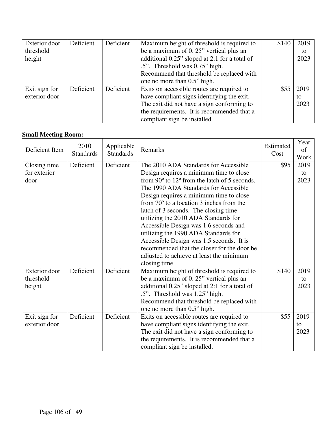| Exterior door | Deficient | Deficient | Maximum height of threshold is required to    | \$140 | 2019 |
|---------------|-----------|-----------|-----------------------------------------------|-------|------|
| threshold     |           |           | be a maximum of 0.25" vertical plus an        |       | to   |
| height        |           |           | additional 0.25" sloped at 2:1 for a total of |       | 2023 |
|               |           |           | .5". Threshold was 0.75" high.                |       |      |
|               |           |           | Recommend that threshold be replaced with     |       |      |
|               |           |           | one no more than 0.5" high.                   |       |      |
| Exit sign for | Deficient | Deficient | Exits on accessible routes are required to    | \$55  | 2019 |
| exterior door |           |           | have compliant signs identifying the exit.    |       | to   |
|               |           |           | The exit did not have a sign conforming to    |       | 2023 |
|               |           |           | the requirements. It is recommended that a    |       |      |
|               |           |           | compliant sign be installed.                  |       |      |

## **Small Meeting Room:**

| Deficient Item       | 2010<br><b>Standards</b> | Applicable<br><b>Standards</b> | Remarks                                           | Estimated<br>Cost | Year<br>of<br>Work |
|----------------------|--------------------------|--------------------------------|---------------------------------------------------|-------------------|--------------------|
| Closing time         | Deficient                | Deficient                      | The 2010 ADA Standards for Accessible             | \$95              | 2019               |
| for exterior         |                          |                                | Design requires a minimum time to close           |                   | to                 |
| door                 |                          |                                | from 90° to 12° from the latch of 5 seconds.      |                   | 2023               |
|                      |                          |                                | The 1990 ADA Standards for Accessible             |                   |                    |
|                      |                          |                                | Design requires a minimum time to close           |                   |                    |
|                      |                          |                                | from $70^{\circ}$ to a location 3 inches from the |                   |                    |
|                      |                          |                                | latch of 3 seconds. The closing time              |                   |                    |
|                      |                          |                                | utilizing the 2010 ADA Standards for              |                   |                    |
|                      |                          |                                | Accessible Design was 1.6 seconds and             |                   |                    |
|                      |                          |                                | utilizing the 1990 ADA Standards for              |                   |                    |
|                      |                          |                                | Accessible Design was 1.5 seconds. It is          |                   |                    |
|                      |                          |                                | recommended that the closer for the door be       |                   |                    |
|                      |                          |                                | adjusted to achieve at least the minimum          |                   |                    |
|                      |                          |                                | closing time.                                     |                   |                    |
| <b>Exterior</b> door | Deficient                | Deficient                      | Maximum height of threshold is required to        | \$140             | 2019               |
| threshold            |                          |                                | be a maximum of 0.25" vertical plus an            |                   | to                 |
| height               |                          |                                | additional 0.25" sloped at 2:1 for a total of     |                   | 2023               |
|                      |                          |                                | .5". Threshold was 1.25" high.                    |                   |                    |
|                      |                          |                                | Recommend that threshold be replaced with         |                   |                    |
|                      |                          |                                | one no more than 0.5" high.                       |                   |                    |
| Exit sign for        | Deficient                | Deficient                      | Exits on accessible routes are required to        | \$55              | 2019               |
| exterior door        |                          |                                | have compliant signs identifying the exit.        |                   | to                 |
|                      |                          |                                | The exit did not have a sign conforming to        |                   | 2023               |
|                      |                          |                                | the requirements. It is recommended that a        |                   |                    |
|                      |                          |                                | compliant sign be installed.                      |                   |                    |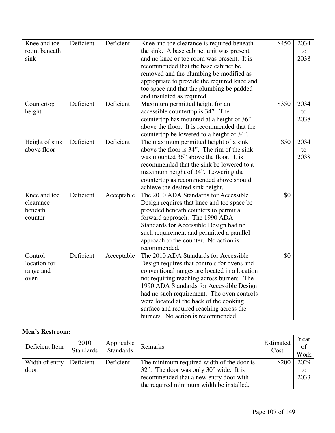| Knee and toe   | Deficient | Deficient  | Knee and toe clearance is required beneath    | \$450 | 2034 |
|----------------|-----------|------------|-----------------------------------------------|-------|------|
| room beneath   |           |            | the sink. A base cabinet unit was present     |       | to   |
| sink           |           |            | and no knee or toe room was present. It is    |       | 2038 |
|                |           |            | recommended that the base cabinet be          |       |      |
|                |           |            | removed and the plumbing be modified as       |       |      |
|                |           |            | appropriate to provide the required knee and  |       |      |
|                |           |            | toe space and that the plumbing be padded     |       |      |
|                |           |            | and insulated as required.                    |       |      |
| Countertop     | Deficient | Deficient  | Maximum permitted height for an               | \$350 | 2034 |
| height         |           |            | accessible countertop is 34". The             |       | to   |
|                |           |            | countertop has mounted at a height of 36"     |       | 2038 |
|                |           |            | above the floor. It is recommended that the   |       |      |
|                |           |            | countertop be lowered to a height of 34".     |       |      |
| Height of sink | Deficient | Deficient  | The maximum permitted height of a sink        | \$50  | 2034 |
| above floor    |           |            | above the floor is 34". The rim of the sink   |       | to   |
|                |           |            | was mounted 36" above the floor. It is        |       | 2038 |
|                |           |            | recommended that the sink be lowered to a     |       |      |
|                |           |            | maximum height of 34". Lowering the           |       |      |
|                |           |            | countertop as recommended above should        |       |      |
|                |           |            | achieve the desired sink height.              |       |      |
| Knee and toe   | Deficient | Acceptable | The 2010 ADA Standards for Accessible         | \$0   |      |
| clearance      |           |            | Design requires that knee and toe space be    |       |      |
| beneath        |           |            | provided beneath counters to permit a         |       |      |
| counter        |           |            | forward approach. The 1990 ADA                |       |      |
|                |           |            | Standards for Accessible Design had no        |       |      |
|                |           |            | such requirement and permitted a parallel     |       |      |
|                |           |            | approach to the counter. No action is         |       |      |
|                |           |            | recommended.                                  |       |      |
| Control        | Deficient | Acceptable | The 2010 ADA Standards for Accessible         | \$0   |      |
| location for   |           |            | Design requires that controls for ovens and   |       |      |
| range and      |           |            | conventional ranges are located in a location |       |      |
| oven           |           |            | not requiring reaching across burners. The    |       |      |
|                |           |            | 1990 ADA Standards for Accessible Design      |       |      |
|                |           |            | had no such requirement. The oven controls    |       |      |
|                |           |            | were located at the back of the cooking       |       |      |
|                |           |            | surface and required reaching across the      |       |      |
|                |           |            | burners. No action is recommended.            |       |      |

### **Men's Restroom:**

| Deficient Item | 2010<br>Standards | Applicable<br>Standards | Remarks                                   | Estimated<br>Cost | Year<br>of<br>Work |
|----------------|-------------------|-------------------------|-------------------------------------------|-------------------|--------------------|
| Width of entry | Deficient         | Deficient               | The minimum required width of the door is | \$200             | 2029               |
| door.          |                   |                         | 32". The door was only 30" wide. It is    |                   | to                 |
|                |                   |                         | recommended that a new entry door with    |                   | 2033               |
|                |                   |                         | the required minimum width be installed.  |                   |                    |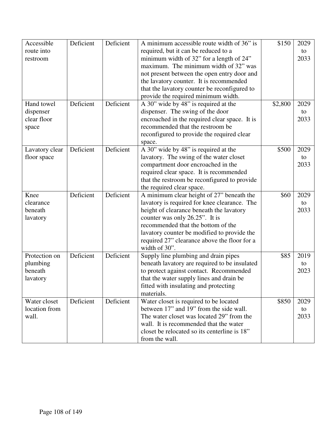| Accessible     | Deficient | Deficient | A minimum accessible route width of 36" is    | \$150   | 2029 |
|----------------|-----------|-----------|-----------------------------------------------|---------|------|
| route into     |           |           | required, but it can be reduced to a          |         | to   |
| restroom       |           |           | minimum width of 32" for a length of 24"      |         | 2033 |
|                |           |           | maximum. The minimum width of 32" was         |         |      |
|                |           |           | not present between the open entry door and   |         |      |
|                |           |           | the lavatory counter. It is recommended       |         |      |
|                |           |           | that the lavatory counter be reconfigured to  |         |      |
|                |           |           | provide the required minimum width.           |         |      |
| Hand towel     | Deficient | Deficient | A 30" wide by 48" is required at the          | \$2,800 | 2029 |
| dispenser      |           |           | dispenser. The swing of the door              |         | to   |
| clear floor    |           |           | encroached in the required clear space. It is |         | 2033 |
| space          |           |           | recommended that the restroom be              |         |      |
|                |           |           | reconfigured to provide the required clear    |         |      |
|                |           |           | space.                                        |         |      |
| Lavatory clear | Deficient | Deficient | A 30" wide by 48" is required at the          | \$500   | 2029 |
| floor space    |           |           | lavatory. The swing of the water closet       |         | to   |
|                |           |           | compartment door encroached in the            |         | 2033 |
|                |           |           | required clear space. It is recommended       |         |      |
|                |           |           | that the restroom be reconfigured to provide  |         |      |
|                |           |           | the required clear space.                     |         |      |
| Knee           | Deficient | Deficient | A minimum clear height of 27" beneath the     | \$60    | 2029 |
| clearance      |           |           | lavatory is required for knee clearance. The  |         | to   |
| beneath        |           |           | height of clearance beneath the lavatory      |         | 2033 |
| lavatory       |           |           | counter was only 26.25". It is                |         |      |
|                |           |           | recommended that the bottom of the            |         |      |
|                |           |           | lavatory counter be modified to provide the   |         |      |
|                |           |           | required 27" clearance above the floor for a  |         |      |
|                |           |           | width of 30".                                 |         |      |
| Protection on  | Deficient | Deficient | Supply line plumbing and drain pipes          | \$85    | 2019 |
| plumbing       |           |           | beneath lavatory are required to be insulated |         | to   |
| beneath        |           |           | to protect against contact. Recommended       |         | 2023 |
| lavatory       |           |           | that the water supply lines and drain be      |         |      |
|                |           |           | fitted with insulating and protecting         |         |      |
|                |           |           | materials.                                    |         |      |
| Water closet   | Deficient | Deficient | Water closet is required to be located        | \$850   | 2029 |
| location from  |           |           | between 17" and 19" from the side wall.       |         | to   |
| wall.          |           |           | The water closet was located 29" from the     |         | 2033 |
|                |           |           |                                               |         |      |
|                |           |           | wall. It is recommended that the water        |         |      |
|                |           |           | closet be relocated so its centerline is 18"  |         |      |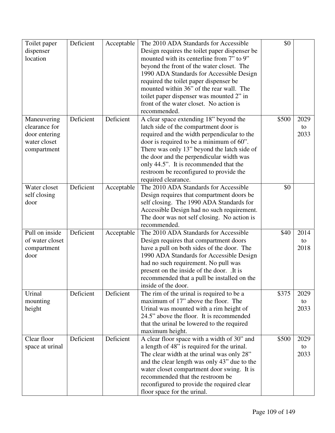| Toilet paper    | Deficient | Acceptable | The 2010 ADA Standards for Accessible         | \$0   |      |
|-----------------|-----------|------------|-----------------------------------------------|-------|------|
| dispenser       |           |            | Design requires the toilet paper dispenser be |       |      |
| location        |           |            | mounted with its centerline from 7" to 9"     |       |      |
|                 |           |            | beyond the front of the water closet. The     |       |      |
|                 |           |            | 1990 ADA Standards for Accessible Design      |       |      |
|                 |           |            | required the toilet paper dispenser be        |       |      |
|                 |           |            | mounted within 36" of the rear wall. The      |       |      |
|                 |           |            | toilet paper dispenser was mounted 2" in      |       |      |
|                 |           |            | front of the water closet. No action is       |       |      |
|                 |           |            | recommended.                                  |       |      |
| Maneuvering     | Deficient | Deficient  | A clear space extending 18" beyond the        | \$500 | 2029 |
| clearance for   |           |            | latch side of the compartment door is         |       | to   |
| door entering   |           |            | required and the width perpendicular to the   |       | 2033 |
| water closet    |           |            | door is required to be a minimum of 60".      |       |      |
| compartment     |           |            | There was only 13" beyond the latch side of   |       |      |
|                 |           |            | the door and the perpendicular width was      |       |      |
|                 |           |            | only 44.5". It is recommended that the        |       |      |
|                 |           |            | restroom be reconfigured to provide the       |       |      |
|                 |           |            | required clearance.                           |       |      |
| Water closet    | Deficient | Acceptable | The 2010 ADA Standards for Accessible         | \$0   |      |
| self closing    |           |            | Design requires that compartment doors be     |       |      |
| door            |           |            | self closing. The 1990 ADA Standards for      |       |      |
|                 |           |            | Accessible Design had no such requirement.    |       |      |
|                 |           |            | The door was not self closing. No action is   |       |      |
|                 |           |            | recommended.                                  |       |      |
| Pull on inside  | Deficient | Acceptable | The 2010 ADA Standards for Accessible         | \$40  | 2014 |
| of water closet |           |            | Design requires that compartment doors        |       | to   |
| compartment     |           |            | have a pull on both sides of the door. The    |       | 2018 |
| door            |           |            | 1990 ADA Standards for Accessible Design      |       |      |
|                 |           |            | had no such requirement. No pull was          |       |      |
|                 |           |            | present on the inside of the door. .It is     |       |      |
|                 |           |            | recommended that a pull be installed on the   |       |      |
|                 |           |            | inside of the door.                           |       |      |
| Urinal          | Deficient | Deficient  | The rim of the urinal is required to be a     | \$375 | 2029 |
| mounting        |           |            | maximum of 17" above the floor. The           |       | to   |
| height          |           |            | Urinal was mounted with a rim height of       |       | 2033 |
|                 |           |            | 24.5" above the floor. It is recommended      |       |      |
|                 |           |            | that the urinal be lowered to the required    |       |      |
|                 |           |            | maximum height.                               |       |      |
| Clear floor     | Deficient | Deficient  | A clear floor space with a width of 30" and   | \$500 | 2029 |
| space at urinal |           |            | a length of 48" is required for the urinal.   |       | to   |
|                 |           |            | The clear width at the urinal was only 28"    |       | 2033 |
|                 |           |            | and the clear length was only 43" due to the  |       |      |
|                 |           |            | water closet compartment door swing. It is    |       |      |
|                 |           |            | recommended that the restroom be              |       |      |
|                 |           |            | reconfigured to provide the required clear    |       |      |
|                 |           |            | floor space for the urinal.                   |       |      |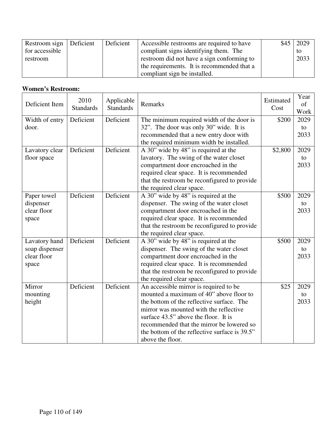| Restroom sign  | Deficient | Deficient | Accessible restrooms are required to have  | \$45 | 2029 |
|----------------|-----------|-----------|--------------------------------------------|------|------|
| for accessible |           |           | compliant signs identifying them. The      |      | to.  |
| restroom       |           |           | restroom did not have a sign conforming to |      | 2033 |
|                |           |           | the requirements. It is recommended that a |      |      |
|                |           |           | compliant sign be installed.               |      |      |

## **Women's Restroom:**

| Deficient Item           | 2010<br><b>Standards</b> | Applicable<br><b>Standards</b> | Remarks                                                                             | Estimated<br>Cost | Year<br>of<br>Work |
|--------------------------|--------------------------|--------------------------------|-------------------------------------------------------------------------------------|-------------------|--------------------|
| Width of entry<br>door.  | Deficient                | Deficient                      | The minimum required width of the door is<br>32". The door was only 30" wide. It is | \$200             | 2029<br>to         |
|                          |                          |                                | recommended that a new entry door with                                              |                   | 2033               |
|                          |                          |                                | the required minimum width be installed.                                            |                   |                    |
| Lavatory clear           | Deficient                | Deficient                      | A 30" wide by 48" is required at the                                                | \$2,800           | 2029               |
| floor space              |                          |                                | lavatory. The swing of the water closet                                             |                   | to                 |
|                          |                          |                                | compartment door encroached in the                                                  |                   | 2033               |
|                          |                          |                                | required clear space. It is recommended                                             |                   |                    |
|                          |                          |                                | that the restroom be reconfigured to provide                                        |                   |                    |
|                          | Deficient                | Deficient                      | the required clear space.                                                           | \$500             | 2029               |
| Paper towel<br>dispenser |                          |                                | A 30" wide by 48" is required at the<br>dispenser. The swing of the water closet    |                   | to                 |
| clear floor              |                          |                                | compartment door encroached in the                                                  |                   | 2033               |
| space                    |                          |                                | required clear space. It is recommended                                             |                   |                    |
|                          |                          |                                | that the restroom be reconfigured to provide                                        |                   |                    |
|                          |                          |                                | the required clear space.                                                           |                   |                    |
| Lavatory hand            | Deficient                | Deficient                      | A 30" wide by 48" is required at the                                                | \$500             | 2029               |
| soap dispenser           |                          |                                | dispenser. The swing of the water closet                                            |                   | to                 |
| clear floor              |                          |                                | compartment door encroached in the                                                  |                   | 2033               |
| space                    |                          |                                | required clear space. It is recommended                                             |                   |                    |
|                          |                          |                                | that the restroom be reconfigured to provide                                        |                   |                    |
|                          |                          |                                | the required clear space.                                                           |                   |                    |
| Mirror                   | Deficient                | Deficient                      | An accessible mirror is required to be                                              | \$25              | 2029               |
| mounting                 |                          |                                | mounted a maximum of 40" above floor to                                             |                   | to                 |
| height                   |                          |                                | the bottom of the reflective surface. The<br>mirror was mounted with the reflective |                   | 2033               |
|                          |                          |                                | surface 43.5" above the floor. It is                                                |                   |                    |
|                          |                          |                                | recommended that the mirror be lowered so                                           |                   |                    |
|                          |                          |                                | the bottom of the reflective surface is 39.5"                                       |                   |                    |
|                          |                          |                                | above the floor.                                                                    |                   |                    |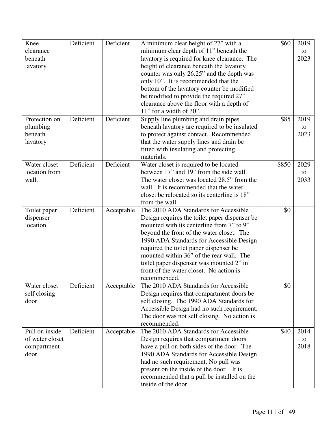| Knee                      | Deficient | Deficient  | A minimum clear height of 27" with a                                               | \$60  | 2019 |
|---------------------------|-----------|------------|------------------------------------------------------------------------------------|-------|------|
| clearance                 |           |            | minimum clear depth of 11" beneath the                                             |       | to   |
| beneath                   |           |            | lavatory is required for knee clearance. The                                       |       | 2023 |
| lavatory                  |           |            | height of clearance beneath the lavatory                                           |       |      |
|                           |           |            | counter was only 26.25" and the depth was                                          |       |      |
|                           |           |            | only 10". It is recommended that the                                               |       |      |
|                           |           |            | bottom of the lavatory counter be modified                                         |       |      |
|                           |           |            | be modified to provide the required 27"                                            |       |      |
|                           |           |            | clearance above the floor with a depth of                                          |       |      |
|                           |           |            | $11$ " for a width of 30".                                                         |       |      |
| Protection on             | Deficient | Deficient  | Supply line plumbing and drain pipes                                               | \$85  | 2019 |
| plumbing                  |           |            | beneath lavatory are required to be insulated                                      |       | to   |
| beneath                   |           |            | to protect against contact. Recommended                                            |       | 2023 |
| lavatory                  |           |            | that the water supply lines and drain be                                           |       |      |
|                           |           |            | fitted with insulating and protecting                                              |       |      |
|                           |           |            | materials.                                                                         |       |      |
| Water closet              | Deficient | Deficient  | Water closet is required to be located                                             | \$850 | 2029 |
| location from             |           |            | between 17" and 19" from the side wall.                                            |       | to   |
| wall.                     |           |            | The water closet was located 28.5" from the                                        |       | 2033 |
|                           |           |            | wall. It is recommended that the water                                             |       |      |
|                           |           |            | closet be relocated so its centerline is 18"                                       |       |      |
|                           |           |            | from the wall.                                                                     |       |      |
|                           | Deficient | Acceptable | The 2010 ADA Standards for Accessible                                              | \$0   |      |
| Toilet paper<br>dispenser |           |            | Design requires the toilet paper dispenser be                                      |       |      |
| location                  |           |            | mounted with its centerline from 7" to 9"                                          |       |      |
|                           |           |            |                                                                                    |       |      |
|                           |           |            | beyond the front of the water closet. The                                          |       |      |
|                           |           |            | 1990 ADA Standards for Accessible Design                                           |       |      |
|                           |           |            | required the toilet paper dispenser be<br>mounted within 36" of the rear wall. The |       |      |
|                           |           |            |                                                                                    |       |      |
|                           |           |            | toilet paper dispenser was mounted 2" in                                           |       |      |
|                           |           |            | front of the water closet. No action is                                            |       |      |
|                           |           |            | recommended.                                                                       |       |      |
| Water closet              | Deficient | Acceptable | The 2010 ADA Standards for Accessible                                              | \$0   |      |
| self closing              |           |            | Design requires that compartment doors be                                          |       |      |
| door                      |           |            | self closing. The 1990 ADA Standards for                                           |       |      |
|                           |           |            | Accessible Design had no such requirement.                                         |       |      |
|                           |           |            | The door was not self closing. No action is                                        |       |      |
|                           |           |            | recommended.                                                                       |       |      |
| Pull on inside            | Deficient | Acceptable | The 2010 ADA Standards for Accessible                                              | \$40  | 2014 |
| of water closet           |           |            | Design requires that compartment doors                                             |       | to   |
| compartment               |           |            | have a pull on both sides of the door. The                                         |       | 2018 |
| door                      |           |            | 1990 ADA Standards for Accessible Design                                           |       |      |
|                           |           |            | had no such requirement. No pull was                                               |       |      |
|                           |           |            | present on the inside of the door. .It is                                          |       |      |
|                           |           |            | recommended that a pull be installed on the                                        |       |      |
|                           |           |            | inside of the door.                                                                |       |      |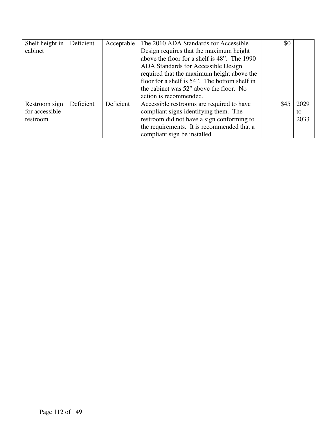| Shelf height in | Deficient | Acceptable | The 2010 ADA Standards for Accessible         | \$0  |      |
|-----------------|-----------|------------|-----------------------------------------------|------|------|
| cabinet         |           |            | Design requires that the maximum height       |      |      |
|                 |           |            | above the floor for a shelf is 48". The 1990  |      |      |
|                 |           |            | ADA Standards for Accessible Design           |      |      |
|                 |           |            | required that the maximum height above the    |      |      |
|                 |           |            | floor for a shelf is 54". The bottom shelf in |      |      |
|                 |           |            | the cabinet was 52" above the floor. No       |      |      |
|                 |           |            | action is recommended.                        |      |      |
| Restroom sign   | Deficient | Deficient  | Accessible restrooms are required to have     | \$45 | 2029 |
| for accessible  |           |            | compliant signs identifying them. The         |      | to   |
| restroom        |           |            | restroom did not have a sign conforming to    |      | 2033 |
|                 |           |            | the requirements. It is recommended that a    |      |      |
|                 |           |            | compliant sign be installed.                  |      |      |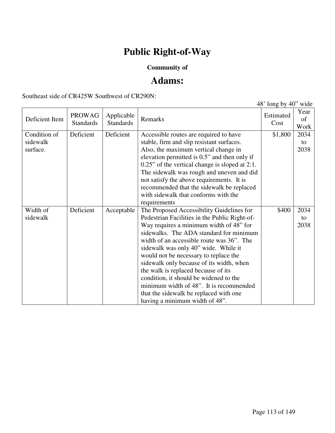# **Public Right-of-Way**

## **Community of**

## **Adams:**

Southeast side of CR425W Southwest of CR290N:

|                                      |                                   |                                |                                                                                                                                                                                                                                                                                                                                                                                                                                                                                                                                                                    | 48' long by $40$ " wide |                    |
|--------------------------------------|-----------------------------------|--------------------------------|--------------------------------------------------------------------------------------------------------------------------------------------------------------------------------------------------------------------------------------------------------------------------------------------------------------------------------------------------------------------------------------------------------------------------------------------------------------------------------------------------------------------------------------------------------------------|-------------------------|--------------------|
| Deficient Item                       | <b>PROWAG</b><br><b>Standards</b> | Applicable<br><b>Standards</b> | Remarks                                                                                                                                                                                                                                                                                                                                                                                                                                                                                                                                                            | Estimated<br>Cost       | Year<br>of<br>Work |
| Condition of<br>sidewalk<br>surface. | Deficient                         | Deficient                      | Accessible routes are required to have<br>stable, firm and slip resistant surfaces.<br>Also, the maximum vertical change in<br>elevation permitted is 0.5" and then only if<br>$0.25$ " of the vertical change is sloped at 2:1.<br>The sidewalk was rough and uneven and did<br>not satisfy the above requirements. It is<br>recommended that the sidewalk be replaced<br>with sidewalk that conforms with the<br>requirements                                                                                                                                    | \$1,800                 | 2034<br>to<br>2038 |
| Width of<br>sidewalk                 | Deficient                         | Acceptable                     | The Proposed Accessibility Guidelines for<br>Pedestrian Facilities in the Public Right-of-<br>Way requires a minimum width of 48" for<br>sidewalks. The ADA standard for minimum<br>width of an accessible route was 36". The<br>sidewalk was only 40" wide. While it<br>would not be necessary to replace the<br>sidewalk only because of its width, when<br>the walk is replaced because of its<br>condition, it should be widened to the<br>minimum width of 48". It is recommended<br>that the sidewalk be replaced with one<br>having a minimum width of 48". | \$400                   | 2034<br>to<br>2038 |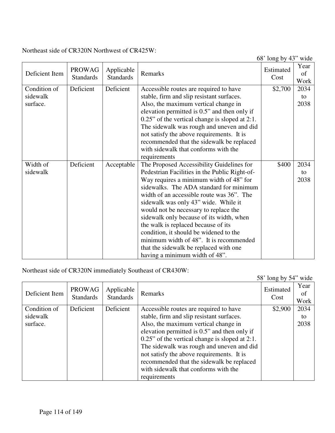Northeast side of CR320N Northwest of CR425W:

68' long by 43" wide

| Deficient Item | <b>PROWAG</b><br><b>Standards</b> | Applicable<br><b>Standards</b> | Remarks                                           | Estimated<br>Cost | Year<br>of<br>Work |
|----------------|-----------------------------------|--------------------------------|---------------------------------------------------|-------------------|--------------------|
| Condition of   | Deficient                         | Deficient                      | Accessible routes are required to have            | \$2,700           | 2034               |
| sidewalk       |                                   |                                | stable, firm and slip resistant surfaces.         |                   | to                 |
| surface.       |                                   |                                | Also, the maximum vertical change in              |                   | 2038               |
|                |                                   |                                | elevation permitted is 0.5" and then only if      |                   |                    |
|                |                                   |                                | $0.25$ " of the vertical change is sloped at 2:1. |                   |                    |
|                |                                   |                                | The sidewalk was rough and uneven and did         |                   |                    |
|                |                                   |                                | not satisfy the above requirements. It is         |                   |                    |
|                |                                   |                                | recommended that the sidewalk be replaced         |                   |                    |
|                |                                   |                                | with sidewalk that conforms with the              |                   |                    |
|                |                                   |                                | requirements                                      |                   |                    |
| Width of       | Deficient                         | Acceptable                     | The Proposed Accessibility Guidelines for         | \$400             | 2034               |
| sidewalk       |                                   |                                | Pedestrian Facilities in the Public Right-of-     |                   | to                 |
|                |                                   |                                | Way requires a minimum width of 48" for           |                   | 2038               |
|                |                                   |                                | sidewalks. The ADA standard for minimum           |                   |                    |
|                |                                   |                                | width of an accessible route was 36". The         |                   |                    |
|                |                                   |                                | sidewalk was only 43" wide. While it              |                   |                    |
|                |                                   |                                | would not be necessary to replace the             |                   |                    |
|                |                                   |                                | sidewalk only because of its width, when          |                   |                    |
|                |                                   |                                | the walk is replaced because of its               |                   |                    |
|                |                                   |                                | condition, it should be widened to the            |                   |                    |
|                |                                   |                                | minimum width of 48". It is recommended           |                   |                    |
|                |                                   |                                | that the sidewalk be replaced with one            |                   |                    |
|                |                                   |                                | having a minimum width of 48".                    |                   |                    |

Northeast side of CR320N immediately Southeast of CR430W:

|                |                                   |                                |                                                   | 58' long by 54" wide |                     |
|----------------|-----------------------------------|--------------------------------|---------------------------------------------------|----------------------|---------------------|
| Deficient Item | <b>PROWAG</b><br><b>Standards</b> | Applicable<br><b>Standards</b> | Remarks                                           | Estimated<br>Cost    | Year<br>ot.<br>Work |
| Condition of   | Deficient                         | Deficient                      | Accessible routes are required to have            | \$2,900              | 2034                |
| sidewalk       |                                   |                                | stable, firm and slip resistant surfaces.         |                      | to                  |
| surface.       |                                   |                                | Also, the maximum vertical change in              |                      | 2038                |
|                |                                   |                                | elevation permitted is 0.5" and then only if      |                      |                     |
|                |                                   |                                | $0.25$ " of the vertical change is sloped at 2:1. |                      |                     |
|                |                                   |                                | The sidewalk was rough and uneven and did         |                      |                     |
|                |                                   |                                | not satisfy the above requirements. It is         |                      |                     |
|                |                                   |                                | recommended that the sidewalk be replaced         |                      |                     |
|                |                                   |                                | with sidewalk that conforms with the              |                      |                     |
|                |                                   |                                | requirements                                      |                      |                     |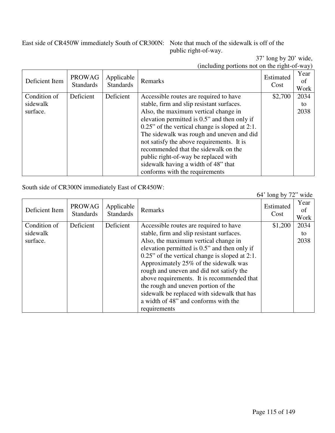East side of CR450W immediately South of CR300N: Note that much of the sidewalk is off of the

public right-of-way.

37' long by 20' wide, (including portions not on the right-of-way)

| Deficient Item | <b>PROWAG</b><br><b>Standards</b> | Applicable<br><b>Standards</b> | Remarks                                           | Estimated<br>Cost | Year<br>0f<br>Work |
|----------------|-----------------------------------|--------------------------------|---------------------------------------------------|-------------------|--------------------|
| Condition of   | Deficient                         | Deficient                      | Accessible routes are required to have            | \$2,700           | 2034               |
| sidewalk       |                                   |                                | stable, firm and slip resistant surfaces.         |                   | to                 |
| surface.       |                                   |                                | Also, the maximum vertical change in              |                   | 2038               |
|                |                                   |                                | elevation permitted is 0.5" and then only if      |                   |                    |
|                |                                   |                                | $0.25$ " of the vertical change is sloped at 2:1. |                   |                    |
|                |                                   |                                | The sidewalk was rough and uneven and did         |                   |                    |
|                |                                   |                                | not satisfy the above requirements. It is         |                   |                    |
|                |                                   |                                | recommended that the sidewalk on the              |                   |                    |
|                |                                   |                                | public right-of-way be replaced with              |                   |                    |
|                |                                   |                                | sidewalk having a width of 48" that               |                   |                    |
|                |                                   |                                | conforms with the requirements                    |                   |                    |

#### South side of CR300N immediately East of CR450W:

64' long by 72" wide Deficient Item PROWAG Standards Applicable Applicable Remarks Estimated Estimated Cost Cost Year of Work Condition of sidewalk surface. Deficient Deficient Accessible routes are required to have stable, firm and slip resistant surfaces. Also, the maximum vertical change in elevation permitted is 0.5" and then only if 0.25" of the vertical change is sloped at 2:1. Approximately 25% of the sidewalk was rough and uneven and did not satisfy the above requirements. It is recommended that the rough and uneven portion of the sidewalk be replaced with sidewalk that has a width of 48" and conforms with the requirements \$1,200 2034 to 2038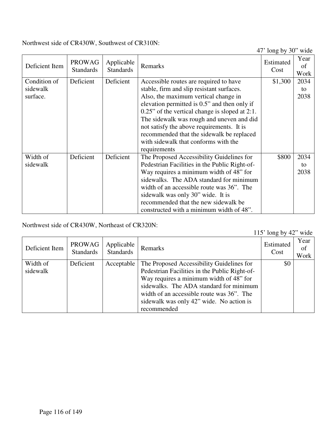Northwest side of CR430W, Southwest of CR310N:

47' long by 30" wide

|                |                                   |                                |                                                   | $10H2$ $01$ $00$  |                    |
|----------------|-----------------------------------|--------------------------------|---------------------------------------------------|-------------------|--------------------|
| Deficient Item | <b>PROWAG</b><br><b>Standards</b> | Applicable<br><b>Standards</b> | Remarks                                           | Estimated<br>Cost | Year<br>of<br>Work |
| Condition of   | Deficient                         | Deficient                      | Accessible routes are required to have            | \$1,300           | 2034               |
| sidewalk       |                                   |                                | stable, firm and slip resistant surfaces.         |                   | to                 |
| surface.       |                                   |                                | Also, the maximum vertical change in              |                   | 2038               |
|                |                                   |                                | elevation permitted is 0.5" and then only if      |                   |                    |
|                |                                   |                                | $0.25$ " of the vertical change is sloped at 2:1. |                   |                    |
|                |                                   |                                | The sidewalk was rough and uneven and did         |                   |                    |
|                |                                   |                                | not satisfy the above requirements. It is         |                   |                    |
|                |                                   |                                | recommended that the sidewalk be replaced         |                   |                    |
|                |                                   |                                | with sidewalk that conforms with the              |                   |                    |
|                |                                   |                                | requirements                                      |                   |                    |
| Width of       | Deficient                         | Deficient                      | The Proposed Accessibility Guidelines for         | \$800             | 2034               |
| sidewalk       |                                   |                                | Pedestrian Facilities in the Public Right-of-     |                   | to                 |
|                |                                   |                                | Way requires a minimum width of 48" for           |                   | 2038               |
|                |                                   |                                | sidewalks. The ADA standard for minimum           |                   |                    |
|                |                                   |                                | width of an accessible route was 36". The         |                   |                    |
|                |                                   |                                | sidewalk was only 30" wide. It is                 |                   |                    |
|                |                                   |                                | recommended that the new sidewalk be              |                   |                    |
|                |                                   |                                | constructed with a minimum width of 48".          |                   |                    |

Northwest side of CR430W, Northeast of CR320N:

115' long by 42" wide

| $110$ $1011$ $0$ $1$ $1$<br>,,,,,, |                     |                                |                                                                                                                                                                                                                                                                                          |                   |                    |
|------------------------------------|---------------------|--------------------------------|------------------------------------------------------------------------------------------------------------------------------------------------------------------------------------------------------------------------------------------------------------------------------------------|-------------------|--------------------|
| Deficient Item                     | PROWAG<br>Standards | Applicable<br><b>Standards</b> | Remarks                                                                                                                                                                                                                                                                                  | Estimated<br>Cost | Year<br>of<br>Work |
| Width of<br>sidewalk               | Deficient           | Acceptable                     | The Proposed Accessibility Guidelines for<br>Pedestrian Facilities in the Public Right-of-<br>Way requires a minimum width of 48" for<br>sidewalks. The ADA standard for minimum<br>width of an accessible route was 36". The<br>sidewalk was only 42" wide. No action is<br>recommended | \$0               |                    |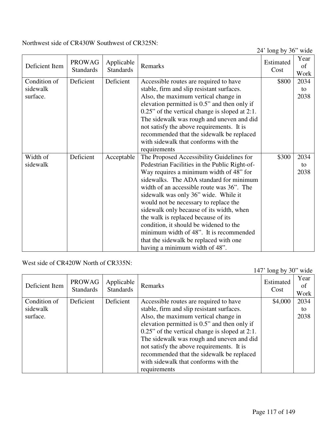Northwest side of CR430W Southwest of CR325N:

24' long by 36" wide

| Year<br>of |
|------------|
| Work       |
| 2034       |
| to         |
| 2038       |
|            |
|            |
|            |
|            |
|            |
|            |
|            |
| 2034       |
| to         |
| 2038       |
|            |
|            |
|            |
|            |
|            |
|            |
|            |
|            |
|            |
|            |
|            |

West side of CR420W North of CR335N:

|                |                                   |                                |                                                   | 147' long by $30$ " wide |                    |
|----------------|-----------------------------------|--------------------------------|---------------------------------------------------|--------------------------|--------------------|
| Deficient Item | <b>PROWAG</b><br><b>Standards</b> | Applicable<br><b>Standards</b> | Remarks                                           | Estimated<br>Cost        | Year<br>of<br>Work |
| Condition of   | Deficient                         | Deficient                      | Accessible routes are required to have            | \$4,000                  | 2034               |
| sidewalk       |                                   |                                | stable, firm and slip resistant surfaces.         |                          | to                 |
| surface.       |                                   |                                | Also, the maximum vertical change in              |                          | 2038               |
|                |                                   |                                | elevation permitted is 0.5" and then only if      |                          |                    |
|                |                                   |                                | $0.25$ " of the vertical change is sloped at 2:1. |                          |                    |
|                |                                   |                                | The sidewalk was rough and uneven and did         |                          |                    |
|                |                                   |                                | not satisfy the above requirements. It is         |                          |                    |
|                |                                   |                                | recommended that the sidewalk be replaced         |                          |                    |
|                |                                   |                                | with sidewalk that conforms with the              |                          |                    |
|                |                                   |                                | requirements                                      |                          |                    |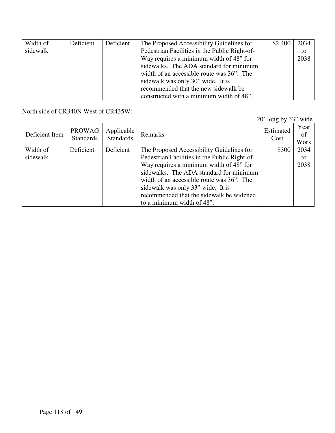| Width of | Deficient | Deficient | The Proposed Accessibility Guidelines for     | \$2,400 | 2034 |
|----------|-----------|-----------|-----------------------------------------------|---------|------|
| sidewalk |           |           | Pedestrian Facilities in the Public Right-of- |         | to   |
|          |           |           | Way requires a minimum width of 48" for       |         | 2038 |
|          |           |           | sidewalks. The ADA standard for minimum       |         |      |
|          |           |           | width of an accessible route was 36". The     |         |      |
|          |           |           | sidewalk was only 30" wide. It is             |         |      |
|          |           |           | recommended that the new sidewalk be          |         |      |
|          |           |           | constructed with a minimum width of 48".      |         |      |

North side of CR340N West of CR435W:

20' long by 33" wide

| Deficient Item | <b>PROWAG</b><br><b>Standards</b> | Applicable<br><b>Standards</b> | Remarks                                       | Estimated<br>Cost | Year<br>of<br>Work |
|----------------|-----------------------------------|--------------------------------|-----------------------------------------------|-------------------|--------------------|
| Width of       | Deficient                         | Deficient                      | The Proposed Accessibility Guidelines for     | \$300             | 2034               |
| sidewalk       |                                   |                                | Pedestrian Facilities in the Public Right-of- |                   | to                 |
|                |                                   |                                | Way requires a minimum width of 48" for       |                   | 2038               |
|                |                                   |                                | sidewalks. The ADA standard for minimum       |                   |                    |
|                |                                   |                                | width of an accessible route was 36". The     |                   |                    |
|                |                                   |                                | sidewalk was only 33" wide. It is             |                   |                    |
|                |                                   |                                | recommended that the sidewalk be widened      |                   |                    |
|                |                                   |                                | to a minimum width of 48".                    |                   |                    |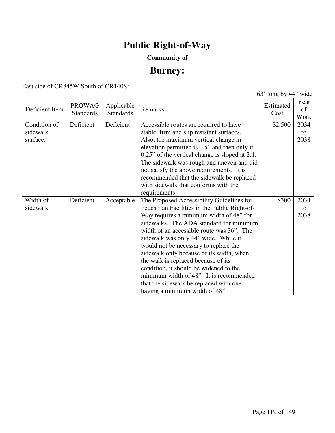# **Public Right-of-Way**

## **Community of**

## **Burney:**

East side of CR845W South of CR140S:

63' long by 44" wide

| Deficient Item | <b>PROWAG</b><br><b>Standards</b> | Applicable<br><b>Standards</b> | Remarks                                           | Estimated<br>Cost | Year<br>of<br>Work |
|----------------|-----------------------------------|--------------------------------|---------------------------------------------------|-------------------|--------------------|
| Condition of   | Deficient                         | Deficient                      | Accessible routes are required to have            | \$2,500           | 2034               |
| sidewalk       |                                   |                                | stable, firm and slip resistant surfaces.         |                   | to                 |
| surface.       |                                   |                                | Also, the maximum vertical change in              |                   | 2038               |
|                |                                   |                                | elevation permitted is 0.5" and then only if      |                   |                    |
|                |                                   |                                | $0.25$ " of the vertical change is sloped at 2:1. |                   |                    |
|                |                                   |                                | The sidewalk was rough and uneven and did         |                   |                    |
|                |                                   |                                | not satisfy the above requirements. It is         |                   |                    |
|                |                                   |                                | recommended that the sidewalk be replaced         |                   |                    |
|                |                                   |                                | with sidewalk that conforms with the              |                   |                    |
|                |                                   |                                | requirements                                      |                   |                    |
| Width of       | Deficient                         | Acceptable                     | The Proposed Accessibility Guidelines for         | \$300             | 2034               |
| sidewalk       |                                   |                                | Pedestrian Facilities in the Public Right-of-     |                   | to                 |
|                |                                   |                                | Way requires a minimum width of 48" for           |                   | 2038               |
|                |                                   |                                | sidewalks. The ADA standard for minimum           |                   |                    |
|                |                                   |                                | width of an accessible route was 36". The         |                   |                    |
|                |                                   |                                | sidewalk was only 44" wide. While it              |                   |                    |
|                |                                   |                                | would not be necessary to replace the             |                   |                    |
|                |                                   |                                | sidewalk only because of its width, when          |                   |                    |
|                |                                   |                                | the walk is replaced because of its               |                   |                    |
|                |                                   |                                | condition, it should be widened to the            |                   |                    |
|                |                                   |                                | minimum width of 48". It is recommended           |                   |                    |
|                |                                   |                                | that the sidewalk be replaced with one            |                   |                    |
|                |                                   |                                | having a minimum width of 48".                    |                   |                    |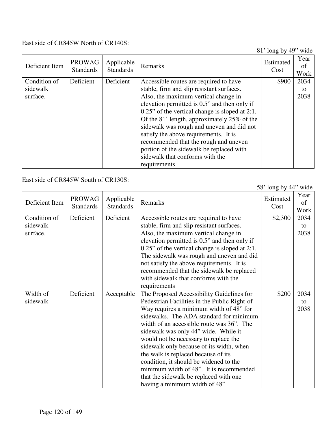### East side of CR845W North of CR140S:

81' long by 49" wide

| Deficient Item | <b>PROWAG</b><br><b>Standards</b> | Applicable<br><b>Standards</b> | Remarks                                           | -- - - -<br>Estimated<br>Cost | Year<br>0f<br>Work |
|----------------|-----------------------------------|--------------------------------|---------------------------------------------------|-------------------------------|--------------------|
| Condition of   | Deficient                         | Deficient                      | Accessible routes are required to have            | \$900                         | 2034               |
| sidewalk       |                                   |                                | stable, firm and slip resistant surfaces.         |                               | to                 |
| surface.       |                                   |                                | Also, the maximum vertical change in              |                               | 2038               |
|                |                                   |                                | elevation permitted is 0.5" and then only if      |                               |                    |
|                |                                   |                                | $0.25$ " of the vertical change is sloped at 2:1. |                               |                    |
|                |                                   |                                | Of the 81' length, approximately 25% of the       |                               |                    |
|                |                                   |                                | sidewalk was rough and uneven and did not         |                               |                    |
|                |                                   |                                | satisfy the above requirements. It is             |                               |                    |
|                |                                   |                                | recommended that the rough and uneven             |                               |                    |
|                |                                   |                                | portion of the sidewalk be replaced with          |                               |                    |
|                |                                   |                                | sidewalk that conforms with the                   |                               |                    |
|                |                                   |                                | requirements                                      |                               |                    |

## East side of CR845W South of CR130S:

58' long by 44" wide

| Deficient Item | <b>PROWAG</b><br><b>Standards</b> | Applicable<br><b>Standards</b> | Remarks                                           | Estimated<br>Cost | Year<br>of<br>Work |
|----------------|-----------------------------------|--------------------------------|---------------------------------------------------|-------------------|--------------------|
| Condition of   | Deficient                         | Deficient                      | Accessible routes are required to have            | \$2,300           | 2034               |
| sidewalk       |                                   |                                | stable, firm and slip resistant surfaces.         |                   | to                 |
| surface.       |                                   |                                | Also, the maximum vertical change in              |                   | 2038               |
|                |                                   |                                | elevation permitted is 0.5" and then only if      |                   |                    |
|                |                                   |                                | $0.25$ " of the vertical change is sloped at 2:1. |                   |                    |
|                |                                   |                                | The sidewalk was rough and uneven and did         |                   |                    |
|                |                                   |                                | not satisfy the above requirements. It is         |                   |                    |
|                |                                   |                                | recommended that the sidewalk be replaced         |                   |                    |
|                |                                   |                                | with sidewalk that conforms with the              |                   |                    |
|                |                                   |                                | requirements                                      |                   |                    |
| Width of       | Deficient                         | Acceptable                     | The Proposed Accessibility Guidelines for         | \$200             | 2034               |
| sidewalk       |                                   |                                | Pedestrian Facilities in the Public Right-of-     |                   | to                 |
|                |                                   |                                | Way requires a minimum width of 48" for           |                   | 2038               |
|                |                                   |                                | sidewalks. The ADA standard for minimum           |                   |                    |
|                |                                   |                                | width of an accessible route was 36". The         |                   |                    |
|                |                                   |                                | sidewalk was only 44" wide. While it              |                   |                    |
|                |                                   |                                | would not be necessary to replace the             |                   |                    |
|                |                                   |                                | sidewalk only because of its width, when          |                   |                    |
|                |                                   |                                | the walk is replaced because of its               |                   |                    |
|                |                                   |                                | condition, it should be widened to the            |                   |                    |
|                |                                   |                                | minimum width of 48". It is recommended           |                   |                    |
|                |                                   |                                | that the sidewalk be replaced with one            |                   |                    |
|                |                                   |                                | having a minimum width of 48".                    |                   |                    |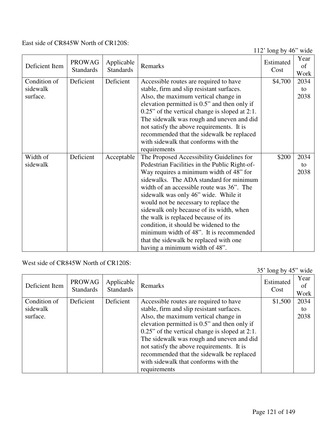East side of CR845W North of CR120S:

112' long by 46" wide

|                |                  |                  |                                                | $112 \text{ m}, 01 \text{ m}$ | Year |
|----------------|------------------|------------------|------------------------------------------------|-------------------------------|------|
| Deficient Item | <b>PROWAG</b>    | Applicable       | Remarks                                        | Estimated                     | of   |
|                | <b>Standards</b> | <b>Standards</b> |                                                | Cost                          | Work |
| Condition of   | Deficient        | Deficient        | Accessible routes are required to have         | \$4,700                       | 2034 |
| sidewalk       |                  |                  | stable, firm and slip resistant surfaces.      |                               | to   |
| surface.       |                  |                  | Also, the maximum vertical change in           |                               | 2038 |
|                |                  |                  |                                                |                               |      |
|                |                  |                  | elevation permitted is 0.5" and then only if   |                               |      |
|                |                  |                  | 0.25" of the vertical change is sloped at 2:1. |                               |      |
|                |                  |                  | The sidewalk was rough and uneven and did      |                               |      |
|                |                  |                  | not satisfy the above requirements. It is      |                               |      |
|                |                  |                  | recommended that the sidewalk be replaced      |                               |      |
|                |                  |                  | with sidewalk that conforms with the           |                               |      |
|                |                  |                  | requirements                                   |                               |      |
| Width of       | Deficient        | Acceptable       | The Proposed Accessibility Guidelines for      | \$200                         | 2034 |
| sidewalk       |                  |                  | Pedestrian Facilities in the Public Right-of-  |                               | to   |
|                |                  |                  | Way requires a minimum width of 48" for        |                               | 2038 |
|                |                  |                  | sidewalks. The ADA standard for minimum        |                               |      |
|                |                  |                  | width of an accessible route was 36". The      |                               |      |
|                |                  |                  | sidewalk was only 46" wide. While it           |                               |      |
|                |                  |                  | would not be necessary to replace the          |                               |      |
|                |                  |                  | sidewalk only because of its width, when       |                               |      |
|                |                  |                  | the walk is replaced because of its            |                               |      |
|                |                  |                  | condition, it should be widened to the         |                               |      |
|                |                  |                  | minimum width of 48". It is recommended        |                               |      |
|                |                  |                  | that the sidewalk be replaced with one         |                               |      |
|                |                  |                  | having a minimum width of 48".                 |                               |      |
|                |                  |                  |                                                |                               |      |

West side of CR845W North of CR120S:

|                |                                   |                                |                                                   | 35' long by 45" wide |                    |
|----------------|-----------------------------------|--------------------------------|---------------------------------------------------|----------------------|--------------------|
| Deficient Item | <b>PROWAG</b><br><b>Standards</b> | Applicable<br><b>Standards</b> | Remarks                                           | Estimated<br>Cost    | Year<br>of<br>Work |
| Condition of   | Deficient                         | Deficient                      | Accessible routes are required to have            | \$1,500              | 2034               |
| sidewalk       |                                   |                                | stable, firm and slip resistant surfaces.         |                      | to                 |
| surface.       |                                   |                                | Also, the maximum vertical change in              |                      | 2038               |
|                |                                   |                                | elevation permitted is 0.5" and then only if      |                      |                    |
|                |                                   |                                | $0.25$ " of the vertical change is sloped at 2:1. |                      |                    |
|                |                                   |                                | The sidewalk was rough and uneven and did         |                      |                    |
|                |                                   |                                | not satisfy the above requirements. It is         |                      |                    |
|                |                                   |                                | recommended that the sidewalk be replaced         |                      |                    |
|                |                                   |                                | with sidewalk that conforms with the              |                      |                    |
|                |                                   |                                | requirements                                      |                      |                    |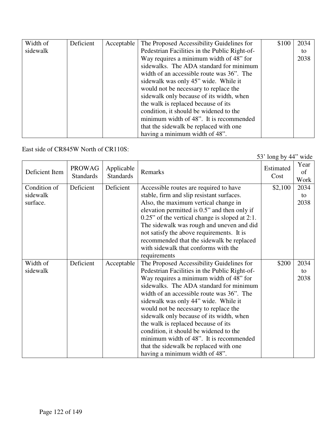| Width of | Deficient | Acceptable | The Proposed Accessibility Guidelines for     | \$100 | 2034 |
|----------|-----------|------------|-----------------------------------------------|-------|------|
| sidewalk |           |            | Pedestrian Facilities in the Public Right-of- |       | to   |
|          |           |            | Way requires a minimum width of 48" for       |       | 2038 |
|          |           |            | sidewalks. The ADA standard for minimum       |       |      |
|          |           |            | width of an accessible route was 36". The     |       |      |
|          |           |            | sidewalk was only 45" wide. While it          |       |      |
|          |           |            | would not be necessary to replace the         |       |      |
|          |           |            | sidewalk only because of its width, when      |       |      |
|          |           |            | the walk is replaced because of its           |       |      |
|          |           |            | condition, it should be widened to the        |       |      |
|          |           |            | minimum width of 48". It is recommended       |       |      |
|          |           |            | that the sidewalk be replaced with one        |       |      |
|          |           |            | having a minimum width of 48".                |       |      |

East side of CR845W North of CR110S:

| Deficient Item | <b>PROWAG</b><br><b>Standards</b> | Applicable<br><b>Standards</b> | Remarks                                           | Estimated<br>Cost | Year<br>οf<br>Work |
|----------------|-----------------------------------|--------------------------------|---------------------------------------------------|-------------------|--------------------|
| Condition of   | Deficient                         | Deficient                      | Accessible routes are required to have            | \$2,100           | 2034               |
| sidewalk       |                                   |                                | stable, firm and slip resistant surfaces.         |                   | to                 |
| surface.       |                                   |                                | Also, the maximum vertical change in              |                   | 2038               |
|                |                                   |                                | elevation permitted is 0.5" and then only if      |                   |                    |
|                |                                   |                                | $0.25$ " of the vertical change is sloped at 2:1. |                   |                    |
|                |                                   |                                | The sidewalk was rough and uneven and did         |                   |                    |
|                |                                   |                                | not satisfy the above requirements. It is         |                   |                    |
|                |                                   |                                | recommended that the sidewalk be replaced         |                   |                    |
|                |                                   |                                | with sidewalk that conforms with the              |                   |                    |
|                |                                   |                                | requirements                                      |                   |                    |
| Width of       | Deficient                         | Acceptable                     | The Proposed Accessibility Guidelines for         | \$200             | 2034               |
| sidewalk       |                                   |                                | Pedestrian Facilities in the Public Right-of-     |                   | to                 |
|                |                                   |                                | Way requires a minimum width of 48" for           |                   | 2038               |
|                |                                   |                                | sidewalks. The ADA standard for minimum           |                   |                    |
|                |                                   |                                | width of an accessible route was 36". The         |                   |                    |
|                |                                   |                                | sidewalk was only 44" wide. While it              |                   |                    |
|                |                                   |                                | would not be necessary to replace the             |                   |                    |
|                |                                   |                                | sidewalk only because of its width, when          |                   |                    |
|                |                                   |                                | the walk is replaced because of its               |                   |                    |
|                |                                   |                                | condition, it should be widened to the            |                   |                    |
|                |                                   |                                | minimum width of 48". It is recommended           |                   |                    |
|                |                                   |                                | that the sidewalk be replaced with one            |                   |                    |
|                |                                   |                                | having a minimum width of 48".                    |                   |                    |

53' long by 44" wide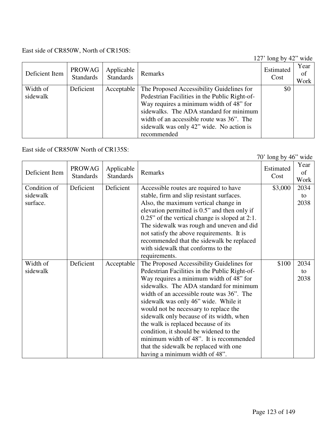## East side of CR850W, North of CR150S:

127' long by 42" wide

| Deficient Item       | PROWAG<br><b>Standards</b> | Applicable<br><b>Standards</b> | Remarks                                                                                                                                                                                                                                                                                  | Estimated<br>Cost | Year<br>of<br>Work |
|----------------------|----------------------------|--------------------------------|------------------------------------------------------------------------------------------------------------------------------------------------------------------------------------------------------------------------------------------------------------------------------------------|-------------------|--------------------|
| Width of<br>sidewalk | Deficient                  | Acceptable                     | The Proposed Accessibility Guidelines for<br>Pedestrian Facilities in the Public Right-of-<br>Way requires a minimum width of 48" for<br>sidewalks. The ADA standard for minimum<br>width of an accessible route was 36". The<br>sidewalk was only 42" wide. No action is<br>recommended | \$0               |                    |

East side of CR850W North of CR135S:

70' long by 46" wide

| Deficient Item | <b>PROWAG</b><br><b>Standards</b> | Applicable<br><b>Standards</b> | Remarks                                           | Estimated<br>Cost | Year<br>of<br>Work |
|----------------|-----------------------------------|--------------------------------|---------------------------------------------------|-------------------|--------------------|
| Condition of   | Deficient                         | Deficient                      | Accessible routes are required to have            | \$3,000           | 2034               |
| sidewalk       |                                   |                                | stable, firm and slip resistant surfaces.         |                   | to                 |
| surface.       |                                   |                                | Also, the maximum vertical change in              |                   | 2038               |
|                |                                   |                                | elevation permitted is 0.5" and then only if      |                   |                    |
|                |                                   |                                | $0.25$ " of the vertical change is sloped at 2:1. |                   |                    |
|                |                                   |                                | The sidewalk was rough and uneven and did         |                   |                    |
|                |                                   |                                | not satisfy the above requirements. It is         |                   |                    |
|                |                                   |                                | recommended that the sidewalk be replaced         |                   |                    |
|                |                                   |                                | with sidewalk that conforms to the                |                   |                    |
|                |                                   |                                | requirements.                                     |                   |                    |
| Width of       | Deficient                         | Acceptable                     | The Proposed Accessibility Guidelines for         | \$100             | 2034               |
| sidewalk       |                                   |                                | Pedestrian Facilities in the Public Right-of-     |                   | to                 |
|                |                                   |                                | Way requires a minimum width of 48" for           |                   | 2038               |
|                |                                   |                                | sidewalks. The ADA standard for minimum           |                   |                    |
|                |                                   |                                | width of an accessible route was 36". The         |                   |                    |
|                |                                   |                                | sidewalk was only 46" wide. While it              |                   |                    |
|                |                                   |                                | would not be necessary to replace the             |                   |                    |
|                |                                   |                                | sidewalk only because of its width, when          |                   |                    |
|                |                                   |                                | the walk is replaced because of its               |                   |                    |
|                |                                   |                                | condition, it should be widened to the            |                   |                    |
|                |                                   |                                | minimum width of 48". It is recommended           |                   |                    |
|                |                                   |                                | that the sidewalk be replaced with one            |                   |                    |
|                |                                   |                                | having a minimum width of 48".                    |                   |                    |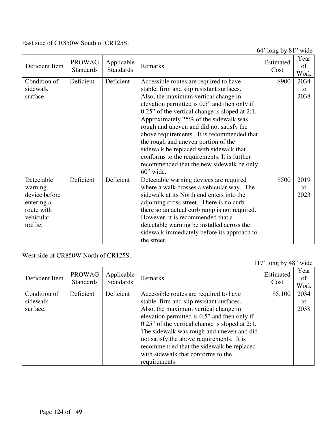East side of CR850W South of CR125S:

64' long by 81" wide

|                |                  |                                |                                                   | $0 + 10$ ig Uyu | wiuc<br>Year |
|----------------|------------------|--------------------------------|---------------------------------------------------|-----------------|--------------|
| Deficient Item | <b>PROWAG</b>    | Applicable<br><b>Standards</b> | Remarks                                           | Estimated       | of           |
|                | <b>Standards</b> |                                |                                                   | Cost            | Work         |
| Condition of   | Deficient        | Deficient                      | Accessible routes are required to have            | \$900           | 2034         |
| sidewalk       |                  |                                | stable, firm and slip resistant surfaces.         |                 | to           |
| surface.       |                  |                                | Also, the maximum vertical change in              |                 | 2038         |
|                |                  |                                | elevation permitted is 0.5" and then only if      |                 |              |
|                |                  |                                | $0.25$ " of the vertical change is sloped at 2:1. |                 |              |
|                |                  |                                | Approximately 25% of the sidewalk was             |                 |              |
|                |                  |                                | rough and uneven and did not satisfy the          |                 |              |
|                |                  |                                | above requirements. It is recommended that        |                 |              |
|                |                  |                                | the rough and uneven portion of the               |                 |              |
|                |                  |                                | sidewalk be replaced with sidewalk that           |                 |              |
|                |                  |                                | conforms to the requirements. It is further       |                 |              |
|                |                  |                                | recommended that the new sidewalk be only         |                 |              |
|                |                  |                                | $60$ " wide.                                      |                 |              |
| Detectable     | Deficient        | Deficient                      | Detectable warning devices are required           | \$500           | 2019         |
| warning        |                  |                                | where a walk crosses a vehicular way. The         |                 | to           |
| device before  |                  |                                | sidewalk at its North end enters into the         |                 | 2023         |
| entering a     |                  |                                | adjoining cross street. There is no curb          |                 |              |
| route with     |                  |                                | there so an actual curb ramp is not required.     |                 |              |
| vehicular      |                  |                                | However, it is recommended that a                 |                 |              |
| traffic.       |                  |                                | detectable warning be installed across the        |                 |              |
|                |                  |                                | sidewalk immediately before its approach to       |                 |              |
|                |                  |                                | the street.                                       |                 |              |

West side of CR850W North of CR125S:

117' long by 48" wide

| Deficient Item | <b>PROWAG</b><br><b>Standards</b> | Applicable<br><b>Standards</b> | Remarks                                           | <i>o</i> - J<br>Estimated<br>Cost | Year<br>οf<br>Work |
|----------------|-----------------------------------|--------------------------------|---------------------------------------------------|-----------------------------------|--------------------|
| Condition of   | Deficient                         | Deficient                      | Accessible routes are required to have            | \$5,100                           | 2034               |
| sidewalk       |                                   |                                | stable, firm and slip resistant surfaces.         |                                   | to                 |
| surface.       |                                   |                                | Also, the maximum vertical change in              |                                   | 2038               |
|                |                                   |                                | elevation permitted is 0.5" and then only if      |                                   |                    |
|                |                                   |                                | $0.25$ " of the vertical change is sloped at 2:1. |                                   |                    |
|                |                                   |                                | The sidewalk was rough and uneven and did         |                                   |                    |
|                |                                   |                                | not satisfy the above requirements. It is         |                                   |                    |
|                |                                   |                                | recommended that the sidewalk be replaced         |                                   |                    |
|                |                                   |                                | with sidewalk that conforms to the                |                                   |                    |
|                |                                   |                                | requirements.                                     |                                   |                    |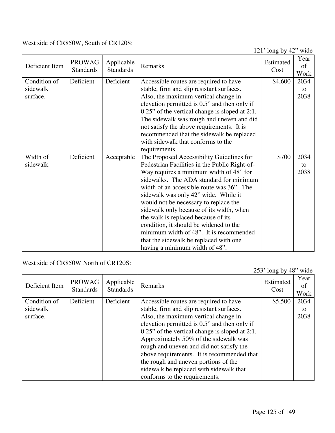West side of CR850W, South of CR120S:

121' long by 42" wide

|                |                                   |                                |                                                   | $121 \text{ IUIg } Uy = 72$ | www                |
|----------------|-----------------------------------|--------------------------------|---------------------------------------------------|-----------------------------|--------------------|
| Deficient Item | <b>PROWAG</b><br><b>Standards</b> | Applicable<br><b>Standards</b> | Remarks                                           | Estimated<br>Cost           | Year<br>of<br>Work |
| Condition of   | Deficient                         | Deficient                      | Accessible routes are required to have            | \$4,600                     | 2034               |
| sidewalk       |                                   |                                | stable, firm and slip resistant surfaces.         |                             | to                 |
| surface.       |                                   |                                | Also, the maximum vertical change in              |                             | 2038               |
|                |                                   |                                | elevation permitted is 0.5" and then only if      |                             |                    |
|                |                                   |                                | $0.25$ " of the vertical change is sloped at 2:1. |                             |                    |
|                |                                   |                                | The sidewalk was rough and uneven and did         |                             |                    |
|                |                                   |                                |                                                   |                             |                    |
|                |                                   |                                | not satisfy the above requirements. It is         |                             |                    |
|                |                                   |                                | recommended that the sidewalk be replaced         |                             |                    |
|                |                                   |                                | with sidewalk that conforms to the                |                             |                    |
|                |                                   |                                | requirements.                                     |                             |                    |
| Width of       | Deficient                         | Acceptable                     | The Proposed Accessibility Guidelines for         | \$700                       | 2034               |
| sidewalk       |                                   |                                | Pedestrian Facilities in the Public Right-of-     |                             | to                 |
|                |                                   |                                | Way requires a minimum width of 48" for           |                             | 2038               |
|                |                                   |                                | sidewalks. The ADA standard for minimum           |                             |                    |
|                |                                   |                                | width of an accessible route was 36". The         |                             |                    |
|                |                                   |                                | sidewalk was only 42" wide. While it              |                             |                    |
|                |                                   |                                | would not be necessary to replace the             |                             |                    |
|                |                                   |                                | sidewalk only because of its width, when          |                             |                    |
|                |                                   |                                | the walk is replaced because of its               |                             |                    |
|                |                                   |                                | condition, it should be widened to the            |                             |                    |
|                |                                   |                                | minimum width of 48". It is recommended           |                             |                    |
|                |                                   |                                | that the sidewalk be replaced with one            |                             |                    |
|                |                                   |                                | having a minimum width of 48".                    |                             |                    |
|                |                                   |                                |                                                   |                             |                    |

West side of CR850W North of CR120S:

|                |                                   |                                |                                                   | 253' long by 48" wide |                    |
|----------------|-----------------------------------|--------------------------------|---------------------------------------------------|-----------------------|--------------------|
| Deficient Item | <b>PROWAG</b><br><b>Standards</b> | Applicable<br><b>Standards</b> | Remarks                                           | Estimated<br>Cost     | Year<br>of<br>Work |
| Condition of   | Deficient                         | Deficient                      | Accessible routes are required to have            | \$5,500               | 2034               |
| sidewalk       |                                   |                                | stable, firm and slip resistant surfaces.         |                       | to                 |
| surface.       |                                   |                                | Also, the maximum vertical change in              |                       | 2038               |
|                |                                   |                                | elevation permitted is 0.5" and then only if      |                       |                    |
|                |                                   |                                | $0.25$ " of the vertical change is sloped at 2:1. |                       |                    |
|                |                                   |                                | Approximately 50% of the sidewalk was             |                       |                    |
|                |                                   |                                | rough and uneven and did not satisfy the          |                       |                    |
|                |                                   |                                | above requirements. It is recommended that        |                       |                    |
|                |                                   |                                | the rough and uneven portions of the              |                       |                    |
|                |                                   |                                | sidewalk be replaced with sidewalk that           |                       |                    |
|                |                                   |                                | conforms to the requirements.                     |                       |                    |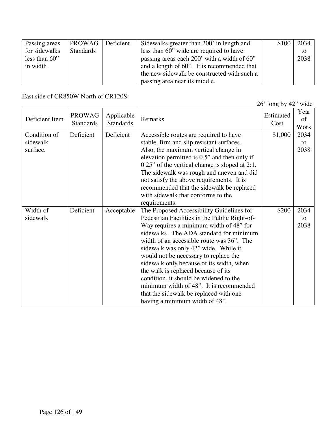| Passing areas | PROWAG Deficient | Sidewalks greater than 200' in length and   | \$100 | 2034 |
|---------------|------------------|---------------------------------------------|-------|------|
| for sidewalks | Standards        | less than 60" wide are required to have     |       | to   |
| less than 60" |                  | passing areas each 200' with a width of 60" |       | 2038 |
| in width      |                  | and a length of 60". It is recommended that |       |      |
|               |                  | the new sidewalk be constructed with such a |       |      |
|               |                  | passing area near its middle.               |       |      |

East side of CR850W North of CR120S:

|                                      |                                   |                                |                                                                                                                                                                                                                                                                                                                                                                                                                                                                                                                                                                    | $26'$ long by $42''$ wide |                    |
|--------------------------------------|-----------------------------------|--------------------------------|--------------------------------------------------------------------------------------------------------------------------------------------------------------------------------------------------------------------------------------------------------------------------------------------------------------------------------------------------------------------------------------------------------------------------------------------------------------------------------------------------------------------------------------------------------------------|---------------------------|--------------------|
| Deficient Item                       | <b>PROWAG</b><br><b>Standards</b> | Applicable<br><b>Standards</b> | Remarks                                                                                                                                                                                                                                                                                                                                                                                                                                                                                                                                                            | Estimated<br>Cost         | Year<br>of<br>Work |
| Condition of<br>sidewalk<br>surface. | Deficient                         | Deficient                      | Accessible routes are required to have<br>stable, firm and slip resistant surfaces.<br>Also, the maximum vertical change in<br>elevation permitted is 0.5" and then only if<br>$0.25$ " of the vertical change is sloped at 2:1.<br>The sidewalk was rough and uneven and did<br>not satisfy the above requirements. It is<br>recommended that the sidewalk be replaced<br>with sidewalk that conforms to the<br>requirements.                                                                                                                                     | \$1,000                   | 2034<br>to<br>2038 |
| Width of<br>sidewalk                 | Deficient                         | Acceptable                     | The Proposed Accessibility Guidelines for<br>Pedestrian Facilities in the Public Right-of-<br>Way requires a minimum width of 48" for<br>sidewalks. The ADA standard for minimum<br>width of an accessible route was 36". The<br>sidewalk was only 42" wide. While it<br>would not be necessary to replace the<br>sidewalk only because of its width, when<br>the walk is replaced because of its<br>condition, it should be widened to the<br>minimum width of 48". It is recommended<br>that the sidewalk be replaced with one<br>having a minimum width of 48". | \$200                     | 2034<br>to<br>2038 |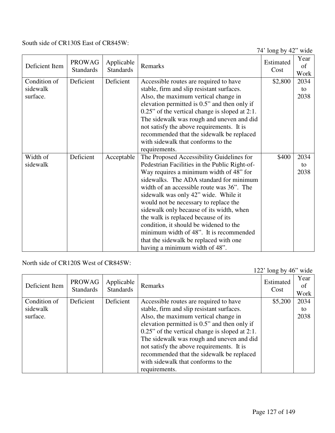### South side of CR130S East of CR845W:

74' long by 42" wide

| <b>Standards</b><br><b>Standards</b><br>Cost                                                                                                         | Work       |
|------------------------------------------------------------------------------------------------------------------------------------------------------|------------|
| Condition of<br>Deficient<br>Deficient<br>Accessible routes are required to have<br>\$2,800<br>sidewalk<br>stable, firm and slip resistant surfaces. | 2034<br>to |
| Also, the maximum vertical change in<br>surface.                                                                                                     | 2038       |
| elevation permitted is 0.5" and then only if                                                                                                         |            |
| $0.25$ " of the vertical change is sloped at 2:1.<br>The sidewalk was rough and uneven and did                                                       |            |
| not satisfy the above requirements. It is                                                                                                            |            |
| recommended that the sidewalk be replaced                                                                                                            |            |
| with sidewalk that conforms to the                                                                                                                   |            |
| requirements.                                                                                                                                        |            |
| Deficient<br>Width of<br>Acceptable<br>The Proposed Accessibility Guidelines for<br>\$400                                                            | 2034       |
| sidewalk<br>Pedestrian Facilities in the Public Right-of-                                                                                            | to         |
| Way requires a minimum width of 48" for                                                                                                              | 2038       |
| sidewalks. The ADA standard for minimum                                                                                                              |            |
| width of an accessible route was 36". The                                                                                                            |            |
| sidewalk was only 42" wide. While it                                                                                                                 |            |
| would not be necessary to replace the                                                                                                                |            |
| sidewalk only because of its width, when                                                                                                             |            |
| the walk is replaced because of its                                                                                                                  |            |
| condition, it should be widened to the                                                                                                               |            |
| minimum width of 48". It is recommended                                                                                                              |            |
| that the sidewalk be replaced with one<br>having a minimum width of 48".                                                                             |            |

North side of CR120S West of CR845W:

|                |                                   |                                |                                                   | 122' long by $46$ " wide |                    |
|----------------|-----------------------------------|--------------------------------|---------------------------------------------------|--------------------------|--------------------|
| Deficient Item | <b>PROWAG</b><br><b>Standards</b> | Applicable<br><b>Standards</b> | Remarks                                           | Estimated<br>Cost        | Year<br>οf<br>Work |
| Condition of   | Deficient                         | Deficient                      | Accessible routes are required to have            | \$5,200                  | 2034               |
| sidewalk       |                                   |                                | stable, firm and slip resistant surfaces.         |                          | to                 |
| surface.       |                                   |                                | Also, the maximum vertical change in              |                          | 2038               |
|                |                                   |                                | elevation permitted is 0.5" and then only if      |                          |                    |
|                |                                   |                                | $0.25$ " of the vertical change is sloped at 2:1. |                          |                    |
|                |                                   |                                | The sidewalk was rough and uneven and did         |                          |                    |
|                |                                   |                                | not satisfy the above requirements. It is         |                          |                    |
|                |                                   |                                | recommended that the sidewalk be replaced         |                          |                    |
|                |                                   |                                | with sidewalk that conforms to the                |                          |                    |
|                |                                   |                                | requirements.                                     |                          |                    |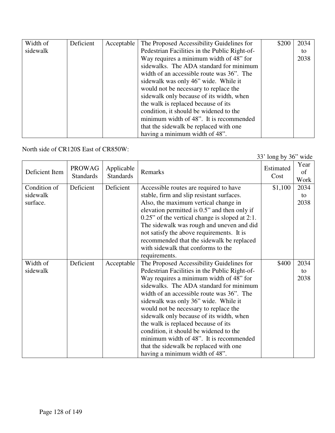| Width of | Deficient | Acceptable | The Proposed Accessibility Guidelines for     | \$200 | 2034 |
|----------|-----------|------------|-----------------------------------------------|-------|------|
| sidewalk |           |            | Pedestrian Facilities in the Public Right-of- |       | to   |
|          |           |            | Way requires a minimum width of 48" for       |       | 2038 |
|          |           |            | sidewalks. The ADA standard for minimum       |       |      |
|          |           |            | width of an accessible route was 36". The     |       |      |
|          |           |            | sidewalk was only 46" wide. While it          |       |      |
|          |           |            | would not be necessary to replace the         |       |      |
|          |           |            | sidewalk only because of its width, when      |       |      |
|          |           |            | the walk is replaced because of its           |       |      |
|          |           |            | condition, it should be widened to the        |       |      |
|          |           |            | minimum width of 48". It is recommended       |       |      |
|          |           |            | that the sidewalk be replaced with one        |       |      |
|          |           |            | having a minimum width of 48".                |       |      |

North side of CR120S East of CR850W:

| Deficient Item | <b>PROWAG</b><br><b>Standards</b> | Applicable<br><b>Standards</b> | Remarks                                           | Estimated<br>Cost | Year<br>οf<br>Work |
|----------------|-----------------------------------|--------------------------------|---------------------------------------------------|-------------------|--------------------|
| Condition of   | Deficient                         | Deficient                      | Accessible routes are required to have            | \$1,100           | 2034               |
| sidewalk       |                                   |                                | stable, firm and slip resistant surfaces.         |                   | to                 |
| surface.       |                                   |                                | Also, the maximum vertical change in              |                   | 2038               |
|                |                                   |                                | elevation permitted is 0.5" and then only if      |                   |                    |
|                |                                   |                                | $0.25$ " of the vertical change is sloped at 2:1. |                   |                    |
|                |                                   |                                | The sidewalk was rough and uneven and did         |                   |                    |
|                |                                   |                                | not satisfy the above requirements. It is         |                   |                    |
|                |                                   |                                | recommended that the sidewalk be replaced         |                   |                    |
|                |                                   |                                | with sidewalk that conforms to the                |                   |                    |
|                |                                   |                                | requirements.                                     |                   |                    |
| Width of       | Deficient                         | Acceptable                     | The Proposed Accessibility Guidelines for         | \$400             | 2034               |
| sidewalk       |                                   |                                | Pedestrian Facilities in the Public Right-of-     |                   | to                 |
|                |                                   |                                | Way requires a minimum width of 48" for           |                   | 2038               |
|                |                                   |                                | sidewalks. The ADA standard for minimum           |                   |                    |
|                |                                   |                                | width of an accessible route was 36". The         |                   |                    |
|                |                                   |                                | sidewalk was only 36" wide. While it              |                   |                    |
|                |                                   |                                | would not be necessary to replace the             |                   |                    |
|                |                                   |                                | sidewalk only because of its width, when          |                   |                    |
|                |                                   |                                | the walk is replaced because of its               |                   |                    |
|                |                                   |                                | condition, it should be widened to the            |                   |                    |
|                |                                   |                                | minimum width of 48". It is recommended           |                   |                    |
|                |                                   |                                | that the sidewalk be replaced with one            |                   |                    |
|                |                                   |                                | having a minimum width of 48".                    |                   |                    |

33' long by 36" wide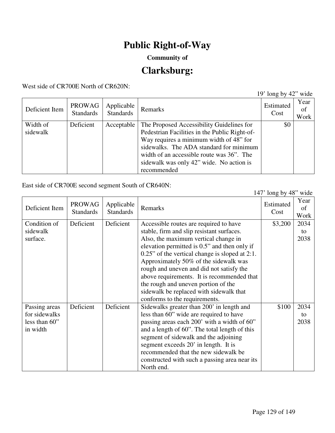## **Public Right-of-Way**

## **Community of**

# **Clarksburg:**

West side of CR700E North of CR620N:

19' long by 42" wide

| Deficient Item       | <b>PROWAG</b><br><b>Standards</b> | Applicable<br><b>Standards</b> | <b>Remarks</b>                                                                                                                                                                                                                                                                           | Estimated<br>Cost | Year<br>of<br>Work |
|----------------------|-----------------------------------|--------------------------------|------------------------------------------------------------------------------------------------------------------------------------------------------------------------------------------------------------------------------------------------------------------------------------------|-------------------|--------------------|
| Width of<br>sidewalk | Deficient                         | Acceptable                     | The Proposed Accessibility Guidelines for<br>Pedestrian Facilities in the Public Right-of-<br>Way requires a minimum width of 48" for<br>sidewalks. The ADA standard for minimum<br>width of an accessible route was 36". The<br>sidewalk was only 42" wide. No action is<br>recommended | \$0               |                    |

East side of CR700E second segment South of CR640N:

147' long by 48" wide

| Deficient Item | <b>PROWAG</b><br><b>Standards</b> | Applicable<br><b>Standards</b> | Remarks                                           | Estimated<br>Cost | Year<br>of<br>Work |
|----------------|-----------------------------------|--------------------------------|---------------------------------------------------|-------------------|--------------------|
| Condition of   | Deficient                         | Deficient                      | Accessible routes are required to have            | \$3,200           | 2034               |
| sidewalk       |                                   |                                | stable, firm and slip resistant surfaces.         |                   | to                 |
| surface.       |                                   |                                | Also, the maximum vertical change in              |                   | 2038               |
|                |                                   |                                | elevation permitted is 0.5" and then only if      |                   |                    |
|                |                                   |                                | $0.25$ " of the vertical change is sloped at 2:1. |                   |                    |
|                |                                   |                                | Approximately 50% of the sidewalk was             |                   |                    |
|                |                                   |                                | rough and uneven and did not satisfy the          |                   |                    |
|                |                                   |                                | above requirements. It is recommended that        |                   |                    |
|                |                                   |                                | the rough and uneven portion of the               |                   |                    |
|                |                                   |                                | sidewalk be replaced with sidewalk that           |                   |                    |
|                |                                   |                                | conforms to the requirements.                     |                   |                    |
| Passing areas  | Deficient                         | Deficient                      | Sidewalks greater than 200' in length and         | \$100             | 2034               |
| for sidewalks  |                                   |                                | less than 60" wide are required to have           |                   | to                 |
| less than 60"  |                                   |                                | passing areas each 200' with a width of 60"       |                   | 2038               |
| in width       |                                   |                                | and a length of 60". The total length of this     |                   |                    |
|                |                                   |                                | segment of sidewalk and the adjoining             |                   |                    |
|                |                                   |                                | segment exceeds 20' in length. It is              |                   |                    |
|                |                                   |                                | recommended that the new sidewalk be              |                   |                    |
|                |                                   |                                | constructed with such a passing area near its     |                   |                    |
|                |                                   |                                | North end.                                        |                   |                    |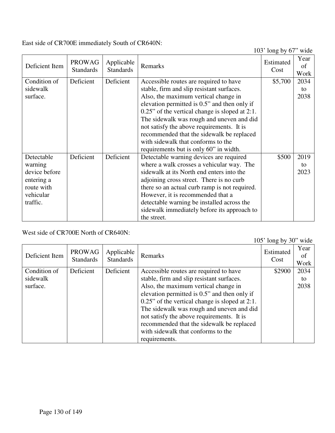East side of CR700E immediately South of CR640N:

103' long by 67" wide

|                |                                   |                                |                                                   | $100$ ROHZ UY 07  | www                |
|----------------|-----------------------------------|--------------------------------|---------------------------------------------------|-------------------|--------------------|
| Deficient Item | <b>PROWAG</b><br><b>Standards</b> | Applicable<br><b>Standards</b> | Remarks                                           | Estimated<br>Cost | Year<br>of<br>Work |
| Condition of   | Deficient                         | Deficient                      | Accessible routes are required to have            | \$5,700           | 2034               |
| sidewalk       |                                   |                                | stable, firm and slip resistant surfaces.         |                   | to                 |
| surface.       |                                   |                                | Also, the maximum vertical change in              |                   | 2038               |
|                |                                   |                                | elevation permitted is 0.5" and then only if      |                   |                    |
|                |                                   |                                | $0.25$ " of the vertical change is sloped at 2:1. |                   |                    |
|                |                                   |                                | The sidewalk was rough and uneven and did         |                   |                    |
|                |                                   |                                | not satisfy the above requirements. It is         |                   |                    |
|                |                                   |                                | recommended that the sidewalk be replaced         |                   |                    |
|                |                                   |                                | with sidewalk that conforms to the                |                   |                    |
|                |                                   |                                | requirements but is only 60" in width.            |                   |                    |
| Detectable     | Deficient                         | Deficient                      | Detectable warning devices are required           | \$500             | 2019               |
| warning        |                                   |                                | where a walk crosses a vehicular way. The         |                   | to                 |
| device before  |                                   |                                | sidewalk at its North end enters into the         |                   | 2023               |
| entering a     |                                   |                                | adjoining cross street. There is no curb          |                   |                    |
| route with     |                                   |                                | there so an actual curb ramp is not required.     |                   |                    |
| vehicular      |                                   |                                | However, it is recommended that a                 |                   |                    |
| traffic.       |                                   |                                | detectable warning be installed across the        |                   |                    |
|                |                                   |                                | sidewalk immediately before its approach to       |                   |                    |
|                |                                   |                                | the street.                                       |                   |                    |

West side of CR700E North of CR640N:

105' long by 30" wide

| Deficient Item | <b>PROWAG</b><br><b>Standards</b> | Applicable<br><b>Standards</b> | Remarks                                           | Estimated<br>Cost | Year<br>of<br>Work |
|----------------|-----------------------------------|--------------------------------|---------------------------------------------------|-------------------|--------------------|
| Condition of   | Deficient                         | Deficient                      | Accessible routes are required to have            | \$2900            | 2034               |
| sidewalk       |                                   |                                | stable, firm and slip resistant surfaces.         |                   | to                 |
| surface.       |                                   |                                | Also, the maximum vertical change in              |                   | 2038               |
|                |                                   |                                | elevation permitted is 0.5" and then only if      |                   |                    |
|                |                                   |                                | $0.25$ " of the vertical change is sloped at 2:1. |                   |                    |
|                |                                   |                                | The sidewalk was rough and uneven and did         |                   |                    |
|                |                                   |                                | not satisfy the above requirements. It is         |                   |                    |
|                |                                   |                                | recommended that the sidewalk be replaced         |                   |                    |
|                |                                   |                                | with sidewalk that conforms to the                |                   |                    |
|                |                                   |                                | requirements.                                     |                   |                    |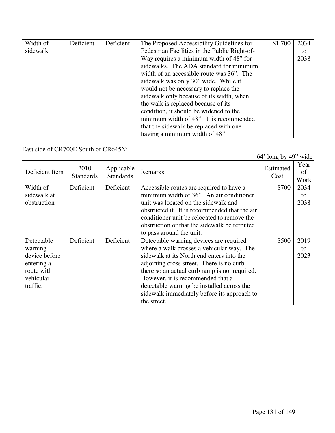| Width of | Deficient | Deficient | The Proposed Accessibility Guidelines for     | \$1,700 | 2034 |
|----------|-----------|-----------|-----------------------------------------------|---------|------|
| sidewalk |           |           | Pedestrian Facilities in the Public Right-of- |         | to   |
|          |           |           | Way requires a minimum width of 48" for       |         | 2038 |
|          |           |           | sidewalks. The ADA standard for minimum       |         |      |
|          |           |           | width of an accessible route was 36". The     |         |      |
|          |           |           | sidewalk was only 30" wide. While it          |         |      |
|          |           |           | would not be necessary to replace the         |         |      |
|          |           |           | sidewalk only because of its width, when      |         |      |
|          |           |           | the walk is replaced because of its           |         |      |
|          |           |           | condition, it should be widened to the        |         |      |
|          |           |           | minimum width of 48". It is recommended       |         |      |
|          |           |           | that the sidewalk be replaced with one        |         |      |
|          |           |           | having a minimum width of 48".                |         |      |

East side of CR700E South of CR645N:

64' long by 49" wide

| Deficient Item | 2010<br><b>Standards</b> | Applicable<br><b>Standards</b> | Remarks                                       | Estimated<br>Cost | Year<br>of<br>Work |
|----------------|--------------------------|--------------------------------|-----------------------------------------------|-------------------|--------------------|
| Width of       | Deficient                | Deficient                      | Accessible routes are required to have a      | \$700             | 2034               |
| sidewalk at    |                          |                                | minimum width of 36". An air conditioner      |                   | to                 |
| obstruction    |                          |                                | unit was located on the sidewalk and          |                   | 2038               |
|                |                          |                                | obstructed it. It is recommended that the air |                   |                    |
|                |                          |                                | conditioner unit be relocated to remove the   |                   |                    |
|                |                          |                                | obstruction or that the sidewalk be rerouted  |                   |                    |
|                |                          |                                | to pass around the unit.                      |                   |                    |
| Detectable     | Deficient                | Deficient                      | Detectable warning devices are required       | \$500             | 2019               |
| warning        |                          |                                | where a walk crosses a vehicular way. The     |                   | to                 |
| device before  |                          |                                | sidewalk at its North end enters into the     |                   | 2023               |
| entering a     |                          |                                | adjoining cross street. There is no curb      |                   |                    |
| route with     |                          |                                | there so an actual curb ramp is not required. |                   |                    |
| vehicular      |                          |                                | However, it is recommended that a             |                   |                    |
| traffic.       |                          |                                | detectable warning be installed across the    |                   |                    |
|                |                          |                                | sidewalk immediately before its approach to   |                   |                    |
|                |                          |                                | the street.                                   |                   |                    |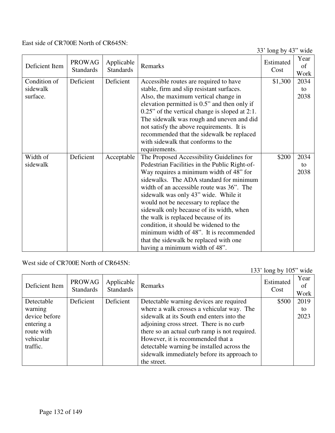East side of CR700E North of CR645N:

33' long by 43" wide

|                |                                   |                                |                                                                               | $33 \text{ m}$ iong by $73$ | www                |
|----------------|-----------------------------------|--------------------------------|-------------------------------------------------------------------------------|-----------------------------|--------------------|
| Deficient Item | <b>PROWAG</b><br><b>Standards</b> | Applicable<br><b>Standards</b> | Remarks                                                                       | Estimated<br>Cost           | Year<br>of<br>Work |
| Condition of   | Deficient                         | Deficient                      | Accessible routes are required to have                                        | \$1,300                     | 2034               |
| sidewalk       |                                   |                                | stable, firm and slip resistant surfaces.                                     |                             | to                 |
| surface.       |                                   |                                | Also, the maximum vertical change in                                          |                             | 2038               |
|                |                                   |                                | elevation permitted is 0.5" and then only if                                  |                             |                    |
|                |                                   |                                | $0.25$ " of the vertical change is sloped at 2:1.                             |                             |                    |
|                |                                   |                                | The sidewalk was rough and uneven and did                                     |                             |                    |
|                |                                   |                                | not satisfy the above requirements. It is                                     |                             |                    |
|                |                                   |                                | recommended that the sidewalk be replaced                                     |                             |                    |
|                |                                   |                                | with sidewalk that conforms to the                                            |                             |                    |
|                |                                   |                                | requirements.                                                                 |                             |                    |
| Width of       | Deficient                         | Acceptable                     | The Proposed Accessibility Guidelines for                                     | \$200                       | 2034               |
| sidewalk       |                                   |                                | Pedestrian Facilities in the Public Right-of-                                 |                             | to                 |
|                |                                   |                                | Way requires a minimum width of 48" for                                       |                             | 2038               |
|                |                                   |                                | sidewalks. The ADA standard for minimum                                       |                             |                    |
|                |                                   |                                | width of an accessible route was 36". The                                     |                             |                    |
|                |                                   |                                |                                                                               |                             |                    |
|                |                                   |                                | sidewalk was only 43" wide. While it<br>would not be necessary to replace the |                             |                    |
|                |                                   |                                |                                                                               |                             |                    |
|                |                                   |                                | sidewalk only because of its width, when                                      |                             |                    |
|                |                                   |                                | the walk is replaced because of its                                           |                             |                    |
|                |                                   |                                | condition, it should be widened to the                                        |                             |                    |
|                |                                   |                                | minimum width of 48". It is recommended                                       |                             |                    |
|                |                                   |                                | that the sidewalk be replaced with one                                        |                             |                    |
|                |                                   |                                | having a minimum width of 48".                                                |                             |                    |

West side of CR700E North of CR645N:

|                |                                   |                                |                                               | 133' long by $105$ " wide |                    |
|----------------|-----------------------------------|--------------------------------|-----------------------------------------------|---------------------------|--------------------|
| Deficient Item | <b>PROWAG</b><br><b>Standards</b> | Applicable<br><b>Standards</b> | Remarks                                       | Estimated<br>Cost         | Year<br>of<br>Work |
| Detectable     | Deficient                         | Deficient                      | Detectable warning devices are required       | \$500                     | 2019               |
| warning        |                                   |                                | where a walk crosses a vehicular way. The     |                           | to                 |
| device before  |                                   |                                | sidewalk at its South end enters into the     |                           | 2023               |
| entering a     |                                   |                                | adjoining cross street. There is no curb      |                           |                    |
| route with     |                                   |                                | there so an actual curb ramp is not required. |                           |                    |
| vehicular      |                                   |                                | However, it is recommended that a             |                           |                    |
| traffic.       |                                   |                                | detectable warning be installed across the    |                           |                    |
|                |                                   |                                | sidewalk immediately before its approach to   |                           |                    |
|                |                                   |                                | the street.                                   |                           |                    |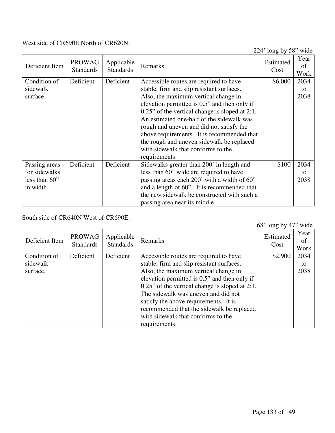#### West side of CR690E North of CR620N:

224' long by 58" wide

| Deficient Item | <b>PROWAG</b><br><b>Standards</b> | Applicable<br><b>Standards</b> | Remarks                                        | Estimated<br>Cost | Year<br>of<br>Work |
|----------------|-----------------------------------|--------------------------------|------------------------------------------------|-------------------|--------------------|
| Condition of   | Deficient                         | Deficient                      | Accessible routes are required to have         | \$6,000           | 2034               |
| sidewalk       |                                   |                                | stable, firm and slip resistant surfaces.      |                   | to                 |
| surface.       |                                   |                                | Also, the maximum vertical change in           |                   | 2038               |
|                |                                   |                                | elevation permitted is 0.5" and then only if   |                   |                    |
|                |                                   |                                | 0.25" of the vertical change is sloped at 2:1. |                   |                    |
|                |                                   |                                | An estimated one-half of the sidewalk was      |                   |                    |
|                |                                   |                                | rough and uneven and did not satisfy the       |                   |                    |
|                |                                   |                                | above requirements. It is recommended that     |                   |                    |
|                |                                   |                                | the rough and uneven sidewalk be replaced      |                   |                    |
|                |                                   |                                | with sidewalk that conforms to the             |                   |                    |
|                |                                   |                                | requirements.                                  |                   |                    |
| Passing areas  | Deficient                         | Deficient                      | Sidewalks greater than 200' in length and      | \$100             | 2034               |
| for sidewalks  |                                   |                                | less than 60" wide are required to have        |                   | to                 |
| less than 60"  |                                   |                                | passing areas each 200' with a width of 60"    |                   | 2038               |
| in width       |                                   |                                | and a length of 60". It is recommended that    |                   |                    |
|                |                                   |                                | the new sidewalk be constructed with such a    |                   |                    |
|                |                                   |                                | passing area near its middle.                  |                   |                    |

South side of CR640N West of CR690E:

68' long by 47" wide Deficient Item | PROWAG **Standards** Applicable Applicable Remarks Estimated Estimated Cost Cost Year of Work Condition of sidewalk surface. Deficient Deficient Accessible routes are required to have stable, firm and slip resistant surfaces. Also, the maximum vertical change in elevation permitted is 0.5" and then only if 0.25" of the vertical change is sloped at 2:1. The sidewalk was uneven and did not satisfy the above requirements. It is recommended that the sidewalk be replaced with sidewalk that conforms to the requirements. \$2,900 2034 to 2038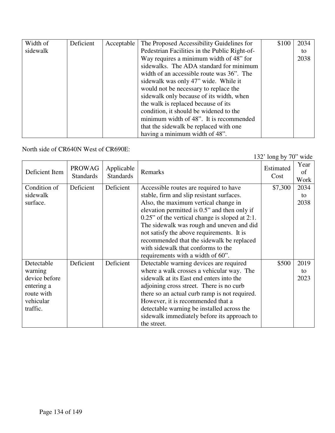| Width of | Deficient | Acceptable | The Proposed Accessibility Guidelines for     | \$100 | 2034 |
|----------|-----------|------------|-----------------------------------------------|-------|------|
| sidewalk |           |            | Pedestrian Facilities in the Public Right-of- |       | to   |
|          |           |            | Way requires a minimum width of 48" for       |       | 2038 |
|          |           |            | sidewalks. The ADA standard for minimum       |       |      |
|          |           |            | width of an accessible route was 36". The     |       |      |
|          |           |            | sidewalk was only 47" wide. While it          |       |      |
|          |           |            | would not be necessary to replace the         |       |      |
|          |           |            | sidewalk only because of its width, when      |       |      |
|          |           |            | the walk is replaced because of its           |       |      |
|          |           |            | condition, it should be widened to the        |       |      |
|          |           |            | minimum width of 48". It is recommended       |       |      |
|          |           |            | that the sidewalk be replaced with one        |       |      |
|          |           |            | having a minimum width of 48".                |       |      |

North side of CR640N West of CR690E:

132' long by 70" wide

| Deficient Item                                                                              | <b>PROWAG</b><br><b>Standards</b> | Applicable<br><b>Standards</b> | Remarks                                                                                                                                                                                                                                                                                                                                                                                                       | Estimated<br>Cost | Year<br>of<br>Work |
|---------------------------------------------------------------------------------------------|-----------------------------------|--------------------------------|---------------------------------------------------------------------------------------------------------------------------------------------------------------------------------------------------------------------------------------------------------------------------------------------------------------------------------------------------------------------------------------------------------------|-------------------|--------------------|
| Condition of<br>sidewalk<br>surface.                                                        | Deficient                         | Deficient                      | Accessible routes are required to have<br>stable, firm and slip resistant surfaces.<br>Also, the maximum vertical change in<br>elevation permitted is 0.5" and then only if<br>$0.25$ " of the vertical change is sloped at 2:1.<br>The sidewalk was rough and uneven and did<br>not satisfy the above requirements. It is<br>recommended that the sidewalk be replaced<br>with sidewalk that conforms to the | \$7,300           | 2034<br>to<br>2038 |
|                                                                                             |                                   |                                | requirements with a width of 60".                                                                                                                                                                                                                                                                                                                                                                             |                   |                    |
| Detectable<br>warning<br>device before<br>entering a<br>route with<br>vehicular<br>traffic. | Deficient                         | Deficient                      | Detectable warning devices are required<br>where a walk crosses a vehicular way. The<br>sidewalk at its East end enters into the<br>adjoining cross street. There is no curb<br>there so an actual curb ramp is not required.<br>However, it is recommended that a<br>detectable warning be installed across the<br>sidewalk immediately before its approach to<br>the street.                                | \$500             | 2019<br>to<br>2023 |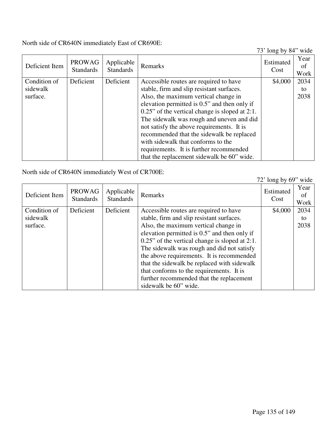North side of CR640N immediately East of CR690E:

73' long by 84" wide

| Deficient Item | <b>PROWAG</b><br><b>Standards</b> | Applicable<br><b>Standards</b> | Remarks                                           | Estimated<br>Cost | Year<br>of<br>Work |
|----------------|-----------------------------------|--------------------------------|---------------------------------------------------|-------------------|--------------------|
| Condition of   | Deficient                         | Deficient                      | Accessible routes are required to have            | \$4,000           | 2034               |
| sidewalk       |                                   |                                | stable, firm and slip resistant surfaces.         |                   | to                 |
| surface.       |                                   |                                | Also, the maximum vertical change in              |                   | 2038               |
|                |                                   |                                | elevation permitted is 0.5" and then only if      |                   |                    |
|                |                                   |                                | $0.25$ " of the vertical change is sloped at 2:1. |                   |                    |
|                |                                   |                                | The sidewalk was rough and uneven and did         |                   |                    |
|                |                                   |                                | not satisfy the above requirements. It is         |                   |                    |
|                |                                   |                                | recommended that the sidewalk be replaced         |                   |                    |
|                |                                   |                                | with sidewalk that conforms to the                |                   |                    |
|                |                                   |                                | requirements. It is further recommended           |                   |                    |
|                |                                   |                                | that the replacement sidewalk be 60" wide.        |                   |                    |

North side of CR640N immediately West of CR700E:

|                |                                   |                                |                                                   | $72'$ long by 69" wide |                    |
|----------------|-----------------------------------|--------------------------------|---------------------------------------------------|------------------------|--------------------|
| Deficient Item | <b>PROWAG</b><br><b>Standards</b> | Applicable<br><b>Standards</b> | Remarks                                           | Estimated<br>Cost      | Year<br>of<br>Work |
| Condition of   | Deficient                         | Deficient                      | Accessible routes are required to have            | \$4,000                | 2034               |
| sidewalk       |                                   |                                | stable, firm and slip resistant surfaces.         |                        | to                 |
| surface.       |                                   |                                | Also, the maximum vertical change in              |                        | 2038               |
|                |                                   |                                | elevation permitted is 0.5" and then only if      |                        |                    |
|                |                                   |                                | $0.25$ " of the vertical change is sloped at 2:1. |                        |                    |
|                |                                   |                                | The sidewalk was rough and did not satisfy        |                        |                    |
|                |                                   |                                | the above requirements. It is recommended         |                        |                    |
|                |                                   |                                | that the sidewalk be replaced with sidewalk       |                        |                    |
|                |                                   |                                | that conforms to the requirements. It is          |                        |                    |
|                |                                   |                                | further recommended that the replacement          |                        |                    |
|                |                                   |                                | sidewalk be 60" wide.                             |                        |                    |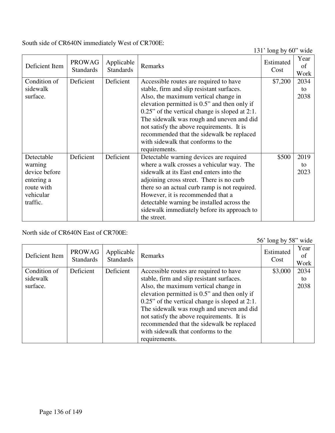South side of CR640N immediately West of CR700E:

131' long by 60" wide

| Deficient Item                                                                              | <b>PROWAG</b><br><b>Standards</b> | Applicable<br><b>Standards</b> | Remarks                                                                                                                                                                                                                                                                                                                                                                        | $1.71$ TOH <sub>2</sub> $0.900$<br>Estimated<br>Cost | Year<br>of<br>Work |
|---------------------------------------------------------------------------------------------|-----------------------------------|--------------------------------|--------------------------------------------------------------------------------------------------------------------------------------------------------------------------------------------------------------------------------------------------------------------------------------------------------------------------------------------------------------------------------|------------------------------------------------------|--------------------|
| Condition of<br>sidewalk<br>surface.                                                        | Deficient                         | Deficient                      | Accessible routes are required to have<br>stable, firm and slip resistant surfaces.<br>Also, the maximum vertical change in<br>elevation permitted is 0.5" and then only if<br>$0.25$ " of the vertical change is sloped at 2:1.<br>The sidewalk was rough and uneven and did<br>not satisfy the above requirements. It is<br>recommended that the sidewalk be replaced        | \$7,200                                              | 2034<br>to<br>2038 |
|                                                                                             |                                   |                                | with sidewalk that conforms to the<br>requirements.                                                                                                                                                                                                                                                                                                                            |                                                      |                    |
| Detectable<br>warning<br>device before<br>entering a<br>route with<br>vehicular<br>traffic. | Deficient                         | Deficient                      | Detectable warning devices are required<br>where a walk crosses a vehicular way. The<br>sidewalk at its East end enters into the<br>adjoining cross street. There is no curb<br>there so an actual curb ramp is not required.<br>However, it is recommended that a<br>detectable warning be installed across the<br>sidewalk immediately before its approach to<br>the street. | \$500                                                | 2019<br>to<br>2023 |

North side of CR640N East of CR700E:

56' long by 58" wide

| Deficient Item | <b>PROWAG</b><br><b>Standards</b> | Applicable<br><b>Standards</b> | Remarks                                           | Estimated<br>Cost | Year<br>of<br>Work |
|----------------|-----------------------------------|--------------------------------|---------------------------------------------------|-------------------|--------------------|
| Condition of   | Deficient                         | Deficient                      | Accessible routes are required to have            | \$3,000           | 2034               |
| sidewalk       |                                   |                                | stable, firm and slip resistant surfaces.         |                   | to                 |
| surface.       |                                   |                                | Also, the maximum vertical change in              |                   | 2038               |
|                |                                   |                                | elevation permitted is 0.5" and then only if      |                   |                    |
|                |                                   |                                | $0.25$ " of the vertical change is sloped at 2:1. |                   |                    |
|                |                                   |                                | The sidewalk was rough and uneven and did         |                   |                    |
|                |                                   |                                | not satisfy the above requirements. It is         |                   |                    |
|                |                                   |                                | recommended that the sidewalk be replaced         |                   |                    |
|                |                                   |                                | with sidewalk that conforms to the                |                   |                    |
|                |                                   |                                | requirements.                                     |                   |                    |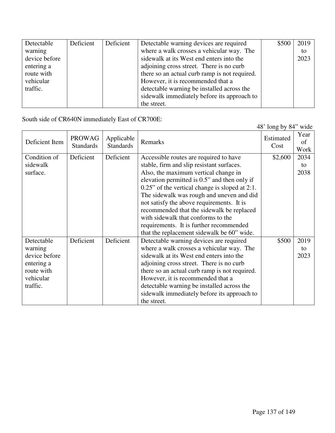| Detectable    | Deficient | Deficient | Detectable warning devices are required       | \$500 | 2019 |
|---------------|-----------|-----------|-----------------------------------------------|-------|------|
| warning       |           |           | where a walk crosses a vehicular way. The     |       | to   |
| device before |           |           | sidewalk at its West end enters into the      |       | 2023 |
| entering a    |           |           | adjoining cross street. There is no curb      |       |      |
| route with    |           |           | there so an actual curb ramp is not required. |       |      |
| vehicular     |           |           | However, it is recommended that a             |       |      |
| traffic.      |           |           | detectable warning be installed across the    |       |      |
|               |           |           | sidewalk immediately before its approach to   |       |      |
|               |           |           | the street.                                   |       |      |

South side of CR640N immediately East of CR700E:

|                |                                   |                                |                                                   | 48' long by 84" wide |                    |
|----------------|-----------------------------------|--------------------------------|---------------------------------------------------|----------------------|--------------------|
| Deficient Item | <b>PROWAG</b><br><b>Standards</b> | Applicable<br><b>Standards</b> | Remarks                                           | Estimated<br>Cost    | Year<br>of<br>Work |
| Condition of   | Deficient                         | Deficient                      | Accessible routes are required to have            | \$2,600              | 2034               |
| sidewalk       |                                   |                                | stable, firm and slip resistant surfaces.         |                      | to                 |
| surface.       |                                   |                                | Also, the maximum vertical change in              |                      | 2038               |
|                |                                   |                                | elevation permitted is 0.5" and then only if      |                      |                    |
|                |                                   |                                | $0.25$ " of the vertical change is sloped at 2:1. |                      |                    |
|                |                                   |                                | The sidewalk was rough and uneven and did         |                      |                    |
|                |                                   |                                | not satisfy the above requirements. It is         |                      |                    |
|                |                                   |                                | recommended that the sidewalk be replaced         |                      |                    |
|                |                                   |                                | with sidewalk that conforms to the                |                      |                    |
|                |                                   |                                | requirements. It is further recommended           |                      |                    |
|                |                                   |                                | that the replacement sidewalk be 60" wide.        |                      |                    |
| Detectable     | Deficient                         | Deficient                      | Detectable warning devices are required           | \$500                | 2019               |
| warning        |                                   |                                | where a walk crosses a vehicular way. The         |                      | to                 |
| device before  |                                   |                                | sidewalk at its West end enters into the          |                      | 2023               |
| entering a     |                                   |                                | adjoining cross street. There is no curb          |                      |                    |
| route with     |                                   |                                | there so an actual curb ramp is not required.     |                      |                    |
| vehicular      |                                   |                                | However, it is recommended that a                 |                      |                    |
| traffic.       |                                   |                                | detectable warning be installed across the        |                      |                    |
|                |                                   |                                | sidewalk immediately before its approach to       |                      |                    |
|                |                                   |                                | the street.                                       |                      |                    |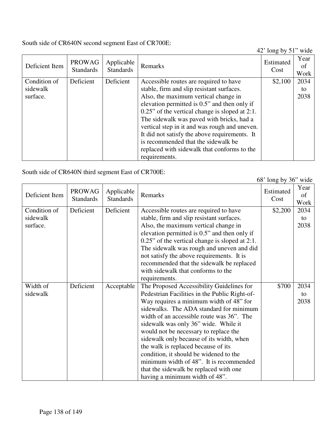South side of CR640N second segment East of CR700E:

42' long by 51" wide

|                |                                   |                                |                                                   | $-10.14 \times 10^{-1}$ |            |
|----------------|-----------------------------------|--------------------------------|---------------------------------------------------|-------------------------|------------|
| Deficient Item | <b>PROWAG</b><br><b>Standards</b> | Applicable<br><b>Standards</b> | Remarks                                           | Estimated<br>Cost       | Year<br>of |
|                |                                   |                                |                                                   |                         | Work       |
| Condition of   | Deficient                         | Deficient                      | Accessible routes are required to have            | \$2,100                 | 2034       |
| sidewalk       |                                   |                                | stable, firm and slip resistant surfaces.         |                         | to         |
| surface.       |                                   |                                | Also, the maximum vertical change in              |                         | 2038       |
|                |                                   |                                | elevation permitted is 0.5" and then only if      |                         |            |
|                |                                   |                                | $0.25$ " of the vertical change is sloped at 2:1. |                         |            |
|                |                                   |                                | The sidewalk was paved with bricks, had a         |                         |            |
|                |                                   |                                | vertical step in it and was rough and uneven.     |                         |            |
|                |                                   |                                | It did not satisfy the above requirements. It     |                         |            |
|                |                                   |                                | is recommended that the sidewalk be               |                         |            |
|                |                                   |                                | replaced with sidewalk that conforms to the       |                         |            |
|                |                                   |                                | requirements.                                     |                         |            |

South side of CR640N third segment East of CR700E:

|                                      |                                   |                                |                                                                                                                                                                                                                                                                                                                                                                                                                                                                                                                                                                    | 68' long by 36" wide |                    |
|--------------------------------------|-----------------------------------|--------------------------------|--------------------------------------------------------------------------------------------------------------------------------------------------------------------------------------------------------------------------------------------------------------------------------------------------------------------------------------------------------------------------------------------------------------------------------------------------------------------------------------------------------------------------------------------------------------------|----------------------|--------------------|
| Deficient Item                       | <b>PROWAG</b><br><b>Standards</b> | Applicable<br><b>Standards</b> | Remarks                                                                                                                                                                                                                                                                                                                                                                                                                                                                                                                                                            | Estimated<br>Cost    | Year<br>of<br>Work |
| Condition of<br>sidewalk<br>surface. | Deficient                         | Deficient                      | Accessible routes are required to have<br>stable, firm and slip resistant surfaces.<br>Also, the maximum vertical change in<br>elevation permitted is 0.5" and then only if<br>$0.25$ " of the vertical change is sloped at 2:1.<br>The sidewalk was rough and uneven and did<br>not satisfy the above requirements. It is<br>recommended that the sidewalk be replaced<br>with sidewalk that conforms to the<br>requirements.                                                                                                                                     | \$2,200              | 2034<br>to<br>2038 |
| Width of<br>sidewalk                 | Deficient                         | Acceptable                     | The Proposed Accessibility Guidelines for<br>Pedestrian Facilities in the Public Right-of-<br>Way requires a minimum width of 48" for<br>sidewalks. The ADA standard for minimum<br>width of an accessible route was 36". The<br>sidewalk was only 36" wide. While it<br>would not be necessary to replace the<br>sidewalk only because of its width, when<br>the walk is replaced because of its<br>condition, it should be widened to the<br>minimum width of 48". It is recommended<br>that the sidewalk be replaced with one<br>having a minimum width of 48". | \$700                | 2034<br>to<br>2038 |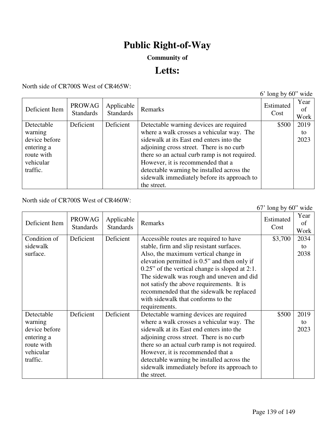# **Public Right-of-Way**

### **Community of**

## **Letts:**

North side of CR700S West of CR465W:

|                |                                   |                                |                                               | $6'$ long by $60''$ wide |                    |
|----------------|-----------------------------------|--------------------------------|-----------------------------------------------|--------------------------|--------------------|
| Deficient Item | <b>PROWAG</b><br><b>Standards</b> | Applicable<br><b>Standards</b> | Remarks                                       | Estimated<br>Cost        | Year<br>of<br>Work |
| Detectable     | Deficient                         | Deficient                      | Detectable warning devices are required       | \$500                    | 2019               |
| warning        |                                   |                                | where a walk crosses a vehicular way. The     |                          | to                 |
| device before  |                                   |                                | sidewalk at its East end enters into the      |                          | 2023               |
| entering a     |                                   |                                | adjoining cross street. There is no curb      |                          |                    |
| route with     |                                   |                                | there so an actual curb ramp is not required. |                          |                    |
| vehicular      |                                   |                                | However, it is recommended that a             |                          |                    |
| traffic.       |                                   |                                | detectable warning be installed across the    |                          |                    |
|                |                                   |                                | sidewalk immediately before its approach to   |                          |                    |
|                |                                   |                                | the street.                                   |                          |                    |

North side of CR700S West of CR460W:

|                                                                                             |                                   |                                |                                                                                                                                                                                                                                                                                                                                                                                                                                | $67'$ long by $60''$ wide |                    |
|---------------------------------------------------------------------------------------------|-----------------------------------|--------------------------------|--------------------------------------------------------------------------------------------------------------------------------------------------------------------------------------------------------------------------------------------------------------------------------------------------------------------------------------------------------------------------------------------------------------------------------|---------------------------|--------------------|
| Deficient Item                                                                              | <b>PROWAG</b><br><b>Standards</b> | Applicable<br><b>Standards</b> | Remarks                                                                                                                                                                                                                                                                                                                                                                                                                        | Estimated<br>Cost         | Year<br>of<br>Work |
| Condition of<br>sidewalk<br>surface.                                                        | Deficient                         | Deficient                      | Accessible routes are required to have<br>stable, firm and slip resistant surfaces.<br>Also, the maximum vertical change in<br>elevation permitted is 0.5" and then only if<br>$0.25$ " of the vertical change is sloped at 2:1.<br>The sidewalk was rough and uneven and did<br>not satisfy the above requirements. It is<br>recommended that the sidewalk be replaced<br>with sidewalk that conforms to the<br>requirements. | \$3,700                   | 2034<br>to<br>2038 |
| Detectable<br>warning<br>device before<br>entering a<br>route with<br>vehicular<br>traffic. | Deficient                         | Deficient                      | Detectable warning devices are required<br>where a walk crosses a vehicular way. The<br>sidewalk at its East end enters into the<br>adjoining cross street. There is no curb<br>there so an actual curb ramp is not required.<br>However, it is recommended that a<br>detectable warning be installed across the<br>sidewalk immediately before its approach to<br>the street.                                                 | \$500                     | 2019<br>to<br>2023 |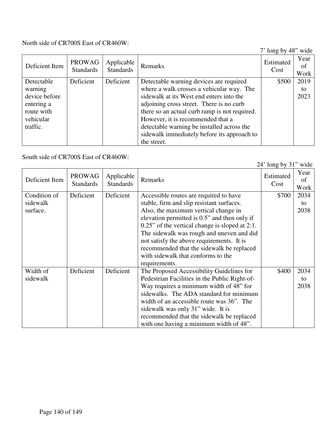North side of CR700S East of CR460W:

7' long by 48" wide

| Deficient Item | <b>PROWAG</b><br><b>Standards</b> | Applicable<br><b>Standards</b> | Remarks                                       | Estimated<br>Cost | Year<br>of<br>Work |
|----------------|-----------------------------------|--------------------------------|-----------------------------------------------|-------------------|--------------------|
| Detectable     | Deficient                         | Deficient                      | Detectable warning devices are required       | \$500             | 2019               |
| warning        |                                   |                                | where a walk crosses a vehicular way. The     |                   | to                 |
| device before  |                                   |                                | sidewalk at its West end enters into the      |                   | 2023               |
| entering a     |                                   |                                | adjoining cross street. There is no curb      |                   |                    |
| route with     |                                   |                                | there so an actual curb ramp is not required. |                   |                    |
| vehicular      |                                   |                                | However, it is recommended that a             |                   |                    |
| traffic.       |                                   |                                | detectable warning be installed across the    |                   |                    |
|                |                                   |                                | sidewalk immediately before its approach to   |                   |                    |
|                |                                   |                                | the street.                                   |                   |                    |

South side of CR700S East of CR460W:

|                |                                   |                                |                                                   | $2\pi$ TOILE UY JT | <b>WILL</b>        |
|----------------|-----------------------------------|--------------------------------|---------------------------------------------------|--------------------|--------------------|
| Deficient Item | <b>PROWAG</b><br><b>Standards</b> | Applicable<br><b>Standards</b> | Remarks                                           | Estimated<br>Cost  | Year<br>of<br>Work |
| Condition of   | Deficient                         | Deficient                      | Accessible routes are required to have            | \$700              | 2034               |
| sidewalk       |                                   |                                | stable, firm and slip resistant surfaces.         |                    | to                 |
| surface.       |                                   |                                | Also, the maximum vertical change in              |                    | 2038               |
|                |                                   |                                | elevation permitted is 0.5" and then only if      |                    |                    |
|                |                                   |                                | $0.25$ " of the vertical change is sloped at 2:1. |                    |                    |
|                |                                   |                                | The sidewalk was rough and uneven and did         |                    |                    |
|                |                                   |                                | not satisfy the above requirements. It is         |                    |                    |
|                |                                   |                                | recommended that the sidewalk be replaced         |                    |                    |
|                |                                   |                                | with sidewalk that conforms to the                |                    |                    |
|                |                                   |                                | requirements.                                     |                    |                    |
| Width of       | Deficient                         | Deficient                      | The Proposed Accessibility Guidelines for         | \$400              | 2034               |
| sidewalk       |                                   |                                | Pedestrian Facilities in the Public Right-of-     |                    | to                 |
|                |                                   |                                | Way requires a minimum width of 48" for           |                    | 2038               |
|                |                                   |                                | sidewalks. The ADA standard for minimum           |                    |                    |
|                |                                   |                                | width of an accessible route was 36". The         |                    |                    |
|                |                                   |                                | sidewalk was only 31" wide. It is                 |                    |                    |
|                |                                   |                                | recommended that the sidewalk be replaced         |                    |                    |
|                |                                   |                                | with one having a minimum width of 48".           |                    |                    |

24' long by 31" wide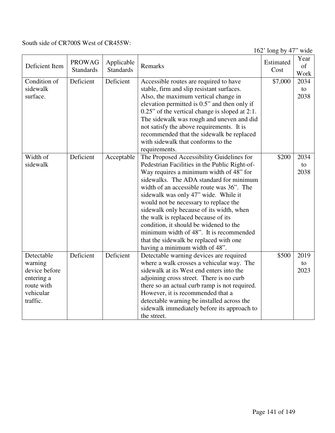#### South side of CR700S West of CR455W:

162' long by 47" wide

| Deficient Item | <b>PROWAG</b><br><b>Standards</b> | Applicable<br><b>Standards</b> | Remarks                                           | Estimated<br>Cost | Year<br>of<br>Work |
|----------------|-----------------------------------|--------------------------------|---------------------------------------------------|-------------------|--------------------|
| Condition of   | Deficient                         | Deficient                      | Accessible routes are required to have            | \$7,000           | 2034               |
| sidewalk       |                                   |                                | stable, firm and slip resistant surfaces.         |                   | to                 |
| surface.       |                                   |                                | Also, the maximum vertical change in              |                   | 2038               |
|                |                                   |                                | elevation permitted is 0.5" and then only if      |                   |                    |
|                |                                   |                                | $0.25$ " of the vertical change is sloped at 2:1. |                   |                    |
|                |                                   |                                | The sidewalk was rough and uneven and did         |                   |                    |
|                |                                   |                                | not satisfy the above requirements. It is         |                   |                    |
|                |                                   |                                |                                                   |                   |                    |
|                |                                   |                                | recommended that the sidewalk be replaced         |                   |                    |
|                |                                   |                                | with sidewalk that conforms to the                |                   |                    |
|                |                                   |                                | requirements.                                     |                   |                    |
| Width of       | Deficient                         | Acceptable                     | The Proposed Accessibility Guidelines for         | \$200             | 2034               |
| sidewalk       |                                   |                                | Pedestrian Facilities in the Public Right-of-     |                   | to                 |
|                |                                   |                                | Way requires a minimum width of 48" for           |                   | 2038               |
|                |                                   |                                | sidewalks. The ADA standard for minimum           |                   |                    |
|                |                                   |                                | width of an accessible route was 36". The         |                   |                    |
|                |                                   |                                | sidewalk was only 47" wide. While it              |                   |                    |
|                |                                   |                                | would not be necessary to replace the             |                   |                    |
|                |                                   |                                | sidewalk only because of its width, when          |                   |                    |
|                |                                   |                                | the walk is replaced because of its               |                   |                    |
|                |                                   |                                | condition, it should be widened to the            |                   |                    |
|                |                                   |                                | minimum width of 48". It is recommended           |                   |                    |
|                |                                   |                                | that the sidewalk be replaced with one            |                   |                    |
|                |                                   |                                | having a minimum width of 48".                    |                   |                    |
| Detectable     | Deficient                         | Deficient                      | Detectable warning devices are required           | \$500             | 2019               |
| warning        |                                   |                                | where a walk crosses a vehicular way. The         |                   | to                 |
| device before  |                                   |                                | sidewalk at its West end enters into the          |                   | 2023               |
| entering a     |                                   |                                | adjoining cross street. There is no curb          |                   |                    |
| route with     |                                   |                                | there so an actual curb ramp is not required.     |                   |                    |
| vehicular      |                                   |                                | However, it is recommended that a                 |                   |                    |
| traffic.       |                                   |                                | detectable warning be installed across the        |                   |                    |
|                |                                   |                                | sidewalk immediately before its approach to       |                   |                    |
|                |                                   |                                | the street.                                       |                   |                    |
|                |                                   |                                |                                                   |                   |                    |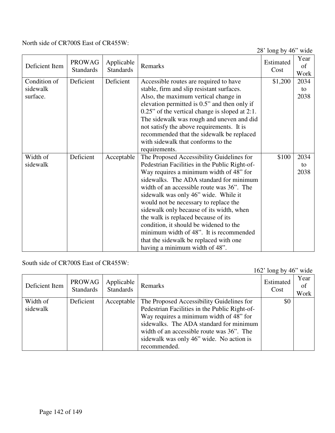#### North side of CR700S East of CR455W:

28' long by 46" wide

|                |                  |                  |                                                | $20 \text{ min}$ $0 \text{ y}$ $10$ | $\cdots$<br>Year |
|----------------|------------------|------------------|------------------------------------------------|-------------------------------------|------------------|
| Deficient Item | <b>PROWAG</b>    | Applicable       | Remarks                                        | Estimated                           | of               |
|                | <b>Standards</b> | <b>Standards</b> |                                                | Cost                                | Work             |
| Condition of   | Deficient        | Deficient        | Accessible routes are required to have         | \$1,200                             | 2034             |
| sidewalk       |                  |                  | stable, firm and slip resistant surfaces.      |                                     | to               |
| surface.       |                  |                  | Also, the maximum vertical change in           |                                     | 2038             |
|                |                  |                  |                                                |                                     |                  |
|                |                  |                  | elevation permitted is 0.5" and then only if   |                                     |                  |
|                |                  |                  | 0.25" of the vertical change is sloped at 2:1. |                                     |                  |
|                |                  |                  | The sidewalk was rough and uneven and did      |                                     |                  |
|                |                  |                  | not satisfy the above requirements. It is      |                                     |                  |
|                |                  |                  | recommended that the sidewalk be replaced      |                                     |                  |
|                |                  |                  | with sidewalk that conforms to the             |                                     |                  |
|                |                  |                  | requirements.                                  |                                     |                  |
| Width of       | Deficient        | Acceptable       | The Proposed Accessibility Guidelines for      | \$100                               | 2034             |
| sidewalk       |                  |                  | Pedestrian Facilities in the Public Right-of-  |                                     | to               |
|                |                  |                  | Way requires a minimum width of 48" for        |                                     | 2038             |
|                |                  |                  | sidewalks. The ADA standard for minimum        |                                     |                  |
|                |                  |                  | width of an accessible route was 36". The      |                                     |                  |
|                |                  |                  | sidewalk was only 46" wide. While it           |                                     |                  |
|                |                  |                  | would not be necessary to replace the          |                                     |                  |
|                |                  |                  | sidewalk only because of its width, when       |                                     |                  |
|                |                  |                  | the walk is replaced because of its            |                                     |                  |
|                |                  |                  | condition, it should be widened to the         |                                     |                  |
|                |                  |                  | minimum width of 48". It is recommended        |                                     |                  |
|                |                  |                  | that the sidewalk be replaced with one         |                                     |                  |
|                |                  |                  | having a minimum width of 48".                 |                                     |                  |
|                |                  |                  |                                                |                                     |                  |

#### South side of CR700S East of CR455W:

162' long by 46" wide Deficient Item  $PROWAG$ Standards Applicable Applicable Remarks Estimated Estimated Cost Cost Year of Work Width of sidewalk Deficient | Acceptable | The Proposed Accessibility Guidelines for Pedestrian Facilities in the Public Right-of-Way requires a minimum width of 48" for sidewalks. The ADA standard for minimum width of an accessible route was 36". The sidewalk was only 46" wide. No action is recommended. \$0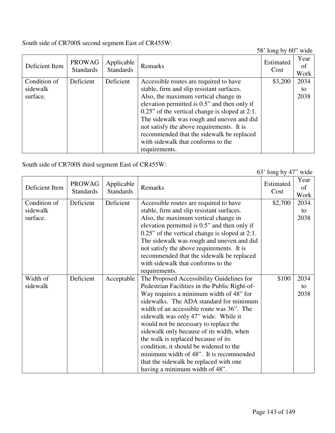South side of CR700S second segment East of CR455W:

58' long by 60" wide

| Deficient Item | <b>PROWAG</b><br><b>Standards</b> | Applicable<br><b>Standards</b> | Remarks                                           | Estimated<br>Cost | Year<br>of<br>Work |
|----------------|-----------------------------------|--------------------------------|---------------------------------------------------|-------------------|--------------------|
| Condition of   | Deficient                         | Deficient                      | Accessible routes are required to have            | \$3,200           | 2034               |
| sidewalk       |                                   |                                | stable, firm and slip resistant surfaces.         |                   | to                 |
| surface.       |                                   |                                | Also, the maximum vertical change in              |                   | 2038               |
|                |                                   |                                | elevation permitted is 0.5" and then only if      |                   |                    |
|                |                                   |                                | $0.25$ " of the vertical change is sloped at 2:1. |                   |                    |
|                |                                   |                                | The sidewalk was rough and uneven and did         |                   |                    |
|                |                                   |                                | not satisfy the above requirements. It is         |                   |                    |
|                |                                   |                                | recommended that the sidewalk be replaced         |                   |                    |
|                |                                   |                                | with sidewalk that conforms to the                |                   |                    |
|                |                                   |                                | requirements.                                     |                   |                    |

South side of CR700S third segment East of CR455W:

|                |                                   |                                |                                                   | $0.9$ TOILE $0.9$ T | <b>WILL</b>        |
|----------------|-----------------------------------|--------------------------------|---------------------------------------------------|---------------------|--------------------|
| Deficient Item | <b>PROWAG</b><br><b>Standards</b> | Applicable<br><b>Standards</b> | Remarks                                           | Estimated<br>Cost   | Year<br>of<br>Work |
| Condition of   | Deficient                         | Deficient                      | Accessible routes are required to have            | \$2,700             | 2034               |
| sidewalk       |                                   |                                | stable, firm and slip resistant surfaces.         |                     | to                 |
| surface.       |                                   |                                | Also, the maximum vertical change in              |                     | 2038               |
|                |                                   |                                | elevation permitted is 0.5" and then only if      |                     |                    |
|                |                                   |                                | $0.25$ " of the vertical change is sloped at 2:1. |                     |                    |
|                |                                   |                                | The sidewalk was rough and uneven and did         |                     |                    |
|                |                                   |                                | not satisfy the above requirements. It is         |                     |                    |
|                |                                   |                                | recommended that the sidewalk be replaced         |                     |                    |
|                |                                   |                                | with sidewalk that conforms to the                |                     |                    |
|                |                                   |                                | requirements.                                     |                     |                    |
| Width of       | Deficient                         | Acceptable                     | The Proposed Accessibility Guidelines for         | \$100               | 2034               |
| sidewalk       |                                   |                                | Pedestrian Facilities in the Public Right-of-     |                     | to                 |
|                |                                   |                                | Way requires a minimum width of 48" for           |                     | 2038               |
|                |                                   |                                | sidewalks. The ADA standard for minimum           |                     |                    |
|                |                                   |                                | width of an accessible route was 36". The         |                     |                    |
|                |                                   |                                | sidewalk was only 47" wide. While it              |                     |                    |
|                |                                   |                                | would not be necessary to replace the             |                     |                    |
|                |                                   |                                | sidewalk only because of its width, when          |                     |                    |
|                |                                   |                                | the walk is replaced because of its               |                     |                    |
|                |                                   |                                | condition, it should be widened to the            |                     |                    |
|                |                                   |                                | minimum width of 48". It is recommended           |                     |                    |
|                |                                   |                                | that the sidewalk be replaced with one            |                     |                    |
|                |                                   |                                | having a minimum width of 48".                    |                     |                    |

63' long by 47" wide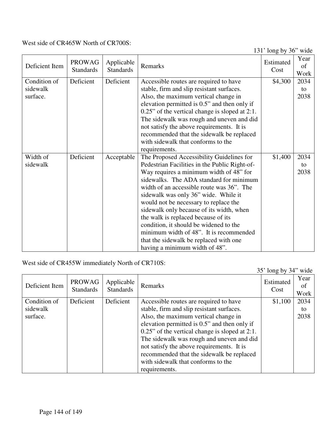#### West side of CR465W North of CR700S:

131' long by 36" wide

| Deficient Item                       | <b>PROWAG</b><br><b>Standards</b> | Applicable<br><b>Standards</b> | Remarks                                                                                                                                                                                                                                                                                                                                                                                                                                                                                                                                                            | Estimated<br>Cost | Year<br>of<br>Work |
|--------------------------------------|-----------------------------------|--------------------------------|--------------------------------------------------------------------------------------------------------------------------------------------------------------------------------------------------------------------------------------------------------------------------------------------------------------------------------------------------------------------------------------------------------------------------------------------------------------------------------------------------------------------------------------------------------------------|-------------------|--------------------|
| Condition of<br>sidewalk<br>surface. | Deficient                         | Deficient                      | Accessible routes are required to have<br>stable, firm and slip resistant surfaces.<br>Also, the maximum vertical change in                                                                                                                                                                                                                                                                                                                                                                                                                                        | \$4,300           | 2034<br>to<br>2038 |
|                                      |                                   |                                | elevation permitted is 0.5" and then only if<br>0.25" of the vertical change is sloped at 2:1.<br>The sidewalk was rough and uneven and did<br>not satisfy the above requirements. It is<br>recommended that the sidewalk be replaced                                                                                                                                                                                                                                                                                                                              |                   |                    |
|                                      |                                   |                                | with sidewalk that conforms to the<br>requirements.                                                                                                                                                                                                                                                                                                                                                                                                                                                                                                                |                   |                    |
| Width of<br>sidewalk                 | Deficient                         | Acceptable                     | The Proposed Accessibility Guidelines for<br>Pedestrian Facilities in the Public Right-of-<br>Way requires a minimum width of 48" for<br>sidewalks. The ADA standard for minimum<br>width of an accessible route was 36". The<br>sidewalk was only 36" wide. While it<br>would not be necessary to replace the<br>sidewalk only because of its width, when<br>the walk is replaced because of its<br>condition, it should be widened to the<br>minimum width of 48". It is recommended<br>that the sidewalk be replaced with one<br>having a minimum width of 48". | \$1,400           | 2034<br>to<br>2038 |

West side of CR455W immediately North of CR710S:

|                |                                   |                                |                                                   | 35' long by 34" wide |                    |
|----------------|-----------------------------------|--------------------------------|---------------------------------------------------|----------------------|--------------------|
| Deficient Item | <b>PROWAG</b><br><b>Standards</b> | Applicable<br><b>Standards</b> | Remarks                                           | Estimated<br>Cost    | Year<br>0f<br>Work |
| Condition of   | Deficient                         | Deficient                      | Accessible routes are required to have            | \$1,100              | 2034               |
| sidewalk       |                                   |                                | stable, firm and slip resistant surfaces.         |                      | to                 |
| surface.       |                                   |                                | Also, the maximum vertical change in              |                      | 2038               |
|                |                                   |                                | elevation permitted is 0.5" and then only if      |                      |                    |
|                |                                   |                                | $0.25$ " of the vertical change is sloped at 2:1. |                      |                    |
|                |                                   |                                | The sidewalk was rough and uneven and did         |                      |                    |
|                |                                   |                                | not satisfy the above requirements. It is         |                      |                    |
|                |                                   |                                | recommended that the sidewalk be replaced         |                      |                    |
|                |                                   |                                | with sidewalk that conforms to the                |                      |                    |
|                |                                   |                                | requirements.                                     |                      |                    |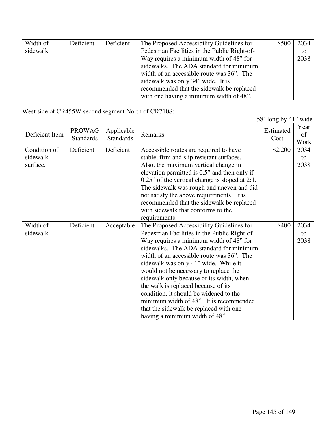| Width of | Deficient | Deficient | The Proposed Accessibility Guidelines for     | \$500 | 2034 |
|----------|-----------|-----------|-----------------------------------------------|-------|------|
| sidewalk |           |           | Pedestrian Facilities in the Public Right-of- |       | to   |
|          |           |           | Way requires a minimum width of 48" for       |       | 2038 |
|          |           |           | sidewalks. The ADA standard for minimum       |       |      |
|          |           |           | width of an accessible route was 36". The     |       |      |
|          |           |           | sidewalk was only 34" wide. It is             |       |      |
|          |           |           | recommended that the sidewalk be replaced     |       |      |
|          |           |           | with one having a minimum width of 48".       |       |      |

West side of CR455W second segment North of CR710S:

|                                      |                                   |                                |                                                                                                                                                                                                                                                                                                                                                                                                                                                                                                                                                                    | 58' long by 41" wide |                    |
|--------------------------------------|-----------------------------------|--------------------------------|--------------------------------------------------------------------------------------------------------------------------------------------------------------------------------------------------------------------------------------------------------------------------------------------------------------------------------------------------------------------------------------------------------------------------------------------------------------------------------------------------------------------------------------------------------------------|----------------------|--------------------|
| Deficient Item                       | <b>PROWAG</b><br><b>Standards</b> | Applicable<br><b>Standards</b> | Remarks                                                                                                                                                                                                                                                                                                                                                                                                                                                                                                                                                            | Estimated<br>Cost    | Year<br>of<br>Work |
| Condition of<br>sidewalk<br>surface. | Deficient                         | Deficient                      | Accessible routes are required to have<br>stable, firm and slip resistant surfaces.<br>Also, the maximum vertical change in<br>elevation permitted is 0.5" and then only if<br>$0.25$ " of the vertical change is sloped at 2:1.<br>The sidewalk was rough and uneven and did<br>not satisfy the above requirements. It is<br>recommended that the sidewalk be replaced<br>with sidewalk that conforms to the<br>requirements.                                                                                                                                     | \$2,200              | 2034<br>to<br>2038 |
| Width of<br>sidewalk                 | Deficient                         | Acceptable                     | The Proposed Accessibility Guidelines for<br>Pedestrian Facilities in the Public Right-of-<br>Way requires a minimum width of 48" for<br>sidewalks. The ADA standard for minimum<br>width of an accessible route was 36". The<br>sidewalk was only 41" wide. While it<br>would not be necessary to replace the<br>sidewalk only because of its width, when<br>the walk is replaced because of its<br>condition, it should be widened to the<br>minimum width of 48". It is recommended<br>that the sidewalk be replaced with one<br>having a minimum width of 48". | \$400                | 2034<br>to<br>2038 |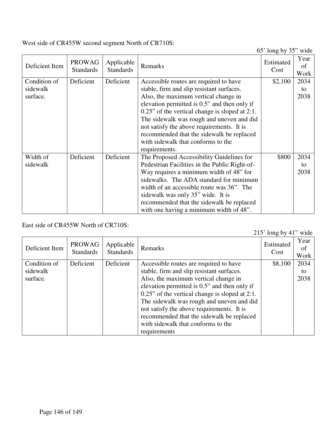West side of CR455W second segment North of CR710S:

65' long by 35" wide

|                |                  |                  |                                                   | $\sim$    | Year |
|----------------|------------------|------------------|---------------------------------------------------|-----------|------|
|                | <b>PROWAG</b>    | Applicable       |                                                   | Estimated |      |
| Deficient Item | <b>Standards</b> | <b>Standards</b> | Remarks                                           | Cost      | of   |
|                |                  |                  |                                                   |           | Work |
| Condition of   | Deficient        | Deficient        | Accessible routes are required to have            | \$2,100   | 2034 |
| sidewalk       |                  |                  | stable, firm and slip resistant surfaces.         |           | to   |
| surface.       |                  |                  | Also, the maximum vertical change in              |           | 2038 |
|                |                  |                  | elevation permitted is 0.5" and then only if      |           |      |
|                |                  |                  | $0.25$ " of the vertical change is sloped at 2:1. |           |      |
|                |                  |                  | The sidewalk was rough and uneven and did         |           |      |
|                |                  |                  | not satisfy the above requirements. It is         |           |      |
|                |                  |                  | recommended that the sidewalk be replaced         |           |      |
|                |                  |                  | with sidewalk that conforms to the                |           |      |
|                |                  |                  | requirements.                                     |           |      |
| Width of       | Deficient        | Deficient        | The Proposed Accessibility Guidelines for         | \$800     | 2034 |
| sidewalk       |                  |                  | Pedestrian Facilities in the Public Right-of-     |           | to   |
|                |                  |                  | Way requires a minimum width of 48" for           |           | 2038 |
|                |                  |                  | sidewalks. The ADA standard for minimum           |           |      |
|                |                  |                  | width of an accessible route was 36". The         |           |      |
|                |                  |                  | sidewalk was only 35" wide. It is                 |           |      |
|                |                  |                  | recommended that the sidewalk be replaced         |           |      |
|                |                  |                  | with one having a minimum width of 48".           |           |      |

East side of CR455W North of CR710S:

215' long by 41" wide

|                |                                   |                                |                                                   | $-10$ $10$ $-10$ $-1$ $-1$ |                    |
|----------------|-----------------------------------|--------------------------------|---------------------------------------------------|----------------------------|--------------------|
| Deficient Item | <b>PROWAG</b><br><b>Standards</b> | Applicable<br><b>Standards</b> | Remarks                                           | Estimated<br>Cost          | Year<br>Οt<br>Work |
| Condition of   | Deficient                         | Deficient                      | Accessible routes are required to have            | \$8,100                    | 2034               |
| sidewalk       |                                   |                                | stable, firm and slip resistant surfaces.         |                            | to                 |
| surface.       |                                   |                                | Also, the maximum vertical change in              |                            | 2038               |
|                |                                   |                                | elevation permitted is 0.5" and then only if      |                            |                    |
|                |                                   |                                | $0.25$ " of the vertical change is sloped at 2:1. |                            |                    |
|                |                                   |                                | The sidewalk was rough and uneven and did         |                            |                    |
|                |                                   |                                | not satisfy the above requirements. It is         |                            |                    |
|                |                                   |                                | recommended that the sidewalk be replaced         |                            |                    |
|                |                                   |                                | with sidewalk that conforms to the                |                            |                    |
|                |                                   |                                | requirements                                      |                            |                    |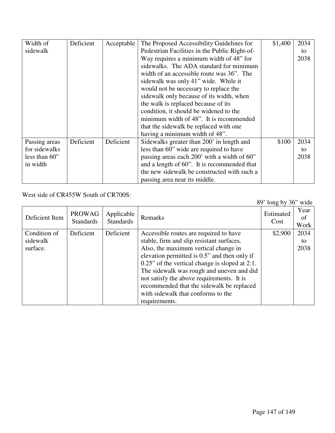| Width of      | Deficient | Acceptable | The Proposed Accessibility Guidelines for     | \$1,400 | 2034 |
|---------------|-----------|------------|-----------------------------------------------|---------|------|
| sidewalk      |           |            | Pedestrian Facilities in the Public Right-of- |         | to   |
|               |           |            | Way requires a minimum width of 48" for       |         | 2038 |
|               |           |            | sidewalks. The ADA standard for minimum       |         |      |
|               |           |            | width of an accessible route was 36". The     |         |      |
|               |           |            | sidewalk was only 41" wide. While it          |         |      |
|               |           |            | would not be necessary to replace the         |         |      |
|               |           |            | sidewalk only because of its width, when      |         |      |
|               |           |            | the walk is replaced because of its           |         |      |
|               |           |            | condition, it should be widened to the        |         |      |
|               |           |            | minimum width of 48". It is recommended       |         |      |
|               |           |            | that the sidewalk be replaced with one        |         |      |
|               |           |            | having a minimum width of 48".                |         |      |
| Passing areas | Deficient | Deficient  | Sidewalks greater than 200' in length and     | \$100   | 2034 |
| for sidewalks |           |            | less than 60" wide are required to have       |         | to   |
| less than 60" |           |            | passing areas each 200' with a width of 60"   |         | 2038 |
| in width      |           |            | and a length of 60". It is recommended that   |         |      |
|               |           |            | the new sidewalk be constructed with such a   |         |      |
|               |           |            | passing area near its middle.                 |         |      |

West side of CR455W South of CR700S:

89' long by 36" wide

| Deficient Item                       | <b>PROWAG</b><br><b>Standards</b> | Applicable<br><b>Standards</b> | Remarks                                                                                                                                                                                                                                                                                                                                                                                                                        | Estimated<br>Cost | Year<br>ot<br>Work |
|--------------------------------------|-----------------------------------|--------------------------------|--------------------------------------------------------------------------------------------------------------------------------------------------------------------------------------------------------------------------------------------------------------------------------------------------------------------------------------------------------------------------------------------------------------------------------|-------------------|--------------------|
| Condition of<br>sidewalk<br>surface. | Deficient                         | Deficient                      | Accessible routes are required to have<br>stable, firm and slip resistant surfaces.<br>Also, the maximum vertical change in<br>elevation permitted is 0.5" and then only if<br>$0.25$ " of the vertical change is sloped at 2:1.<br>The sidewalk was rough and uneven and did<br>not satisfy the above requirements. It is<br>recommended that the sidewalk be replaced<br>with sidewalk that conforms to the<br>requirements. | \$2,900           | 2034<br>to<br>2038 |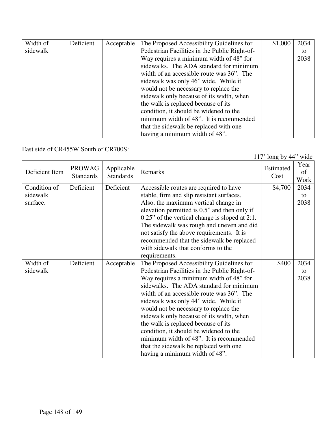| Width of | Deficient | Acceptable | The Proposed Accessibility Guidelines for     | \$1,000 | 2034 |
|----------|-----------|------------|-----------------------------------------------|---------|------|
| sidewalk |           |            | Pedestrian Facilities in the Public Right-of- |         | to   |
|          |           |            | Way requires a minimum width of 48" for       |         | 2038 |
|          |           |            | sidewalks. The ADA standard for minimum       |         |      |
|          |           |            | width of an accessible route was 36". The     |         |      |
|          |           |            | sidewalk was only 46" wide. While it          |         |      |
|          |           |            | would not be necessary to replace the         |         |      |
|          |           |            | sidewalk only because of its width, when      |         |      |
|          |           |            | the walk is replaced because of its           |         |      |
|          |           |            | condition, it should be widened to the        |         |      |
|          |           |            | minimum width of 48". It is recommended       |         |      |
|          |           |            | that the sidewalk be replaced with one        |         |      |
|          |           |            | having a minimum width of 48".                |         |      |

East side of CR455W South of CR700S:

117' long by 44" wide

| Deficient Item | PROWAG<br><b>Standards</b> | Applicable<br><b>Standards</b> | Remarks                                           | Estimated<br>Cost | Year<br>of<br>Work |
|----------------|----------------------------|--------------------------------|---------------------------------------------------|-------------------|--------------------|
| Condition of   | Deficient                  | Deficient                      | Accessible routes are required to have            | \$4,700           | 2034               |
| sidewalk       |                            |                                | stable, firm and slip resistant surfaces.         |                   | to                 |
| surface.       |                            |                                | Also, the maximum vertical change in              |                   | 2038               |
|                |                            |                                | elevation permitted is 0.5" and then only if      |                   |                    |
|                |                            |                                | $0.25$ " of the vertical change is sloped at 2:1. |                   |                    |
|                |                            |                                | The sidewalk was rough and uneven and did         |                   |                    |
|                |                            |                                | not satisfy the above requirements. It is         |                   |                    |
|                |                            |                                | recommended that the sidewalk be replaced         |                   |                    |
|                |                            |                                | with sidewalk that conforms to the                |                   |                    |
|                |                            |                                | requirements.                                     |                   |                    |
| Width of       | Deficient                  | Acceptable                     | The Proposed Accessibility Guidelines for         | \$400             | 2034               |
| sidewalk       |                            |                                | Pedestrian Facilities in the Public Right-of-     |                   | to                 |
|                |                            |                                | Way requires a minimum width of 48" for           |                   | 2038               |
|                |                            |                                | sidewalks. The ADA standard for minimum           |                   |                    |
|                |                            |                                | width of an accessible route was 36". The         |                   |                    |
|                |                            |                                | sidewalk was only 44" wide. While it              |                   |                    |
|                |                            |                                | would not be necessary to replace the             |                   |                    |
|                |                            |                                | sidewalk only because of its width, when          |                   |                    |
|                |                            |                                | the walk is replaced because of its               |                   |                    |
|                |                            |                                | condition, it should be widened to the            |                   |                    |
|                |                            |                                | minimum width of 48". It is recommended           |                   |                    |
|                |                            |                                | that the sidewalk be replaced with one            |                   |                    |
|                |                            |                                | having a minimum width of 48".                    |                   |                    |